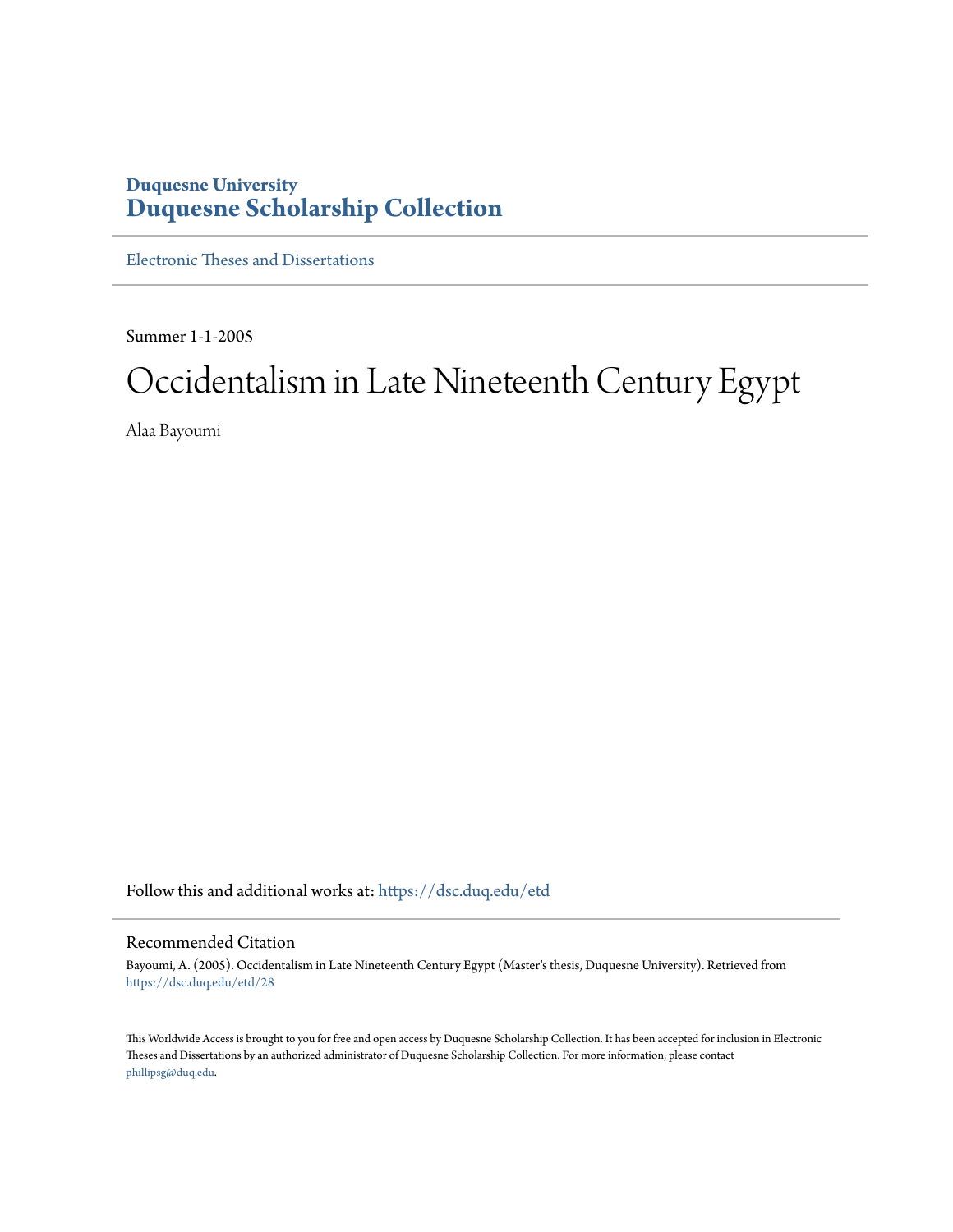## **Duquesne University [Duquesne Scholarship Collection](https://dsc.duq.edu?utm_source=dsc.duq.edu%2Fetd%2F28&utm_medium=PDF&utm_campaign=PDFCoverPages)**

[Electronic Theses and Dissertations](https://dsc.duq.edu/etd?utm_source=dsc.duq.edu%2Fetd%2F28&utm_medium=PDF&utm_campaign=PDFCoverPages)

Summer 1-1-2005

# Occidentalism in Late Nineteenth Century Egypt

Alaa Bayoumi

Follow this and additional works at: [https://dsc.duq.edu/etd](https://dsc.duq.edu/etd?utm_source=dsc.duq.edu%2Fetd%2F28&utm_medium=PDF&utm_campaign=PDFCoverPages)

#### Recommended Citation

Bayoumi, A. (2005). Occidentalism in Late Nineteenth Century Egypt (Master's thesis, Duquesne University). Retrieved from [https://dsc.duq.edu/etd/28](https://dsc.duq.edu/etd/28?utm_source=dsc.duq.edu%2Fetd%2F28&utm_medium=PDF&utm_campaign=PDFCoverPages)

This Worldwide Access is brought to you for free and open access by Duquesne Scholarship Collection. It has been accepted for inclusion in Electronic Theses and Dissertations by an authorized administrator of Duquesne Scholarship Collection. For more information, please contact [phillipsg@duq.edu.](mailto:phillipsg@duq.edu)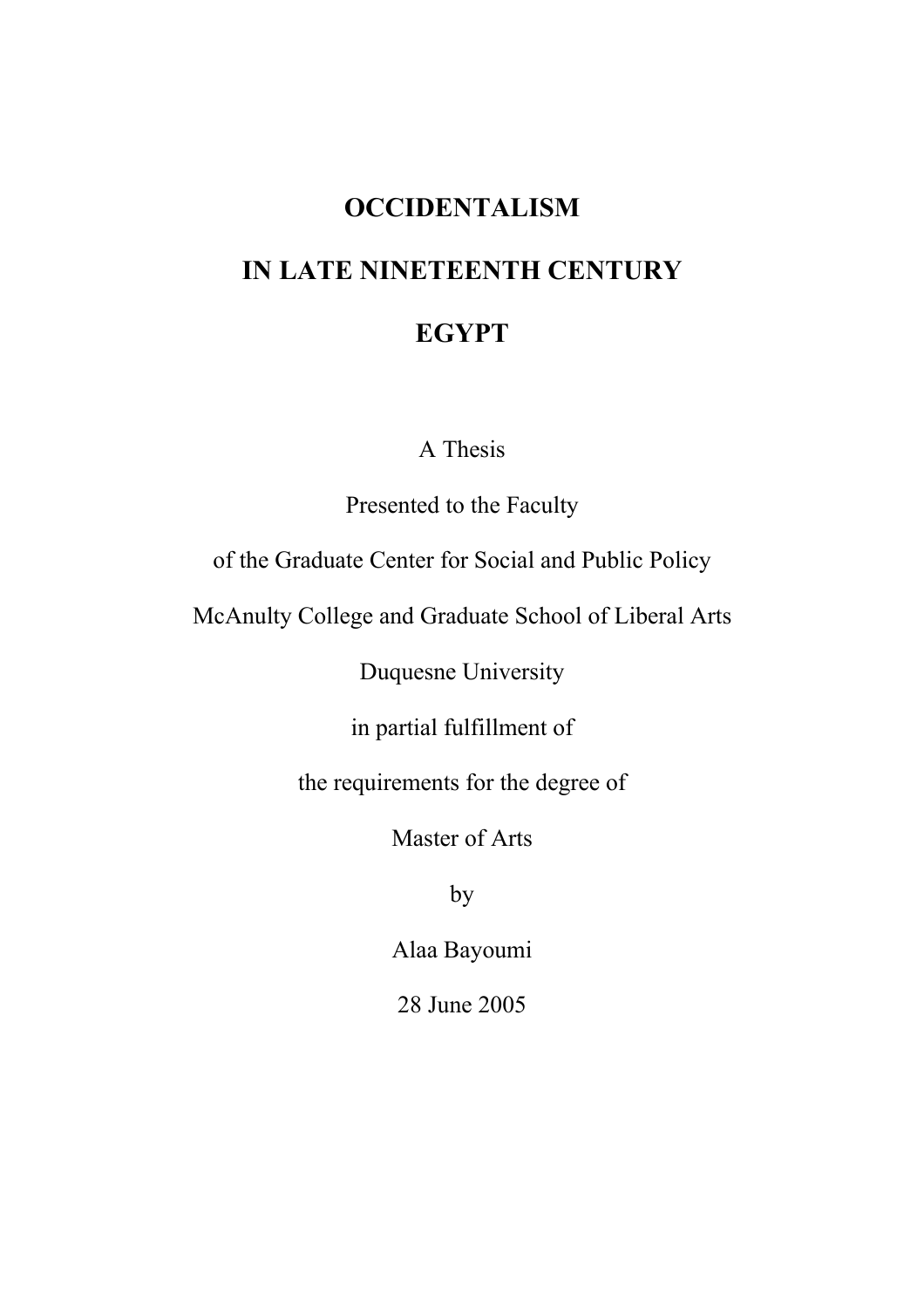# **OCCIDENTALISM IN LATE NINETEENTH CENTURY EGYPT**

A Thesis

Presented to the Faculty

of the Graduate Center for Social and Public Policy

McAnulty College and Graduate School of Liberal Arts

Duquesne University

in partial fulfillment of

the requirements for the degree of

Master of Arts

by

Alaa Bayoumi

28 June 2005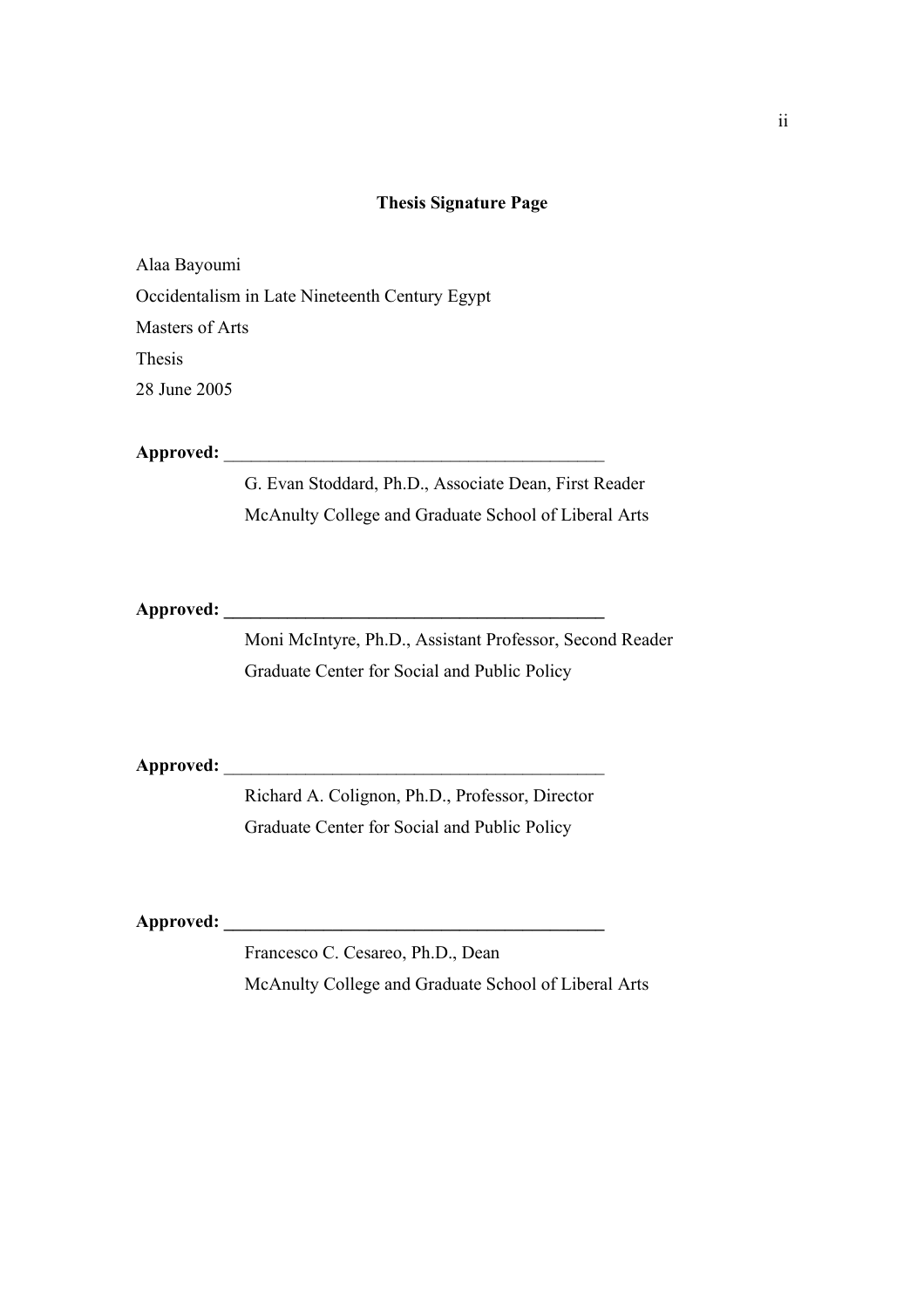#### **Thesis Signature Page**

Alaa Bayoumi Occidentalism in Late Nineteenth Century Egypt Masters of Arts Thesis 28 June 2005

Approved:

G. Evan Stoddard, Ph.D., Associate Dean, First Reader McAnulty College and Graduate School of Liberal Arts

**Approved: \_\_\_\_\_\_\_\_\_\_\_\_\_\_\_\_\_\_\_\_\_\_\_\_\_\_\_\_\_\_\_\_\_\_\_\_\_\_\_\_\_\_** 

Moni McIntyre, Ph.D., Assistant Professor, Second Reader Graduate Center for Social and Public Policy

Approved:

Richard A. Colignon, Ph.D., Professor, Director Graduate Center for Social and Public Policy

**Approved: \_\_\_\_\_\_\_\_\_\_\_\_\_\_\_\_\_\_\_\_\_\_\_\_\_\_\_\_\_\_\_\_\_\_\_\_\_\_\_\_\_\_** 

Francesco C. Cesareo, Ph.D., Dean McAnulty College and Graduate School of Liberal Arts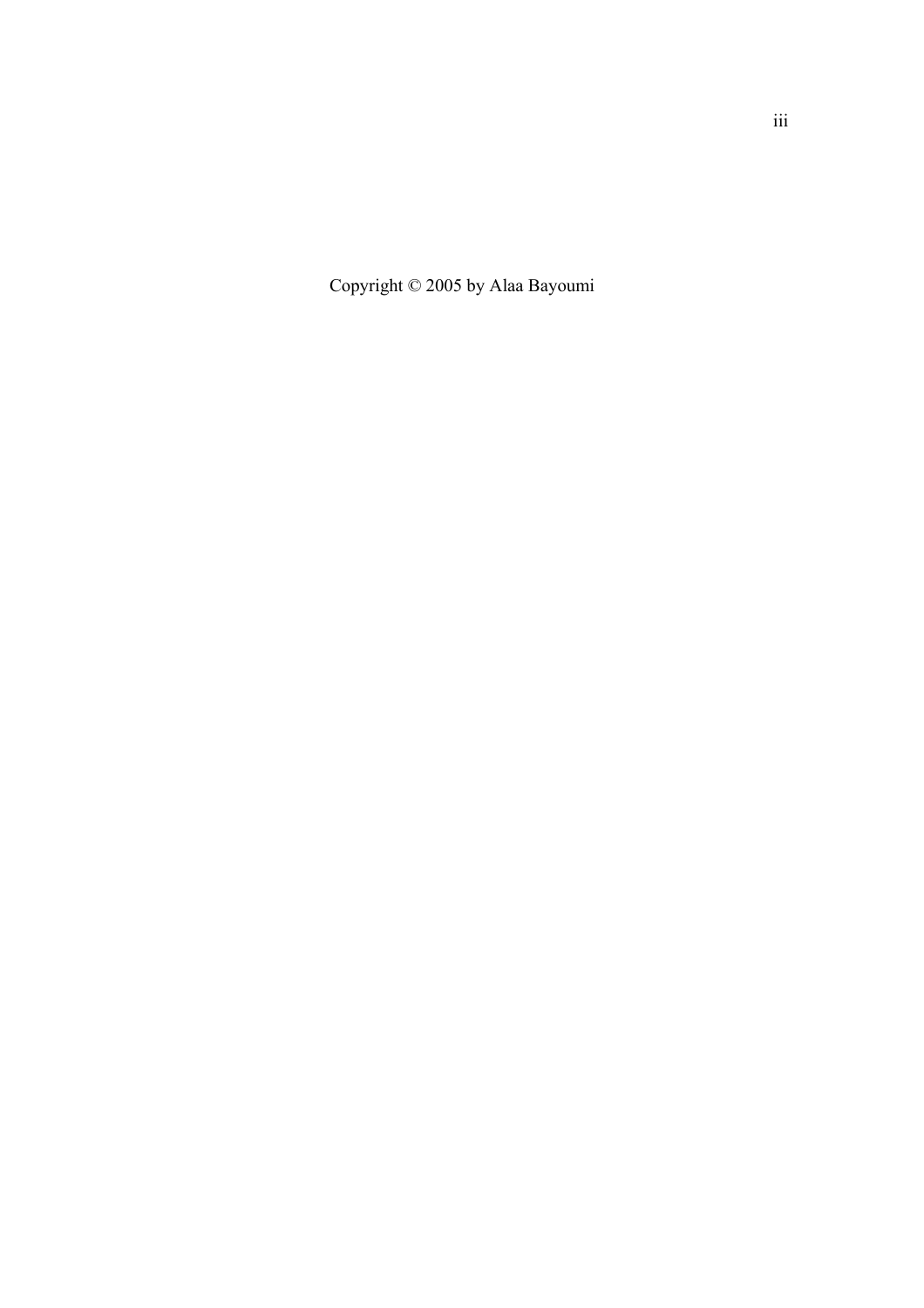Copyright © 2005 by Alaa Bayoumi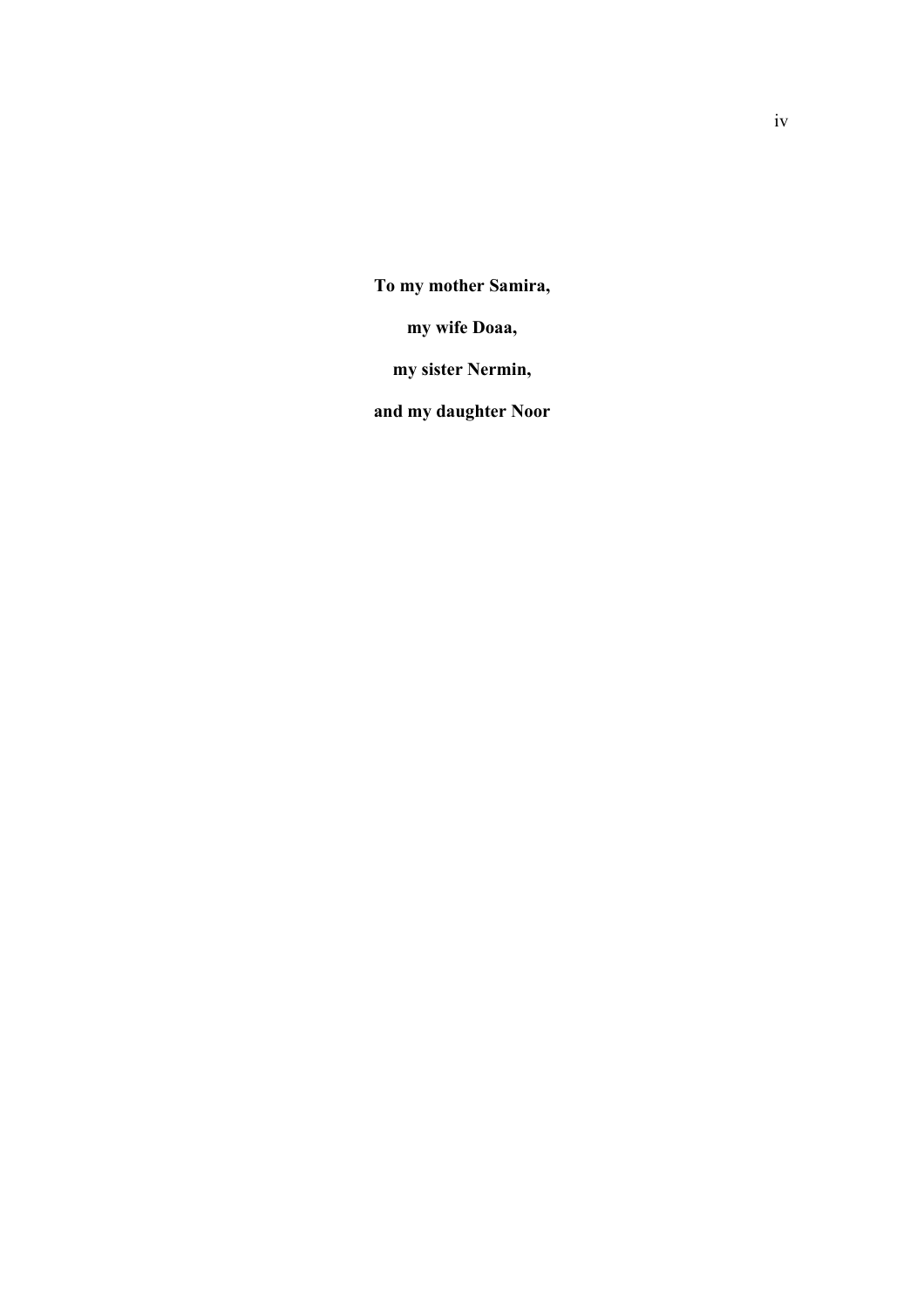**To my mother Samira,** 

**my wife Doaa,** 

**my sister Nermin,** 

**and my daughter Noor**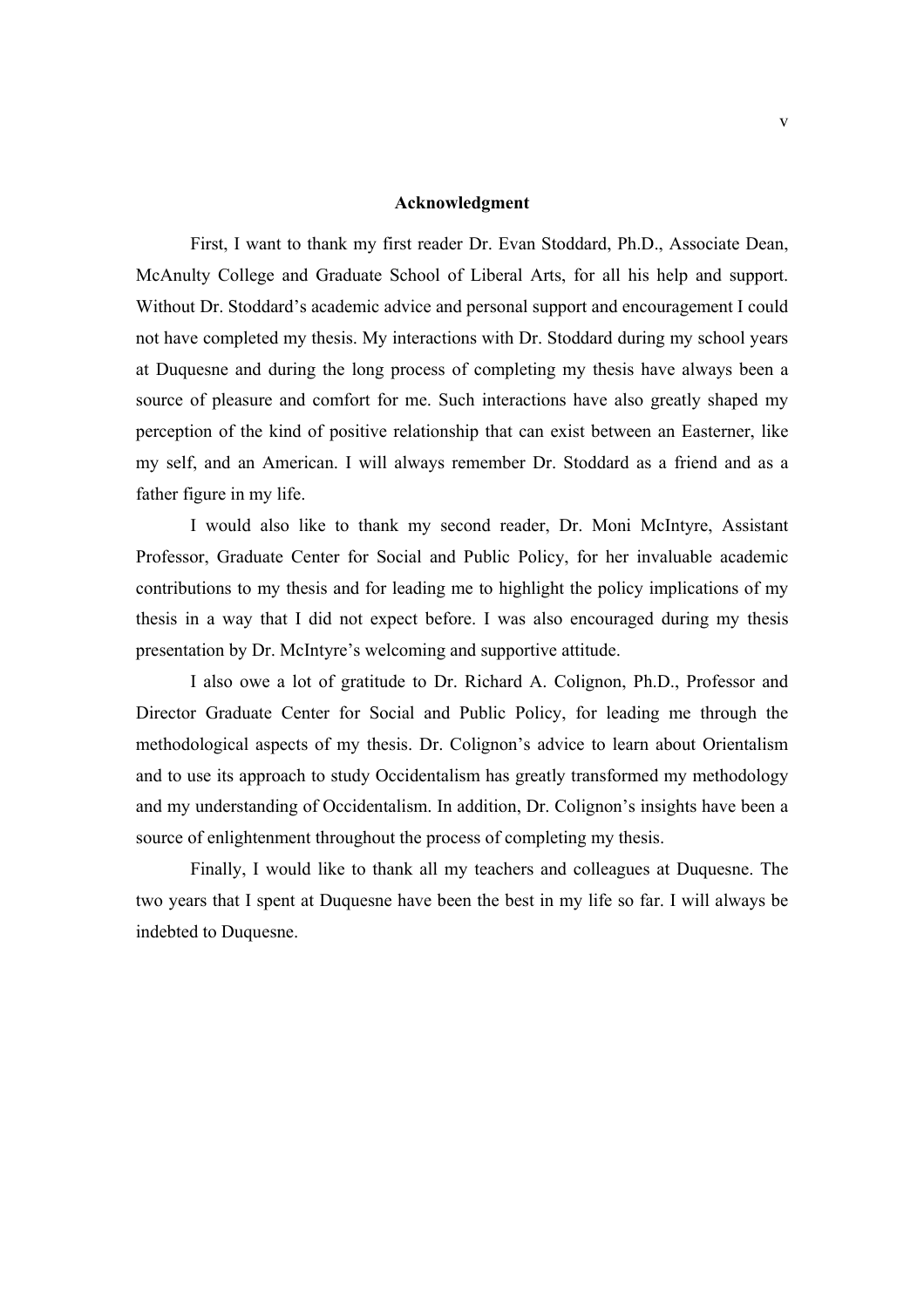#### **Acknowledgment**

 First, I want to thank my first reader Dr. Evan Stoddard, Ph.D., Associate Dean, McAnulty College and Graduate School of Liberal Arts, for all his help and support. Without Dr. Stoddard's academic advice and personal support and encouragement I could not have completed my thesis. My interactions with Dr. Stoddard during my school years at Duquesne and during the long process of completing my thesis have always been a source of pleasure and comfort for me. Such interactions have also greatly shaped my perception of the kind of positive relationship that can exist between an Easterner, like my self, and an American. I will always remember Dr. Stoddard as a friend and as a father figure in my life.

 I would also like to thank my second reader, Dr. Moni McIntyre, Assistant Professor, Graduate Center for Social and Public Policy, for her invaluable academic contributions to my thesis and for leading me to highlight the policy implications of my thesis in a way that I did not expect before. I was also encouraged during my thesis presentation by Dr. McIntyre's welcoming and supportive attitude.

 I also owe a lot of gratitude to Dr. Richard A. Colignon, Ph.D., Professor and Director Graduate Center for Social and Public Policy, for leading me through the methodological aspects of my thesis. Dr. Colignon's advice to learn about Orientalism and to use its approach to study Occidentalism has greatly transformed my methodology and my understanding of Occidentalism. In addition, Dr. Colignon's insights have been a source of enlightenment throughout the process of completing my thesis.

 Finally, I would like to thank all my teachers and colleagues at Duquesne. The two years that I spent at Duquesne have been the best in my life so far. I will always be indebted to Duquesne.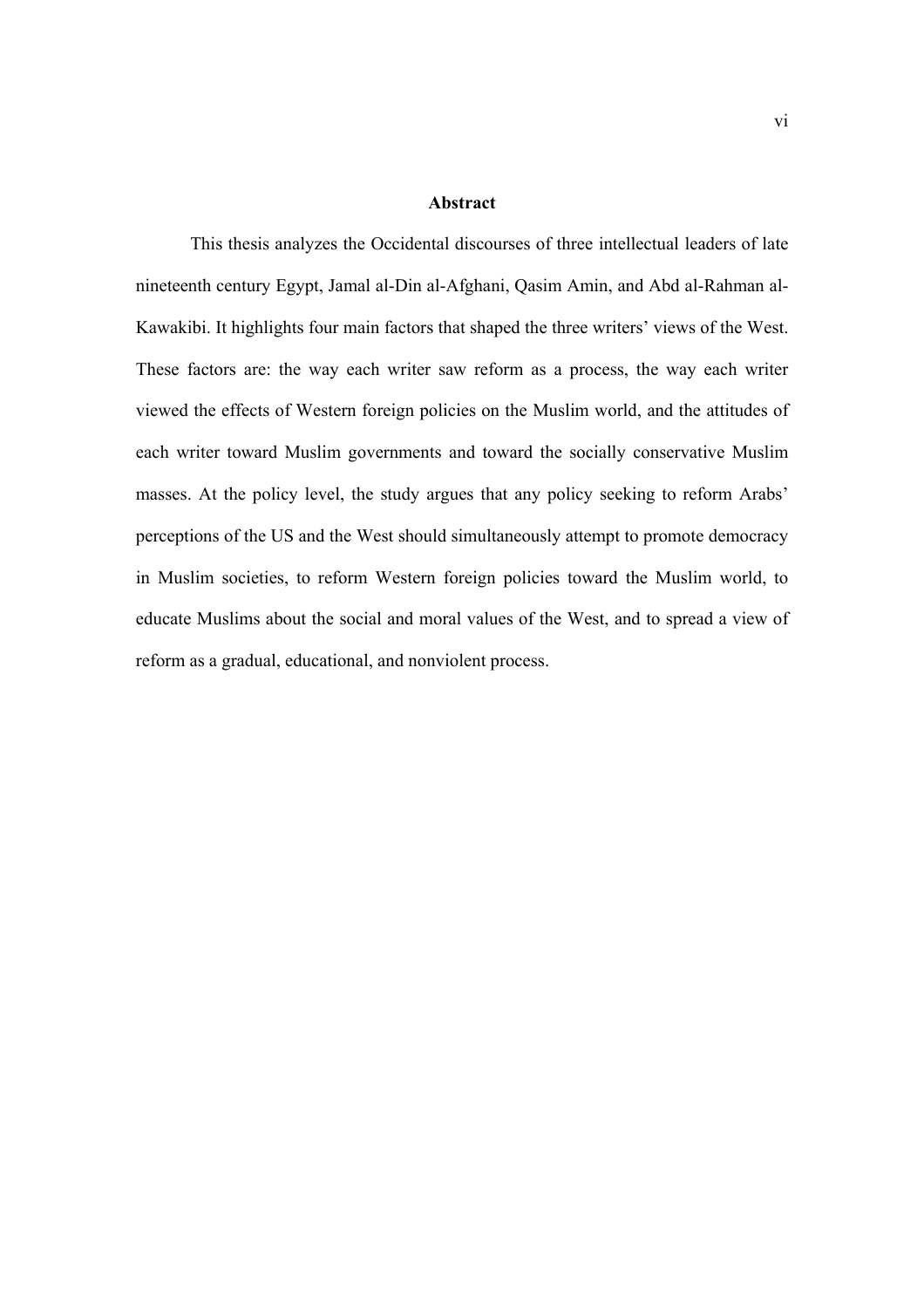#### **Abstract**

This thesis analyzes the Occidental discourses of three intellectual leaders of late nineteenth century Egypt, Jamal al-Din al-Afghani, Qasim Amin, and Abd al-Rahman al-Kawakibi. It highlights four main factors that shaped the three writers' views of the West. These factors are: the way each writer saw reform as a process, the way each writer viewed the effects of Western foreign policies on the Muslim world, and the attitudes of each writer toward Muslim governments and toward the socially conservative Muslim masses. At the policy level, the study argues that any policy seeking to reform Arabs' perceptions of the US and the West should simultaneously attempt to promote democracy in Muslim societies, to reform Western foreign policies toward the Muslim world, to educate Muslims about the social and moral values of the West, and to spread a view of reform as a gradual, educational, and nonviolent process.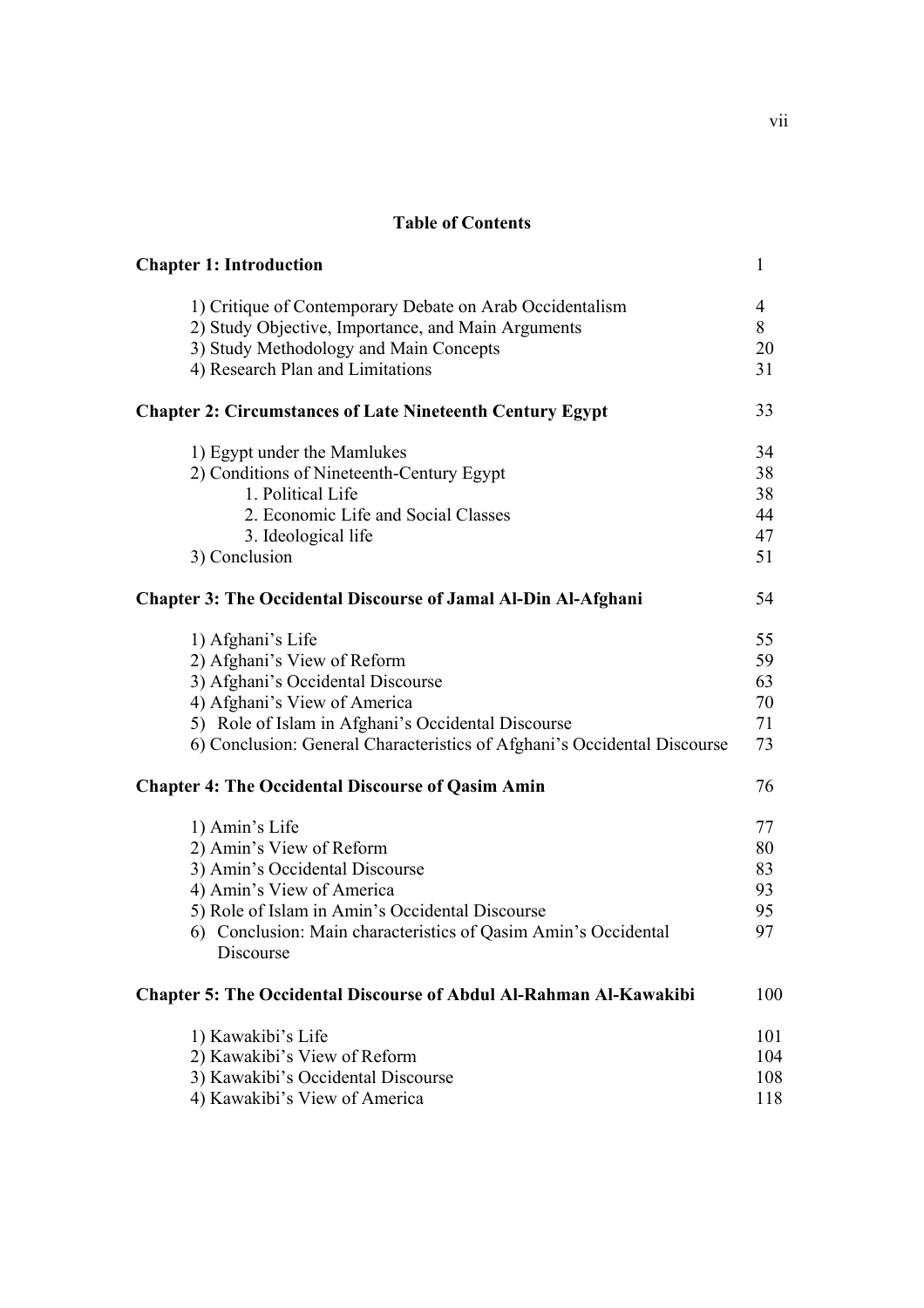### **Table of Contents**

| <b>Chapter 1: Introduction</b>                                                                                                                                                                                                                          | 1                                |
|---------------------------------------------------------------------------------------------------------------------------------------------------------------------------------------------------------------------------------------------------------|----------------------------------|
| 1) Critique of Contemporary Debate on Arab Occidentalism<br>2) Study Objective, Importance, and Main Arguments<br>3) Study Methodology and Main Concepts<br>4) Research Plan and Limitations                                                            | $\overline{4}$<br>8<br>20<br>31  |
| <b>Chapter 2: Circumstances of Late Nineteenth Century Egypt</b>                                                                                                                                                                                        | 33                               |
| 1) Egypt under the Mamlukes<br>2) Conditions of Nineteenth-Century Egypt<br>1. Political Life<br>2. Economic Life and Social Classes<br>3. Ideological life<br>3) Conclusion                                                                            | 34<br>38<br>38<br>44<br>47<br>51 |
| <b>Chapter 3: The Occidental Discourse of Jamal Al-Din Al-Afghani</b>                                                                                                                                                                                   | 54                               |
| 1) Afghani's Life<br>2) Afghani's View of Reform<br>3) Afghani's Occidental Discourse<br>4) Afghani's View of America<br>5) Role of Islam in Afghani's Occidental Discourse<br>6) Conclusion: General Characteristics of Afghani's Occidental Discourse | 55<br>59<br>63<br>70<br>71<br>73 |
| <b>Chapter 4: The Occidental Discourse of Qasim Amin</b>                                                                                                                                                                                                | 76                               |
| 1) Amin's Life<br>2) Amin's View of Reform<br>3) Amin's Occidental Discourse<br>4) Amin's View of America<br>5) Role of Islam in Amin's Occidental Discourse<br>6) Conclusion: Main characteristics of Qasim Amin's Occidental<br>Discourse             | 77<br>80<br>83<br>93<br>95<br>97 |
| <b>Chapter 5: The Occidental Discourse of Abdul Al-Rahman Al-Kawakibi</b>                                                                                                                                                                               | 100                              |
| 1) Kawakibi's Life<br>2) Kawakibi's View of Reform<br>3) Kawakibi's Occidental Discourse<br>4) Kawakibi's View of America                                                                                                                               | 101<br>104<br>108<br>118         |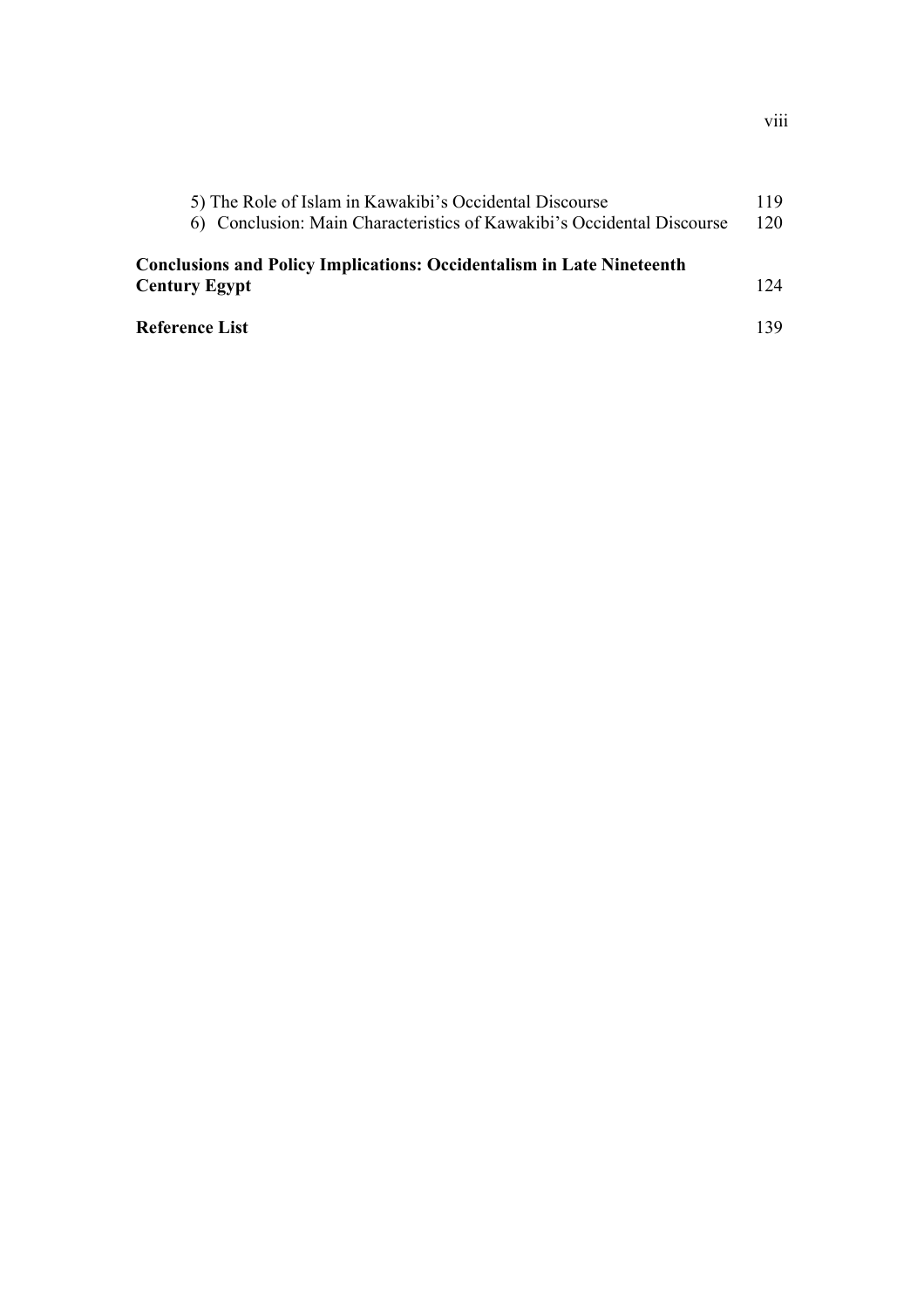| 5) The Role of Islam in Kawakibi's Occidental Discourse                                              | 119 |
|------------------------------------------------------------------------------------------------------|-----|
| 6) Conclusion: Main Characteristics of Kawakibi's Occidental Discourse                               | 120 |
| <b>Conclusions and Policy Implications: Occidentalism in Late Nineteenth</b><br><b>Century Egypt</b> | 124 |
|                                                                                                      |     |
| Reference List                                                                                       | 139 |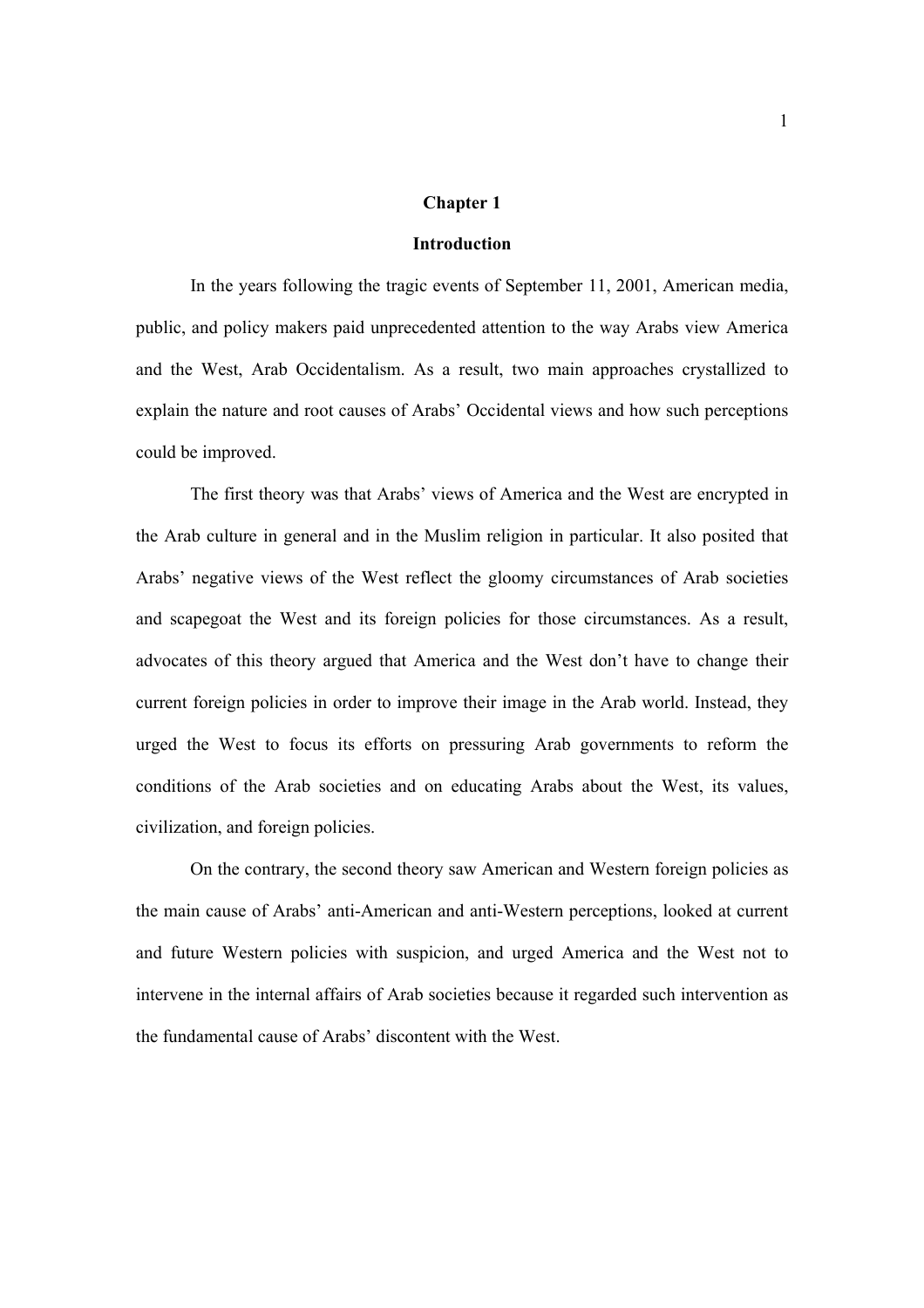#### **Chapter 1**

#### **Introduction**

In the years following the tragic events of September 11, 2001, American media, public, and policy makers paid unprecedented attention to the way Arabs view America and the West, Arab Occidentalism. As a result, two main approaches crystallized to explain the nature and root causes of Arabs' Occidental views and how such perceptions could be improved.

The first theory was that Arabs' views of America and the West are encrypted in the Arab culture in general and in the Muslim religion in particular. It also posited that Arabs' negative views of the West reflect the gloomy circumstances of Arab societies and scapegoat the West and its foreign policies for those circumstances. As a result, advocates of this theory argued that America and the West don't have to change their current foreign policies in order to improve their image in the Arab world. Instead, they urged the West to focus its efforts on pressuring Arab governments to reform the conditions of the Arab societies and on educating Arabs about the West, its values, civilization, and foreign policies.

On the contrary, the second theory saw American and Western foreign policies as the main cause of Arabs' anti-American and anti-Western perceptions, looked at current and future Western policies with suspicion, and urged America and the West not to intervene in the internal affairs of Arab societies because it regarded such intervention as the fundamental cause of Arabs' discontent with the West.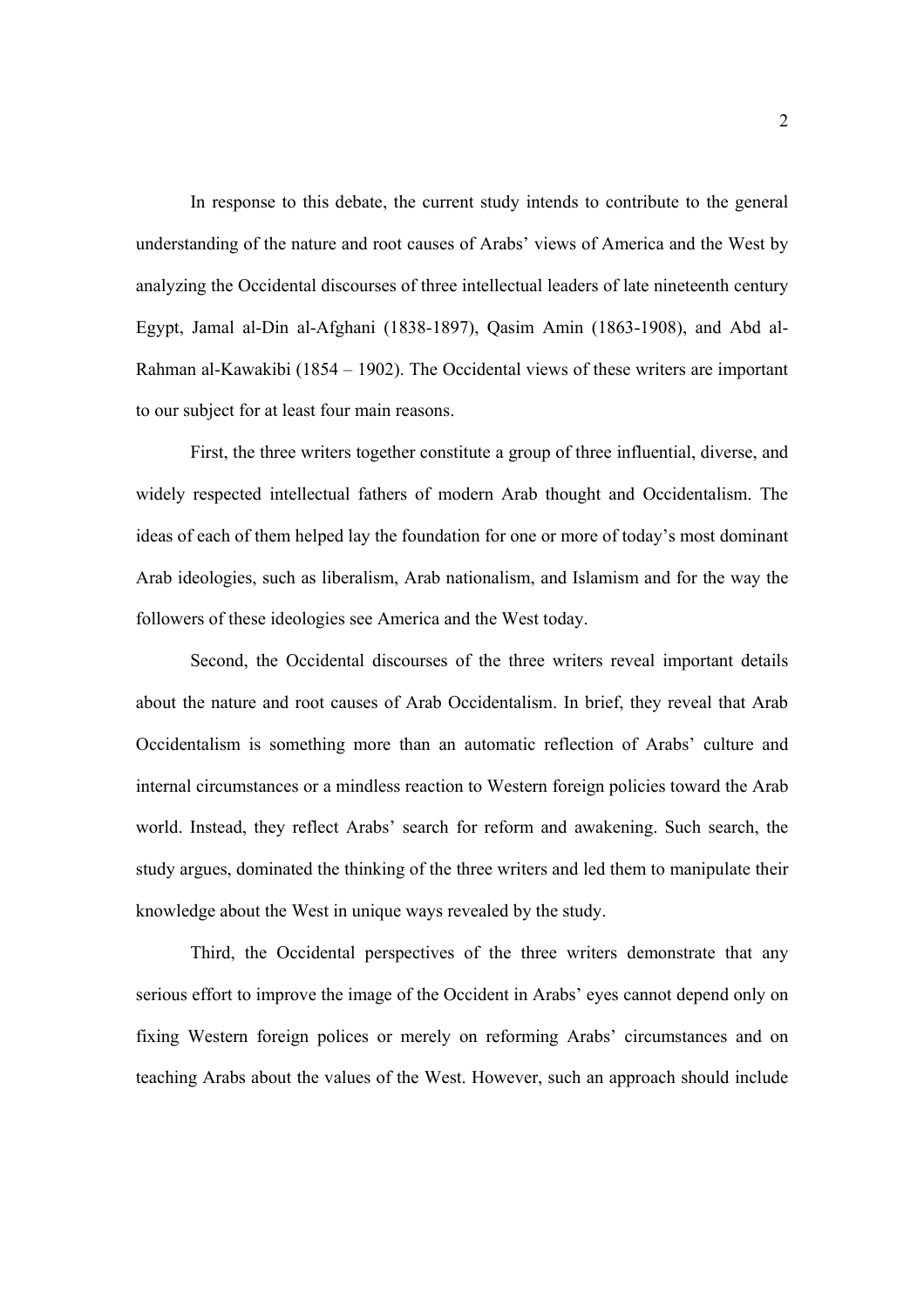In response to this debate, the current study intends to contribute to the general understanding of the nature and root causes of Arabs' views of America and the West by analyzing the Occidental discourses of three intellectual leaders of late nineteenth century Egypt, Jamal al-Din al-Afghani (1838-1897), Qasim Amin (1863-1908), and Abd al-Rahman al-Kawakibi (1854 – 1902). The Occidental views of these writers are important to our subject for at least four main reasons.

First, the three writers together constitute a group of three influential, diverse, and widely respected intellectual fathers of modern Arab thought and Occidentalism. The ideas of each of them helped lay the foundation for one or more of today's most dominant Arab ideologies, such as liberalism, Arab nationalism, and Islamism and for the way the followers of these ideologies see America and the West today.

Second, the Occidental discourses of the three writers reveal important details about the nature and root causes of Arab Occidentalism. In brief, they reveal that Arab Occidentalism is something more than an automatic reflection of Arabs' culture and internal circumstances or a mindless reaction to Western foreign policies toward the Arab world. Instead, they reflect Arabs' search for reform and awakening. Such search, the study argues, dominated the thinking of the three writers and led them to manipulate their knowledge about the West in unique ways revealed by the study.

Third, the Occidental perspectives of the three writers demonstrate that any serious effort to improve the image of the Occident in Arabs' eyes cannot depend only on fixing Western foreign polices or merely on reforming Arabs' circumstances and on teaching Arabs about the values of the West. However, such an approach should include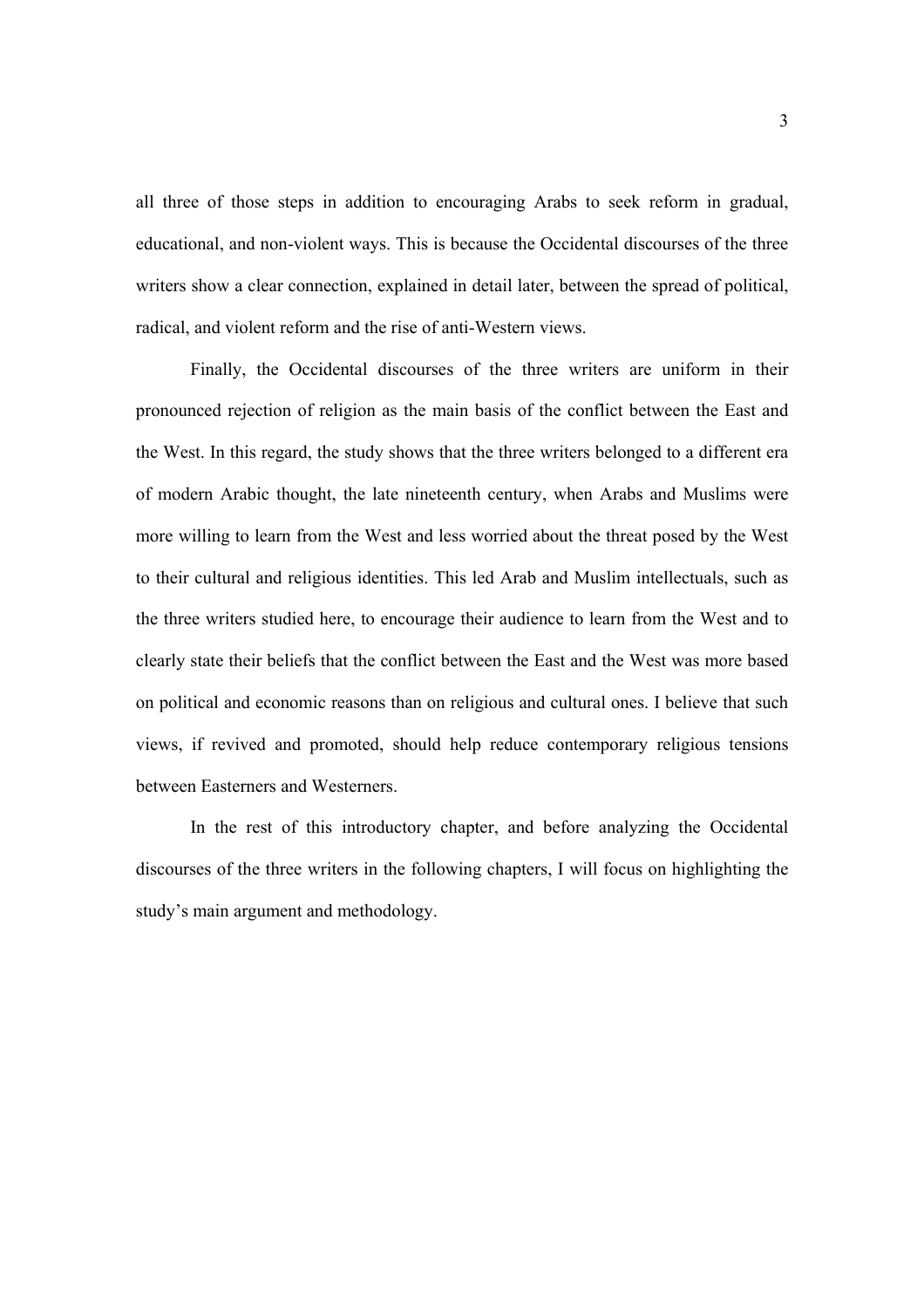all three of those steps in addition to encouraging Arabs to seek reform in gradual, educational, and non-violent ways. This is because the Occidental discourses of the three writers show a clear connection, explained in detail later, between the spread of political, radical, and violent reform and the rise of anti-Western views.

Finally, the Occidental discourses of the three writers are uniform in their pronounced rejection of religion as the main basis of the conflict between the East and the West. In this regard, the study shows that the three writers belonged to a different era of modern Arabic thought, the late nineteenth century, when Arabs and Muslims were more willing to learn from the West and less worried about the threat posed by the West to their cultural and religious identities. This led Arab and Muslim intellectuals, such as the three writers studied here, to encourage their audience to learn from the West and to clearly state their beliefs that the conflict between the East and the West was more based on political and economic reasons than on religious and cultural ones. I believe that such views, if revived and promoted, should help reduce contemporary religious tensions between Easterners and Westerners.

In the rest of this introductory chapter, and before analyzing the Occidental discourses of the three writers in the following chapters, I will focus on highlighting the study's main argument and methodology.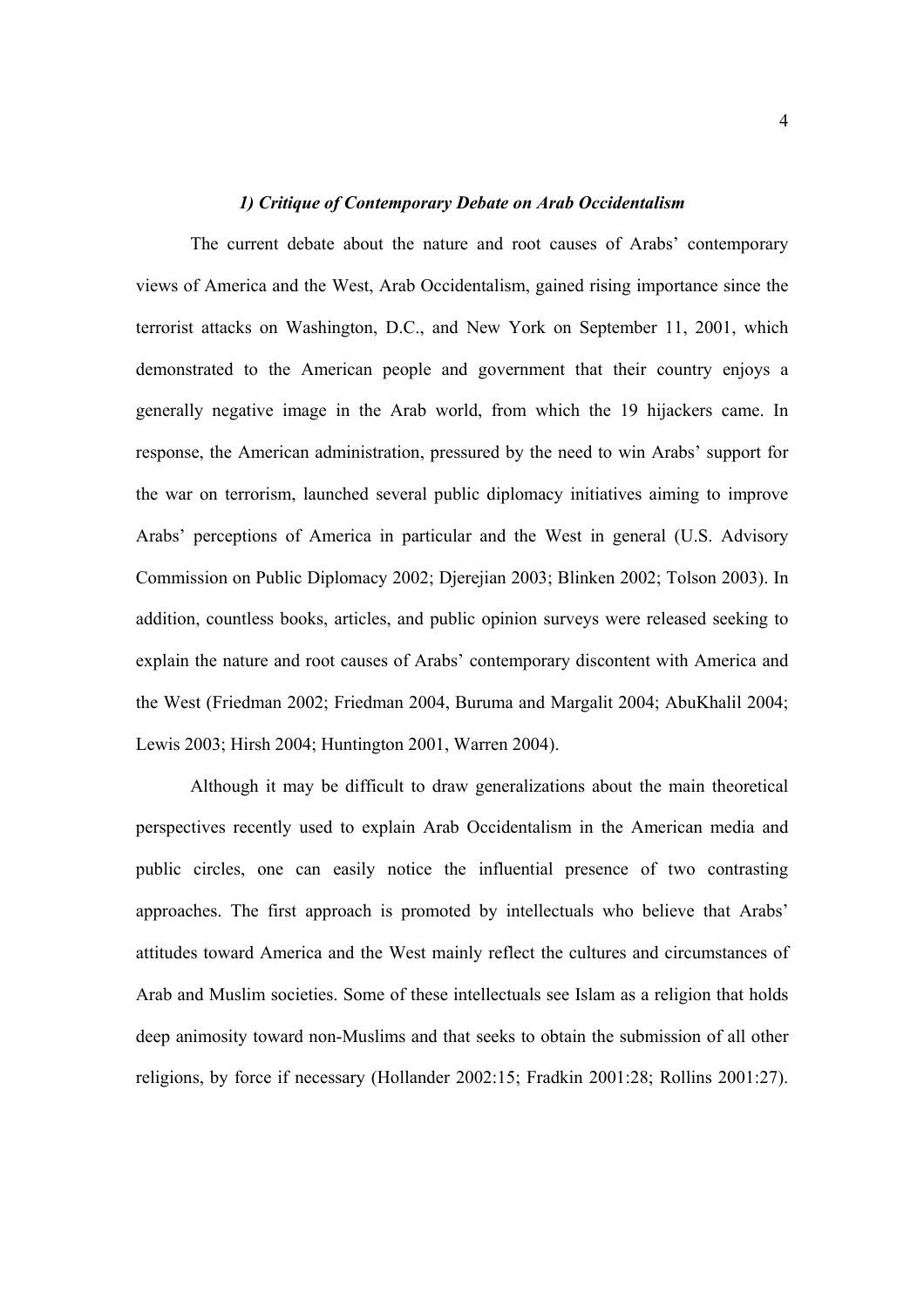#### *1) Critique of Contemporary Debate on Arab Occidentalism*

The current debate about the nature and root causes of Arabs' contemporary views of America and the West, Arab Occidentalism, gained rising importance since the terrorist attacks on Washington, D.C., and New York on September 11, 2001, which demonstrated to the American people and government that their country enjoys a generally negative image in the Arab world, from which the 19 hijackers came. In response, the American administration, pressured by the need to win Arabs' support for the war on terrorism, launched several public diplomacy initiatives aiming to improve Arabs' perceptions of America in particular and the West in general (U.S. Advisory Commission on Public Diplomacy 2002; Djerejian 2003; Blinken 2002; Tolson 2003). In addition, countless books, articles, and public opinion surveys were released seeking to explain the nature and root causes of Arabs' contemporary discontent with America and the West (Friedman 2002; Friedman 2004, Buruma and Margalit 2004; AbuKhalil 2004; Lewis 2003; Hirsh 2004; Huntington 2001, Warren 2004).

Although it may be difficult to draw generalizations about the main theoretical perspectives recently used to explain Arab Occidentalism in the American media and public circles, one can easily notice the influential presence of two contrasting approaches. The first approach is promoted by intellectuals who believe that Arabs' attitudes toward America and the West mainly reflect the cultures and circumstances of Arab and Muslim societies. Some of these intellectuals see Islam as a religion that holds deep animosity toward non-Muslims and that seeks to obtain the submission of all other religions, by force if necessary (Hollander 2002:15; Fradkin 2001:28; Rollins 2001:27).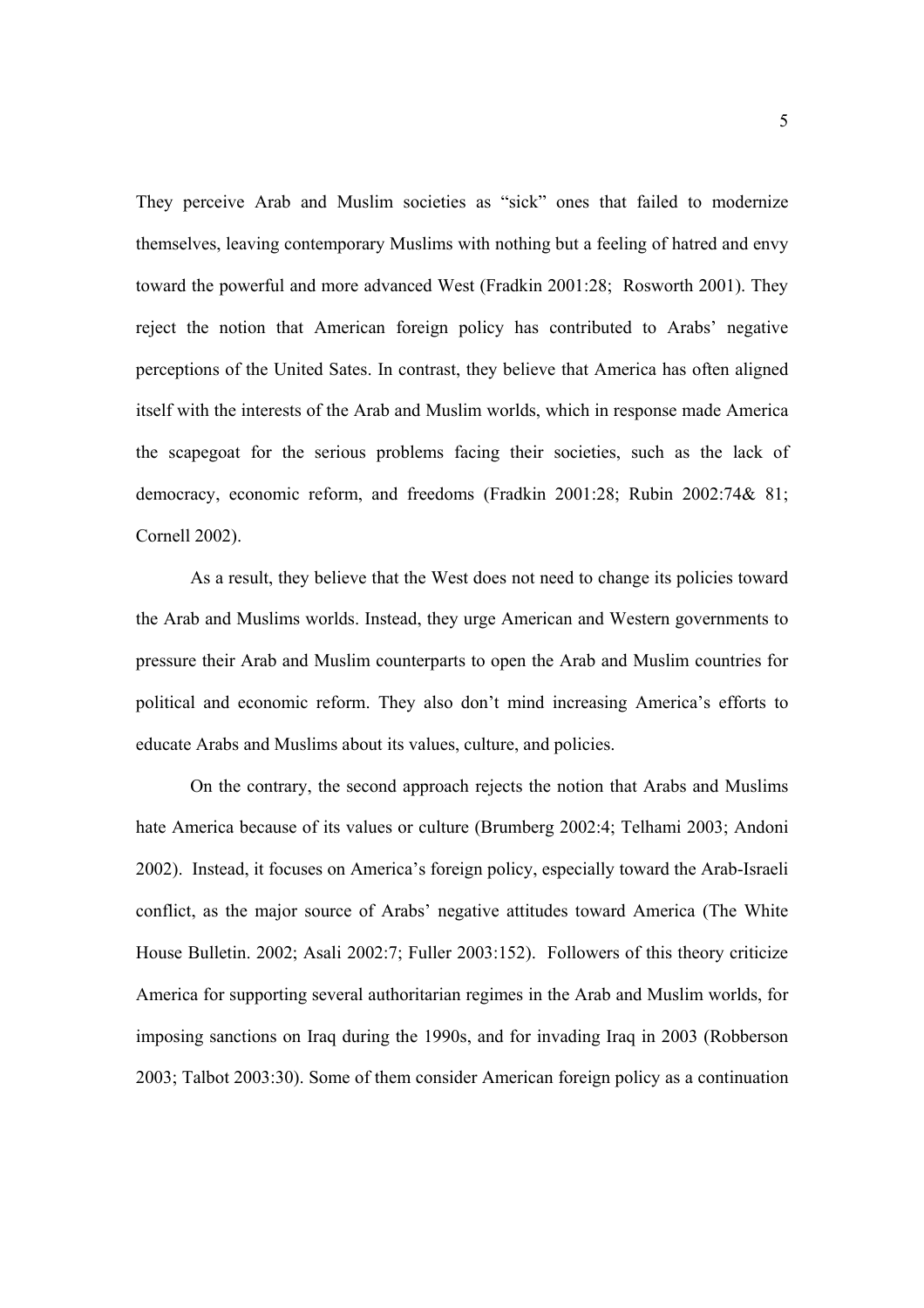They perceive Arab and Muslim societies as "sick" ones that failed to modernize themselves, leaving contemporary Muslims with nothing but a feeling of hatred and envy toward the powerful and more advanced West (Fradkin 2001:28; Rosworth 2001). They reject the notion that American foreign policy has contributed to Arabs' negative perceptions of the United Sates. In contrast, they believe that America has often aligned itself with the interests of the Arab and Muslim worlds, which in response made America the scapegoat for the serious problems facing their societies, such as the lack of democracy, economic reform, and freedoms (Fradkin 2001:28; Rubin 2002:74& 81; Cornell 2002).

As a result, they believe that the West does not need to change its policies toward the Arab and Muslims worlds. Instead, they urge American and Western governments to pressure their Arab and Muslim counterparts to open the Arab and Muslim countries for political and economic reform. They also don't mind increasing America's efforts to educate Arabs and Muslims about its values, culture, and policies.

 On the contrary, the second approach rejects the notion that Arabs and Muslims hate America because of its values or culture (Brumberg 2002:4; Telhami 2003; Andoni 2002). Instead, it focuses on America's foreign policy, especially toward the Arab-Israeli conflict, as the major source of Arabs' negative attitudes toward America (The White House Bulletin. 2002; Asali 2002:7; Fuller 2003:152). Followers of this theory criticize America for supporting several authoritarian regimes in the Arab and Muslim worlds, for imposing sanctions on Iraq during the 1990s, and for invading Iraq in 2003 (Robberson 2003; Talbot 2003:30). Some of them consider American foreign policy as a continuation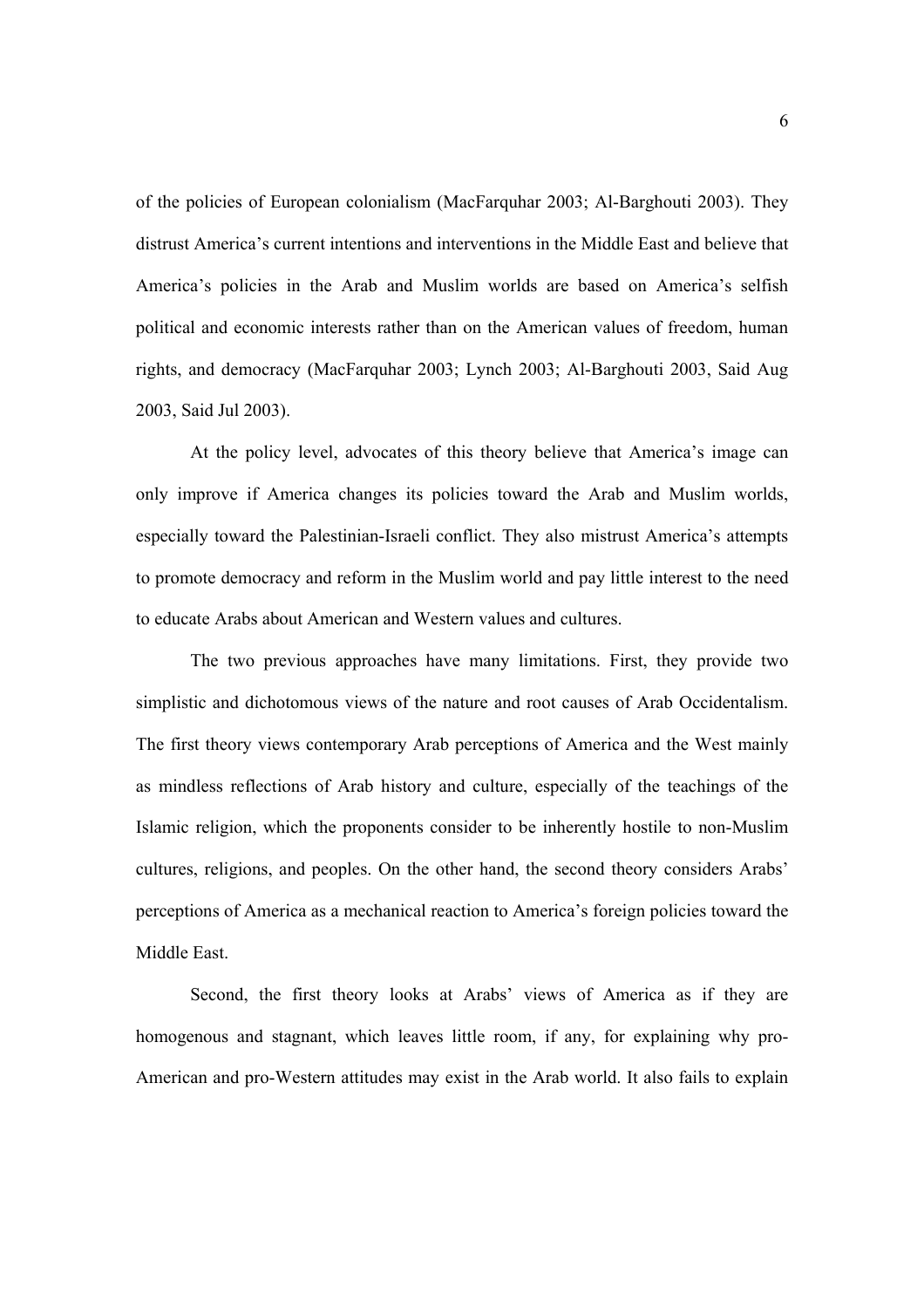of the policies of European colonialism (MacFarquhar 2003; Al-Barghouti 2003). They distrust America's current intentions and interventions in the Middle East and believe that America's policies in the Arab and Muslim worlds are based on America's selfish political and economic interests rather than on the American values of freedom, human rights, and democracy (MacFarquhar 2003; Lynch 2003; Al-Barghouti 2003, Said Aug 2003, Said Jul 2003).

 At the policy level, advocates of this theory believe that America's image can only improve if America changes its policies toward the Arab and Muslim worlds, especially toward the Palestinian-Israeli conflict. They also mistrust America's attempts to promote democracy and reform in the Muslim world and pay little interest to the need to educate Arabs about American and Western values and cultures.

The two previous approaches have many limitations. First, they provide two simplistic and dichotomous views of the nature and root causes of Arab Occidentalism. The first theory views contemporary Arab perceptions of America and the West mainly as mindless reflections of Arab history and culture, especially of the teachings of the Islamic religion, which the proponents consider to be inherently hostile to non-Muslim cultures, religions, and peoples. On the other hand, the second theory considers Arabs' perceptions of America as a mechanical reaction to America's foreign policies toward the Middle East.

Second, the first theory looks at Arabs' views of America as if they are homogenous and stagnant, which leaves little room, if any, for explaining why pro-American and pro-Western attitudes may exist in the Arab world. It also fails to explain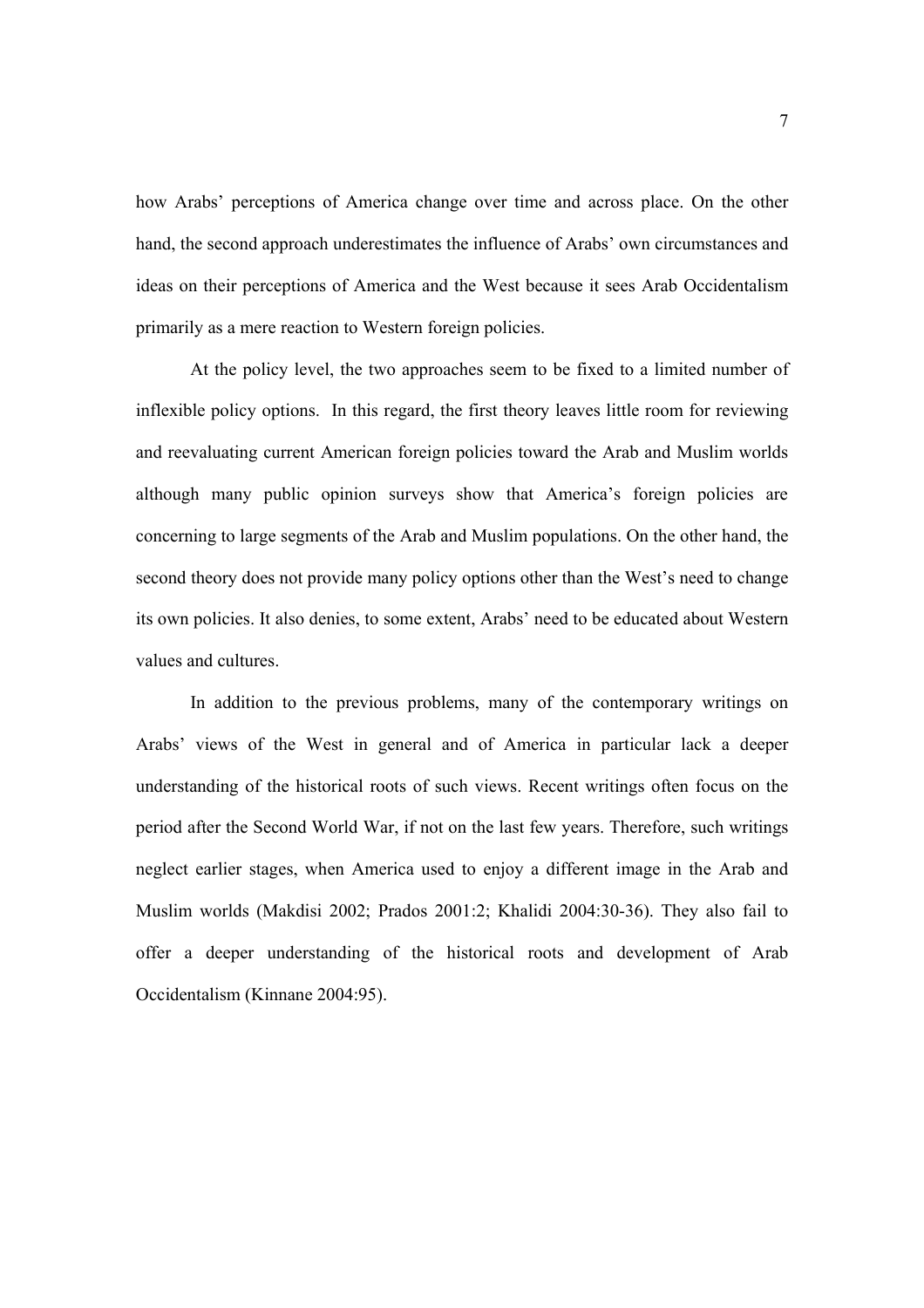how Arabs' perceptions of America change over time and across place. On the other hand, the second approach underestimates the influence of Arabs' own circumstances and ideas on their perceptions of America and the West because it sees Arab Occidentalism primarily as a mere reaction to Western foreign policies.

At the policy level, the two approaches seem to be fixed to a limited number of inflexible policy options. In this regard, the first theory leaves little room for reviewing and reevaluating current American foreign policies toward the Arab and Muslim worlds although many public opinion surveys show that America's foreign policies are concerning to large segments of the Arab and Muslim populations. On the other hand, the second theory does not provide many policy options other than the West's need to change its own policies. It also denies, to some extent, Arabs' need to be educated about Western values and cultures.

In addition to the previous problems, many of the contemporary writings on Arabs' views of the West in general and of America in particular lack a deeper understanding of the historical roots of such views. Recent writings often focus on the period after the Second World War, if not on the last few years. Therefore, such writings neglect earlier stages, when America used to enjoy a different image in the Arab and Muslim worlds (Makdisi 2002; Prados 2001:2; Khalidi 2004:30-36). They also fail to offer a deeper understanding of the historical roots and development of Arab Occidentalism (Kinnane 2004:95).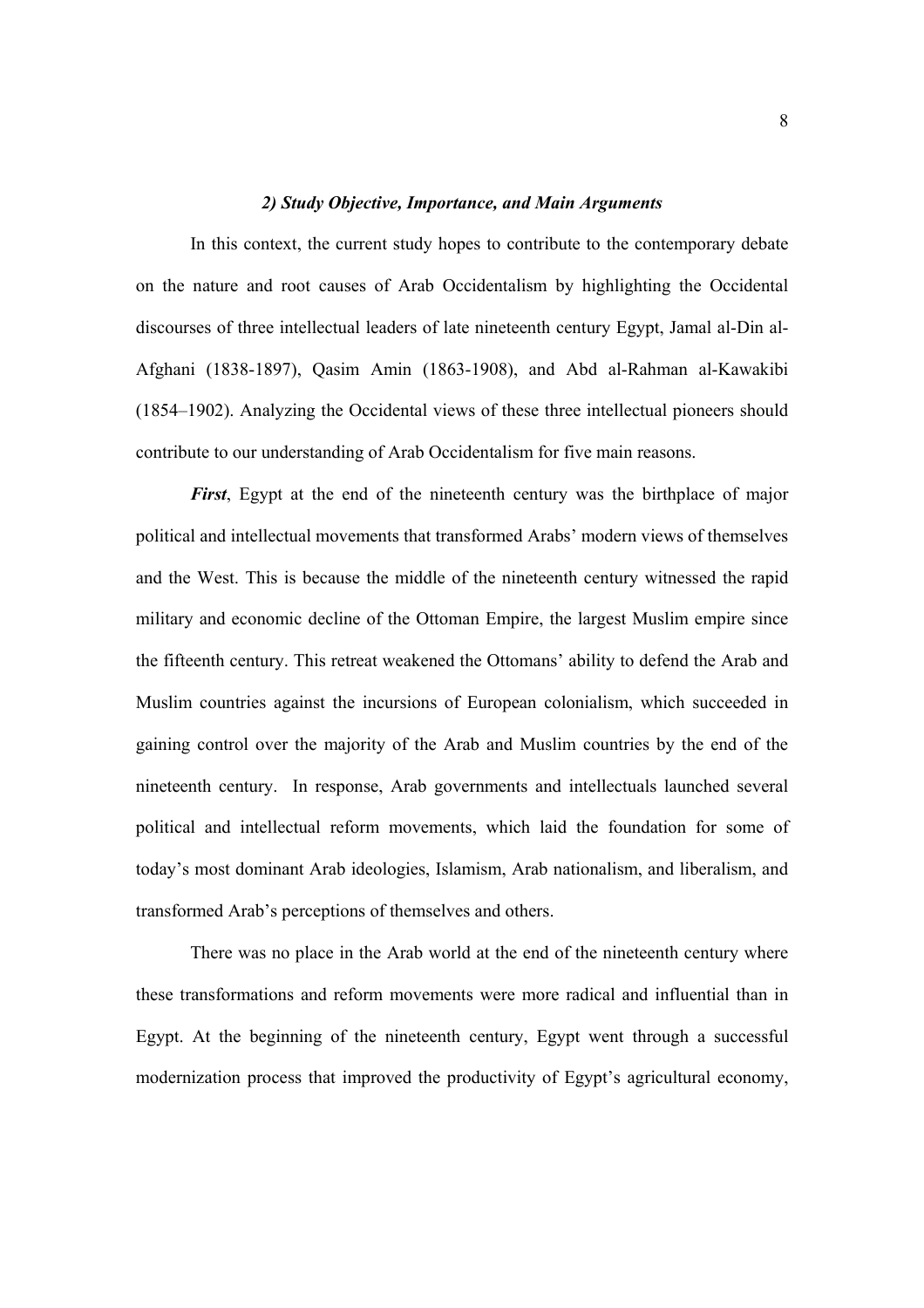#### *2) Study Objective, Importance, and Main Arguments*

In this context, the current study hopes to contribute to the contemporary debate on the nature and root causes of Arab Occidentalism by highlighting the Occidental discourses of three intellectual leaders of late nineteenth century Egypt, Jamal al-Din al-Afghani (1838-1897), Qasim Amin (1863-1908), and Abd al-Rahman al-Kawakibi (1854–1902). Analyzing the Occidental views of these three intellectual pioneers should contribute to our understanding of Arab Occidentalism for five main reasons.

*First*, Egypt at the end of the nineteenth century was the birthplace of major political and intellectual movements that transformed Arabs' modern views of themselves and the West. This is because the middle of the nineteenth century witnessed the rapid military and economic decline of the Ottoman Empire, the largest Muslim empire since the fifteenth century. This retreat weakened the Ottomans' ability to defend the Arab and Muslim countries against the incursions of European colonialism, which succeeded in gaining control over the majority of the Arab and Muslim countries by the end of the nineteenth century. In response, Arab governments and intellectuals launched several political and intellectual reform movements, which laid the foundation for some of today's most dominant Arab ideologies, Islamism, Arab nationalism, and liberalism, and transformed Arab's perceptions of themselves and others.

There was no place in the Arab world at the end of the nineteenth century where these transformations and reform movements were more radical and influential than in Egypt. At the beginning of the nineteenth century, Egypt went through a successful modernization process that improved the productivity of Egypt's agricultural economy,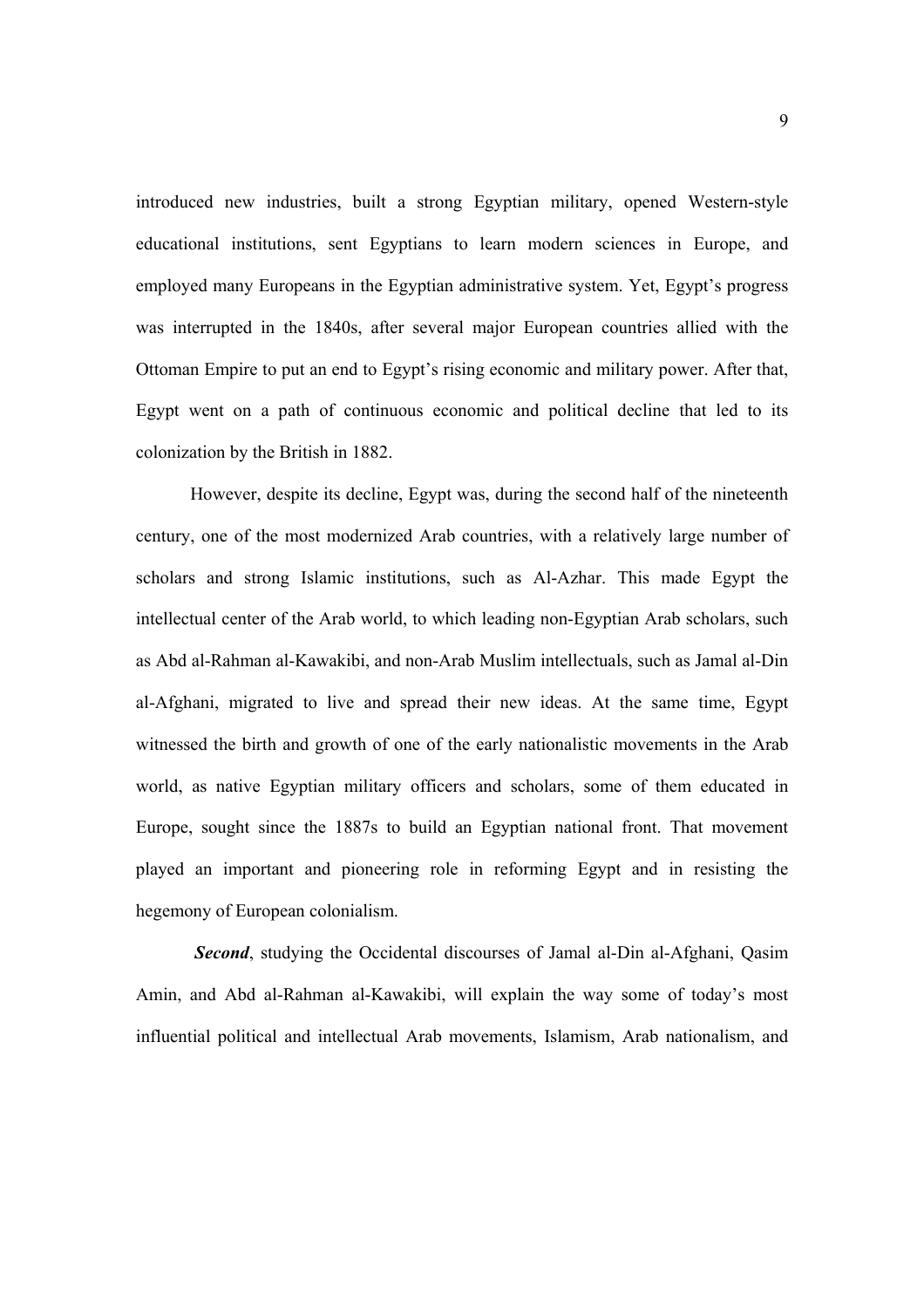introduced new industries, built a strong Egyptian military, opened Western-style educational institutions, sent Egyptians to learn modern sciences in Europe, and employed many Europeans in the Egyptian administrative system. Yet, Egypt's progress was interrupted in the 1840s, after several major European countries allied with the Ottoman Empire to put an end to Egypt's rising economic and military power. After that, Egypt went on a path of continuous economic and political decline that led to its colonization by the British in 1882.

However, despite its decline, Egypt was, during the second half of the nineteenth century, one of the most modernized Arab countries, with a relatively large number of scholars and strong Islamic institutions, such as Al-Azhar. This made Egypt the intellectual center of the Arab world, to which leading non-Egyptian Arab scholars, such as Abd al-Rahman al-Kawakibi, and non-Arab Muslim intellectuals, such as Jamal al-Din al-Afghani, migrated to live and spread their new ideas. At the same time, Egypt witnessed the birth and growth of one of the early nationalistic movements in the Arab world, as native Egyptian military officers and scholars, some of them educated in Europe, sought since the 1887s to build an Egyptian national front. That movement played an important and pioneering role in reforming Egypt and in resisting the hegemony of European colonialism.

*Second*, studying the Occidental discourses of Jamal al-Din al-Afghani, Qasim Amin, and Abd al-Rahman al-Kawakibi, will explain the way some of today's most influential political and intellectual Arab movements, Islamism, Arab nationalism, and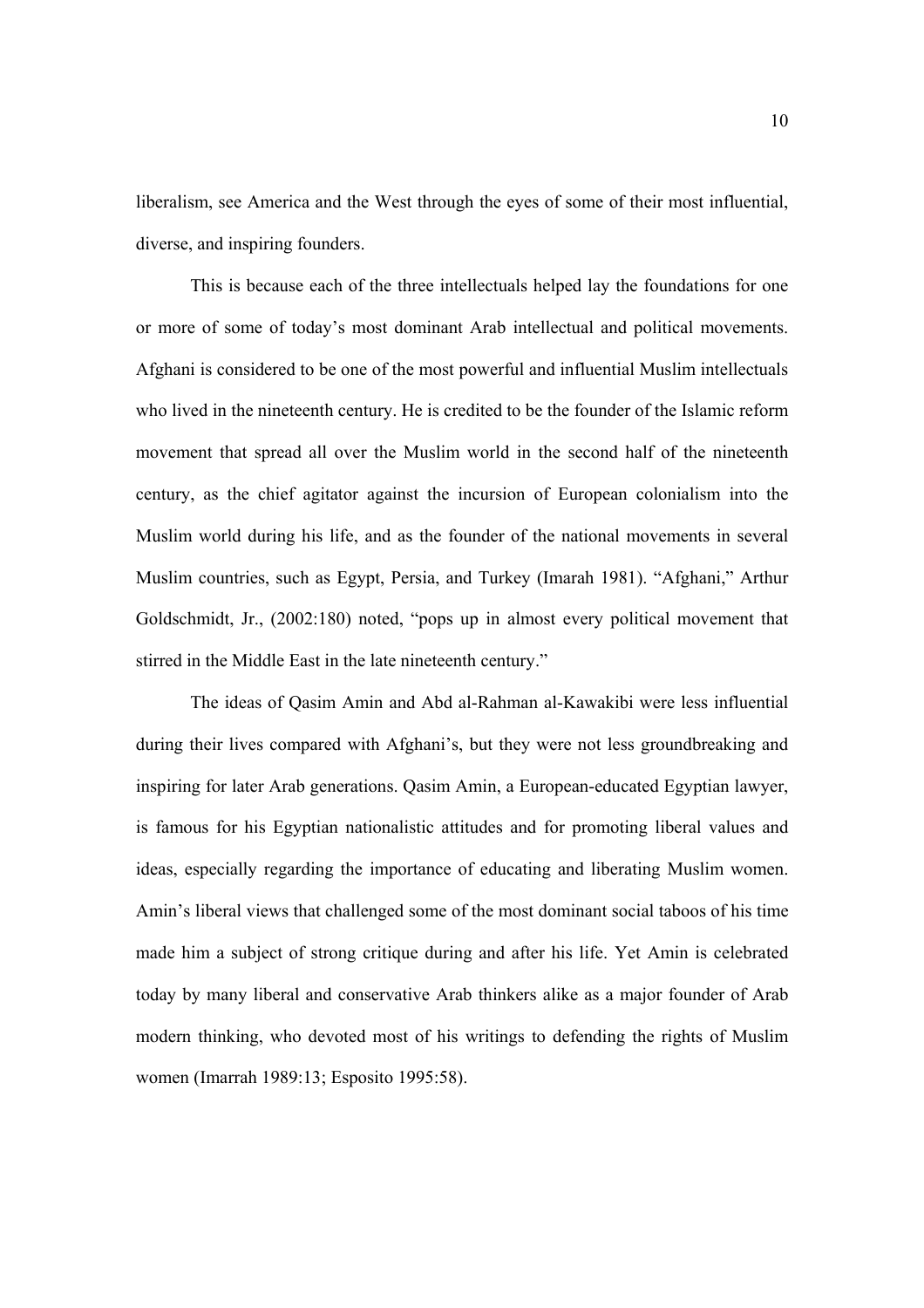liberalism, see America and the West through the eyes of some of their most influential, diverse, and inspiring founders.

This is because each of the three intellectuals helped lay the foundations for one or more of some of today's most dominant Arab intellectual and political movements. Afghani is considered to be one of the most powerful and influential Muslim intellectuals who lived in the nineteenth century. He is credited to be the founder of the Islamic reform movement that spread all over the Muslim world in the second half of the nineteenth century, as the chief agitator against the incursion of European colonialism into the Muslim world during his life, and as the founder of the national movements in several Muslim countries, such as Egypt, Persia, and Turkey (Imarah 1981). "Afghani," Arthur Goldschmidt, Jr., (2002:180) noted, "pops up in almost every political movement that stirred in the Middle East in the late nineteenth century."

The ideas of Qasim Amin and Abd al-Rahman al-Kawakibi were less influential during their lives compared with Afghani's, but they were not less groundbreaking and inspiring for later Arab generations. Qasim Amin, a European-educated Egyptian lawyer, is famous for his Egyptian nationalistic attitudes and for promoting liberal values and ideas, especially regarding the importance of educating and liberating Muslim women. Amin's liberal views that challenged some of the most dominant social taboos of his time made him a subject of strong critique during and after his life. Yet Amin is celebrated today by many liberal and conservative Arab thinkers alike as a major founder of Arab modern thinking, who devoted most of his writings to defending the rights of Muslim women (Imarrah 1989:13; Esposito 1995:58).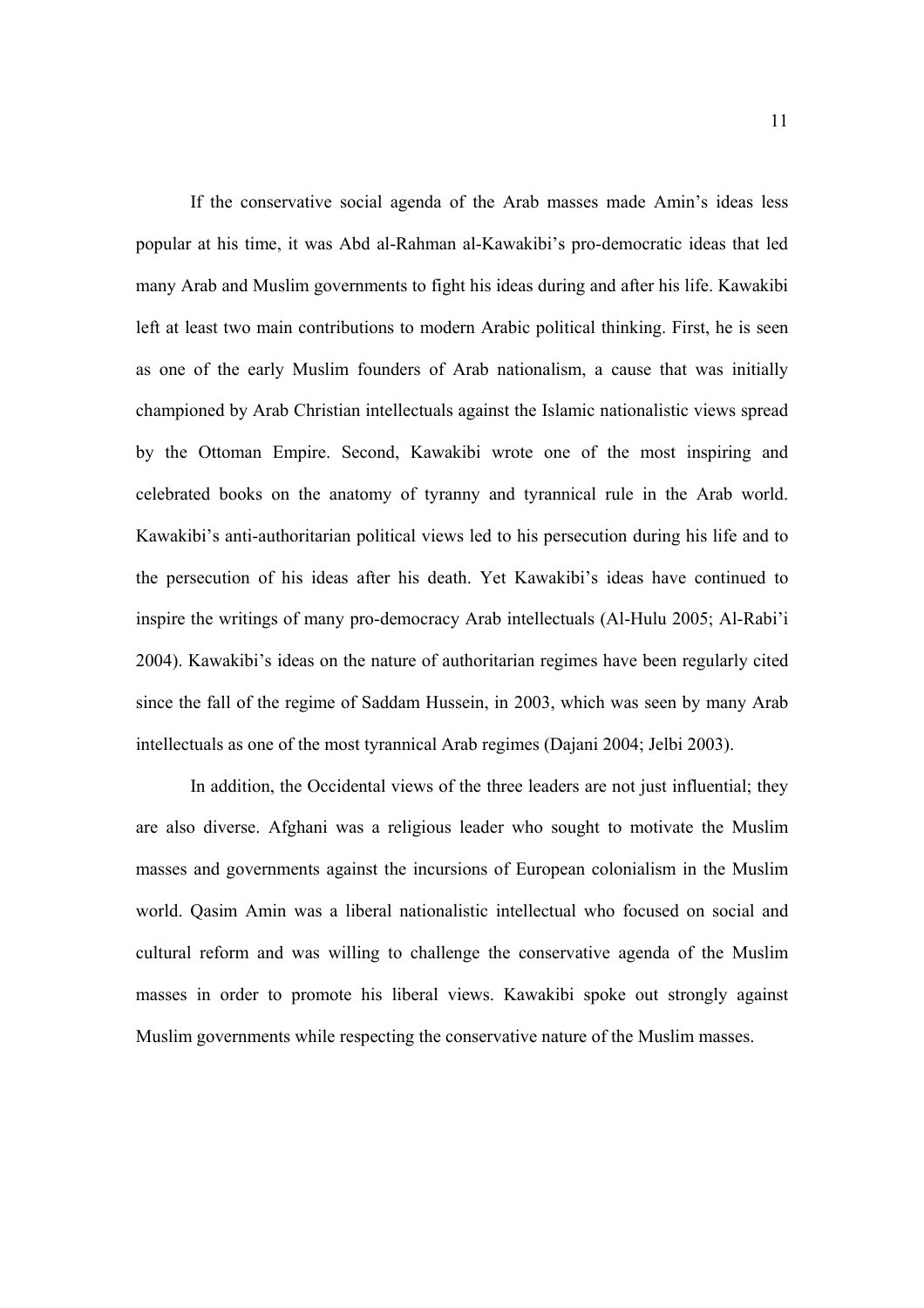If the conservative social agenda of the Arab masses made Amin's ideas less popular at his time, it was Abd al-Rahman al-Kawakibi's pro-democratic ideas that led many Arab and Muslim governments to fight his ideas during and after his life. Kawakibi left at least two main contributions to modern Arabic political thinking. First, he is seen as one of the early Muslim founders of Arab nationalism, a cause that was initially championed by Arab Christian intellectuals against the Islamic nationalistic views spread by the Ottoman Empire. Second, Kawakibi wrote one of the most inspiring and celebrated books on the anatomy of tyranny and tyrannical rule in the Arab world. Kawakibi's anti-authoritarian political views led to his persecution during his life and to the persecution of his ideas after his death. Yet Kawakibi's ideas have continued to inspire the writings of many pro-democracy Arab intellectuals (Al-Hulu 2005; Al-Rabi'i 2004). Kawakibi's ideas on the nature of authoritarian regimes have been regularly cited since the fall of the regime of Saddam Hussein, in 2003, which was seen by many Arab intellectuals as one of the most tyrannical Arab regimes (Dajani 2004; Jelbi 2003).

In addition, the Occidental views of the three leaders are not just influential; they are also diverse. Afghani was a religious leader who sought to motivate the Muslim masses and governments against the incursions of European colonialism in the Muslim world. Qasim Amin was a liberal nationalistic intellectual who focused on social and cultural reform and was willing to challenge the conservative agenda of the Muslim masses in order to promote his liberal views. Kawakibi spoke out strongly against Muslim governments while respecting the conservative nature of the Muslim masses.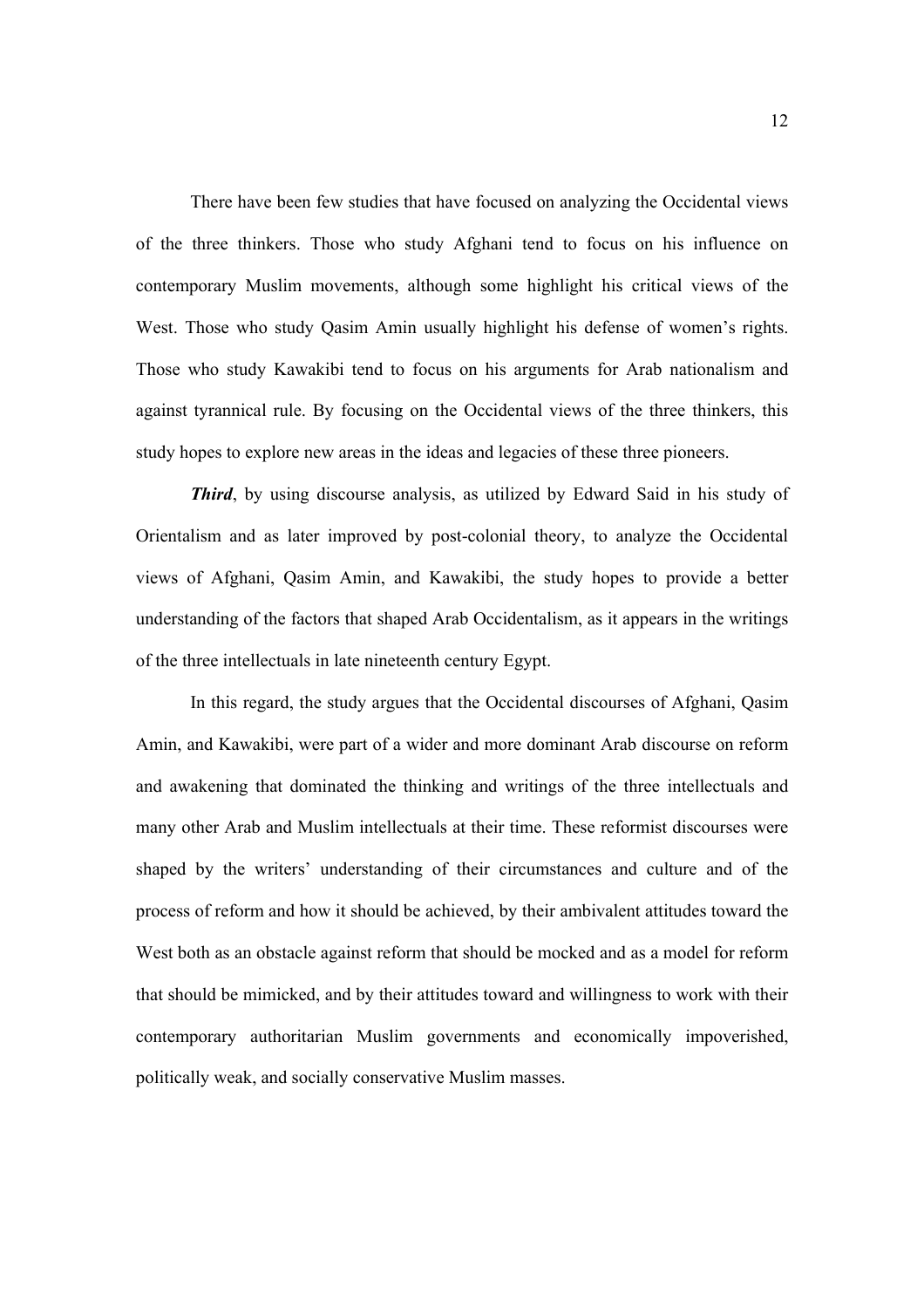There have been few studies that have focused on analyzing the Occidental views of the three thinkers. Those who study Afghani tend to focus on his influence on contemporary Muslim movements, although some highlight his critical views of the West. Those who study Qasim Amin usually highlight his defense of women's rights. Those who study Kawakibi tend to focus on his arguments for Arab nationalism and against tyrannical rule. By focusing on the Occidental views of the three thinkers, this study hopes to explore new areas in the ideas and legacies of these three pioneers.

*Third*, by using discourse analysis, as utilized by Edward Said in his study of Orientalism and as later improved by post-colonial theory, to analyze the Occidental views of Afghani, Qasim Amin, and Kawakibi, the study hopes to provide a better understanding of the factors that shaped Arab Occidentalism, as it appears in the writings of the three intellectuals in late nineteenth century Egypt.

In this regard, the study argues that the Occidental discourses of Afghani, Qasim Amin, and Kawakibi, were part of a wider and more dominant Arab discourse on reform and awakening that dominated the thinking and writings of the three intellectuals and many other Arab and Muslim intellectuals at their time. These reformist discourses were shaped by the writers' understanding of their circumstances and culture and of the process of reform and how it should be achieved, by their ambivalent attitudes toward the West both as an obstacle against reform that should be mocked and as a model for reform that should be mimicked, and by their attitudes toward and willingness to work with their contemporary authoritarian Muslim governments and economically impoverished, politically weak, and socially conservative Muslim masses.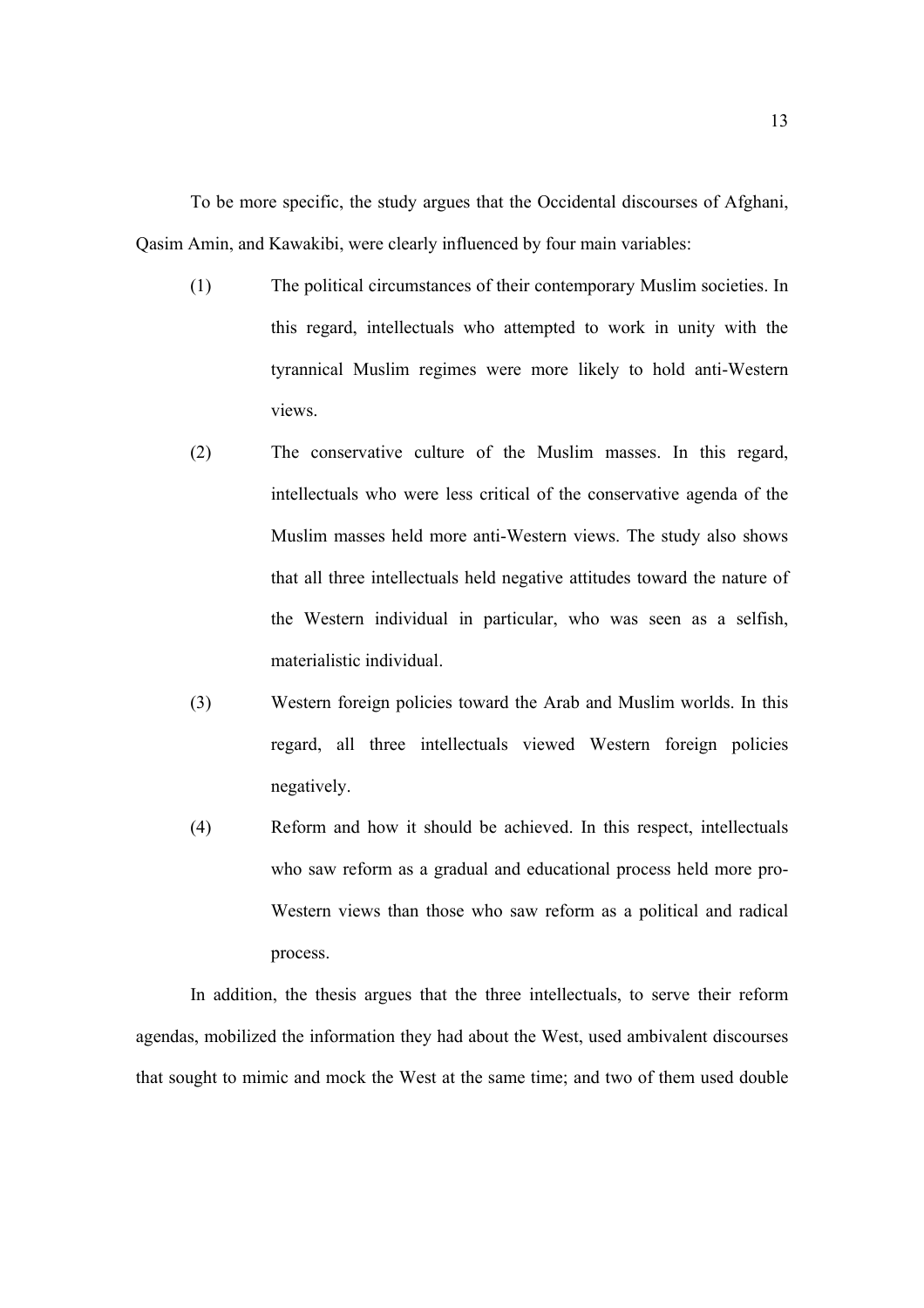To be more specific, the study argues that the Occidental discourses of Afghani, Qasim Amin, and Kawakibi, were clearly influenced by four main variables:

- (1) The political circumstances of their contemporary Muslim societies. In this regard, intellectuals who attempted to work in unity with the tyrannical Muslim regimes were more likely to hold anti-Western views.
- (2) The conservative culture of the Muslim masses. In this regard, intellectuals who were less critical of the conservative agenda of the Muslim masses held more anti-Western views. The study also shows that all three intellectuals held negative attitudes toward the nature of the Western individual in particular, who was seen as a selfish, materialistic individual.
- (3) Western foreign policies toward the Arab and Muslim worlds. In this regard, all three intellectuals viewed Western foreign policies negatively.
- (4) Reform and how it should be achieved. In this respect, intellectuals who saw reform as a gradual and educational process held more pro-Western views than those who saw reform as a political and radical process.

In addition, the thesis argues that the three intellectuals, to serve their reform agendas, mobilized the information they had about the West, used ambivalent discourses that sought to mimic and mock the West at the same time; and two of them used double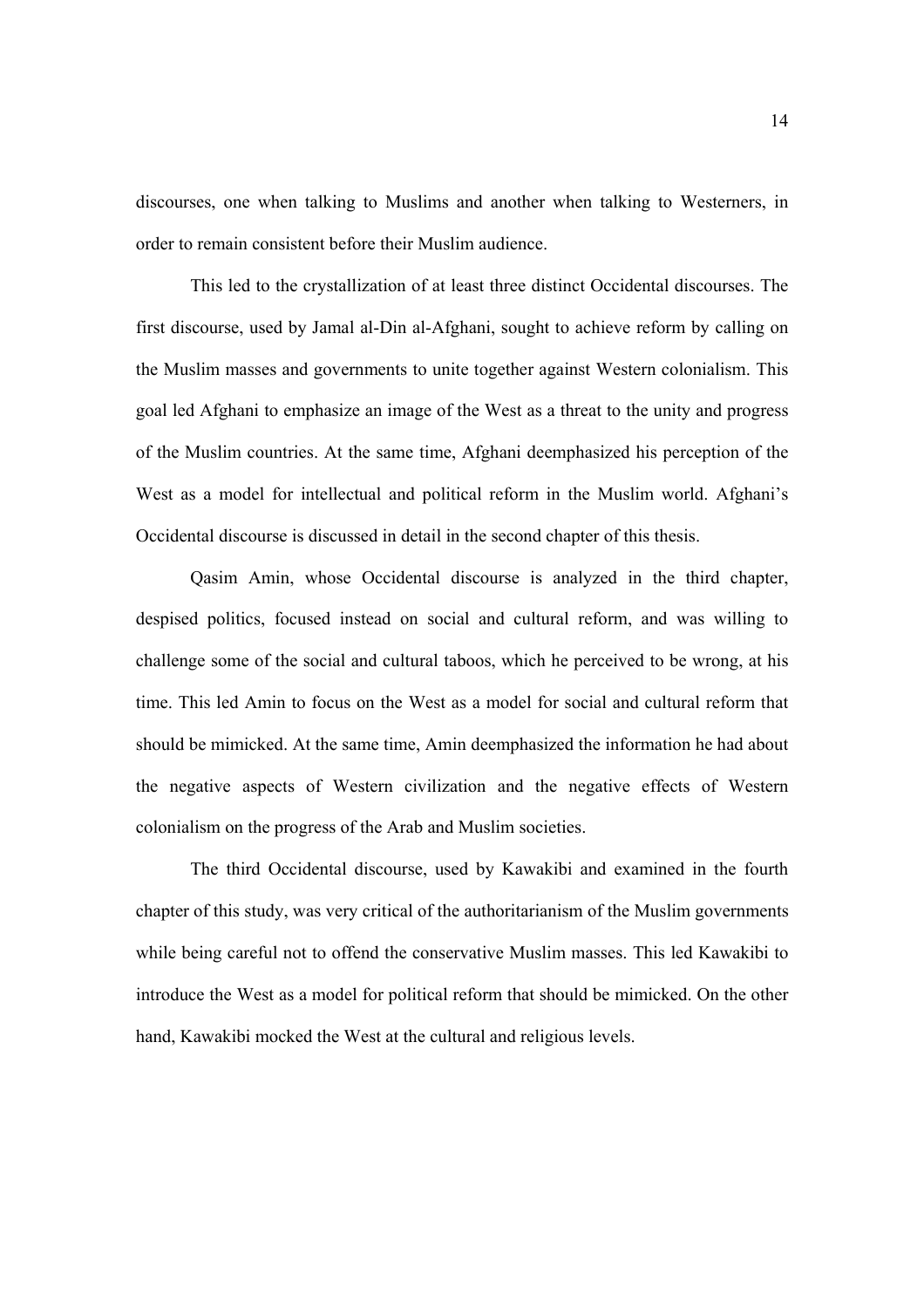discourses, one when talking to Muslims and another when talking to Westerners, in order to remain consistent before their Muslim audience.

This led to the crystallization of at least three distinct Occidental discourses. The first discourse, used by Jamal al-Din al-Afghani, sought to achieve reform by calling on the Muslim masses and governments to unite together against Western colonialism. This goal led Afghani to emphasize an image of the West as a threat to the unity and progress of the Muslim countries. At the same time, Afghani deemphasized his perception of the West as a model for intellectual and political reform in the Muslim world. Afghani's Occidental discourse is discussed in detail in the second chapter of this thesis.

Qasim Amin, whose Occidental discourse is analyzed in the third chapter, despised politics, focused instead on social and cultural reform, and was willing to challenge some of the social and cultural taboos, which he perceived to be wrong, at his time. This led Amin to focus on the West as a model for social and cultural reform that should be mimicked. At the same time, Amin deemphasized the information he had about the negative aspects of Western civilization and the negative effects of Western colonialism on the progress of the Arab and Muslim societies.

The third Occidental discourse, used by Kawakibi and examined in the fourth chapter of this study, was very critical of the authoritarianism of the Muslim governments while being careful not to offend the conservative Muslim masses. This led Kawakibi to introduce the West as a model for political reform that should be mimicked. On the other hand, Kawakibi mocked the West at the cultural and religious levels.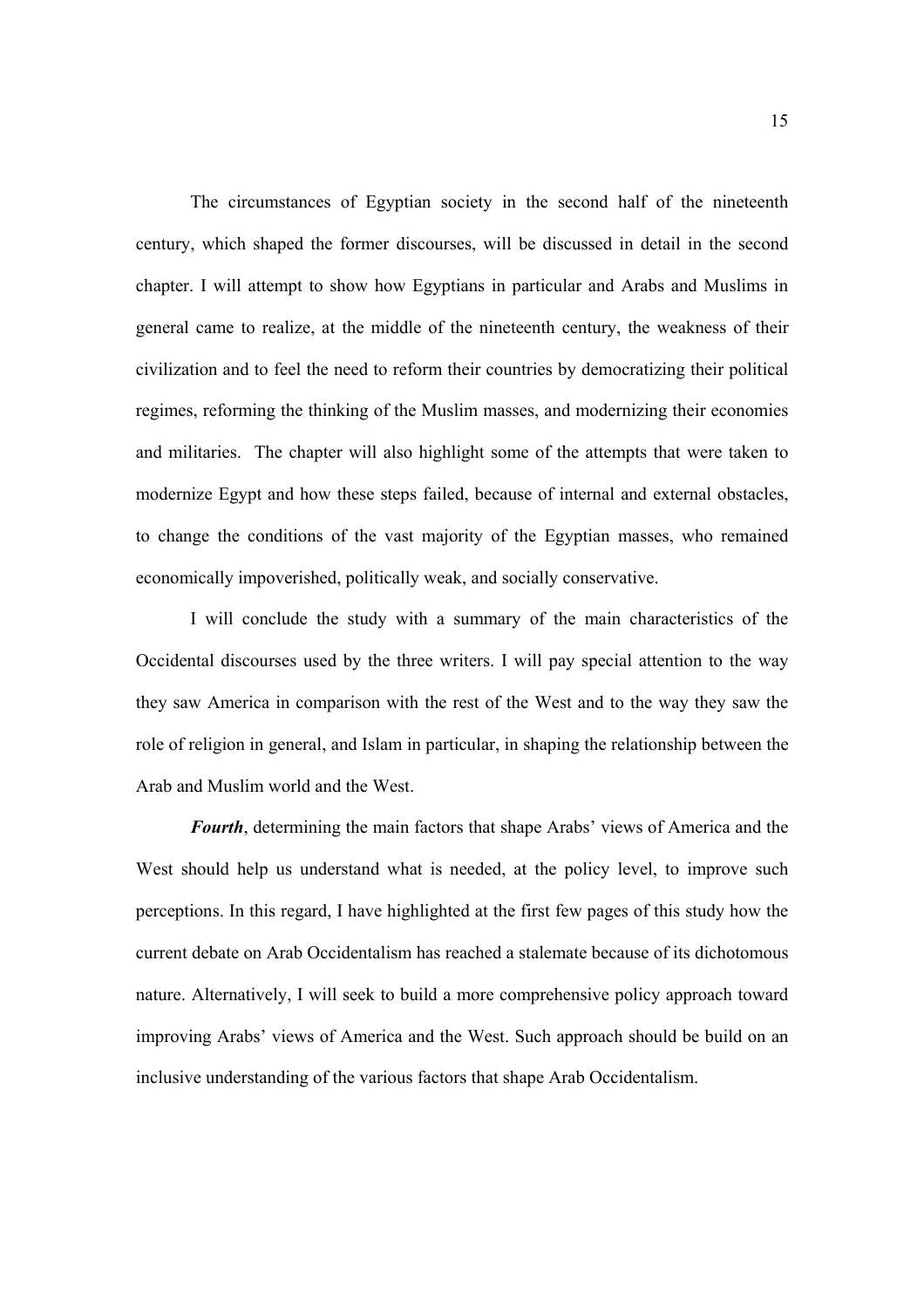The circumstances of Egyptian society in the second half of the nineteenth century, which shaped the former discourses, will be discussed in detail in the second chapter. I will attempt to show how Egyptians in particular and Arabs and Muslims in general came to realize, at the middle of the nineteenth century, the weakness of their civilization and to feel the need to reform their countries by democratizing their political regimes, reforming the thinking of the Muslim masses, and modernizing their economies and militaries. The chapter will also highlight some of the attempts that were taken to modernize Egypt and how these steps failed, because of internal and external obstacles, to change the conditions of the vast majority of the Egyptian masses, who remained economically impoverished, politically weak, and socially conservative.

I will conclude the study with a summary of the main characteristics of the Occidental discourses used by the three writers. I will pay special attention to the way they saw America in comparison with the rest of the West and to the way they saw the role of religion in general, and Islam in particular, in shaping the relationship between the Arab and Muslim world and the West.

*Fourth*, determining the main factors that shape Arabs' views of America and the West should help us understand what is needed, at the policy level, to improve such perceptions. In this regard, I have highlighted at the first few pages of this study how the current debate on Arab Occidentalism has reached a stalemate because of its dichotomous nature. Alternatively, I will seek to build a more comprehensive policy approach toward improving Arabs' views of America and the West. Such approach should be build on an inclusive understanding of the various factors that shape Arab Occidentalism.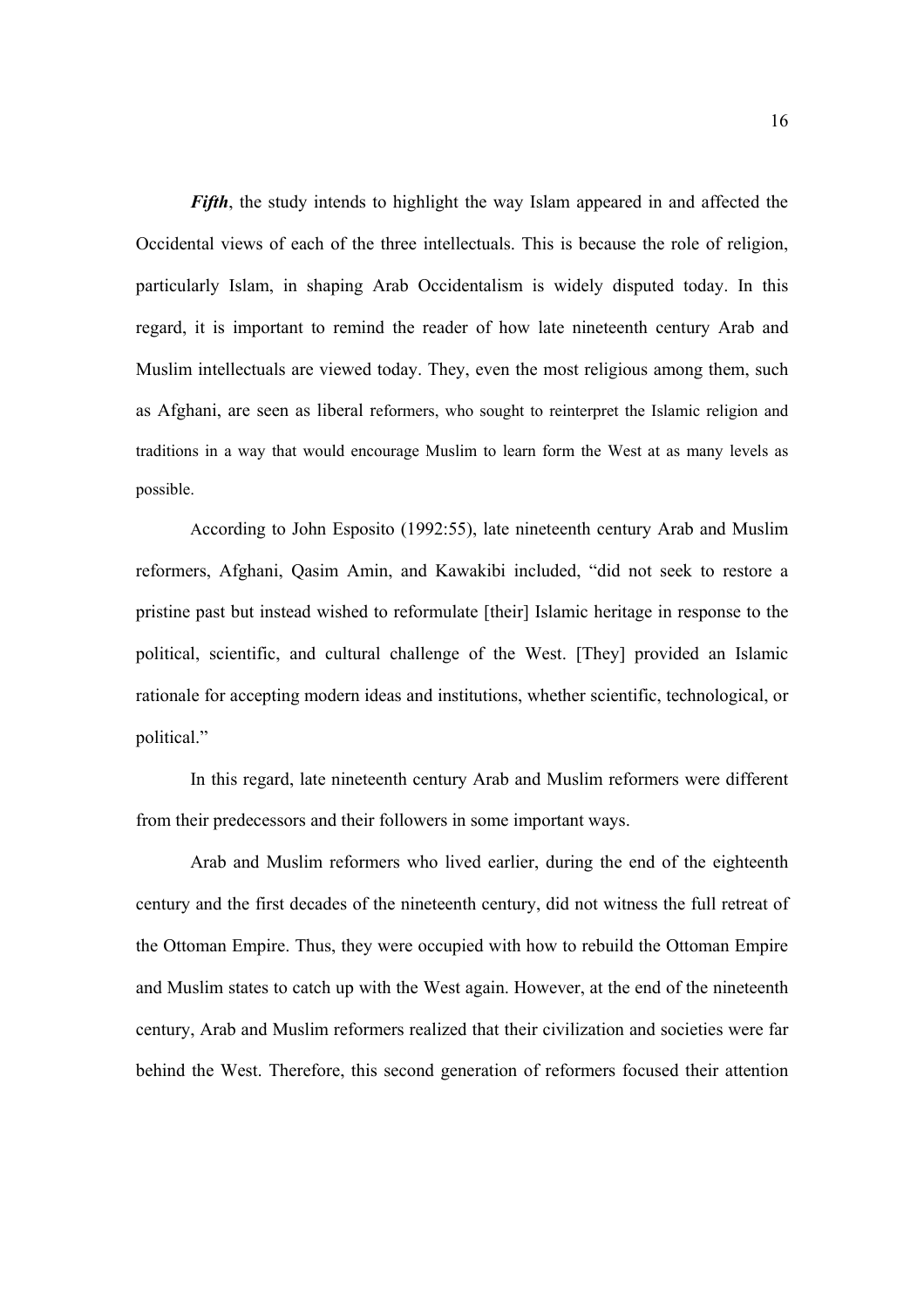*Fifth*, the study intends to highlight the way Islam appeared in and affected the Occidental views of each of the three intellectuals. This is because the role of religion, particularly Islam, in shaping Arab Occidentalism is widely disputed today. In this regard, it is important to remind the reader of how late nineteenth century Arab and Muslim intellectuals are viewed today. They, even the most religious among them, such as Afghani, are seen as liberal reformers, who sought to reinterpret the Islamic religion and traditions in a way that would encourage Muslim to learn form the West at as many levels as possible.

According to John Esposito (1992:55), late nineteenth century Arab and Muslim reformers, Afghani, Qasim Amin, and Kawakibi included, "did not seek to restore a pristine past but instead wished to reformulate [their] Islamic heritage in response to the political, scientific, and cultural challenge of the West. [They] provided an Islamic rationale for accepting modern ideas and institutions, whether scientific, technological, or political."

In this regard, late nineteenth century Arab and Muslim reformers were different from their predecessors and their followers in some important ways.

Arab and Muslim reformers who lived earlier, during the end of the eighteenth century and the first decades of the nineteenth century, did not witness the full retreat of the Ottoman Empire. Thus, they were occupied with how to rebuild the Ottoman Empire and Muslim states to catch up with the West again. However, at the end of the nineteenth century, Arab and Muslim reformers realized that their civilization and societies were far behind the West. Therefore, this second generation of reformers focused their attention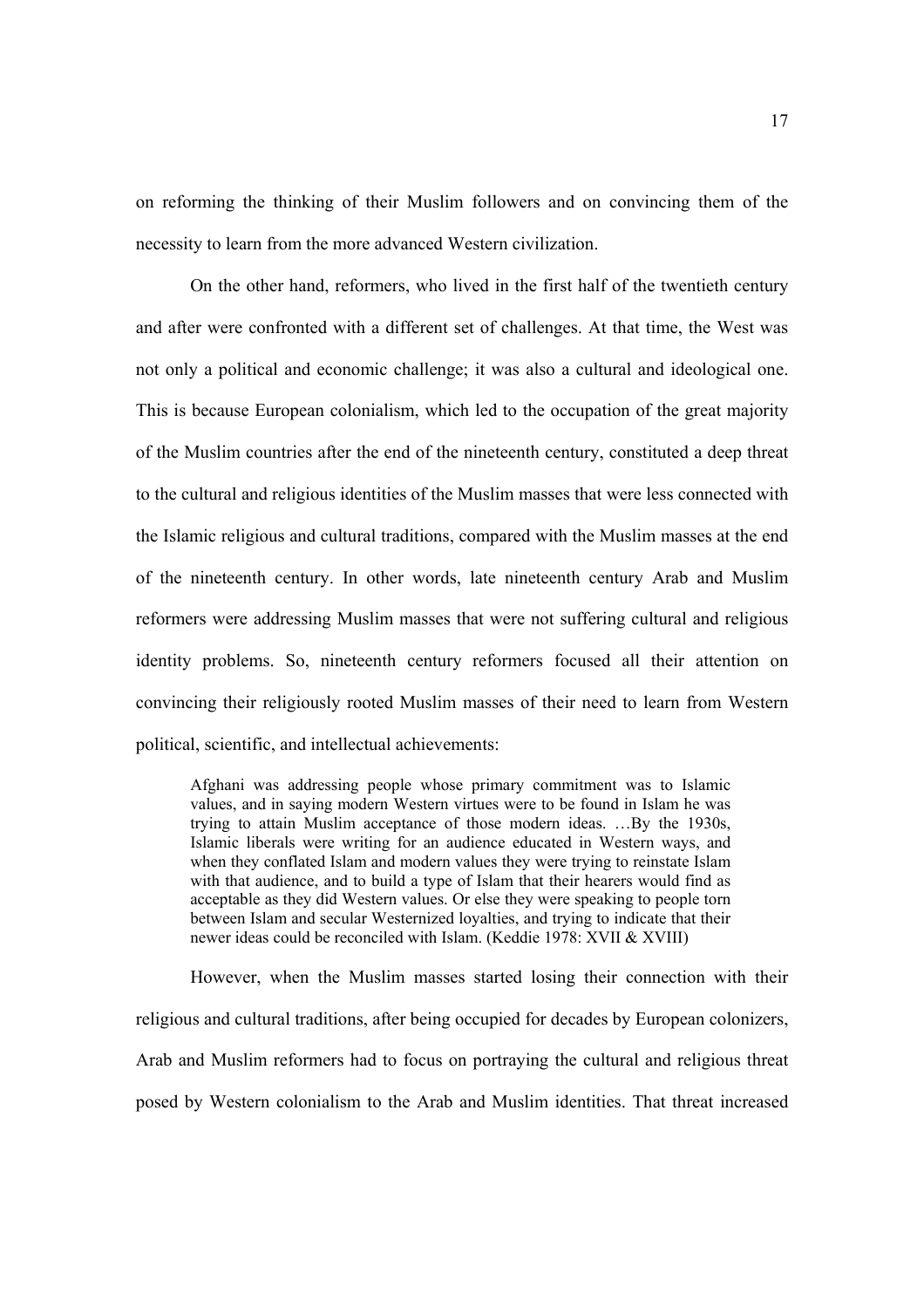on reforming the thinking of their Muslim followers and on convincing them of the necessity to learn from the more advanced Western civilization.

On the other hand, reformers, who lived in the first half of the twentieth century and after were confronted with a different set of challenges. At that time, the West was not only a political and economic challenge; it was also a cultural and ideological one. This is because European colonialism, which led to the occupation of the great majority of the Muslim countries after the end of the nineteenth century, constituted a deep threat to the cultural and religious identities of the Muslim masses that were less connected with the Islamic religious and cultural traditions, compared with the Muslim masses at the end of the nineteenth century. In other words, late nineteenth century Arab and Muslim reformers were addressing Muslim masses that were not suffering cultural and religious identity problems. So, nineteenth century reformers focused all their attention on convincing their religiously rooted Muslim masses of their need to learn from Western political, scientific, and intellectual achievements:

Afghani was addressing people whose primary commitment was to Islamic values, and in saying modern Western virtues were to be found in Islam he was trying to attain Muslim acceptance of those modern ideas. …By the 1930s, Islamic liberals were writing for an audience educated in Western ways, and when they conflated Islam and modern values they were trying to reinstate Islam with that audience, and to build a type of Islam that their hearers would find as acceptable as they did Western values. Or else they were speaking to people torn between Islam and secular Westernized loyalties, and trying to indicate that their newer ideas could be reconciled with Islam. (Keddie 1978: XVII & XVIII)

However, when the Muslim masses started losing their connection with their religious and cultural traditions, after being occupied for decades by European colonizers, Arab and Muslim reformers had to focus on portraying the cultural and religious threat posed by Western colonialism to the Arab and Muslim identities. That threat increased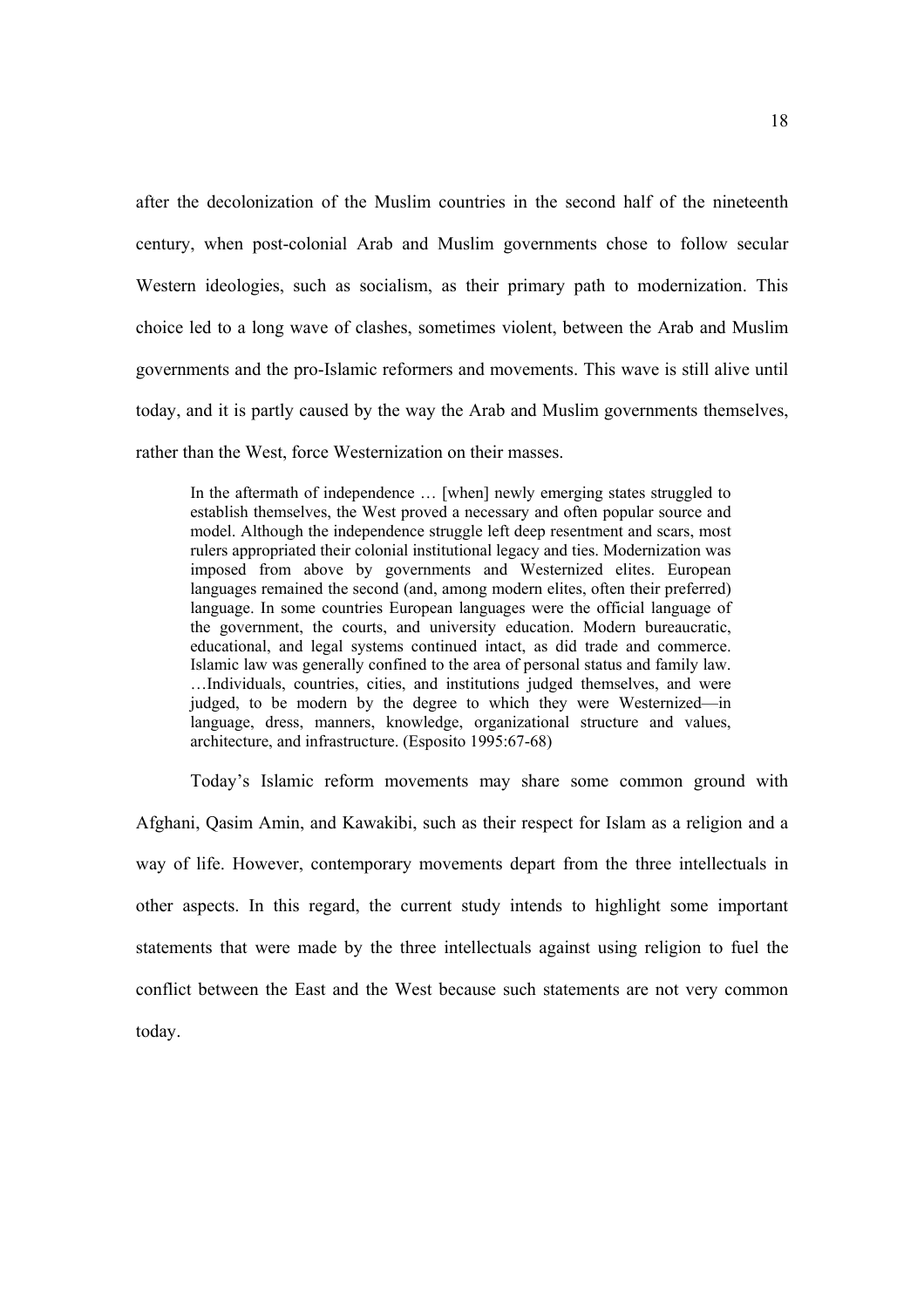after the decolonization of the Muslim countries in the second half of the nineteenth century, when post-colonial Arab and Muslim governments chose to follow secular Western ideologies, such as socialism, as their primary path to modernization. This choice led to a long wave of clashes, sometimes violent, between the Arab and Muslim governments and the pro-Islamic reformers and movements. This wave is still alive until today, and it is partly caused by the way the Arab and Muslim governments themselves, rather than the West, force Westernization on their masses.

In the aftermath of independence ... [when] newly emerging states struggled to establish themselves, the West proved a necessary and often popular source and model. Although the independence struggle left deep resentment and scars, most rulers appropriated their colonial institutional legacy and ties. Modernization was imposed from above by governments and Westernized elites. European languages remained the second (and, among modern elites, often their preferred) language. In some countries European languages were the official language of the government, the courts, and university education. Modern bureaucratic, educational, and legal systems continued intact, as did trade and commerce. Islamic law was generally confined to the area of personal status and family law. …Individuals, countries, cities, and institutions judged themselves, and were judged, to be modern by the degree to which they were Westernized—in language, dress, manners, knowledge, organizational structure and values, architecture, and infrastructure. (Esposito 1995:67-68)

Today's Islamic reform movements may share some common ground with Afghani, Qasim Amin, and Kawakibi, such as their respect for Islam as a religion and a way of life. However, contemporary movements depart from the three intellectuals in other aspects. In this regard, the current study intends to highlight some important statements that were made by the three intellectuals against using religion to fuel the conflict between the East and the West because such statements are not very common today.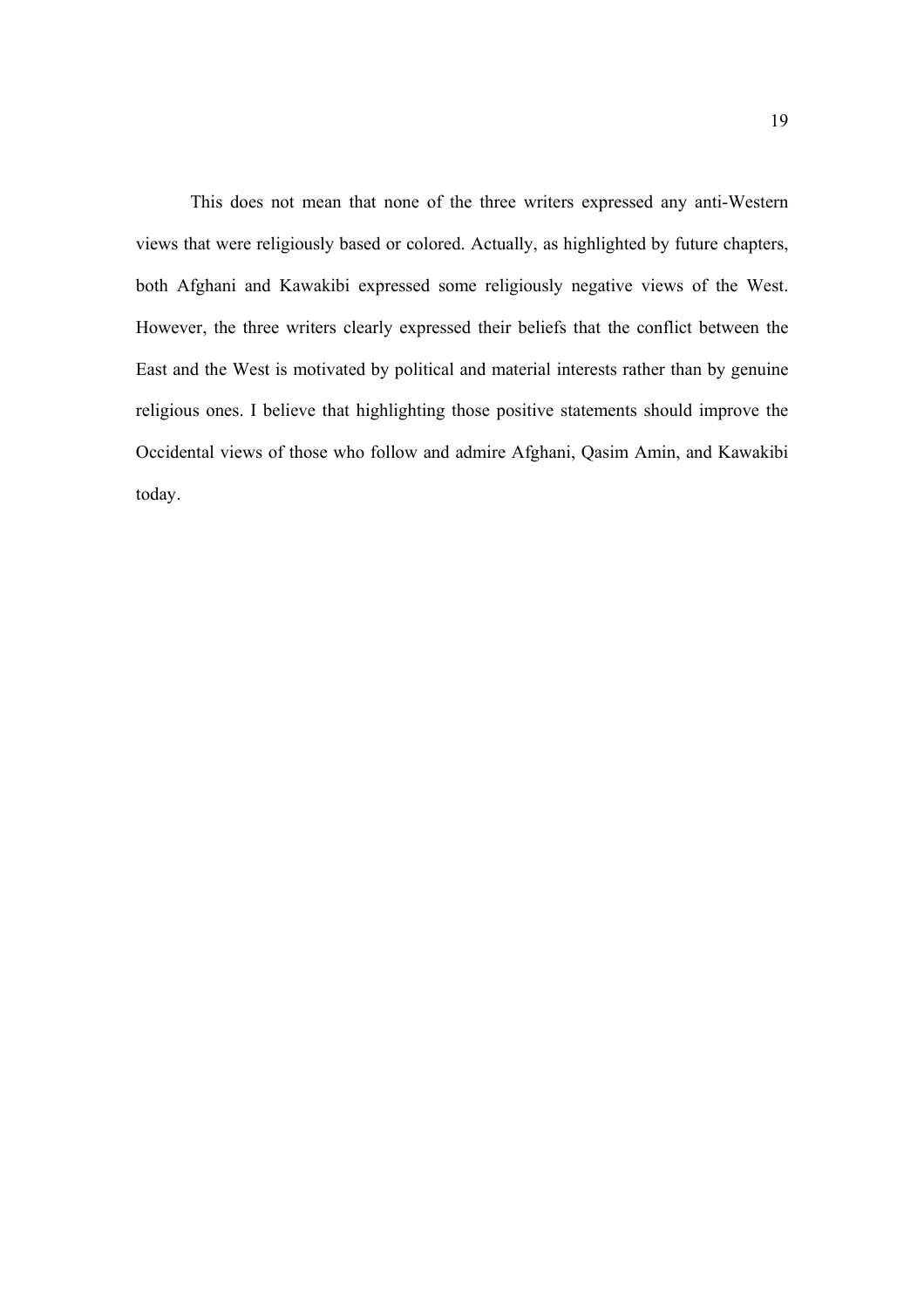This does not mean that none of the three writers expressed any anti-Western views that were religiously based or colored. Actually, as highlighted by future chapters, both Afghani and Kawakibi expressed some religiously negative views of the West. However, the three writers clearly expressed their beliefs that the conflict between the East and the West is motivated by political and material interests rather than by genuine religious ones. I believe that highlighting those positive statements should improve the Occidental views of those who follow and admire Afghani, Qasim Amin, and Kawakibi today.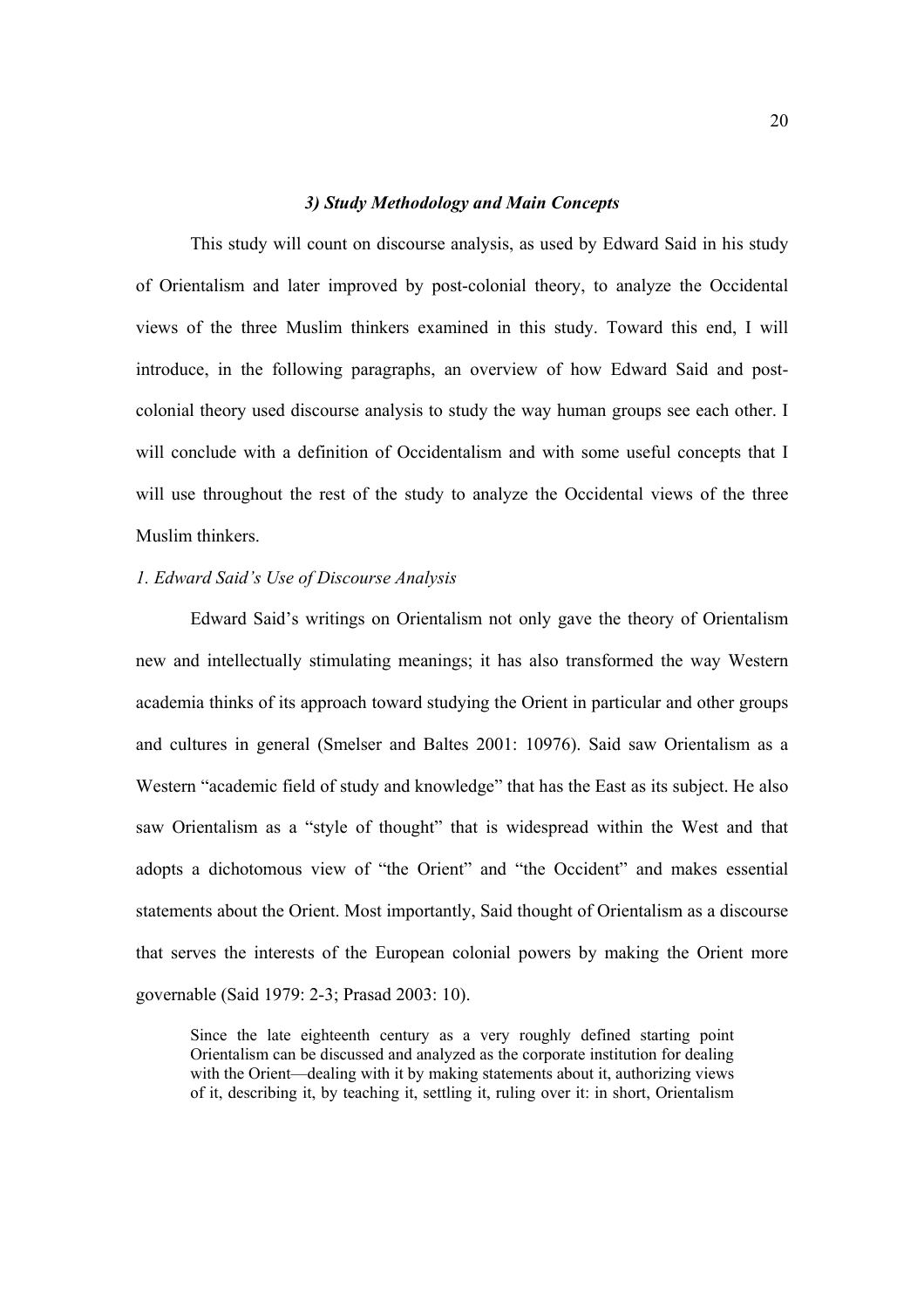#### *3) Study Methodology and Main Concepts*

 This study will count on discourse analysis, as used by Edward Said in his study of Orientalism and later improved by post-colonial theory, to analyze the Occidental views of the three Muslim thinkers examined in this study. Toward this end, I will introduce, in the following paragraphs, an overview of how Edward Said and postcolonial theory used discourse analysis to study the way human groups see each other. I will conclude with a definition of Occidentalism and with some useful concepts that I will use throughout the rest of the study to analyze the Occidental views of the three Muslim thinkers.

#### *1. Edward Said's Use of Discourse Analysis*

Edward Said's writings on Orientalism not only gave the theory of Orientalism new and intellectually stimulating meanings; it has also transformed the way Western academia thinks of its approach toward studying the Orient in particular and other groups and cultures in general (Smelser and Baltes 2001: 10976). Said saw Orientalism as a Western "academic field of study and knowledge" that has the East as its subject. He also saw Orientalism as a "style of thought" that is widespread within the West and that adopts a dichotomous view of "the Orient" and "the Occident" and makes essential statements about the Orient. Most importantly, Said thought of Orientalism as a discourse that serves the interests of the European colonial powers by making the Orient more governable (Said 1979: 2-3; Prasad 2003: 10).

Since the late eighteenth century as a very roughly defined starting point Orientalism can be discussed and analyzed as the corporate institution for dealing with the Orient—dealing with it by making statements about it, authorizing views of it, describing it, by teaching it, settling it, ruling over it: in short, Orientalism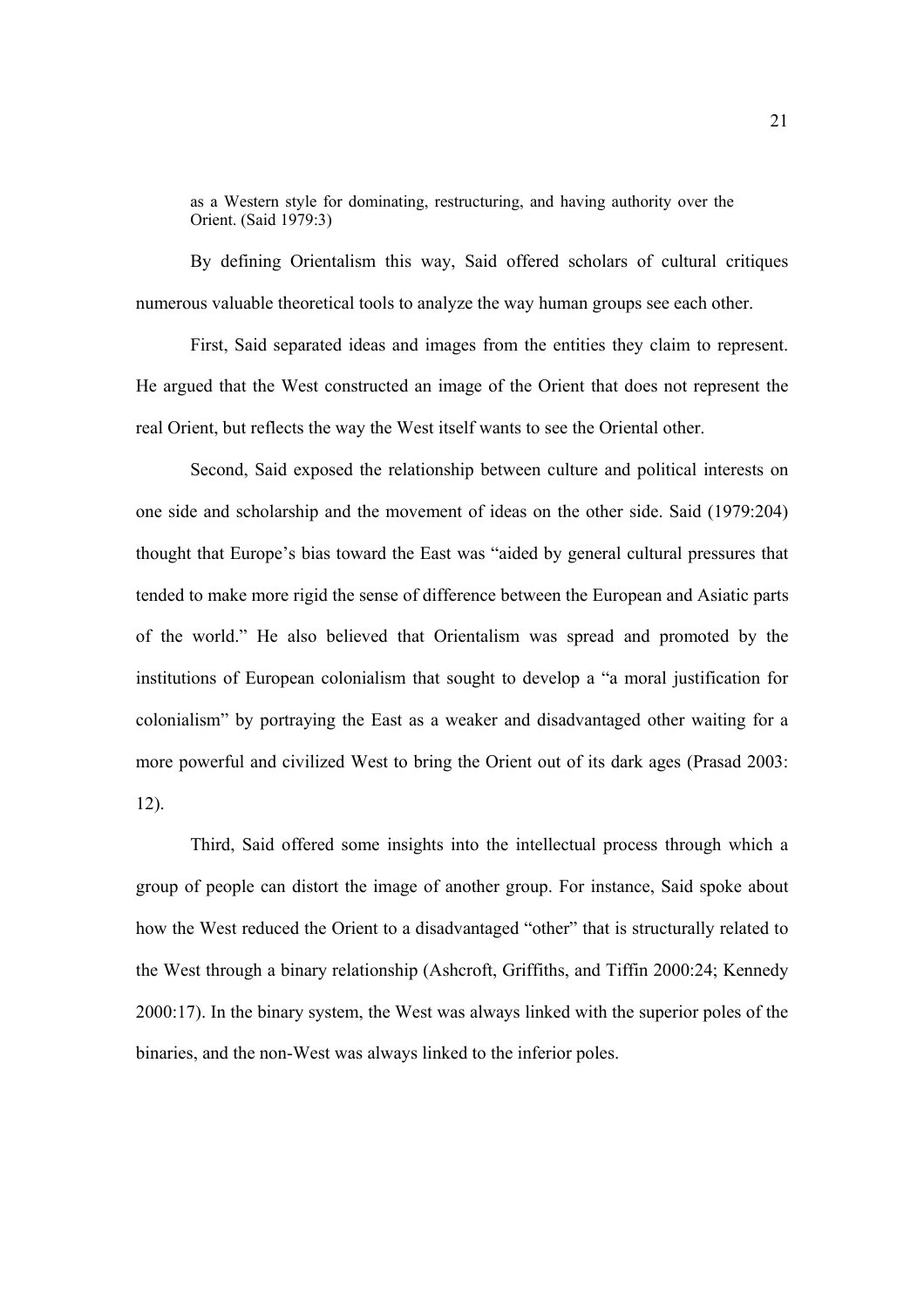as a Western style for dominating, restructuring, and having authority over the Orient. (Said 1979:3)

By defining Orientalism this way, Said offered scholars of cultural critiques numerous valuable theoretical tools to analyze the way human groups see each other.

First, Said separated ideas and images from the entities they claim to represent. He argued that the West constructed an image of the Orient that does not represent the real Orient, but reflects the way the West itself wants to see the Oriental other.

Second, Said exposed the relationship between culture and political interests on one side and scholarship and the movement of ideas on the other side. Said (1979:204) thought that Europe's bias toward the East was "aided by general cultural pressures that tended to make more rigid the sense of difference between the European and Asiatic parts of the world." He also believed that Orientalism was spread and promoted by the institutions of European colonialism that sought to develop a "a moral justification for colonialism" by portraying the East as a weaker and disadvantaged other waiting for a more powerful and civilized West to bring the Orient out of its dark ages (Prasad 2003: 12).

Third, Said offered some insights into the intellectual process through which a group of people can distort the image of another group. For instance, Said spoke about how the West reduced the Orient to a disadvantaged "other" that is structurally related to the West through a binary relationship (Ashcroft, Griffiths, and Tiffin 2000:24; Kennedy 2000:17). In the binary system, the West was always linked with the superior poles of the binaries, and the non-West was always linked to the inferior poles.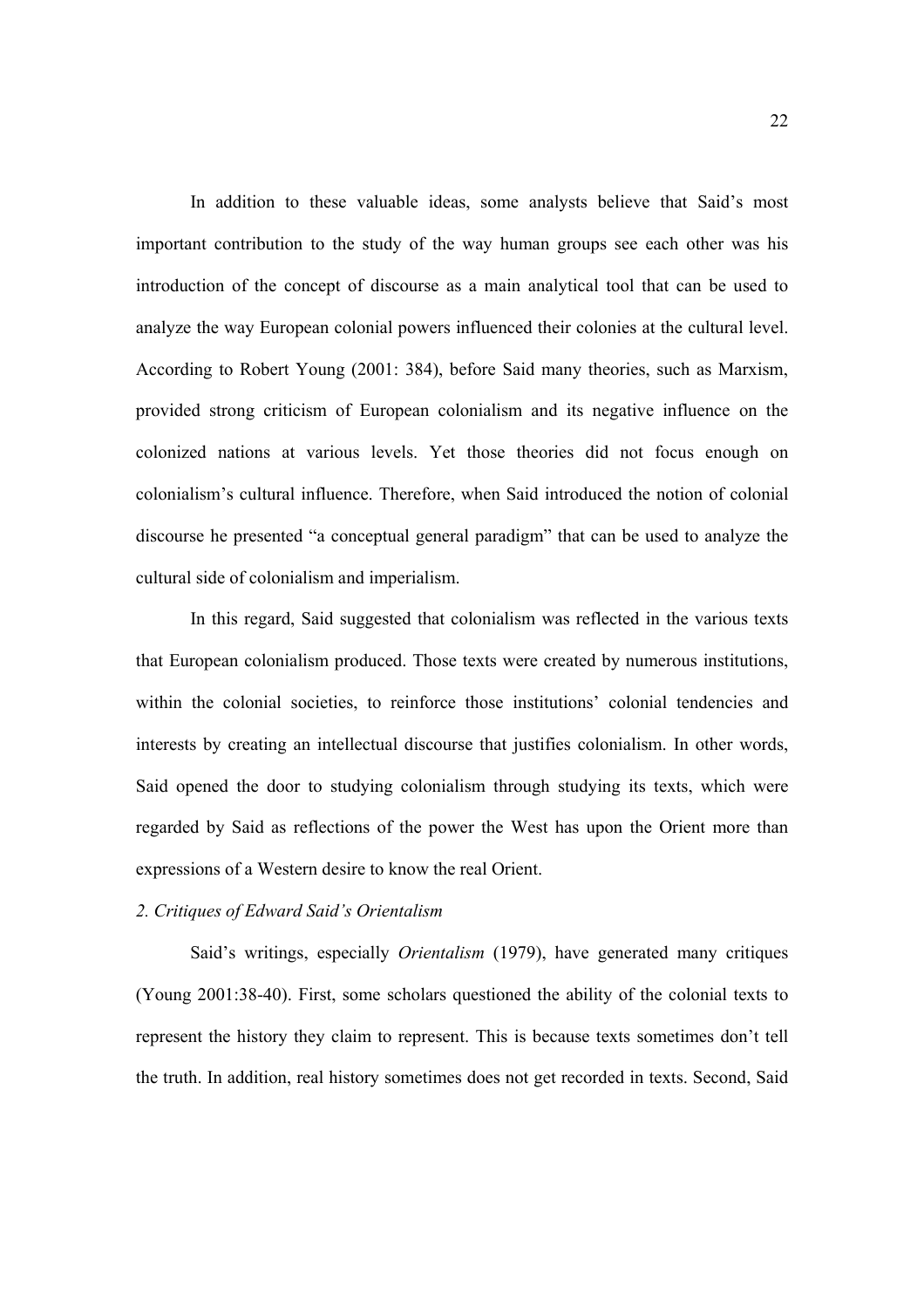In addition to these valuable ideas, some analysts believe that Said's most important contribution to the study of the way human groups see each other was his introduction of the concept of discourse as a main analytical tool that can be used to analyze the way European colonial powers influenced their colonies at the cultural level. According to Robert Young (2001: 384), before Said many theories, such as Marxism, provided strong criticism of European colonialism and its negative influence on the colonized nations at various levels. Yet those theories did not focus enough on colonialism's cultural influence. Therefore, when Said introduced the notion of colonial discourse he presented "a conceptual general paradigm" that can be used to analyze the cultural side of colonialism and imperialism.

In this regard, Said suggested that colonialism was reflected in the various texts that European colonialism produced. Those texts were created by numerous institutions, within the colonial societies, to reinforce those institutions' colonial tendencies and interests by creating an intellectual discourse that justifies colonialism. In other words, Said opened the door to studying colonialism through studying its texts, which were regarded by Said as reflections of the power the West has upon the Orient more than expressions of a Western desire to know the real Orient.

#### *2. Critiques of Edward Said's Orientalism*

Said's writings, especially *Orientalism* (1979), have generated many critiques (Young 2001:38-40). First, some scholars questioned the ability of the colonial texts to represent the history they claim to represent. This is because texts sometimes don't tell the truth. In addition, real history sometimes does not get recorded in texts. Second, Said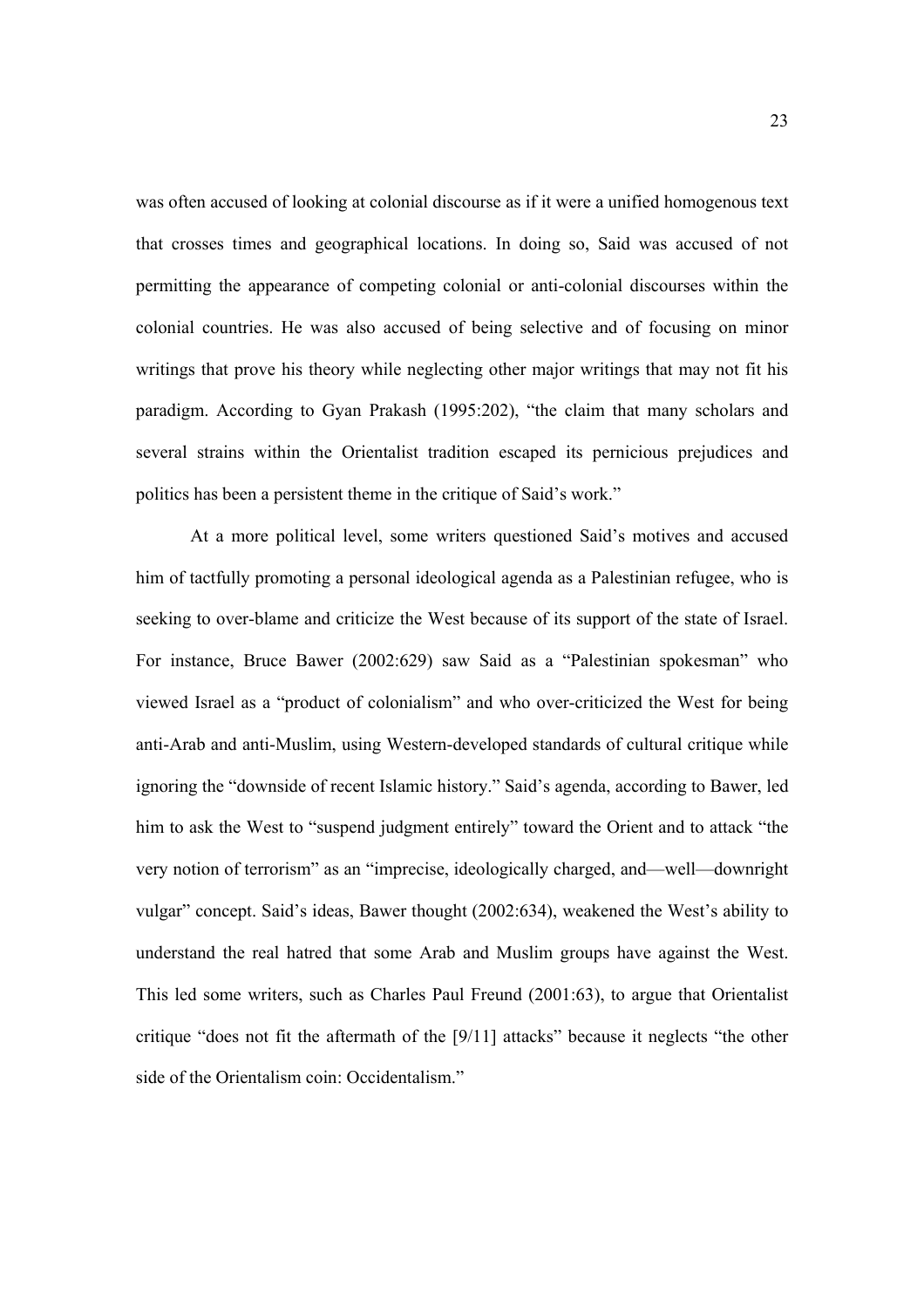was often accused of looking at colonial discourse as if it were a unified homogenous text that crosses times and geographical locations. In doing so, Said was accused of not permitting the appearance of competing colonial or anti-colonial discourses within the colonial countries. He was also accused of being selective and of focusing on minor writings that prove his theory while neglecting other major writings that may not fit his paradigm. According to Gyan Prakash (1995:202), "the claim that many scholars and several strains within the Orientalist tradition escaped its pernicious prejudices and politics has been a persistent theme in the critique of Said's work."

At a more political level, some writers questioned Said's motives and accused him of tactfully promoting a personal ideological agenda as a Palestinian refugee, who is seeking to over-blame and criticize the West because of its support of the state of Israel. For instance, Bruce Bawer (2002:629) saw Said as a "Palestinian spokesman" who viewed Israel as a "product of colonialism" and who over-criticized the West for being anti-Arab and anti-Muslim, using Western-developed standards of cultural critique while ignoring the "downside of recent Islamic history." Said's agenda, according to Bawer, led him to ask the West to "suspend judgment entirely" toward the Orient and to attack "the very notion of terrorism" as an "imprecise, ideologically charged, and—well—downright vulgar" concept. Said's ideas, Bawer thought (2002:634), weakened the West's ability to understand the real hatred that some Arab and Muslim groups have against the West. This led some writers, such as Charles Paul Freund (2001:63), to argue that Orientalist critique "does not fit the aftermath of the [9/11] attacks" because it neglects "the other side of the Orientalism coin: Occidentalism."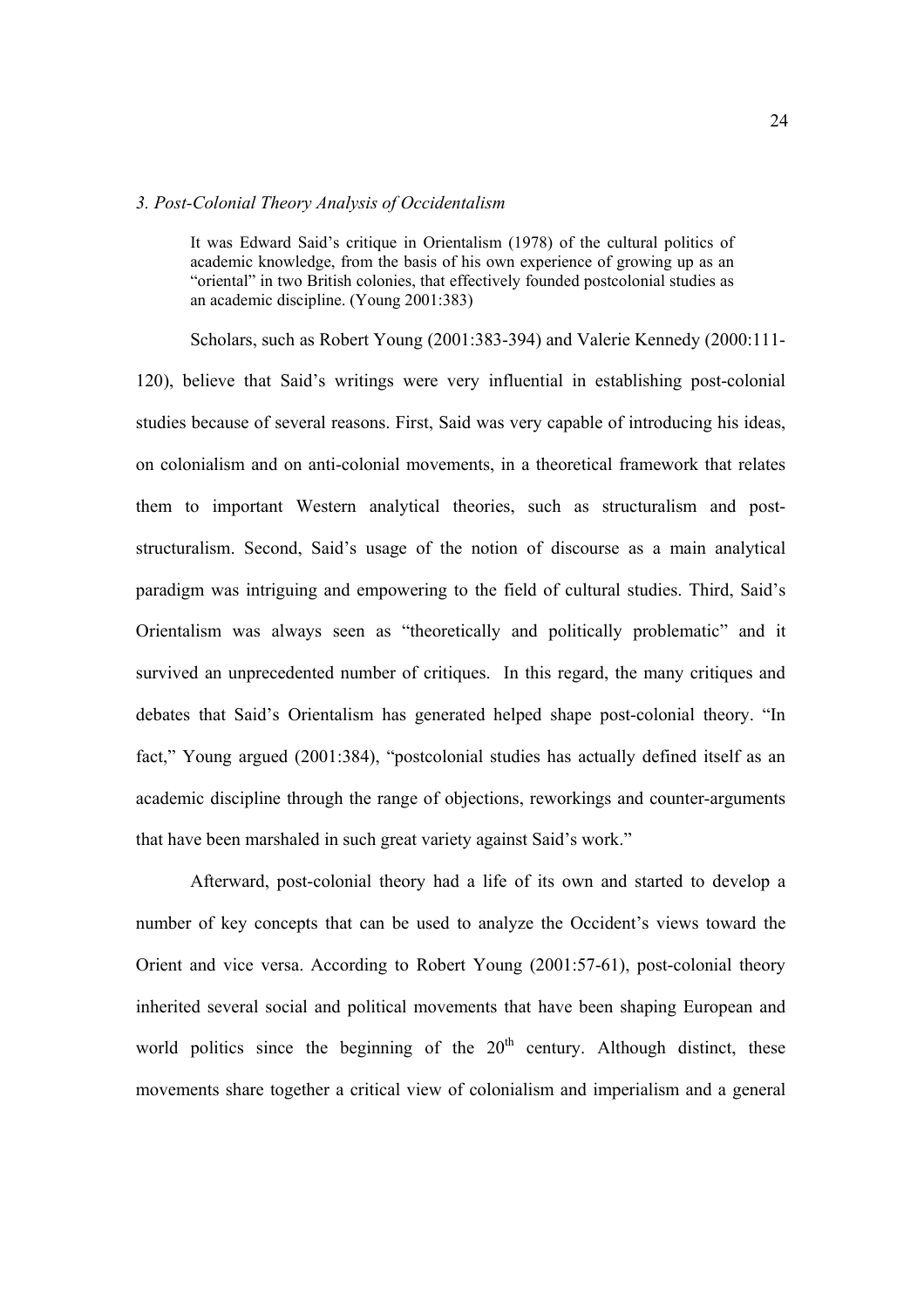#### *3. Post-Colonial Theory Analysis of Occidentalism*

It was Edward Said's critique in Orientalism (1978) of the cultural politics of academic knowledge, from the basis of his own experience of growing up as an "oriental" in two British colonies, that effectively founded postcolonial studies as an academic discipline. (Young 2001:383)

Scholars, such as Robert Young (2001:383-394) and Valerie Kennedy (2000:111- 120), believe that Said's writings were very influential in establishing post-colonial studies because of several reasons. First, Said was very capable of introducing his ideas, on colonialism and on anti-colonial movements, in a theoretical framework that relates them to important Western analytical theories, such as structuralism and poststructuralism. Second, Said's usage of the notion of discourse as a main analytical paradigm was intriguing and empowering to the field of cultural studies. Third, Said's Orientalism was always seen as "theoretically and politically problematic" and it survived an unprecedented number of critiques. In this regard, the many critiques and debates that Said's Orientalism has generated helped shape post-colonial theory. "In fact," Young argued (2001:384), "postcolonial studies has actually defined itself as an academic discipline through the range of objections, reworkings and counter-arguments that have been marshaled in such great variety against Said's work."

Afterward, post-colonial theory had a life of its own and started to develop a number of key concepts that can be used to analyze the Occident's views toward the Orient and vice versa. According to Robert Young (2001:57-61), post-colonial theory inherited several social and political movements that have been shaping European and world politics since the beginning of the  $20<sup>th</sup>$  century. Although distinct, these movements share together a critical view of colonialism and imperialism and a general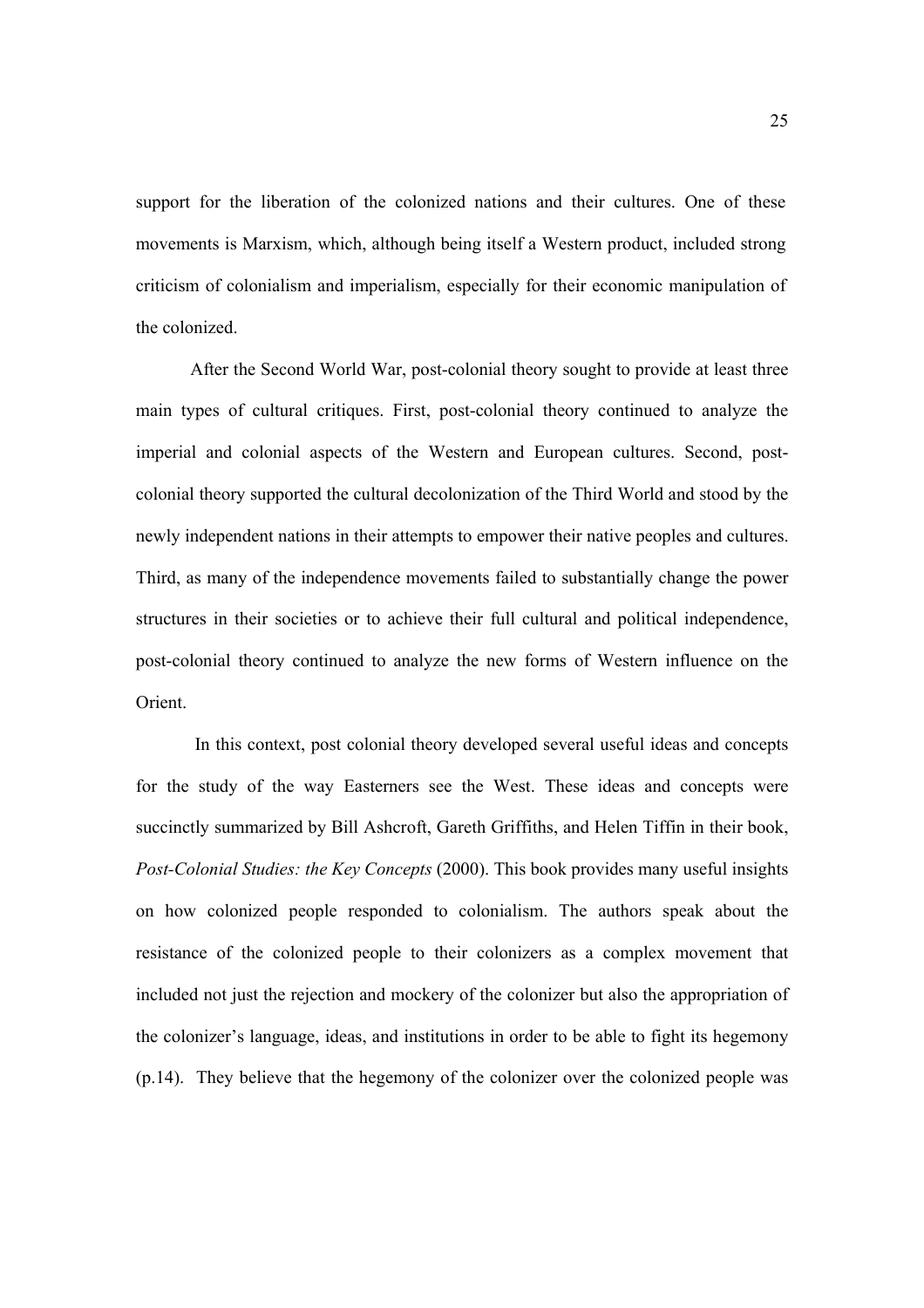support for the liberation of the colonized nations and their cultures. One of these movements is Marxism, which, although being itself a Western product, included strong criticism of colonialism and imperialism, especially for their economic manipulation of the colonized.

After the Second World War, post-colonial theory sought to provide at least three main types of cultural critiques. First, post-colonial theory continued to analyze the imperial and colonial aspects of the Western and European cultures. Second, postcolonial theory supported the cultural decolonization of the Third World and stood by the newly independent nations in their attempts to empower their native peoples and cultures. Third, as many of the independence movements failed to substantially change the power structures in their societies or to achieve their full cultural and political independence, post-colonial theory continued to analyze the new forms of Western influence on the Orient.

 In this context, post colonial theory developed several useful ideas and concepts for the study of the way Easterners see the West. These ideas and concepts were succinctly summarized by Bill Ashcroft, Gareth Griffiths, and Helen Tiffin in their book, *Post-Colonial Studies: the Key Concepts* (2000). This book provides many useful insights on how colonized people responded to colonialism. The authors speak about the resistance of the colonized people to their colonizers as a complex movement that included not just the rejection and mockery of the colonizer but also the appropriation of the colonizer's language, ideas, and institutions in order to be able to fight its hegemony (p.14). They believe that the hegemony of the colonizer over the colonized people was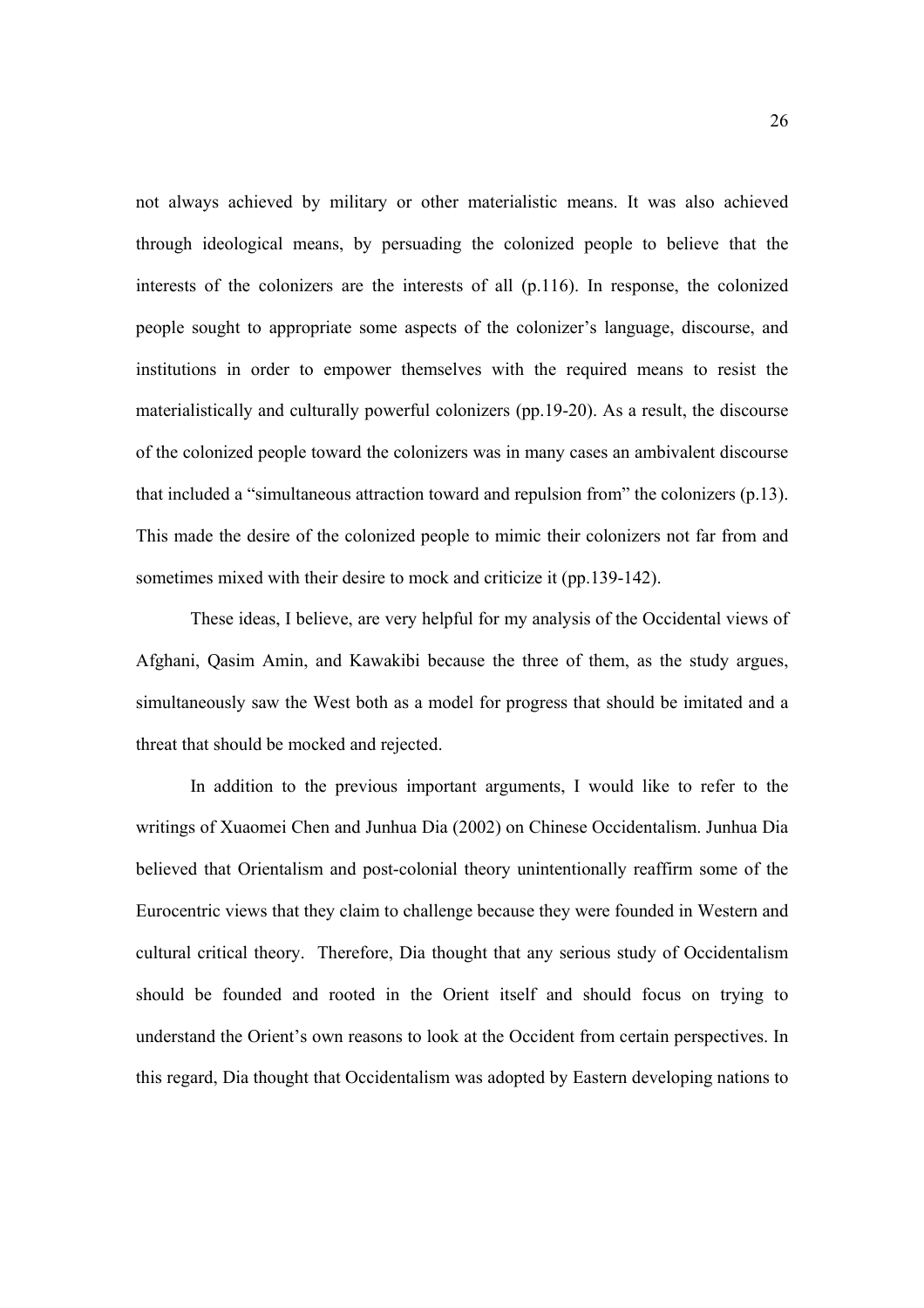not always achieved by military or other materialistic means. It was also achieved through ideological means, by persuading the colonized people to believe that the interests of the colonizers are the interests of all (p.116). In response, the colonized people sought to appropriate some aspects of the colonizer's language, discourse, and institutions in order to empower themselves with the required means to resist the materialistically and culturally powerful colonizers (pp.19-20). As a result, the discourse of the colonized people toward the colonizers was in many cases an ambivalent discourse that included a "simultaneous attraction toward and repulsion from" the colonizers (p.13). This made the desire of the colonized people to mimic their colonizers not far from and sometimes mixed with their desire to mock and criticize it (pp.139-142).

These ideas, I believe, are very helpful for my analysis of the Occidental views of Afghani, Qasim Amin, and Kawakibi because the three of them, as the study argues, simultaneously saw the West both as a model for progress that should be imitated and a threat that should be mocked and rejected.

 In addition to the previous important arguments, I would like to refer to the writings of Xuaomei Chen and Junhua Dia (2002) on Chinese Occidentalism. Junhua Dia believed that Orientalism and post-colonial theory unintentionally reaffirm some of the Eurocentric views that they claim to challenge because they were founded in Western and cultural critical theory. Therefore, Dia thought that any serious study of Occidentalism should be founded and rooted in the Orient itself and should focus on trying to understand the Orient's own reasons to look at the Occident from certain perspectives. In this regard, Dia thought that Occidentalism was adopted by Eastern developing nations to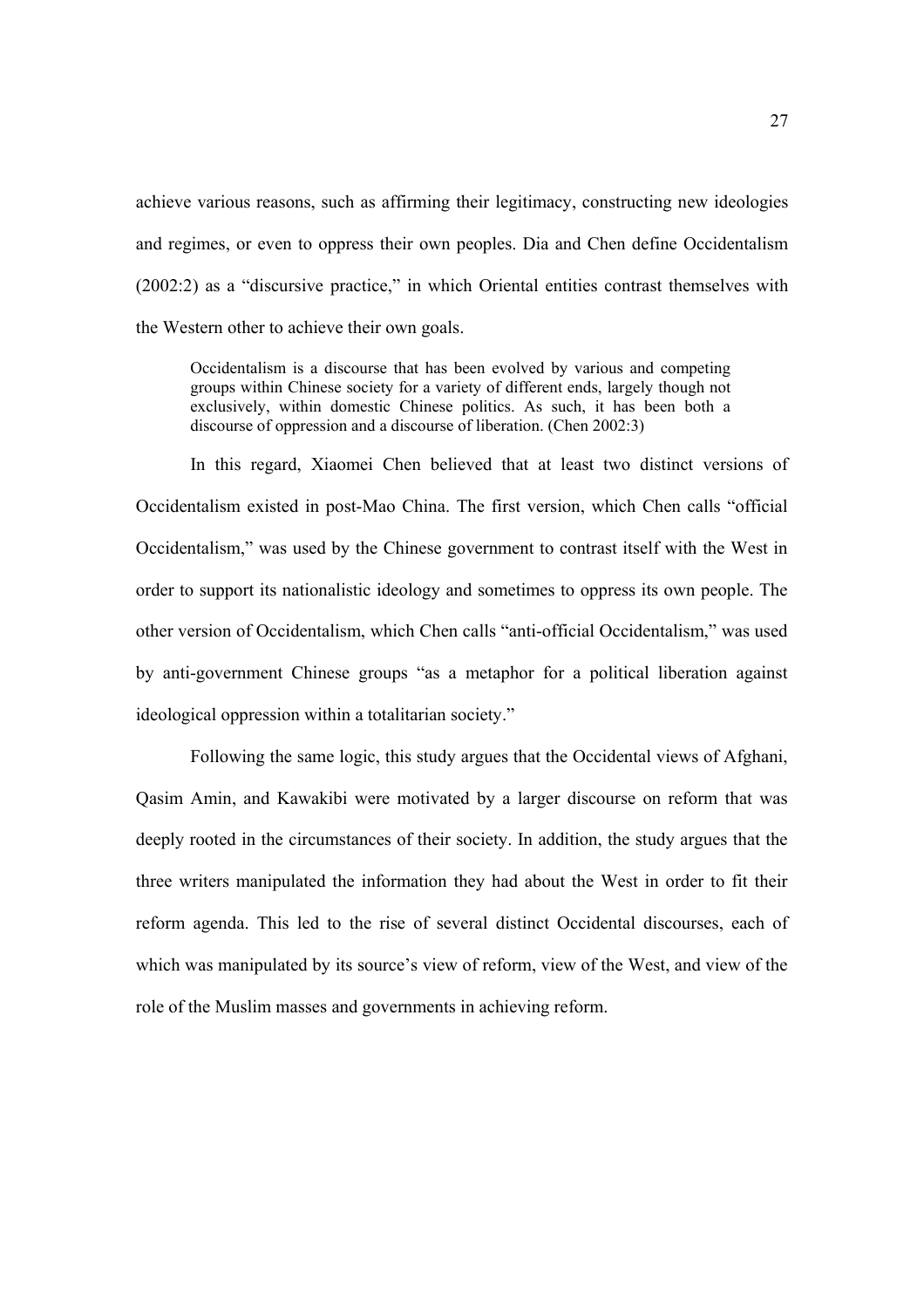achieve various reasons, such as affirming their legitimacy, constructing new ideologies and regimes, or even to oppress their own peoples. Dia and Chen define Occidentalism (2002:2) as a "discursive practice," in which Oriental entities contrast themselves with the Western other to achieve their own goals.

Occidentalism is a discourse that has been evolved by various and competing groups within Chinese society for a variety of different ends, largely though not exclusively, within domestic Chinese politics. As such, it has been both a discourse of oppression and a discourse of liberation. (Chen 2002:3)

In this regard, Xiaomei Chen believed that at least two distinct versions of Occidentalism existed in post-Mao China. The first version, which Chen calls "official Occidentalism," was used by the Chinese government to contrast itself with the West in order to support its nationalistic ideology and sometimes to oppress its own people. The other version of Occidentalism, which Chen calls "anti-official Occidentalism," was used by anti-government Chinese groups "as a metaphor for a political liberation against ideological oppression within a totalitarian society."

Following the same logic, this study argues that the Occidental views of Afghani, Qasim Amin, and Kawakibi were motivated by a larger discourse on reform that was deeply rooted in the circumstances of their society. In addition, the study argues that the three writers manipulated the information they had about the West in order to fit their reform agenda. This led to the rise of several distinct Occidental discourses, each of which was manipulated by its source's view of reform, view of the West, and view of the role of the Muslim masses and governments in achieving reform.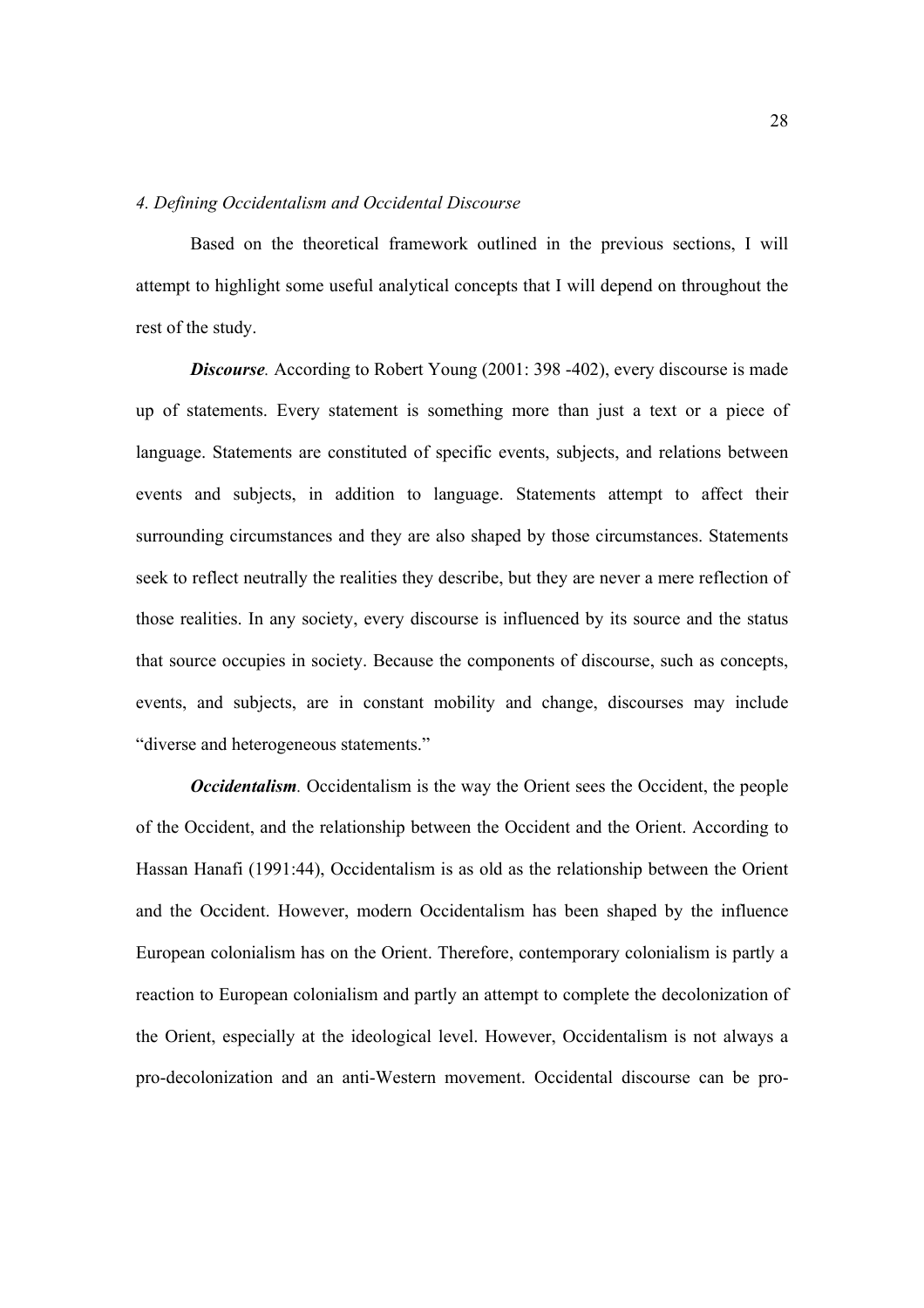# *4. Defining Occidentalism and Occidental Discourse*

Based on the theoretical framework outlined in the previous sections, I will attempt to highlight some useful analytical concepts that I will depend on throughout the rest of the study.

*Discourse*. According to Robert Young (2001: 398 -402), every discourse is made up of statements. Every statement is something more than just a text or a piece of language. Statements are constituted of specific events, subjects, and relations between events and subjects, in addition to language. Statements attempt to affect their surrounding circumstances and they are also shaped by those circumstances. Statements seek to reflect neutrally the realities they describe, but they are never a mere reflection of those realities. In any society, every discourse is influenced by its source and the status that source occupies in society. Because the components of discourse, such as concepts, events, and subjects, are in constant mobility and change, discourses may include "diverse and heterogeneous statements."

*Occidentalism.* Occidentalism is the way the Orient sees the Occident, the people of the Occident, and the relationship between the Occident and the Orient. According to Hassan Hanafi (1991:44), Occidentalism is as old as the relationship between the Orient and the Occident. However, modern Occidentalism has been shaped by the influence European colonialism has on the Orient. Therefore, contemporary colonialism is partly a reaction to European colonialism and partly an attempt to complete the decolonization of the Orient, especially at the ideological level. However, Occidentalism is not always a pro-decolonization and an anti-Western movement. Occidental discourse can be pro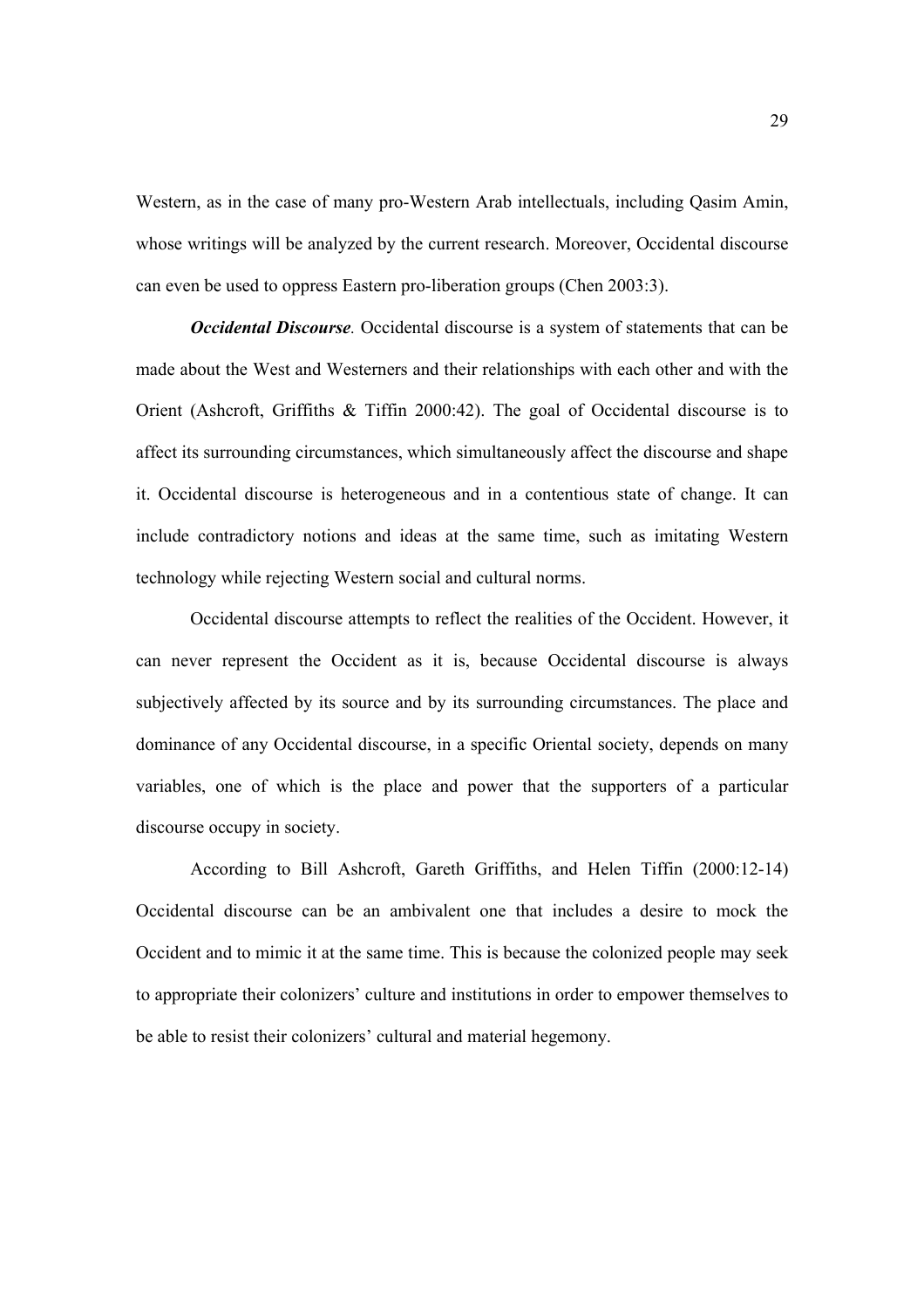Western, as in the case of many pro-Western Arab intellectuals, including Qasim Amin, whose writings will be analyzed by the current research. Moreover, Occidental discourse can even be used to oppress Eastern pro-liberation groups (Chen 2003:3).

*Occidental Discourse.* Occidental discourse is a system of statements that can be made about the West and Westerners and their relationships with each other and with the Orient (Ashcroft, Griffiths & Tiffin 2000:42). The goal of Occidental discourse is to affect its surrounding circumstances, which simultaneously affect the discourse and shape it. Occidental discourse is heterogeneous and in a contentious state of change. It can include contradictory notions and ideas at the same time, such as imitating Western technology while rejecting Western social and cultural norms.

 Occidental discourse attempts to reflect the realities of the Occident. However, it can never represent the Occident as it is, because Occidental discourse is always subjectively affected by its source and by its surrounding circumstances. The place and dominance of any Occidental discourse, in a specific Oriental society, depends on many variables, one of which is the place and power that the supporters of a particular discourse occupy in society.

According to Bill Ashcroft, Gareth Griffiths, and Helen Tiffin (2000:12-14) Occidental discourse can be an ambivalent one that includes a desire to mock the Occident and to mimic it at the same time. This is because the colonized people may seek to appropriate their colonizers' culture and institutions in order to empower themselves to be able to resist their colonizers' cultural and material hegemony.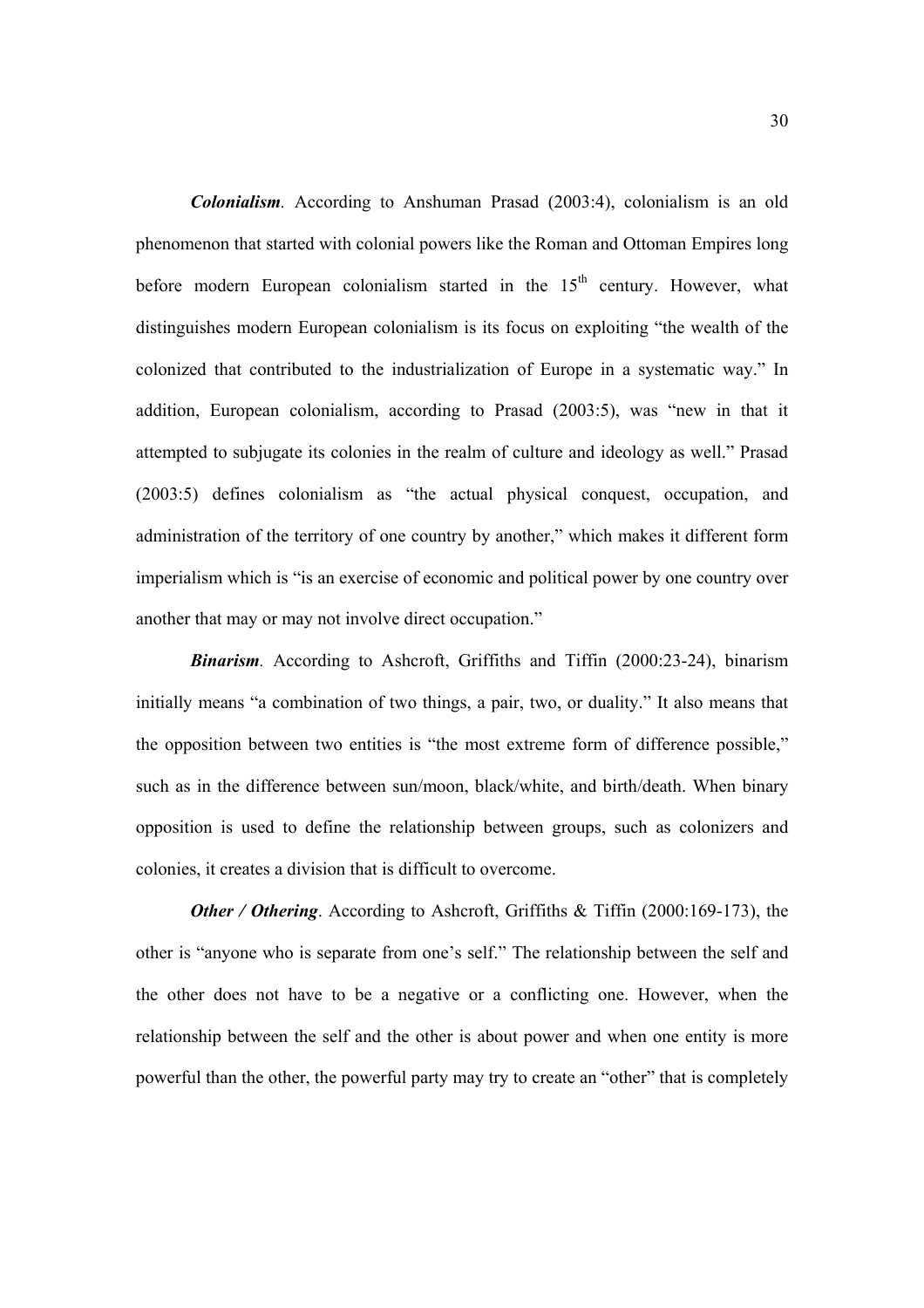*Colonialism.* According to Anshuman Prasad (2003:4), colonialism is an old phenomenon that started with colonial powers like the Roman and Ottoman Empires long before modern European colonialism started in the  $15<sup>th</sup>$  century. However, what distinguishes modern European colonialism is its focus on exploiting "the wealth of the colonized that contributed to the industrialization of Europe in a systematic way." In addition, European colonialism, according to Prasad (2003:5), was "new in that it attempted to subjugate its colonies in the realm of culture and ideology as well." Prasad (2003:5) defines colonialism as "the actual physical conquest, occupation, and administration of the territory of one country by another," which makes it different form imperialism which is "is an exercise of economic and political power by one country over another that may or may not involve direct occupation."

*Binarism.* According to Ashcroft, Griffiths and Tiffin (2000:23-24), binarism initially means "a combination of two things, a pair, two, or duality." It also means that the opposition between two entities is "the most extreme form of difference possible," such as in the difference between sun/moon, black/white, and birth/death. When binary opposition is used to define the relationship between groups, such as colonizers and colonies, it creates a division that is difficult to overcome.

*Other / Othering.* According to Ashcroft, Griffiths & Tiffin (2000:169-173), the other is "anyone who is separate from one's self." The relationship between the self and the other does not have to be a negative or a conflicting one. However, when the relationship between the self and the other is about power and when one entity is more powerful than the other, the powerful party may try to create an "other" that is completely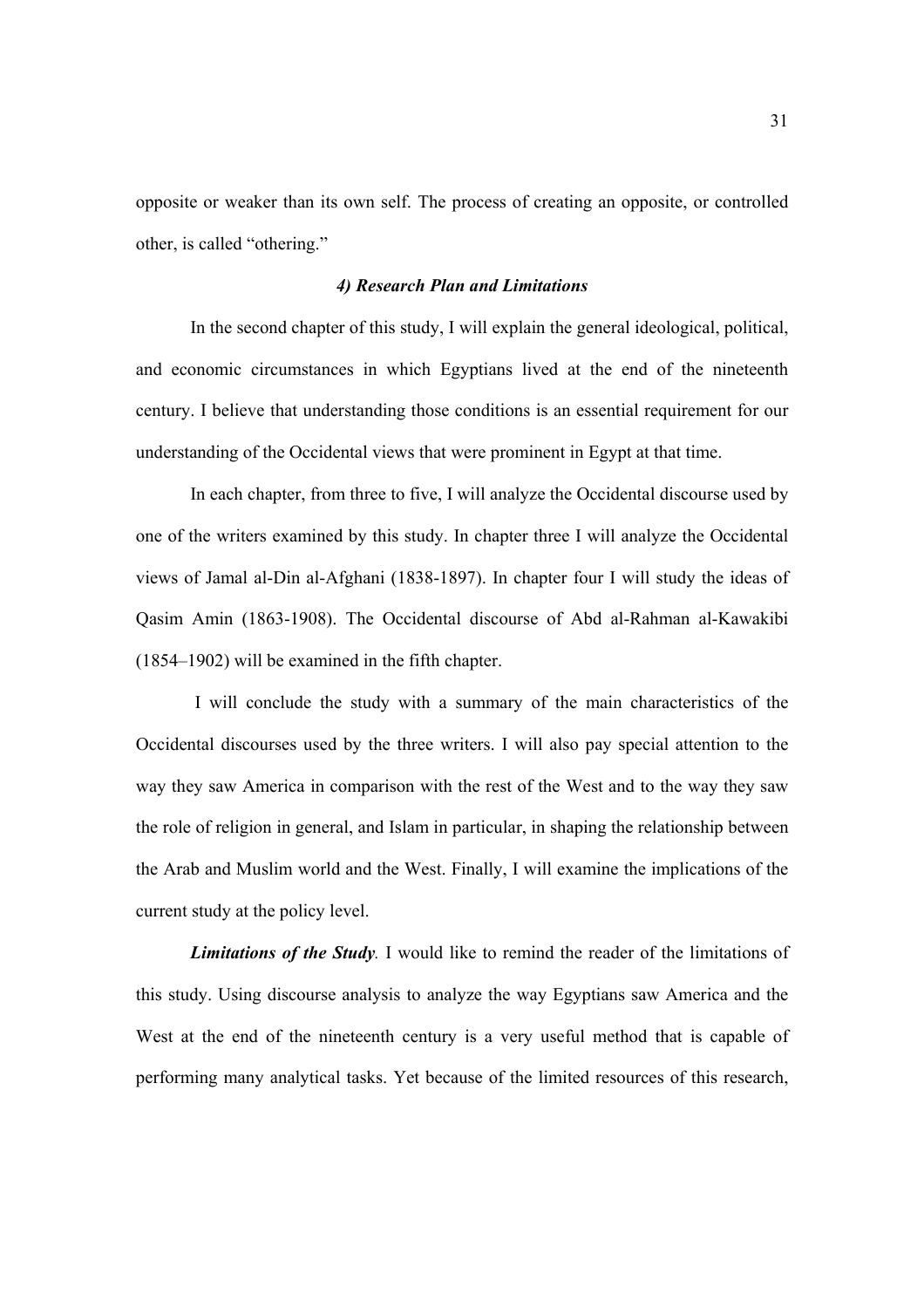opposite or weaker than its own self. The process of creating an opposite, or controlled other, is called "othering."

# *4) Research Plan and Limitations*

In the second chapter of this study, I will explain the general ideological, political, and economic circumstances in which Egyptians lived at the end of the nineteenth century. I believe that understanding those conditions is an essential requirement for our understanding of the Occidental views that were prominent in Egypt at that time.

In each chapter, from three to five, I will analyze the Occidental discourse used by one of the writers examined by this study. In chapter three I will analyze the Occidental views of Jamal al-Din al-Afghani (1838-1897). In chapter four I will study the ideas of Qasim Amin (1863-1908). The Occidental discourse of Abd al-Rahman al-Kawakibi (1854–1902) will be examined in the fifth chapter.

 I will conclude the study with a summary of the main characteristics of the Occidental discourses used by the three writers. I will also pay special attention to the way they saw America in comparison with the rest of the West and to the way they saw the role of religion in general, and Islam in particular, in shaping the relationship between the Arab and Muslim world and the West. Finally, I will examine the implications of the current study at the policy level.

*Limitations of the Study.* I would like to remind the reader of the limitations of this study. Using discourse analysis to analyze the way Egyptians saw America and the West at the end of the nineteenth century is a very useful method that is capable of performing many analytical tasks. Yet because of the limited resources of this research,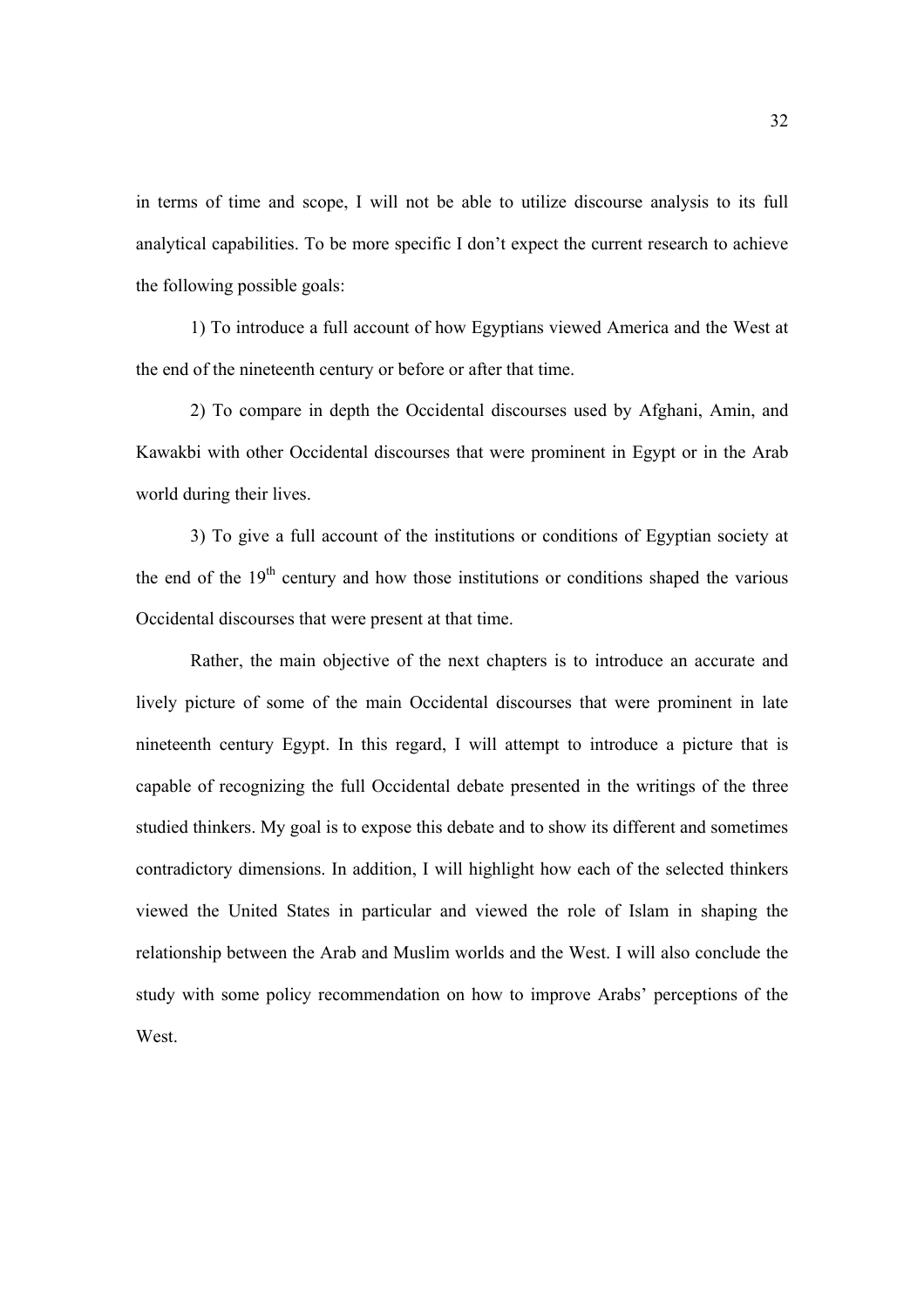in terms of time and scope, I will not be able to utilize discourse analysis to its full analytical capabilities. To be more specific I don't expect the current research to achieve the following possible goals:

1) To introduce a full account of how Egyptians viewed America and the West at the end of the nineteenth century or before or after that time.

2) To compare in depth the Occidental discourses used by Afghani, Amin, and Kawakbi with other Occidental discourses that were prominent in Egypt or in the Arab world during their lives.

3) To give a full account of the institutions or conditions of Egyptian society at the end of the  $19<sup>th</sup>$  century and how those institutions or conditions shaped the various Occidental discourses that were present at that time.

Rather, the main objective of the next chapters is to introduce an accurate and lively picture of some of the main Occidental discourses that were prominent in late nineteenth century Egypt. In this regard, I will attempt to introduce a picture that is capable of recognizing the full Occidental debate presented in the writings of the three studied thinkers. My goal is to expose this debate and to show its different and sometimes contradictory dimensions. In addition, I will highlight how each of the selected thinkers viewed the United States in particular and viewed the role of Islam in shaping the relationship between the Arab and Muslim worlds and the West. I will also conclude the study with some policy recommendation on how to improve Arabs' perceptions of the West.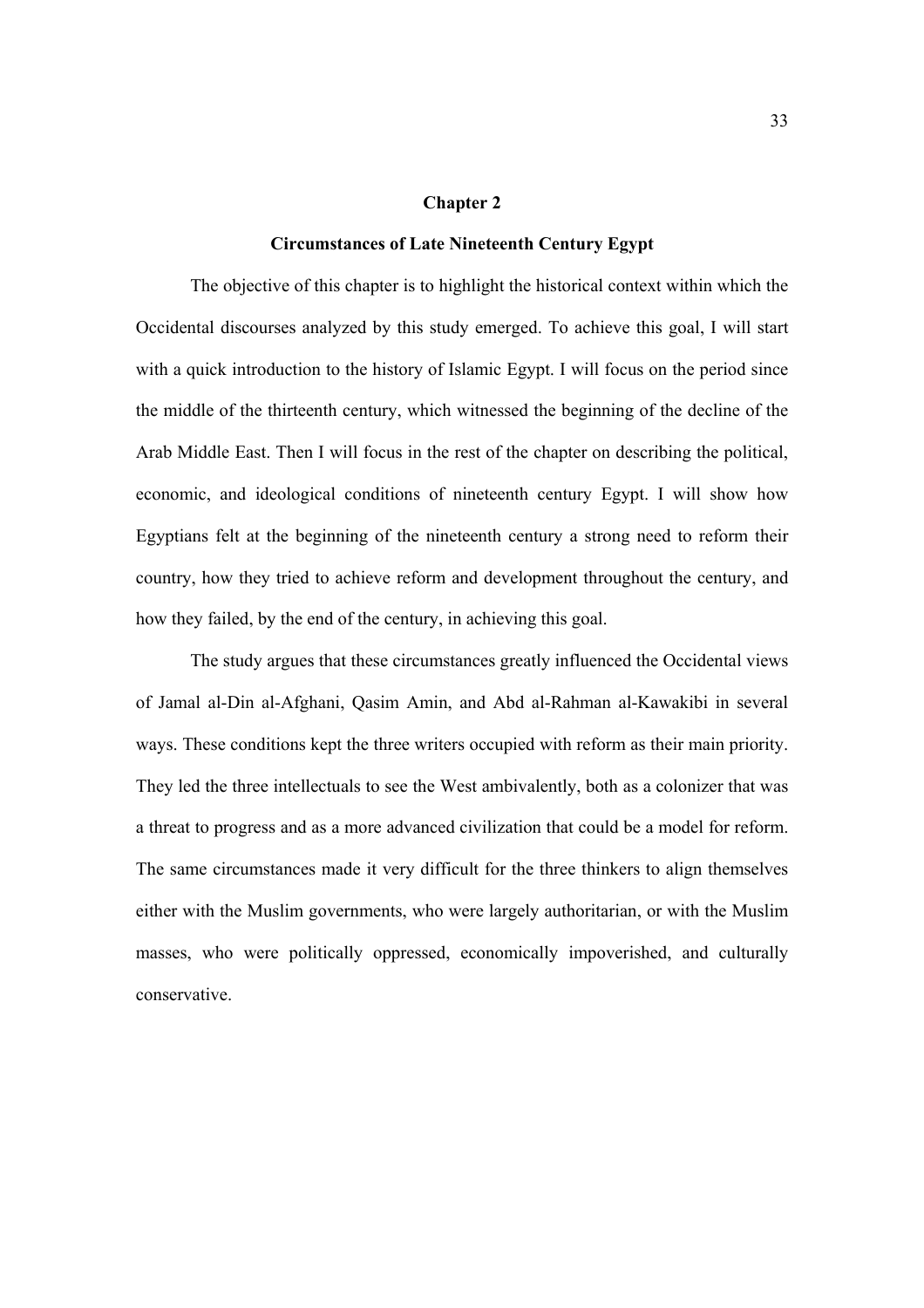### **Chapter 2**

## **Circumstances of Late Nineteenth Century Egypt**

The objective of this chapter is to highlight the historical context within which the Occidental discourses analyzed by this study emerged. To achieve this goal, I will start with a quick introduction to the history of Islamic Egypt. I will focus on the period since the middle of the thirteenth century, which witnessed the beginning of the decline of the Arab Middle East. Then I will focus in the rest of the chapter on describing the political, economic, and ideological conditions of nineteenth century Egypt. I will show how Egyptians felt at the beginning of the nineteenth century a strong need to reform their country, how they tried to achieve reform and development throughout the century, and how they failed, by the end of the century, in achieving this goal.

 The study argues that these circumstances greatly influenced the Occidental views of Jamal al-Din al-Afghani, Qasim Amin, and Abd al-Rahman al-Kawakibi in several ways. These conditions kept the three writers occupied with reform as their main priority. They led the three intellectuals to see the West ambivalently, both as a colonizer that was a threat to progress and as a more advanced civilization that could be a model for reform. The same circumstances made it very difficult for the three thinkers to align themselves either with the Muslim governments, who were largely authoritarian, or with the Muslim masses, who were politically oppressed, economically impoverished, and culturally conservative.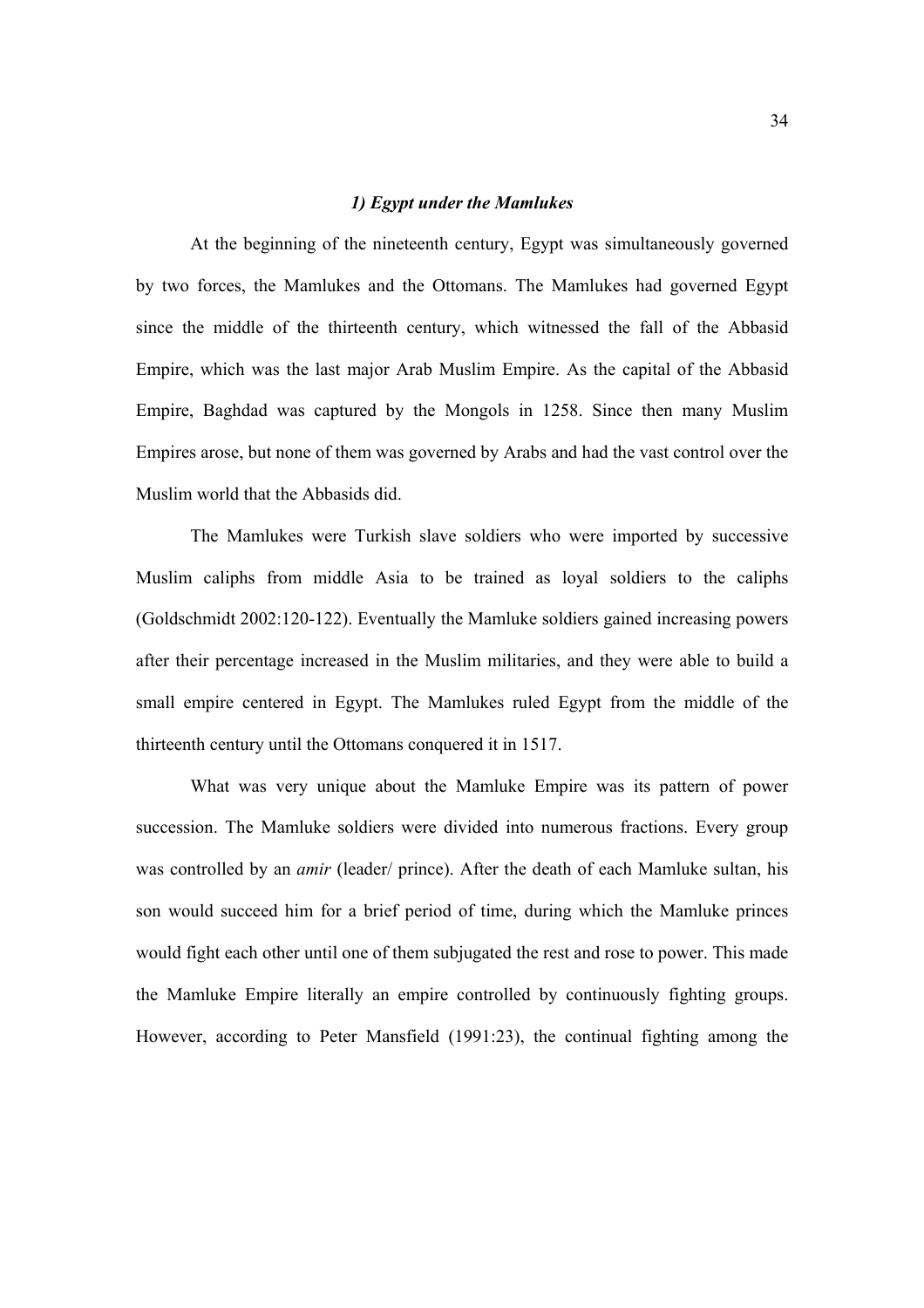## *1) Egypt under the Mamlukes*

At the beginning of the nineteenth century, Egypt was simultaneously governed by two forces, the Mamlukes and the Ottomans. The Mamlukes had governed Egypt since the middle of the thirteenth century, which witnessed the fall of the Abbasid Empire, which was the last major Arab Muslim Empire. As the capital of the Abbasid Empire, Baghdad was captured by the Mongols in 1258. Since then many Muslim Empires arose, but none of them was governed by Arabs and had the vast control over the Muslim world that the Abbasids did.

The Mamlukes were Turkish slave soldiers who were imported by successive Muslim caliphs from middle Asia to be trained as loyal soldiers to the caliphs (Goldschmidt 2002:120-122). Eventually the Mamluke soldiers gained increasing powers after their percentage increased in the Muslim militaries, and they were able to build a small empire centered in Egypt. The Mamlukes ruled Egypt from the middle of the thirteenth century until the Ottomans conquered it in 1517.

What was very unique about the Mamluke Empire was its pattern of power succession. The Mamluke soldiers were divided into numerous fractions. Every group was controlled by an *amir* (leader/ prince). After the death of each Mamluke sultan, his son would succeed him for a brief period of time, during which the Mamluke princes would fight each other until one of them subjugated the rest and rose to power. This made the Mamluke Empire literally an empire controlled by continuously fighting groups. However, according to Peter Mansfield (1991:23), the continual fighting among the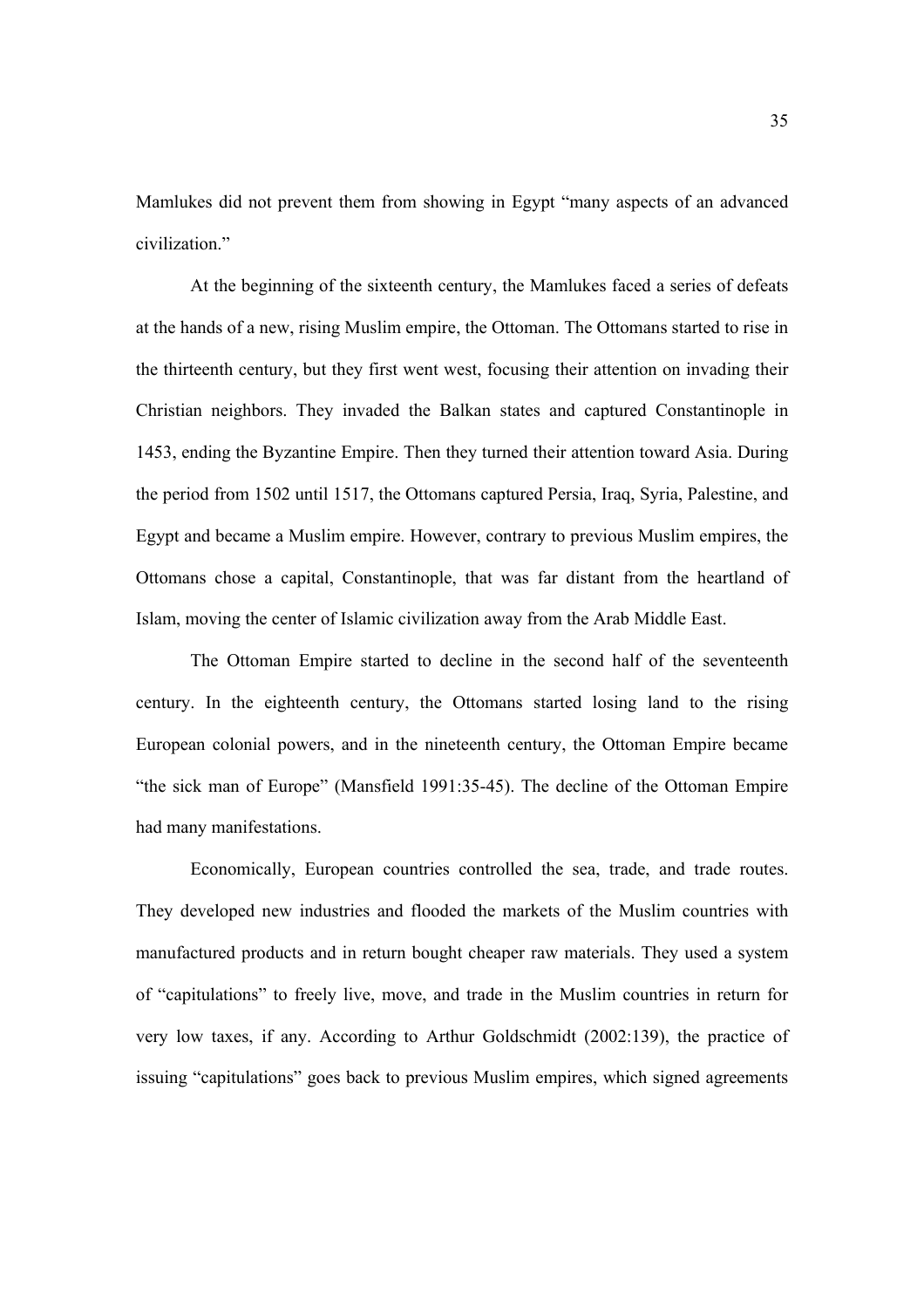Mamlukes did not prevent them from showing in Egypt "many aspects of an advanced civilization."

 At the beginning of the sixteenth century, the Mamlukes faced a series of defeats at the hands of a new, rising Muslim empire, the Ottoman. The Ottomans started to rise in the thirteenth century, but they first went west, focusing their attention on invading their Christian neighbors. They invaded the Balkan states and captured Constantinople in 1453, ending the Byzantine Empire. Then they turned their attention toward Asia. During the period from 1502 until 1517, the Ottomans captured Persia, Iraq, Syria, Palestine, and Egypt and became a Muslim empire. However, contrary to previous Muslim empires, the Ottomans chose a capital, Constantinople, that was far distant from the heartland of Islam, moving the center of Islamic civilization away from the Arab Middle East.

 The Ottoman Empire started to decline in the second half of the seventeenth century. In the eighteenth century, the Ottomans started losing land to the rising European colonial powers, and in the nineteenth century, the Ottoman Empire became "the sick man of Europe" (Mansfield 1991:35-45). The decline of the Ottoman Empire had many manifestations.

Economically, European countries controlled the sea, trade, and trade routes. They developed new industries and flooded the markets of the Muslim countries with manufactured products and in return bought cheaper raw materials. They used a system of "capitulations" to freely live, move, and trade in the Muslim countries in return for very low taxes, if any. According to Arthur Goldschmidt (2002:139), the practice of issuing "capitulations" goes back to previous Muslim empires, which signed agreements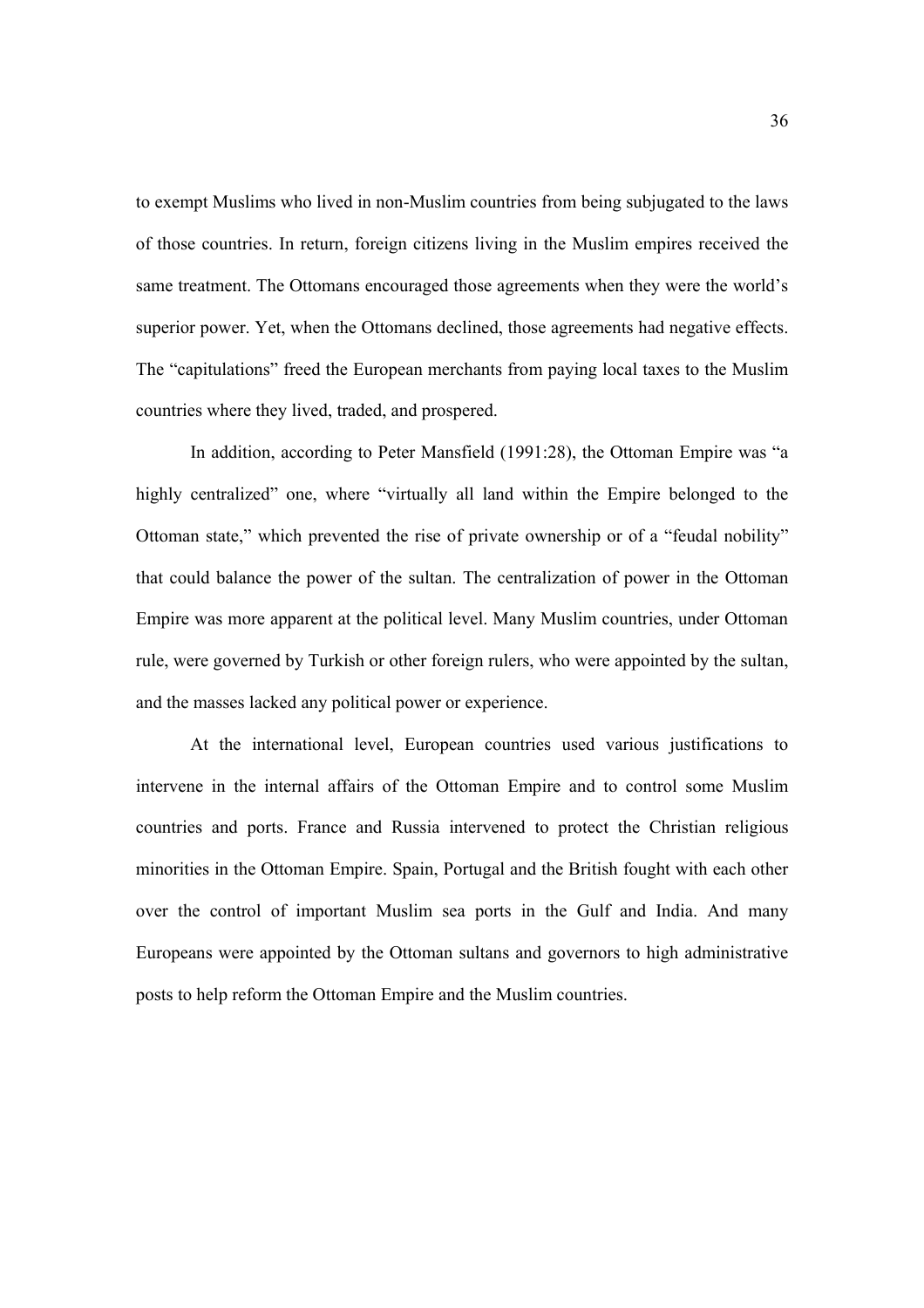to exempt Muslims who lived in non-Muslim countries from being subjugated to the laws of those countries. In return, foreign citizens living in the Muslim empires received the same treatment. The Ottomans encouraged those agreements when they were the world's superior power. Yet, when the Ottomans declined, those agreements had negative effects. The "capitulations" freed the European merchants from paying local taxes to the Muslim countries where they lived, traded, and prospered.

In addition, according to Peter Mansfield (1991:28), the Ottoman Empire was "a highly centralized" one, where "virtually all land within the Empire belonged to the Ottoman state," which prevented the rise of private ownership or of a "feudal nobility" that could balance the power of the sultan. The centralization of power in the Ottoman Empire was more apparent at the political level. Many Muslim countries, under Ottoman rule, were governed by Turkish or other foreign rulers, who were appointed by the sultan, and the masses lacked any political power or experience.

At the international level, European countries used various justifications to intervene in the internal affairs of the Ottoman Empire and to control some Muslim countries and ports. France and Russia intervened to protect the Christian religious minorities in the Ottoman Empire. Spain, Portugal and the British fought with each other over the control of important Muslim sea ports in the Gulf and India. And many Europeans were appointed by the Ottoman sultans and governors to high administrative posts to help reform the Ottoman Empire and the Muslim countries.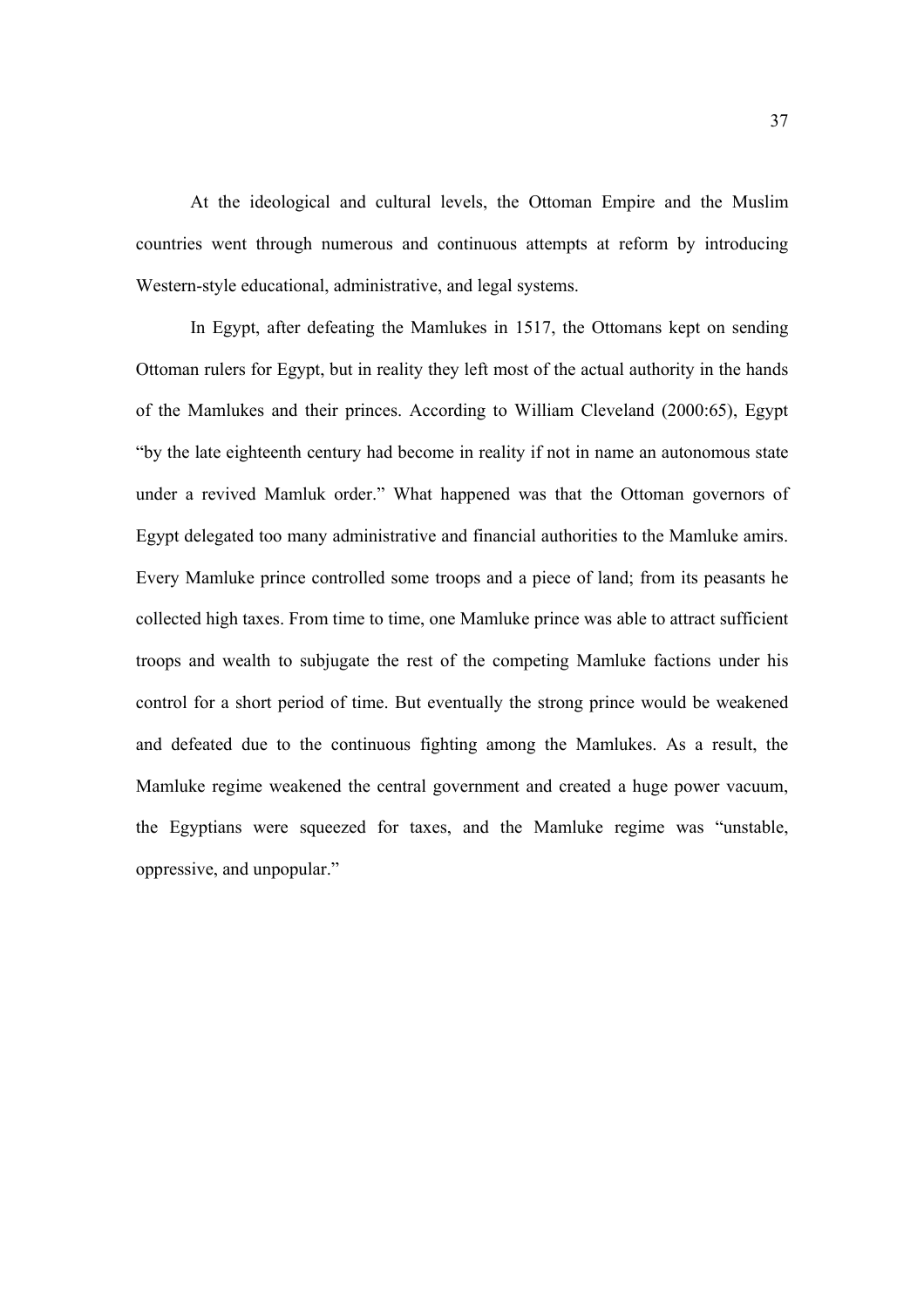At the ideological and cultural levels, the Ottoman Empire and the Muslim countries went through numerous and continuous attempts at reform by introducing Western-style educational, administrative, and legal systems.

In Egypt, after defeating the Mamlukes in 1517, the Ottomans kept on sending Ottoman rulers for Egypt, but in reality they left most of the actual authority in the hands of the Mamlukes and their princes. According to William Cleveland (2000:65), Egypt "by the late eighteenth century had become in reality if not in name an autonomous state under a revived Mamluk order." What happened was that the Ottoman governors of Egypt delegated too many administrative and financial authorities to the Mamluke amirs. Every Mamluke prince controlled some troops and a piece of land; from its peasants he collected high taxes. From time to time, one Mamluke prince was able to attract sufficient troops and wealth to subjugate the rest of the competing Mamluke factions under his control for a short period of time. But eventually the strong prince would be weakened and defeated due to the continuous fighting among the Mamlukes. As a result, the Mamluke regime weakened the central government and created a huge power vacuum, the Egyptians were squeezed for taxes, and the Mamluke regime was "unstable, oppressive, and unpopular."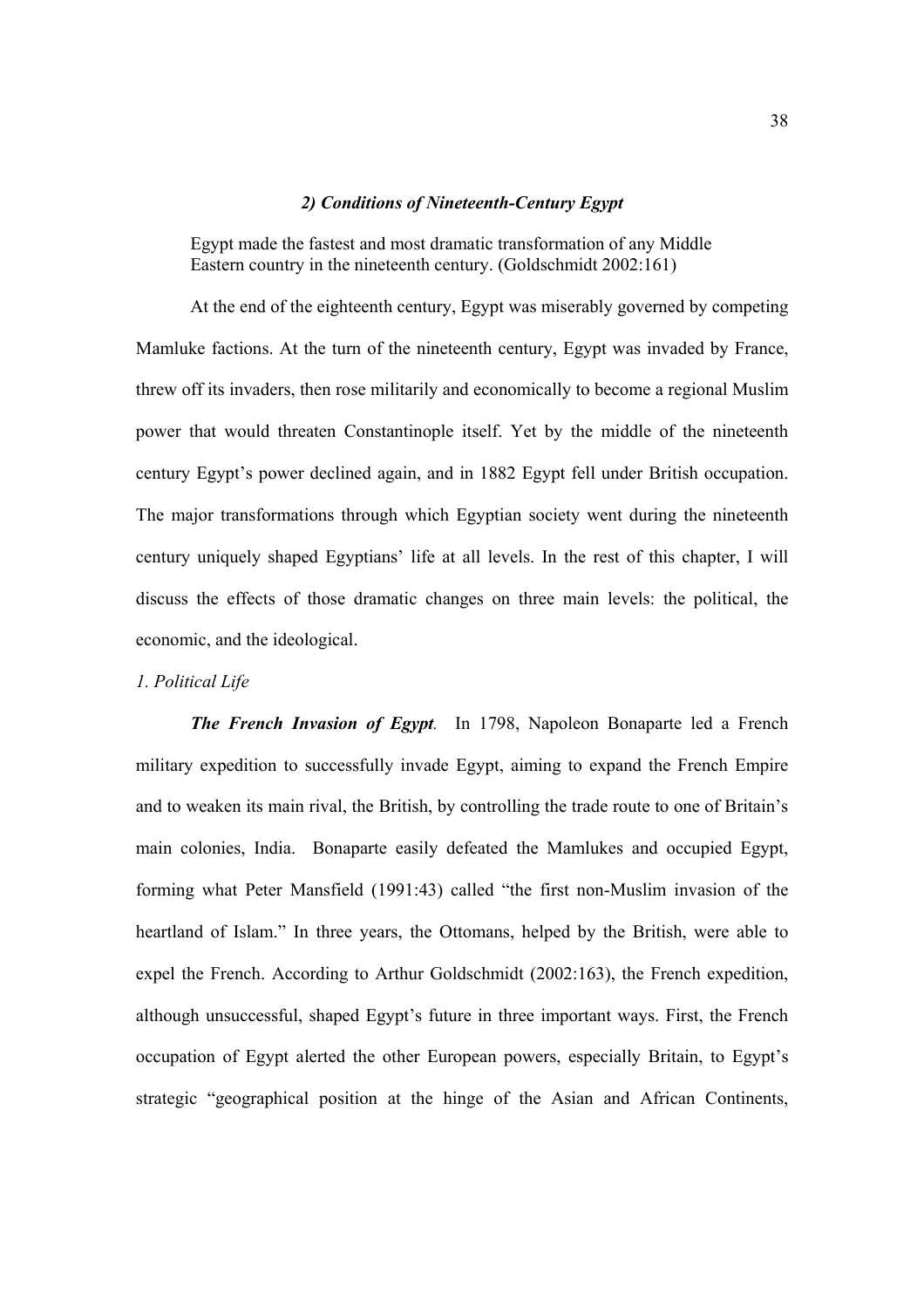## *2) Conditions of Nineteenth-Century Egypt*

Egypt made the fastest and most dramatic transformation of any Middle Eastern country in the nineteenth century. (Goldschmidt 2002:161)

At the end of the eighteenth century, Egypt was miserably governed by competing Mamluke factions. At the turn of the nineteenth century, Egypt was invaded by France, threw off its invaders, then rose militarily and economically to become a regional Muslim power that would threaten Constantinople itself. Yet by the middle of the nineteenth century Egypt's power declined again, and in 1882 Egypt fell under British occupation. The major transformations through which Egyptian society went during the nineteenth century uniquely shaped Egyptians' life at all levels. In the rest of this chapter, I will discuss the effects of those dramatic changes on three main levels: the political, the economic, and the ideological.

### *1. Political Life*

*The French Invasion of Egypt.* In 1798, Napoleon Bonaparte led a French military expedition to successfully invade Egypt, aiming to expand the French Empire and to weaken its main rival, the British, by controlling the trade route to one of Britain's main colonies, India. Bonaparte easily defeated the Mamlukes and occupied Egypt, forming what Peter Mansfield (1991:43) called "the first non-Muslim invasion of the heartland of Islam." In three years, the Ottomans, helped by the British, were able to expel the French. According to Arthur Goldschmidt (2002:163), the French expedition, although unsuccessful, shaped Egypt's future in three important ways. First, the French occupation of Egypt alerted the other European powers, especially Britain, to Egypt's strategic "geographical position at the hinge of the Asian and African Continents,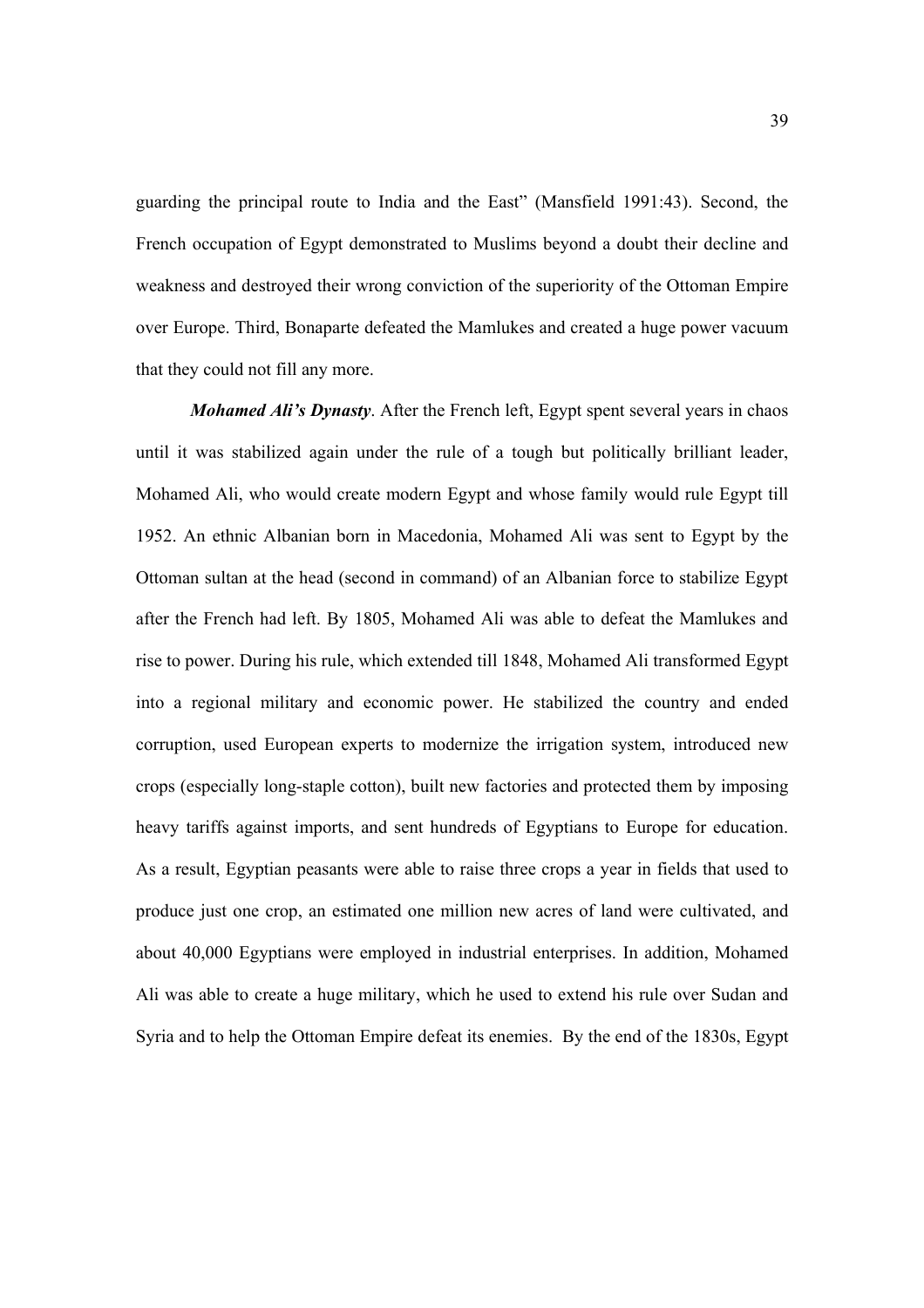guarding the principal route to India and the East" (Mansfield 1991:43). Second, the French occupation of Egypt demonstrated to Muslims beyond a doubt their decline and weakness and destroyed their wrong conviction of the superiority of the Ottoman Empire over Europe. Third, Bonaparte defeated the Mamlukes and created a huge power vacuum that they could not fill any more.

*Mohamed Ali's Dynasty*. After the French left, Egypt spent several years in chaos until it was stabilized again under the rule of a tough but politically brilliant leader, Mohamed Ali, who would create modern Egypt and whose family would rule Egypt till 1952. An ethnic Albanian born in Macedonia, Mohamed Ali was sent to Egypt by the Ottoman sultan at the head (second in command) of an Albanian force to stabilize Egypt after the French had left. By 1805, Mohamed Ali was able to defeat the Mamlukes and rise to power. During his rule, which extended till 1848, Mohamed Ali transformed Egypt into a regional military and economic power. He stabilized the country and ended corruption, used European experts to modernize the irrigation system, introduced new crops (especially long-staple cotton), built new factories and protected them by imposing heavy tariffs against imports, and sent hundreds of Egyptians to Europe for education. As a result, Egyptian peasants were able to raise three crops a year in fields that used to produce just one crop, an estimated one million new acres of land were cultivated, and about 40,000 Egyptians were employed in industrial enterprises. In addition, Mohamed Ali was able to create a huge military, which he used to extend his rule over Sudan and Syria and to help the Ottoman Empire defeat its enemies. By the end of the 1830s, Egypt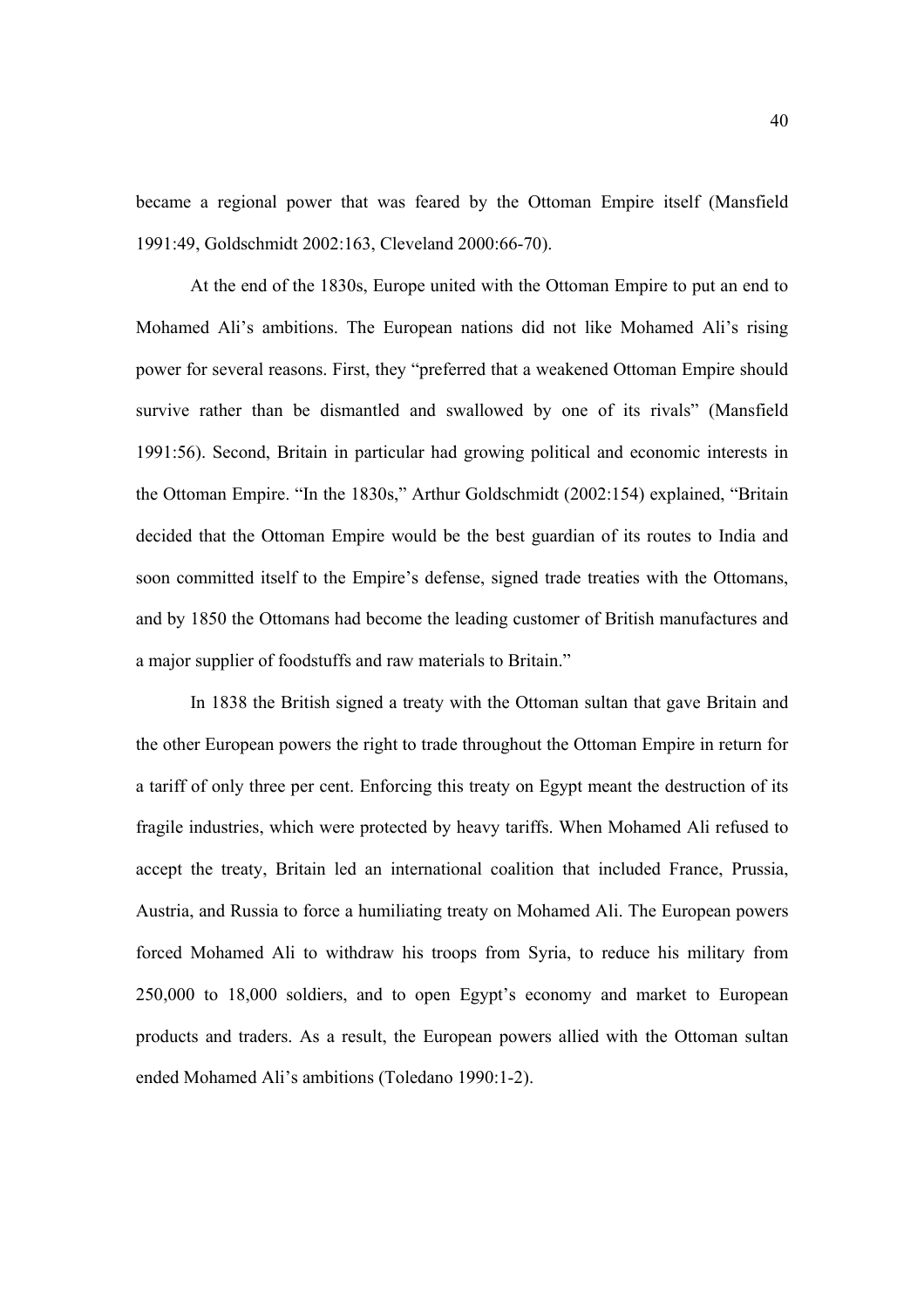became a regional power that was feared by the Ottoman Empire itself (Mansfield 1991:49, Goldschmidt 2002:163, Cleveland 2000:66-70).

At the end of the 1830s, Europe united with the Ottoman Empire to put an end to Mohamed Ali's ambitions. The European nations did not like Mohamed Ali's rising power for several reasons. First, they "preferred that a weakened Ottoman Empire should survive rather than be dismantled and swallowed by one of its rivals" (Mansfield 1991:56). Second, Britain in particular had growing political and economic interests in the Ottoman Empire. "In the 1830s," Arthur Goldschmidt (2002:154) explained, "Britain decided that the Ottoman Empire would be the best guardian of its routes to India and soon committed itself to the Empire's defense, signed trade treaties with the Ottomans, and by 1850 the Ottomans had become the leading customer of British manufactures and a major supplier of foodstuffs and raw materials to Britain."

In 1838 the British signed a treaty with the Ottoman sultan that gave Britain and the other European powers the right to trade throughout the Ottoman Empire in return for a tariff of only three per cent. Enforcing this treaty on Egypt meant the destruction of its fragile industries, which were protected by heavy tariffs. When Mohamed Ali refused to accept the treaty, Britain led an international coalition that included France, Prussia, Austria, and Russia to force a humiliating treaty on Mohamed Ali. The European powers forced Mohamed Ali to withdraw his troops from Syria, to reduce his military from 250,000 to 18,000 soldiers, and to open Egypt's economy and market to European products and traders. As a result, the European powers allied with the Ottoman sultan ended Mohamed Ali's ambitions (Toledano 1990:1-2).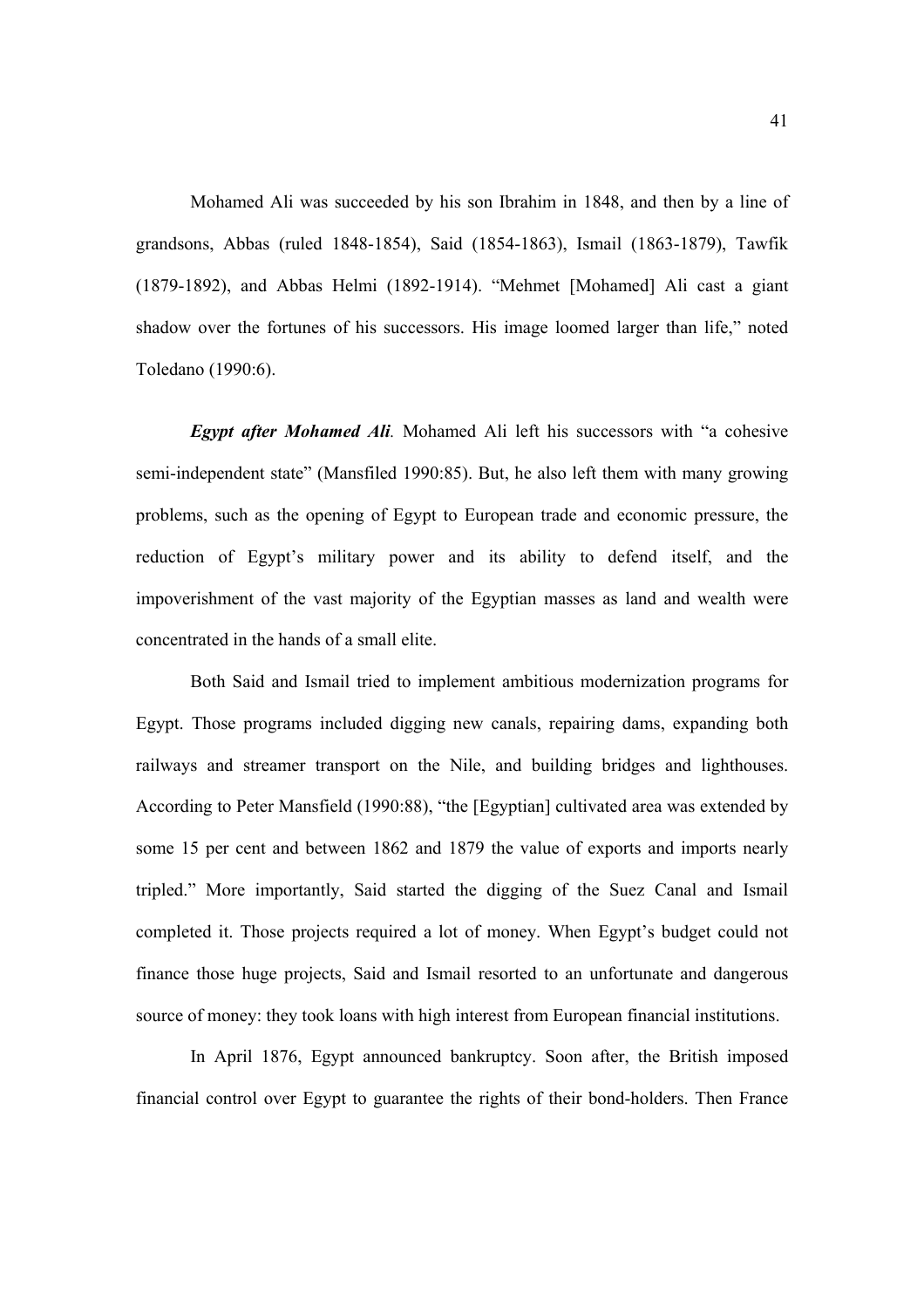Mohamed Ali was succeeded by his son Ibrahim in 1848, and then by a line of grandsons, Abbas (ruled 1848-1854), Said (1854-1863), Ismail (1863-1879), Tawfik (1879-1892), and Abbas Helmi (1892-1914). "Mehmet [Mohamed] Ali cast a giant shadow over the fortunes of his successors. His image loomed larger than life," noted Toledano (1990:6).

*Egypt after Mohamed Ali.* Mohamed Ali left his successors with "a cohesive semi-independent state" (Mansfiled 1990:85). But, he also left them with many growing problems, such as the opening of Egypt to European trade and economic pressure, the reduction of Egypt's military power and its ability to defend itself, and the impoverishment of the vast majority of the Egyptian masses as land and wealth were concentrated in the hands of a small elite.

Both Said and Ismail tried to implement ambitious modernization programs for Egypt. Those programs included digging new canals, repairing dams, expanding both railways and streamer transport on the Nile, and building bridges and lighthouses. According to Peter Mansfield (1990:88), "the [Egyptian] cultivated area was extended by some 15 per cent and between 1862 and 1879 the value of exports and imports nearly tripled." More importantly, Said started the digging of the Suez Canal and Ismail completed it. Those projects required a lot of money. When Egypt's budget could not finance those huge projects, Said and Ismail resorted to an unfortunate and dangerous source of money: they took loans with high interest from European financial institutions.

In April 1876, Egypt announced bankruptcy. Soon after, the British imposed financial control over Egypt to guarantee the rights of their bond-holders. Then France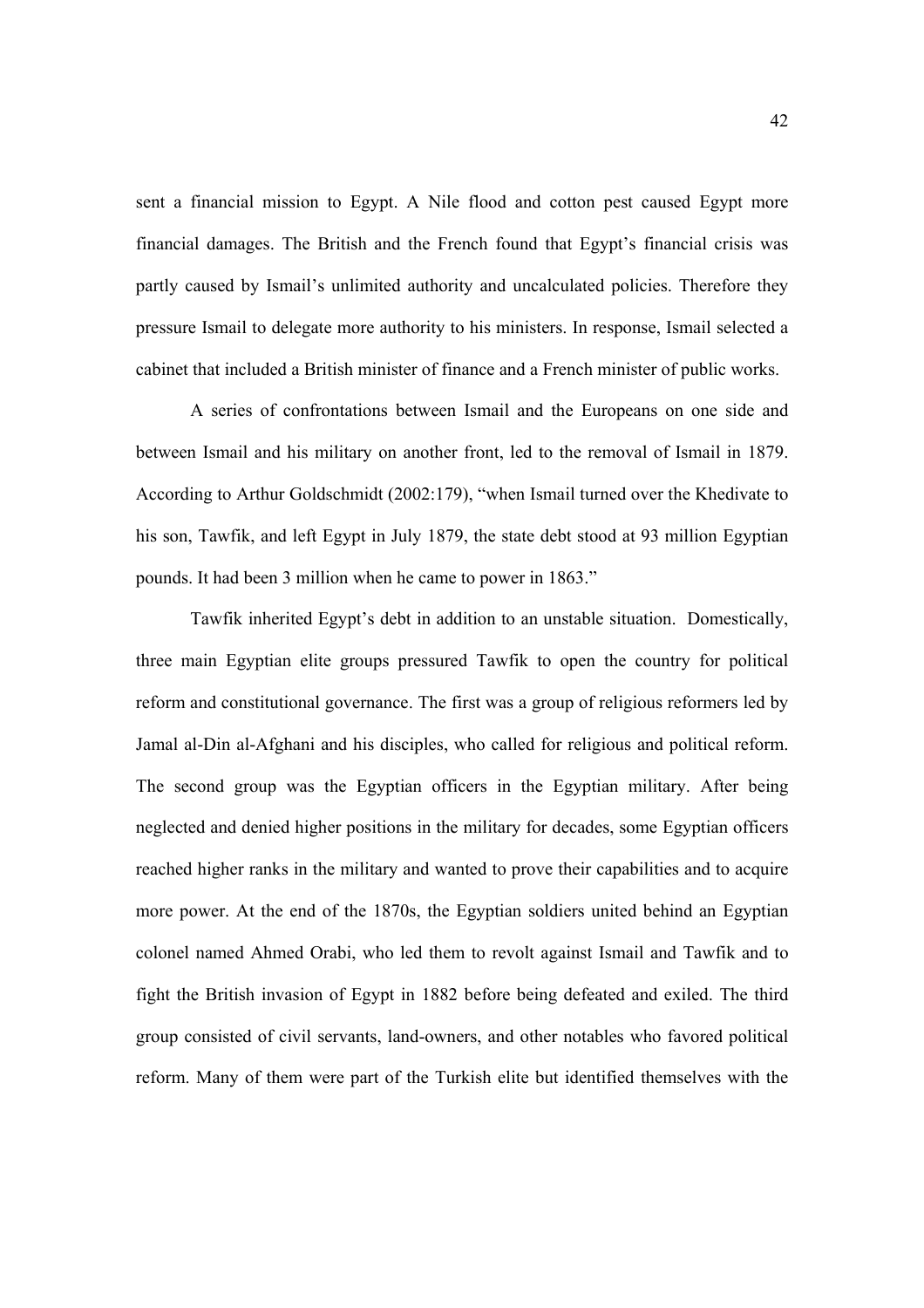sent a financial mission to Egypt. A Nile flood and cotton pest caused Egypt more financial damages. The British and the French found that Egypt's financial crisis was partly caused by Ismail's unlimited authority and uncalculated policies. Therefore they pressure Ismail to delegate more authority to his ministers. In response, Ismail selected a cabinet that included a British minister of finance and a French minister of public works.

A series of confrontations between Ismail and the Europeans on one side and between Ismail and his military on another front, led to the removal of Ismail in 1879. According to Arthur Goldschmidt (2002:179), "when Ismail turned over the Khedivate to his son, Tawfik, and left Egypt in July 1879, the state debt stood at 93 million Egyptian pounds. It had been 3 million when he came to power in 1863."

Tawfik inherited Egypt's debt in addition to an unstable situation. Domestically, three main Egyptian elite groups pressured Tawfik to open the country for political reform and constitutional governance. The first was a group of religious reformers led by Jamal al-Din al-Afghani and his disciples, who called for religious and political reform. The second group was the Egyptian officers in the Egyptian military. After being neglected and denied higher positions in the military for decades, some Egyptian officers reached higher ranks in the military and wanted to prove their capabilities and to acquire more power. At the end of the 1870s, the Egyptian soldiers united behind an Egyptian colonel named Ahmed Orabi, who led them to revolt against Ismail and Tawfik and to fight the British invasion of Egypt in 1882 before being defeated and exiled. The third group consisted of civil servants, land-owners, and other notables who favored political reform. Many of them were part of the Turkish elite but identified themselves with the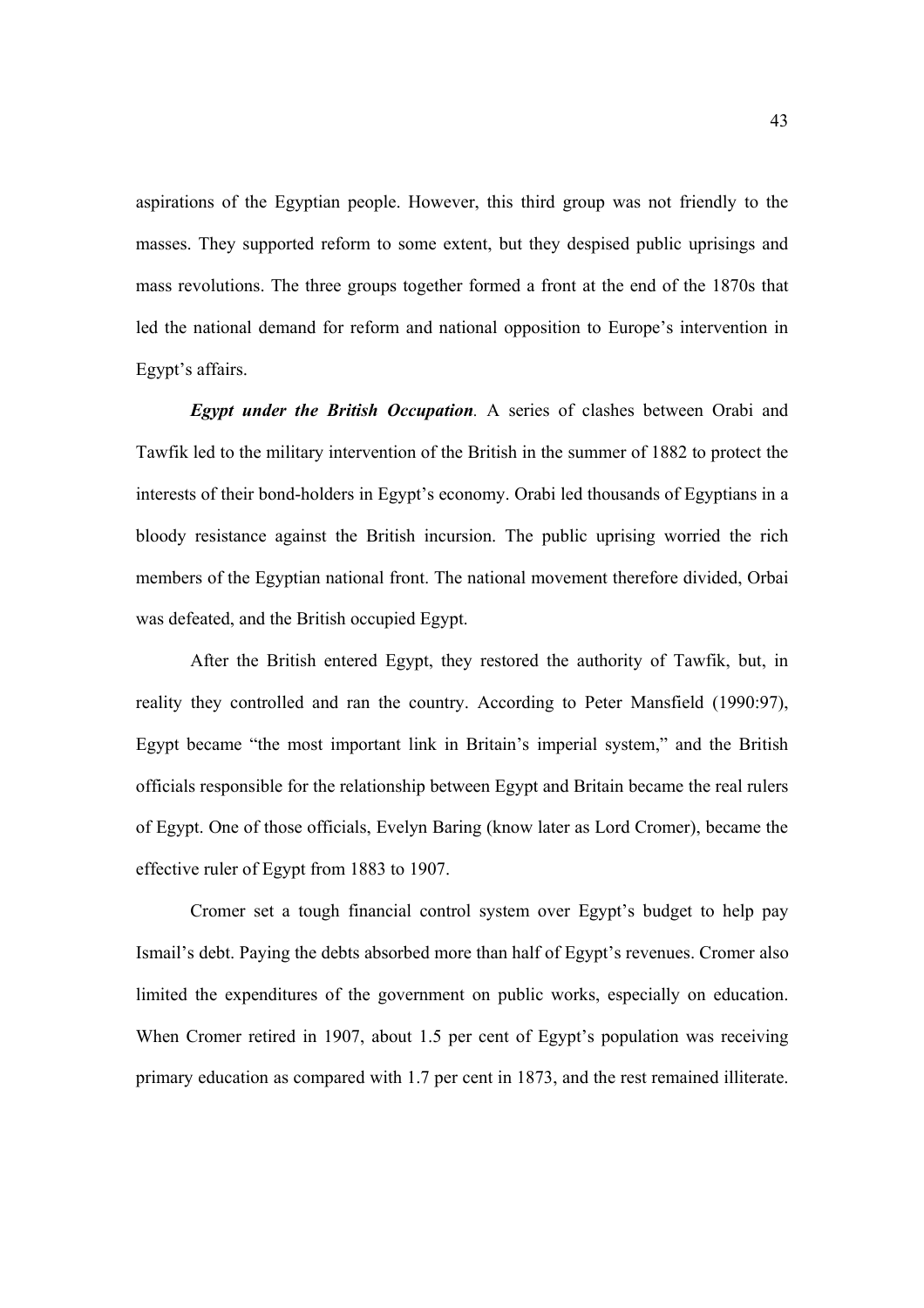aspirations of the Egyptian people. However, this third group was not friendly to the masses. They supported reform to some extent, but they despised public uprisings and mass revolutions. The three groups together formed a front at the end of the 1870s that led the national demand for reform and national opposition to Europe's intervention in Egypt's affairs.

*Egypt under the British Occupation.* A series of clashes between Orabi and Tawfik led to the military intervention of the British in the summer of 1882 to protect the interests of their bond-holders in Egypt's economy. Orabi led thousands of Egyptians in a bloody resistance against the British incursion. The public uprising worried the rich members of the Egyptian national front. The national movement therefore divided, Orbai was defeated, and the British occupied Egypt.

After the British entered Egypt, they restored the authority of Tawfik, but, in reality they controlled and ran the country. According to Peter Mansfield (1990:97), Egypt became "the most important link in Britain's imperial system," and the British officials responsible for the relationship between Egypt and Britain became the real rulers of Egypt. One of those officials, Evelyn Baring (know later as Lord Cromer), became the effective ruler of Egypt from 1883 to 1907.

Cromer set a tough financial control system over Egypt's budget to help pay Ismail's debt. Paying the debts absorbed more than half of Egypt's revenues. Cromer also limited the expenditures of the government on public works, especially on education. When Cromer retired in 1907, about 1.5 per cent of Egypt's population was receiving primary education as compared with 1.7 per cent in 1873, and the rest remained illiterate.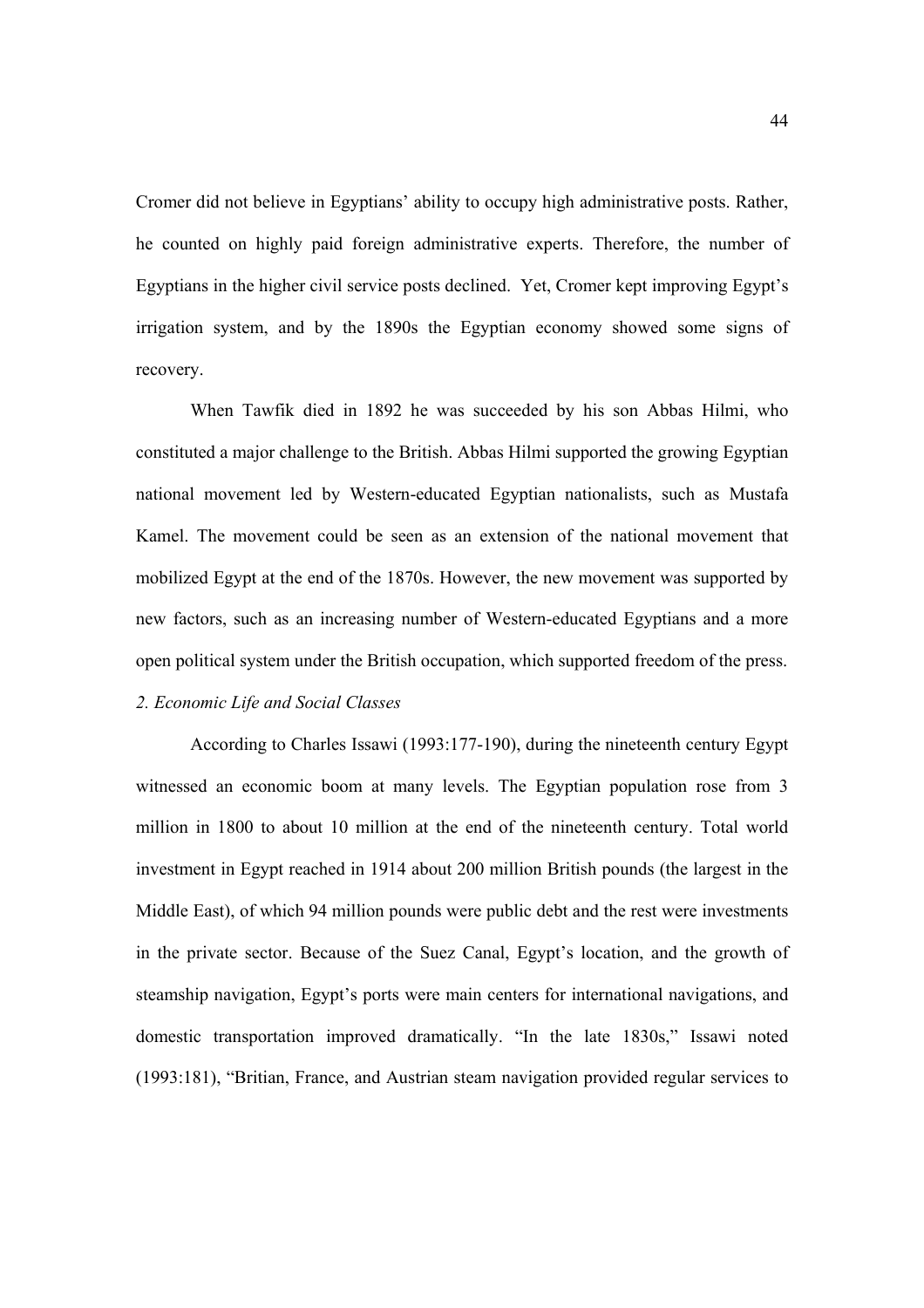Cromer did not believe in Egyptians' ability to occupy high administrative posts. Rather, he counted on highly paid foreign administrative experts. Therefore, the number of Egyptians in the higher civil service posts declined. Yet, Cromer kept improving Egypt's irrigation system, and by the 1890s the Egyptian economy showed some signs of recovery.

When Tawfik died in 1892 he was succeeded by his son Abbas Hilmi, who constituted a major challenge to the British. Abbas Hilmi supported the growing Egyptian national movement led by Western-educated Egyptian nationalists, such as Mustafa Kamel. The movement could be seen as an extension of the national movement that mobilized Egypt at the end of the 1870s. However, the new movement was supported by new factors, such as an increasing number of Western-educated Egyptians and a more open political system under the British occupation, which supported freedom of the press. *2. Economic Life and Social Classes* 

 According to Charles Issawi (1993:177-190), during the nineteenth century Egypt witnessed an economic boom at many levels. The Egyptian population rose from 3 million in 1800 to about 10 million at the end of the nineteenth century. Total world investment in Egypt reached in 1914 about 200 million British pounds (the largest in the Middle East), of which 94 million pounds were public debt and the rest were investments in the private sector. Because of the Suez Canal, Egypt's location, and the growth of steamship navigation, Egypt's ports were main centers for international navigations, and domestic transportation improved dramatically. "In the late 1830s," Issawi noted (1993:181), "Britian, France, and Austrian steam navigation provided regular services to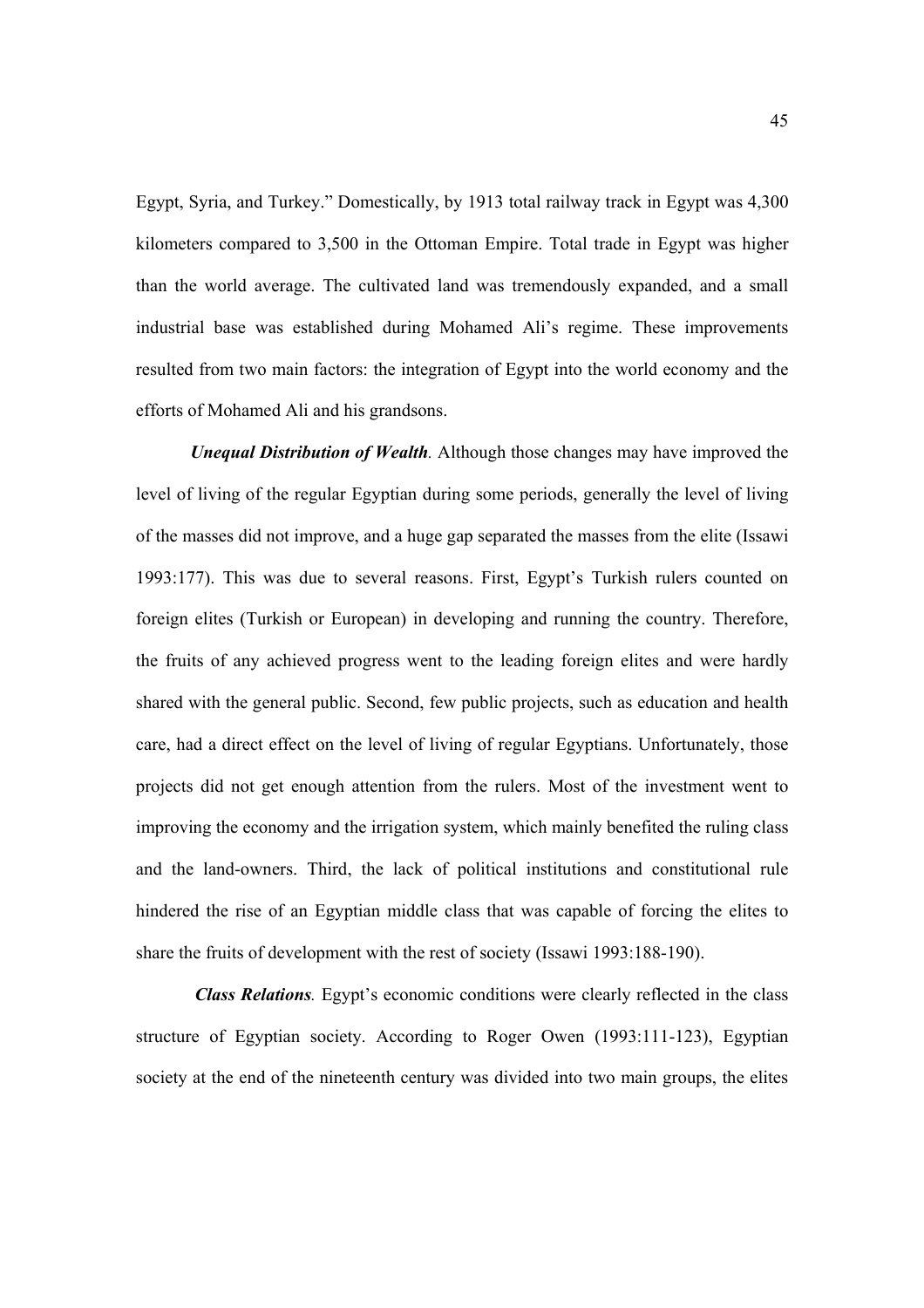Egypt, Syria, and Turkey." Domestically, by 1913 total railway track in Egypt was 4,300 kilometers compared to 3,500 in the Ottoman Empire. Total trade in Egypt was higher than the world average. The cultivated land was tremendously expanded, and a small industrial base was established during Mohamed Ali's regime. These improvements resulted from two main factors: the integration of Egypt into the world economy and the efforts of Mohamed Ali and his grandsons.

*Unequal Distribution of Wealth.* Although those changes may have improved the level of living of the regular Egyptian during some periods, generally the level of living of the masses did not improve, and a huge gap separated the masses from the elite (Issawi 1993:177). This was due to several reasons. First, Egypt's Turkish rulers counted on foreign elites (Turkish or European) in developing and running the country. Therefore, the fruits of any achieved progress went to the leading foreign elites and were hardly shared with the general public. Second, few public projects, such as education and health care, had a direct effect on the level of living of regular Egyptians. Unfortunately, those projects did not get enough attention from the rulers. Most of the investment went to improving the economy and the irrigation system, which mainly benefited the ruling class and the land-owners. Third, the lack of political institutions and constitutional rule hindered the rise of an Egyptian middle class that was capable of forcing the elites to share the fruits of development with the rest of society (Issawi 1993:188-190).

 *Class Relations.* Egypt's economic conditions were clearly reflected in the class structure of Egyptian society. According to Roger Owen (1993:111-123), Egyptian society at the end of the nineteenth century was divided into two main groups, the elites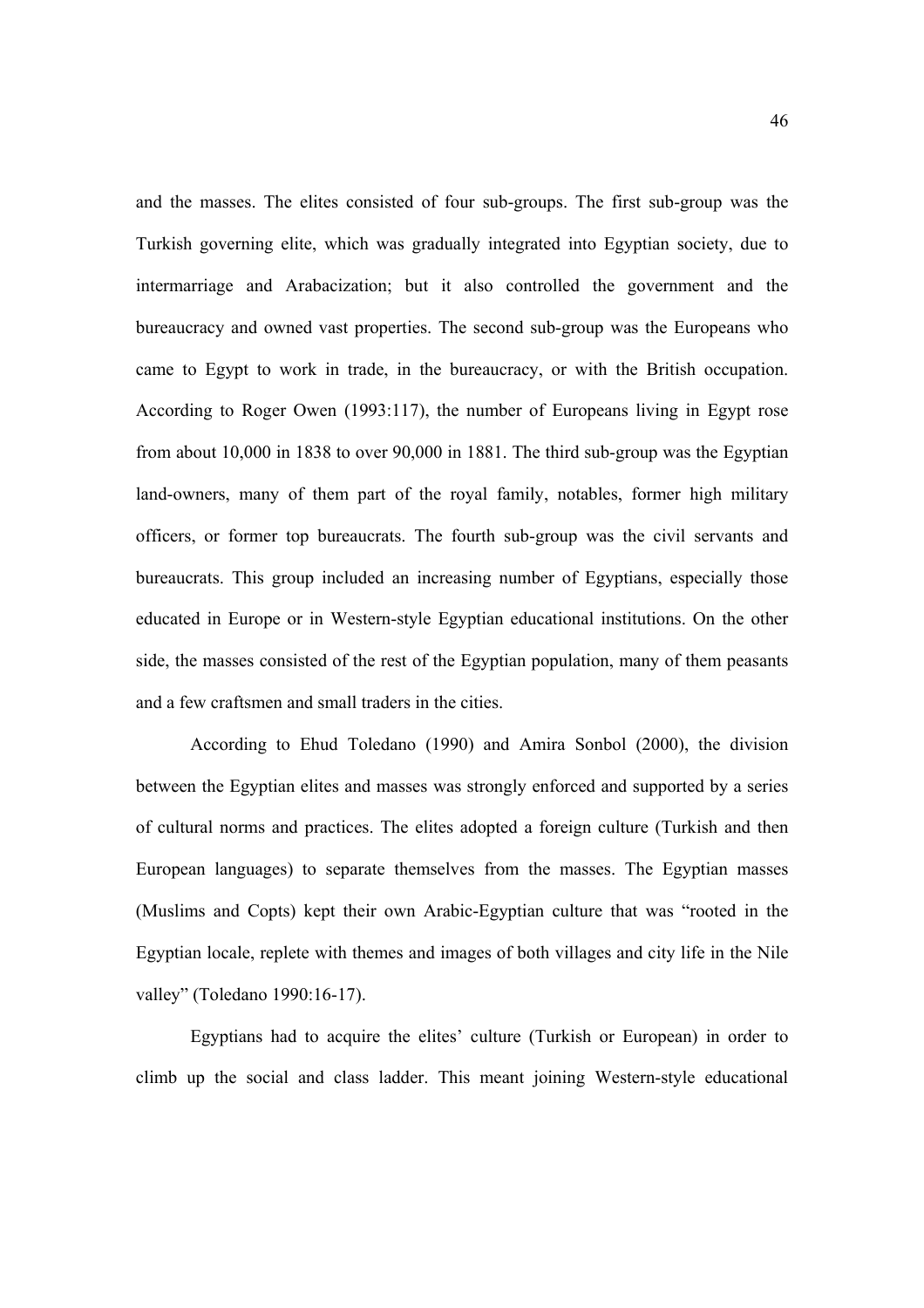and the masses. The elites consisted of four sub-groups. The first sub-group was the Turkish governing elite, which was gradually integrated into Egyptian society, due to intermarriage and Arabacization; but it also controlled the government and the bureaucracy and owned vast properties. The second sub-group was the Europeans who came to Egypt to work in trade, in the bureaucracy, or with the British occupation. According to Roger Owen (1993:117), the number of Europeans living in Egypt rose from about 10,000 in 1838 to over 90,000 in 1881. The third sub-group was the Egyptian land-owners, many of them part of the royal family, notables, former high military officers, or former top bureaucrats. The fourth sub-group was the civil servants and bureaucrats. This group included an increasing number of Egyptians, especially those educated in Europe or in Western-style Egyptian educational institutions. On the other side, the masses consisted of the rest of the Egyptian population, many of them peasants and a few craftsmen and small traders in the cities.

 According to Ehud Toledano (1990) and Amira Sonbol (2000), the division between the Egyptian elites and masses was strongly enforced and supported by a series of cultural norms and practices. The elites adopted a foreign culture (Turkish and then European languages) to separate themselves from the masses. The Egyptian masses (Muslims and Copts) kept their own Arabic-Egyptian culture that was "rooted in the Egyptian locale, replete with themes and images of both villages and city life in the Nile valley" (Toledano 1990:16-17).

 Egyptians had to acquire the elites' culture (Turkish or European) in order to climb up the social and class ladder. This meant joining Western-style educational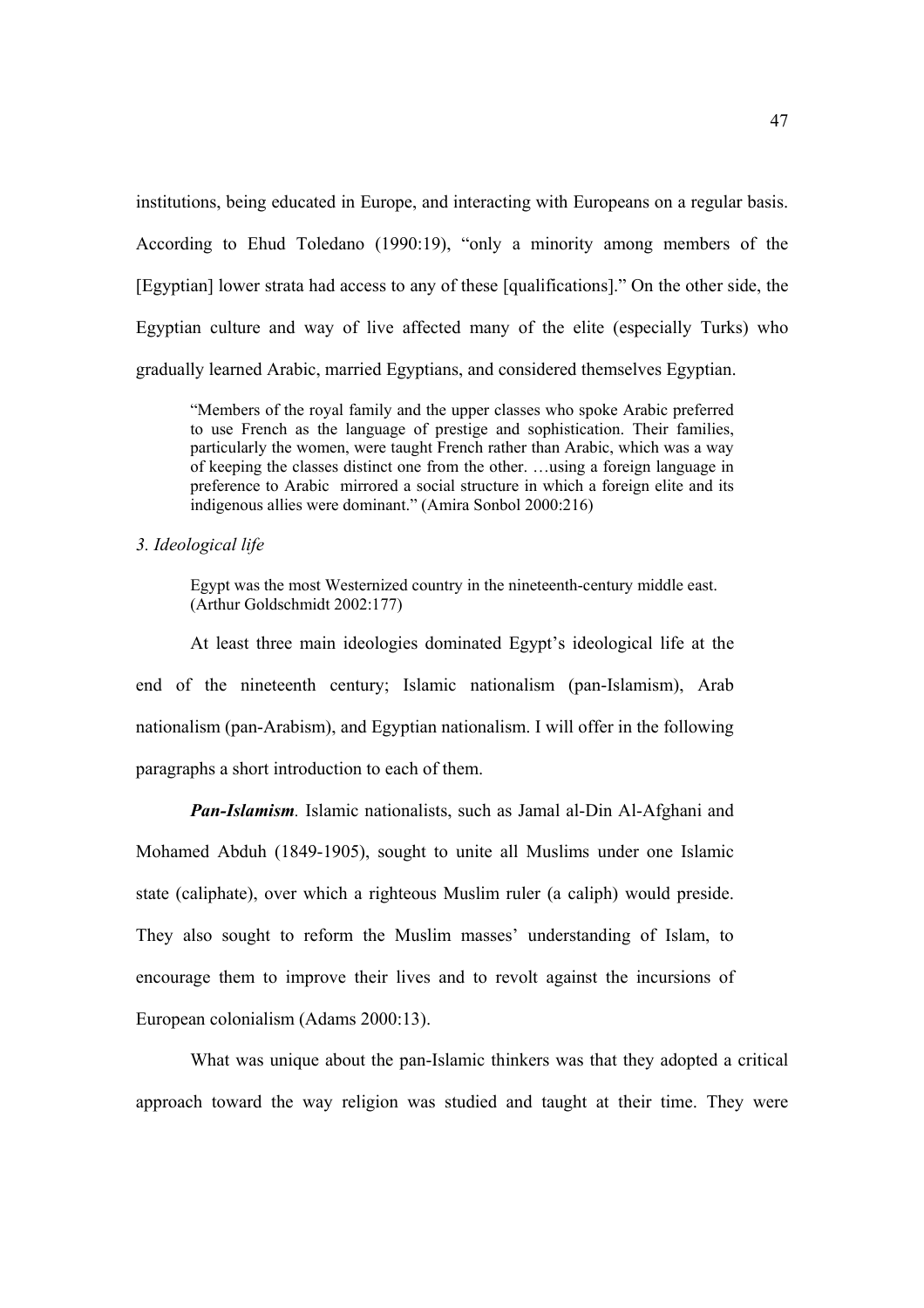institutions, being educated in Europe, and interacting with Europeans on a regular basis. According to Ehud Toledano (1990:19), "only a minority among members of the [Egyptian] lower strata had access to any of these [qualifications]." On the other side, the Egyptian culture and way of live affected many of the elite (especially Turks) who gradually learned Arabic, married Egyptians, and considered themselves Egyptian.

"Members of the royal family and the upper classes who spoke Arabic preferred to use French as the language of prestige and sophistication. Their families, particularly the women, were taught French rather than Arabic, which was a way of keeping the classes distinct one from the other. …using a foreign language in preference to Arabic mirrored a social structure in which a foreign elite and its indigenous allies were dominant." (Amira Sonbol 2000:216)

### *3. Ideological life*

Egypt was the most Westernized country in the nineteenth-century middle east. (Arthur Goldschmidt 2002:177)

 At least three main ideologies dominated Egypt's ideological life at the end of the nineteenth century; Islamic nationalism (pan-Islamism), Arab nationalism (pan-Arabism), and Egyptian nationalism. I will offer in the following paragraphs a short introduction to each of them.

*Pan-Islamism.* Islamic nationalists, such as Jamal al-Din Al-Afghani and Mohamed Abduh (1849-1905), sought to unite all Muslims under one Islamic state (caliphate), over which a righteous Muslim ruler (a caliph) would preside. They also sought to reform the Muslim masses' understanding of Islam, to encourage them to improve their lives and to revolt against the incursions of European colonialism (Adams 2000:13).

What was unique about the pan-Islamic thinkers was that they adopted a critical approach toward the way religion was studied and taught at their time. They were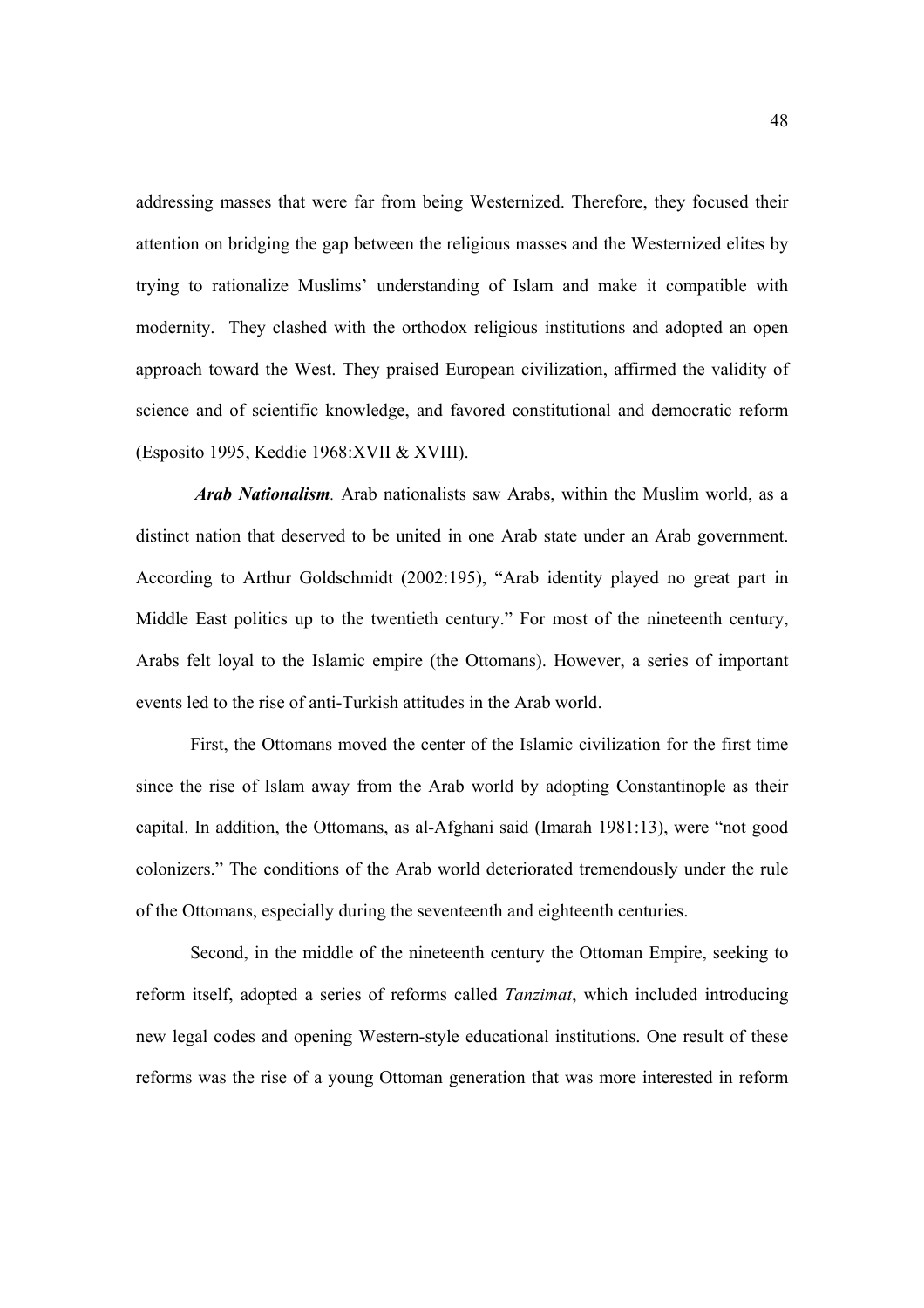addressing masses that were far from being Westernized. Therefore, they focused their attention on bridging the gap between the religious masses and the Westernized elites by trying to rationalize Muslims' understanding of Islam and make it compatible with modernity. They clashed with the orthodox religious institutions and adopted an open approach toward the West. They praised European civilization, affirmed the validity of science and of scientific knowledge, and favored constitutional and democratic reform (Esposito 1995, Keddie 1968:XVII & XVIII).

 *Arab Nationalism.* Arab nationalists saw Arabs, within the Muslim world, as a distinct nation that deserved to be united in one Arab state under an Arab government. According to Arthur Goldschmidt (2002:195), "Arab identity played no great part in Middle East politics up to the twentieth century." For most of the nineteenth century, Arabs felt loyal to the Islamic empire (the Ottomans). However, a series of important events led to the rise of anti-Turkish attitudes in the Arab world.

First, the Ottomans moved the center of the Islamic civilization for the first time since the rise of Islam away from the Arab world by adopting Constantinople as their capital. In addition, the Ottomans, as al-Afghani said (Imarah 1981:13), were "not good colonizers." The conditions of the Arab world deteriorated tremendously under the rule of the Ottomans, especially during the seventeenth and eighteenth centuries.

 Second, in the middle of the nineteenth century the Ottoman Empire, seeking to reform itself, adopted a series of reforms called *Tanzimat*, which included introducing new legal codes and opening Western-style educational institutions. One result of these reforms was the rise of a young Ottoman generation that was more interested in reform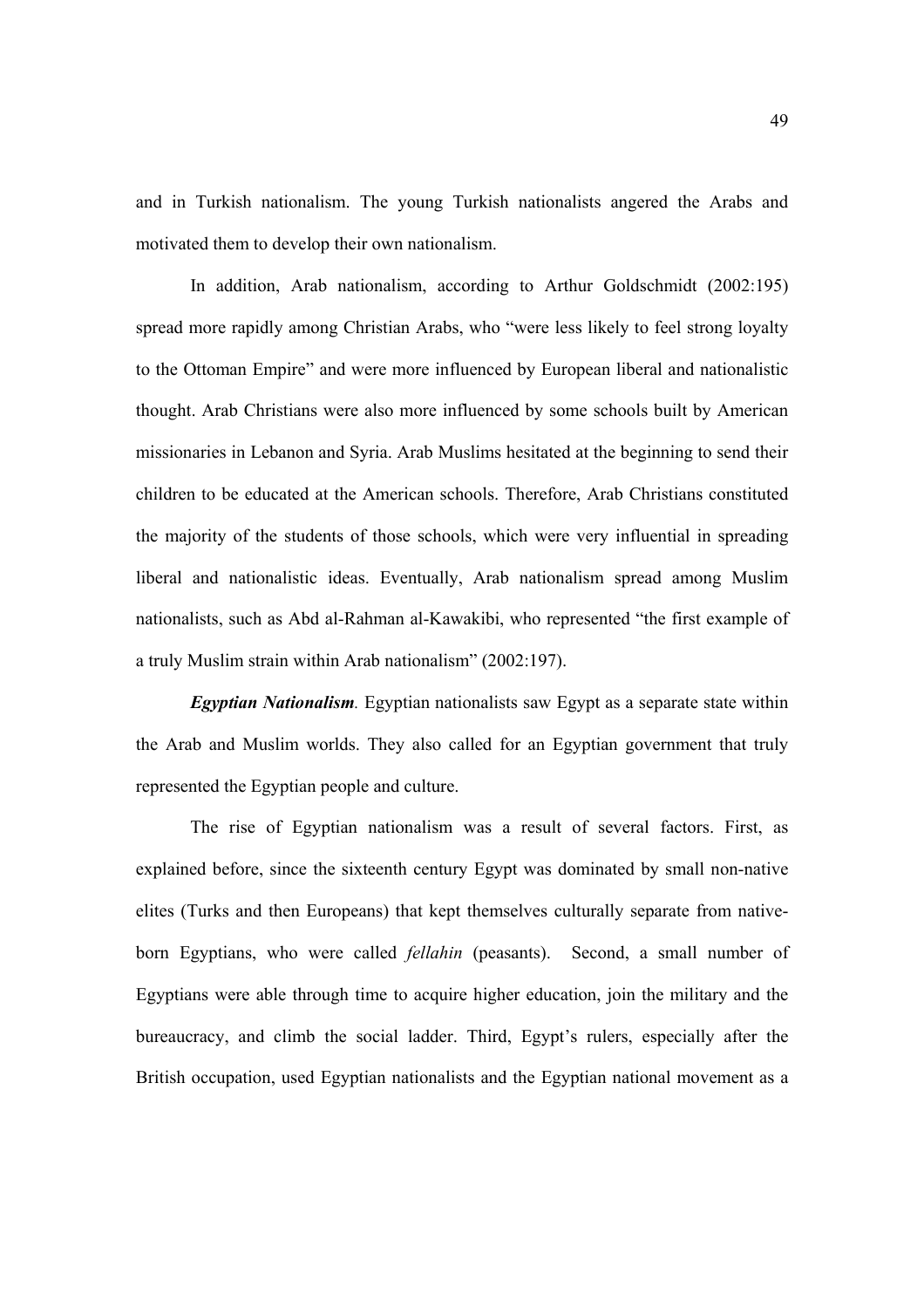and in Turkish nationalism. The young Turkish nationalists angered the Arabs and motivated them to develop their own nationalism.

 In addition, Arab nationalism, according to Arthur Goldschmidt (2002:195) spread more rapidly among Christian Arabs, who "were less likely to feel strong loyalty to the Ottoman Empire" and were more influenced by European liberal and nationalistic thought. Arab Christians were also more influenced by some schools built by American missionaries in Lebanon and Syria. Arab Muslims hesitated at the beginning to send their children to be educated at the American schools. Therefore, Arab Christians constituted the majority of the students of those schools, which were very influential in spreading liberal and nationalistic ideas. Eventually, Arab nationalism spread among Muslim nationalists, such as Abd al-Rahman al-Kawakibi, who represented "the first example of a truly Muslim strain within Arab nationalism" (2002:197).

*Egyptian Nationalism.* Egyptian nationalists saw Egypt as a separate state within the Arab and Muslim worlds. They also called for an Egyptian government that truly represented the Egyptian people and culture.

The rise of Egyptian nationalism was a result of several factors. First, as explained before, since the sixteenth century Egypt was dominated by small non-native elites (Turks and then Europeans) that kept themselves culturally separate from nativeborn Egyptians, who were called *fellahin* (peasants). Second, a small number of Egyptians were able through time to acquire higher education, join the military and the bureaucracy, and climb the social ladder. Third, Egypt's rulers, especially after the British occupation, used Egyptian nationalists and the Egyptian national movement as a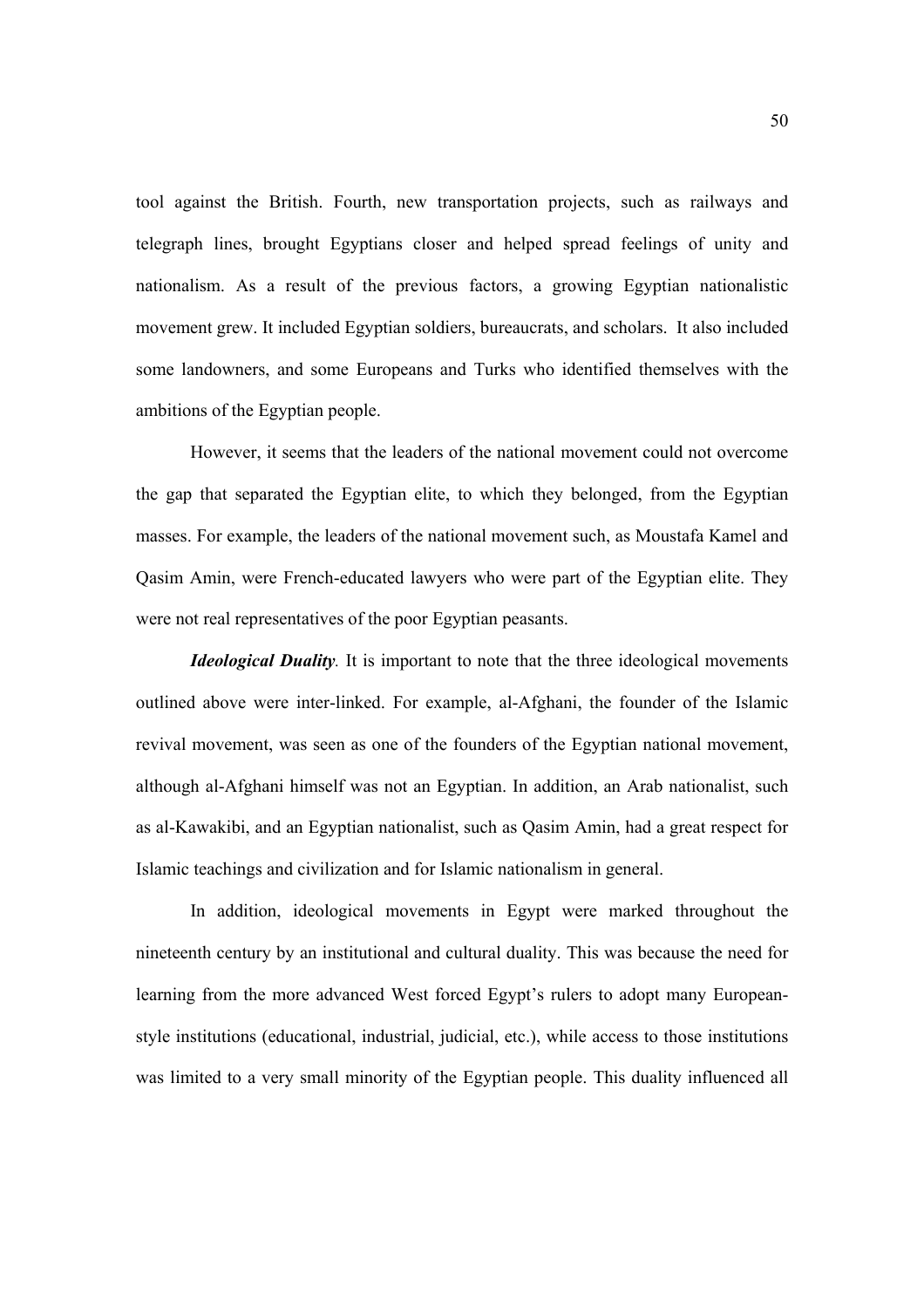tool against the British. Fourth, new transportation projects, such as railways and telegraph lines, brought Egyptians closer and helped spread feelings of unity and nationalism. As a result of the previous factors, a growing Egyptian nationalistic movement grew. It included Egyptian soldiers, bureaucrats, and scholars. It also included some landowners, and some Europeans and Turks who identified themselves with the ambitions of the Egyptian people.

However, it seems that the leaders of the national movement could not overcome the gap that separated the Egyptian elite, to which they belonged, from the Egyptian masses. For example, the leaders of the national movement such, as Moustafa Kamel and Qasim Amin, were French-educated lawyers who were part of the Egyptian elite. They were not real representatives of the poor Egyptian peasants.

*Ideological Duality*. It is important to note that the three ideological movements outlined above were inter-linked. For example, al-Afghani, the founder of the Islamic revival movement, was seen as one of the founders of the Egyptian national movement, although al-Afghani himself was not an Egyptian. In addition, an Arab nationalist, such as al-Kawakibi, and an Egyptian nationalist, such as Qasim Amin, had a great respect for Islamic teachings and civilization and for Islamic nationalism in general.

In addition, ideological movements in Egypt were marked throughout the nineteenth century by an institutional and cultural duality. This was because the need for learning from the more advanced West forced Egypt's rulers to adopt many Europeanstyle institutions (educational, industrial, judicial, etc.), while access to those institutions was limited to a very small minority of the Egyptian people. This duality influenced all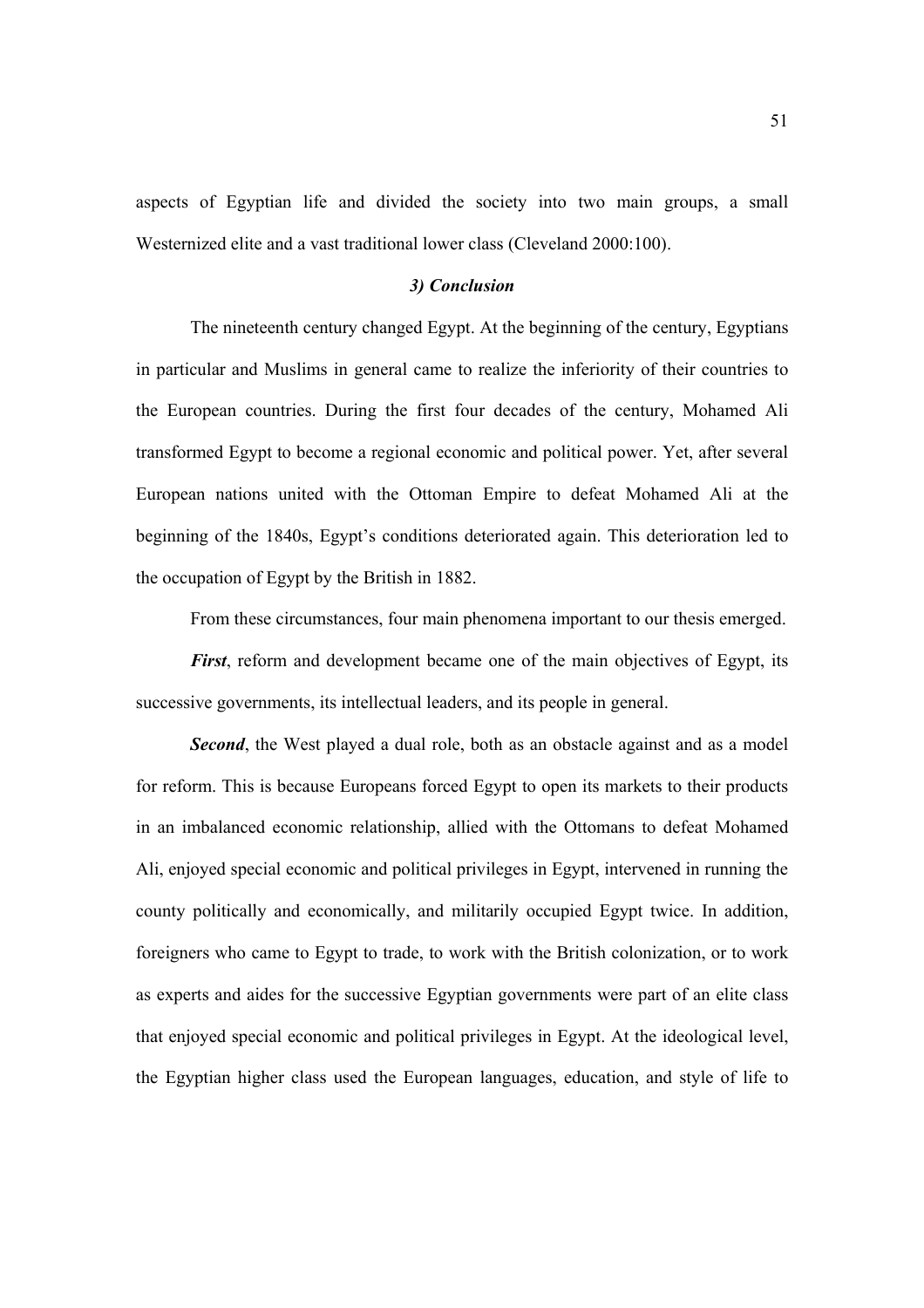aspects of Egyptian life and divided the society into two main groups, a small Westernized elite and a vast traditional lower class (Cleveland 2000:100).

## *3) Conclusion*

 The nineteenth century changed Egypt. At the beginning of the century, Egyptians in particular and Muslims in general came to realize the inferiority of their countries to the European countries. During the first four decades of the century, Mohamed Ali transformed Egypt to become a regional economic and political power. Yet, after several European nations united with the Ottoman Empire to defeat Mohamed Ali at the beginning of the 1840s, Egypt's conditions deteriorated again. This deterioration led to the occupation of Egypt by the British in 1882.

From these circumstances, four main phenomena important to our thesis emerged.

*First*, reform and development became one of the main objectives of Egypt, its successive governments, its intellectual leaders, and its people in general.

**Second**, the West played a dual role, both as an obstacle against and as a model for reform. This is because Europeans forced Egypt to open its markets to their products in an imbalanced economic relationship, allied with the Ottomans to defeat Mohamed Ali, enjoyed special economic and political privileges in Egypt, intervened in running the county politically and economically, and militarily occupied Egypt twice. In addition, foreigners who came to Egypt to trade, to work with the British colonization, or to work as experts and aides for the successive Egyptian governments were part of an elite class that enjoyed special economic and political privileges in Egypt. At the ideological level, the Egyptian higher class used the European languages, education, and style of life to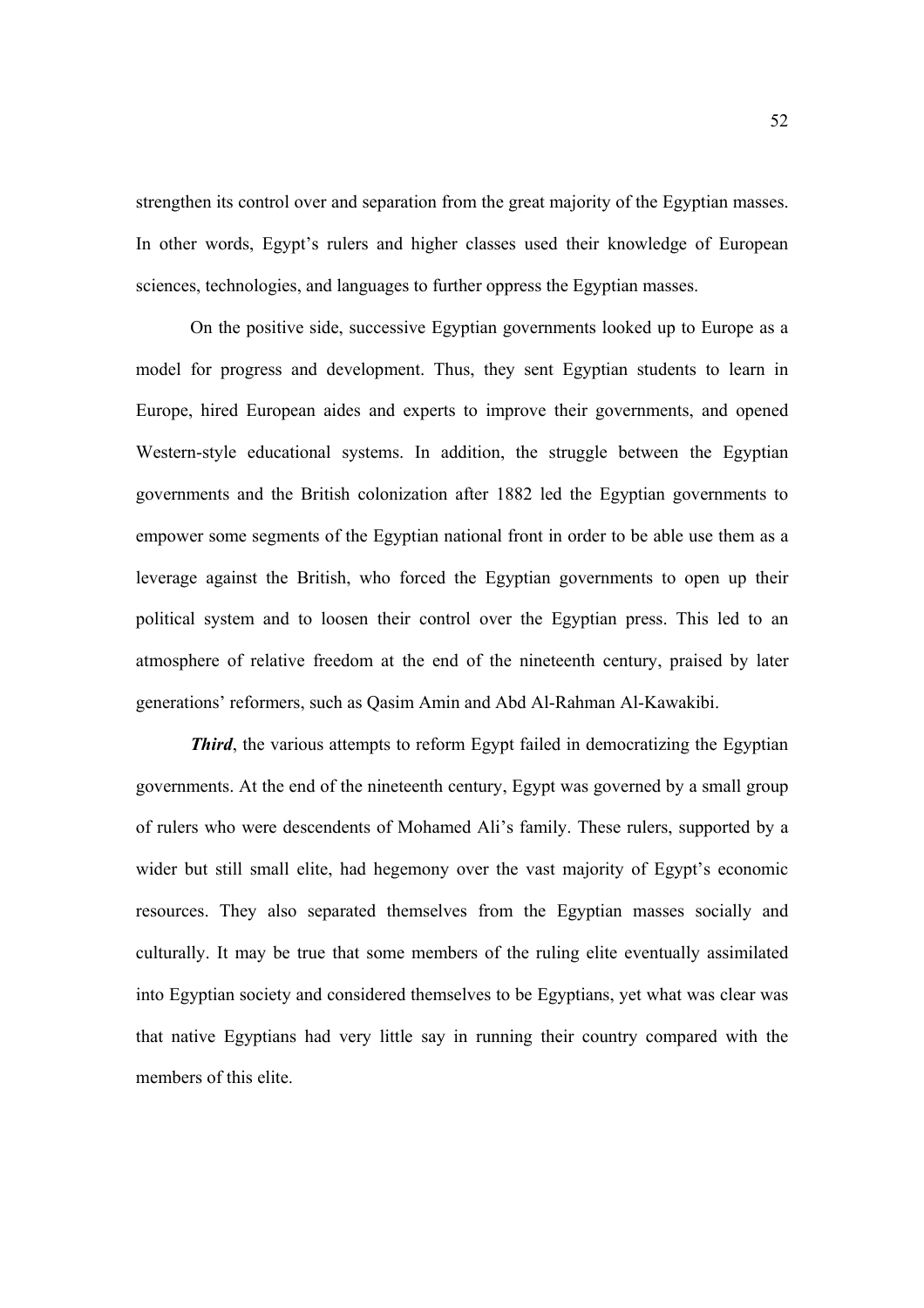strengthen its control over and separation from the great majority of the Egyptian masses. In other words, Egypt's rulers and higher classes used their knowledge of European sciences, technologies, and languages to further oppress the Egyptian masses.

On the positive side, successive Egyptian governments looked up to Europe as a model for progress and development. Thus, they sent Egyptian students to learn in Europe, hired European aides and experts to improve their governments, and opened Western-style educational systems. In addition, the struggle between the Egyptian governments and the British colonization after 1882 led the Egyptian governments to empower some segments of the Egyptian national front in order to be able use them as a leverage against the British, who forced the Egyptian governments to open up their political system and to loosen their control over the Egyptian press. This led to an atmosphere of relative freedom at the end of the nineteenth century, praised by later generations' reformers, such as Qasim Amin and Abd Al-Rahman Al-Kawakibi.

*Third*, the various attempts to reform Egypt failed in democratizing the Egyptian governments. At the end of the nineteenth century, Egypt was governed by a small group of rulers who were descendents of Mohamed Ali's family. These rulers, supported by a wider but still small elite, had hegemony over the vast majority of Egypt's economic resources. They also separated themselves from the Egyptian masses socially and culturally. It may be true that some members of the ruling elite eventually assimilated into Egyptian society and considered themselves to be Egyptians, yet what was clear was that native Egyptians had very little say in running their country compared with the members of this elite.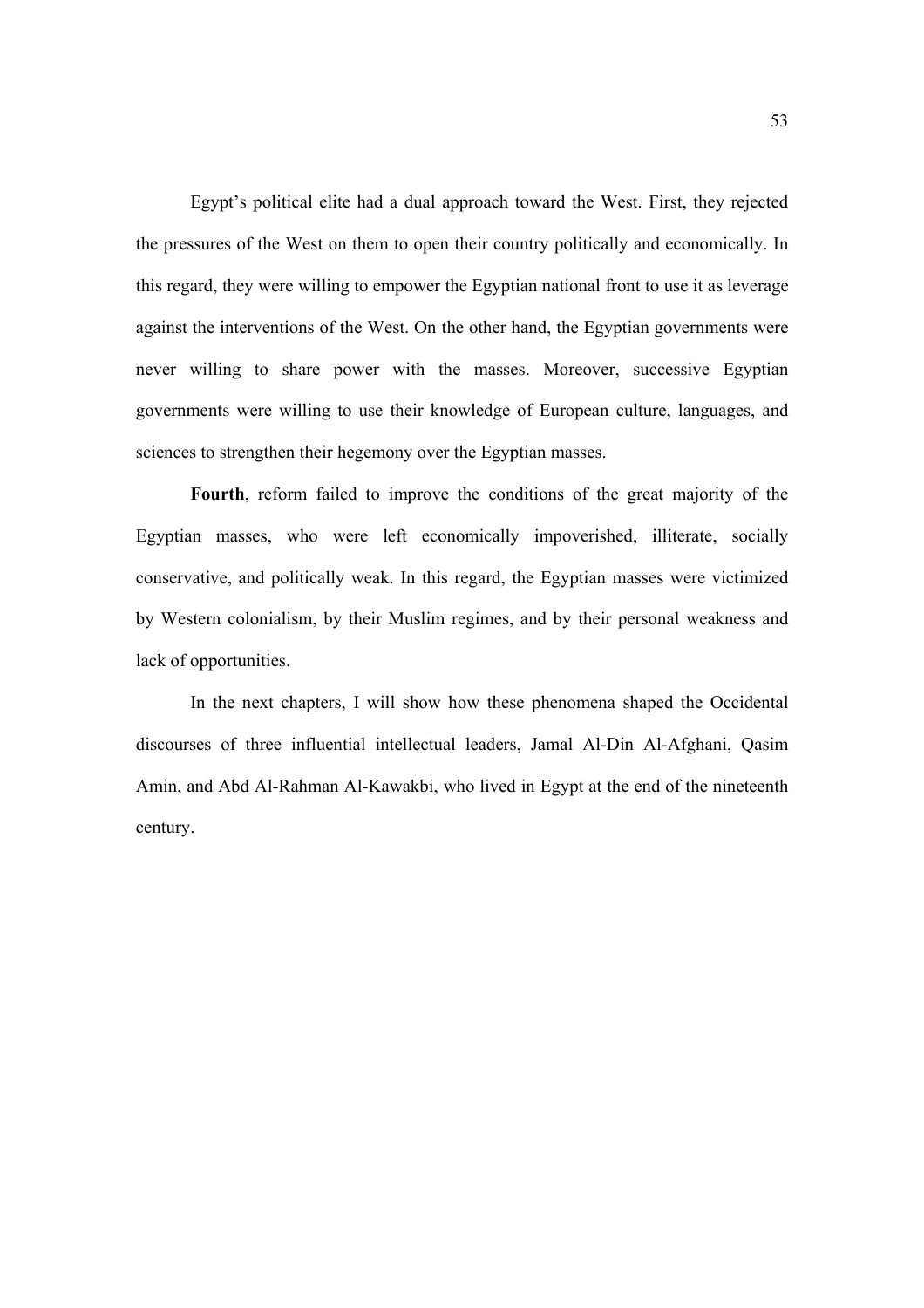Egypt's political elite had a dual approach toward the West. First, they rejected the pressures of the West on them to open their country politically and economically. In this regard, they were willing to empower the Egyptian national front to use it as leverage against the interventions of the West. On the other hand, the Egyptian governments were never willing to share power with the masses. Moreover, successive Egyptian governments were willing to use their knowledge of European culture, languages, and sciences to strengthen their hegemony over the Egyptian masses.

**Fourth**, reform failed to improve the conditions of the great majority of the Egyptian masses, who were left economically impoverished, illiterate, socially conservative, and politically weak. In this regard, the Egyptian masses were victimized by Western colonialism, by their Muslim regimes, and by their personal weakness and lack of opportunities.

 In the next chapters, I will show how these phenomena shaped the Occidental discourses of three influential intellectual leaders, Jamal Al-Din Al-Afghani, Qasim Amin, and Abd Al-Rahman Al-Kawakbi, who lived in Egypt at the end of the nineteenth century.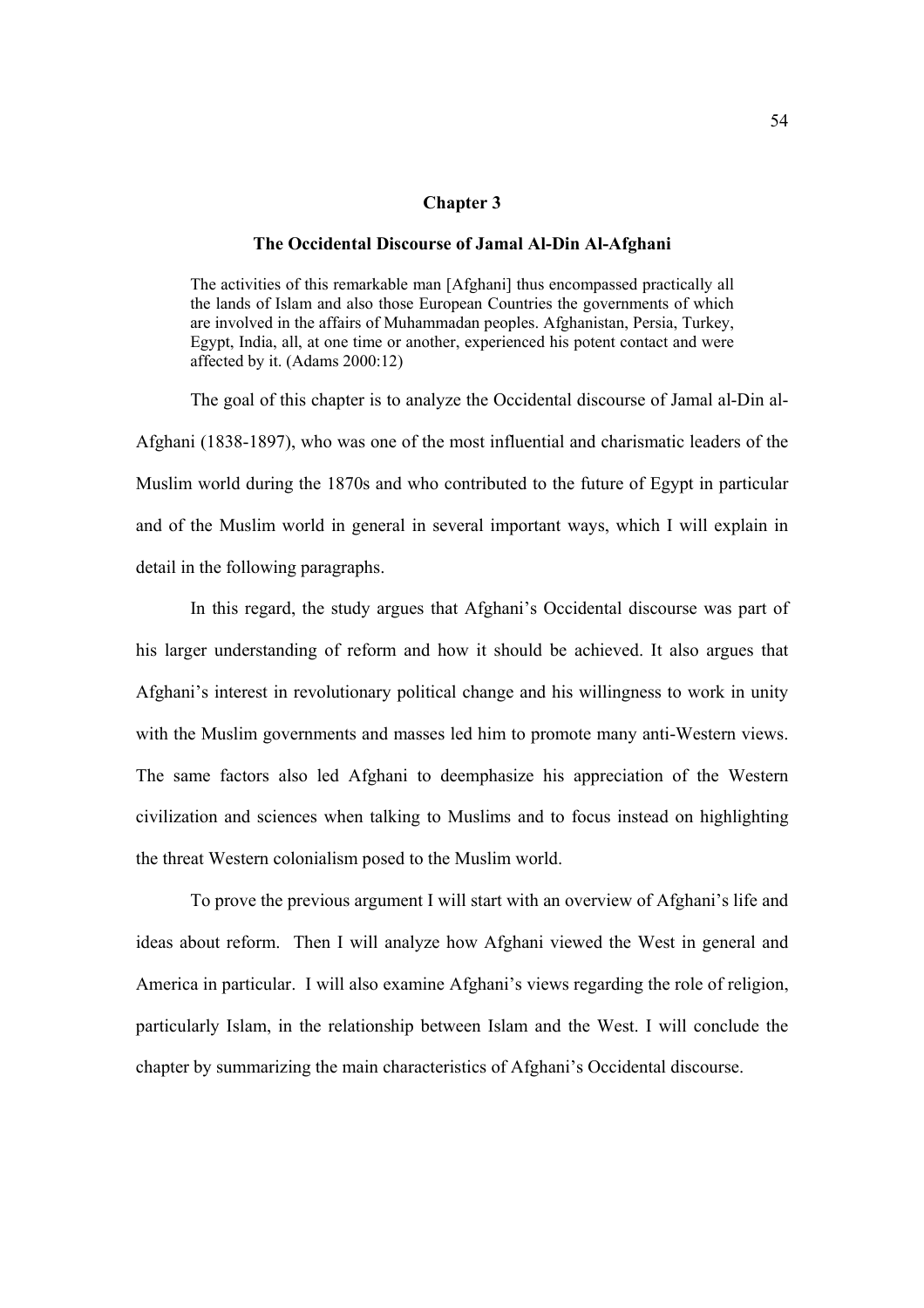## **Chapter 3**

#### **The Occidental Discourse of Jamal Al-Din Al-Afghani**

The activities of this remarkable man [Afghani] thus encompassed practically all the lands of Islam and also those European Countries the governments of which are involved in the affairs of Muhammadan peoples. Afghanistan, Persia, Turkey, Egypt, India, all, at one time or another, experienced his potent contact and were affected by it. (Adams 2000:12)

The goal of this chapter is to analyze the Occidental discourse of Jamal al-Din al-Afghani (1838-1897), who was one of the most influential and charismatic leaders of the Muslim world during the 1870s and who contributed to the future of Egypt in particular and of the Muslim world in general in several important ways, which I will explain in detail in the following paragraphs.

In this regard, the study argues that Afghani's Occidental discourse was part of his larger understanding of reform and how it should be achieved. It also argues that Afghani's interest in revolutionary political change and his willingness to work in unity with the Muslim governments and masses led him to promote many anti-Western views. The same factors also led Afghani to deemphasize his appreciation of the Western civilization and sciences when talking to Muslims and to focus instead on highlighting the threat Western colonialism posed to the Muslim world.

To prove the previous argument I will start with an overview of Afghani's life and ideas about reform. Then I will analyze how Afghani viewed the West in general and America in particular. I will also examine Afghani's views regarding the role of religion, particularly Islam, in the relationship between Islam and the West. I will conclude the chapter by summarizing the main characteristics of Afghani's Occidental discourse.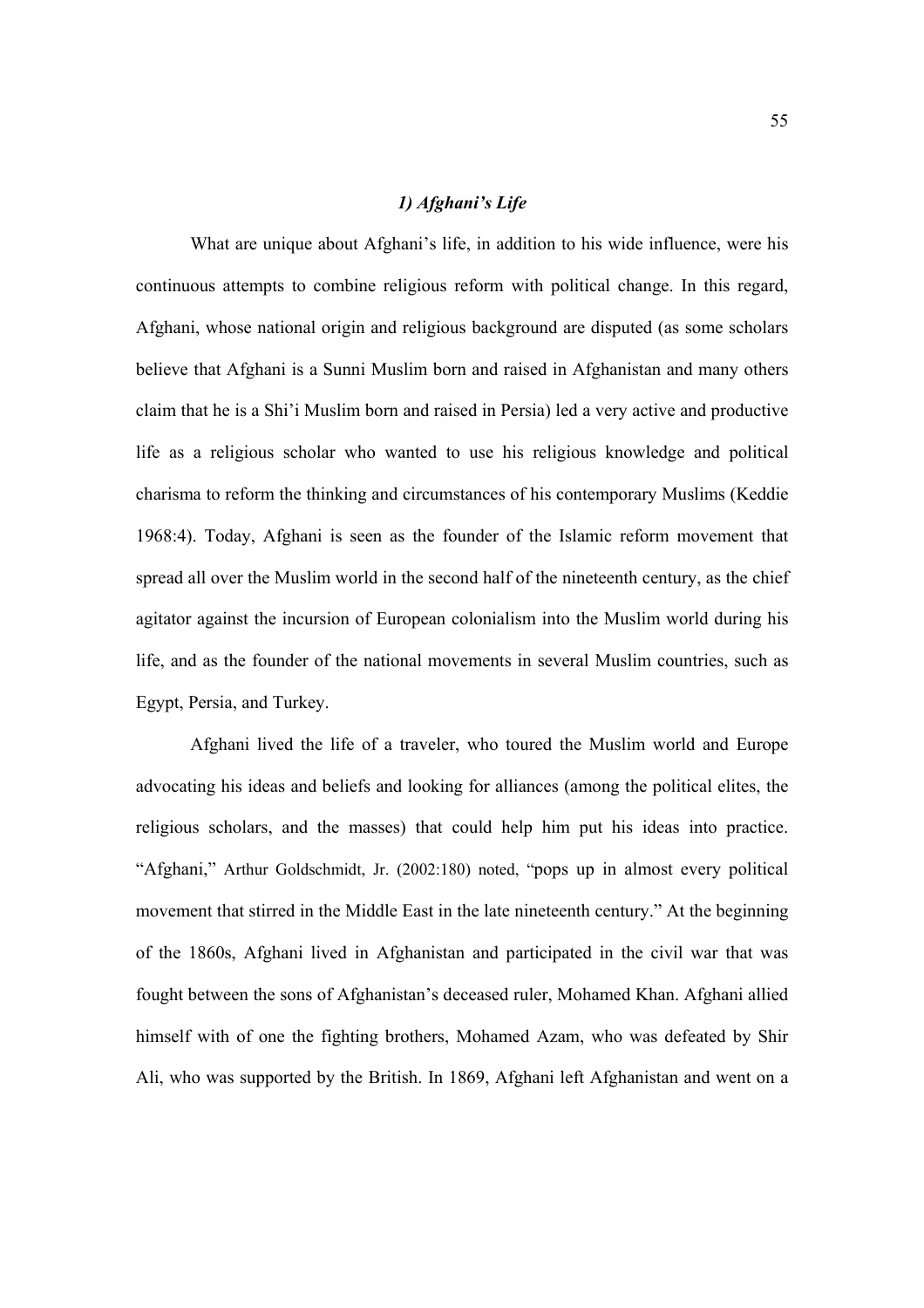# *1) Afghani's Life*

What are unique about Afghani's life, in addition to his wide influence, were his continuous attempts to combine religious reform with political change. In this regard, Afghani, whose national origin and religious background are disputed (as some scholars believe that Afghani is a Sunni Muslim born and raised in Afghanistan and many others claim that he is a Shi'i Muslim born and raised in Persia) led a very active and productive life as a religious scholar who wanted to use his religious knowledge and political charisma to reform the thinking and circumstances of his contemporary Muslims (Keddie 1968:4). Today, Afghani is seen as the founder of the Islamic reform movement that spread all over the Muslim world in the second half of the nineteenth century, as the chief agitator against the incursion of European colonialism into the Muslim world during his life, and as the founder of the national movements in several Muslim countries, such as Egypt, Persia, and Turkey.

Afghani lived the life of a traveler, who toured the Muslim world and Europe advocating his ideas and beliefs and looking for alliances (among the political elites, the religious scholars, and the masses) that could help him put his ideas into practice. "Afghani," Arthur Goldschmidt, Jr. (2002:180) noted, "pops up in almost every political movement that stirred in the Middle East in the late nineteenth century." At the beginning of the 1860s, Afghani lived in Afghanistan and participated in the civil war that was fought between the sons of Afghanistan's deceased ruler, Mohamed Khan. Afghani allied himself with of one the fighting brothers, Mohamed Azam, who was defeated by Shir Ali, who was supported by the British. In 1869, Afghani left Afghanistan and went on a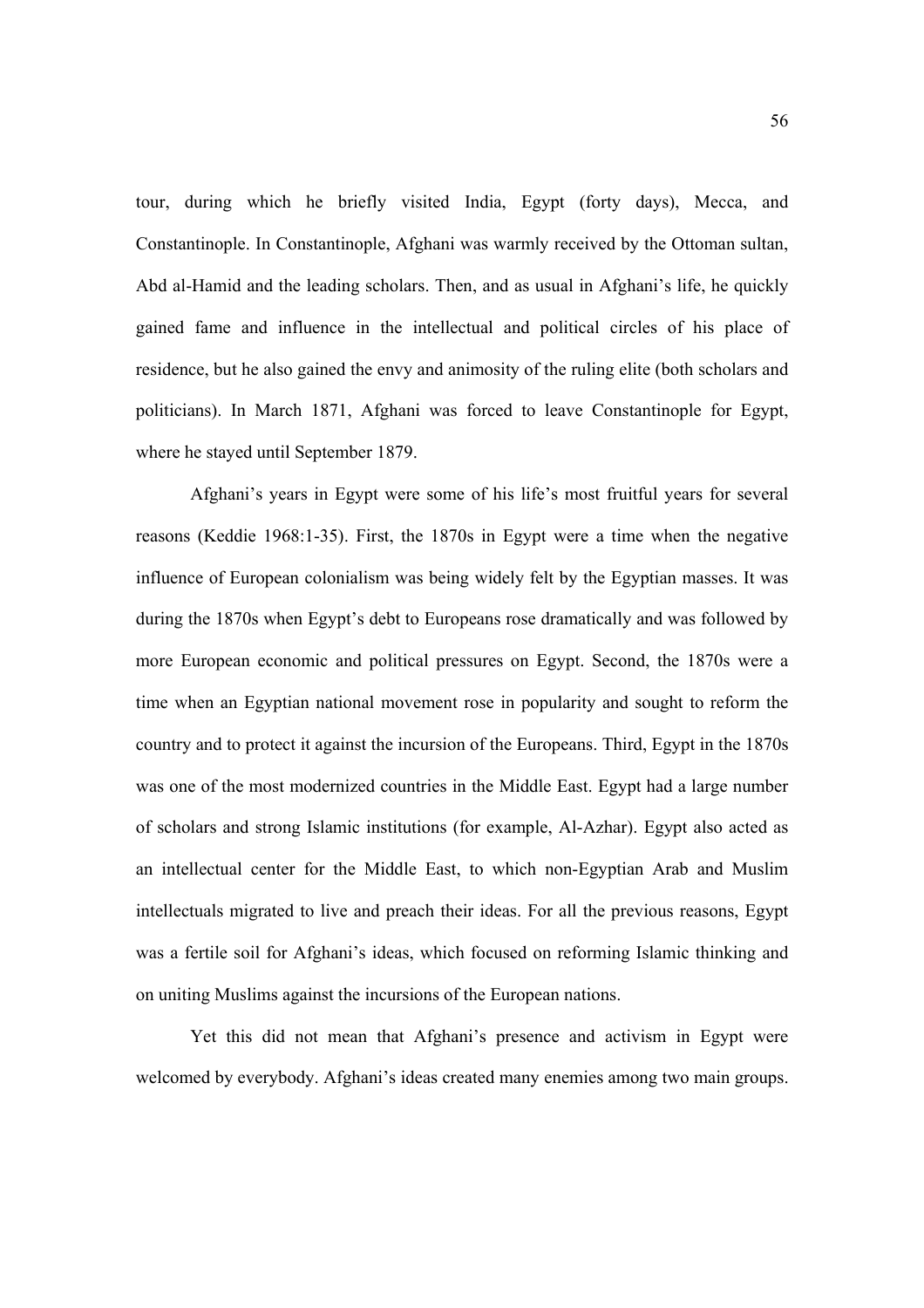tour, during which he briefly visited India, Egypt (forty days), Mecca, and Constantinople. In Constantinople, Afghani was warmly received by the Ottoman sultan, Abd al-Hamid and the leading scholars. Then, and as usual in Afghani's life, he quickly gained fame and influence in the intellectual and political circles of his place of residence, but he also gained the envy and animosity of the ruling elite (both scholars and politicians). In March 1871, Afghani was forced to leave Constantinople for Egypt, where he stayed until September 1879.

Afghani's years in Egypt were some of his life's most fruitful years for several reasons (Keddie 1968:1-35). First, the 1870s in Egypt were a time when the negative influence of European colonialism was being widely felt by the Egyptian masses. It was during the 1870s when Egypt's debt to Europeans rose dramatically and was followed by more European economic and political pressures on Egypt. Second, the 1870s were a time when an Egyptian national movement rose in popularity and sought to reform the country and to protect it against the incursion of the Europeans. Third, Egypt in the 1870s was one of the most modernized countries in the Middle East. Egypt had a large number of scholars and strong Islamic institutions (for example, Al-Azhar). Egypt also acted as an intellectual center for the Middle East, to which non-Egyptian Arab and Muslim intellectuals migrated to live and preach their ideas. For all the previous reasons, Egypt was a fertile soil for Afghani's ideas, which focused on reforming Islamic thinking and on uniting Muslims against the incursions of the European nations.

Yet this did not mean that Afghani's presence and activism in Egypt were welcomed by everybody. Afghani's ideas created many enemies among two main groups.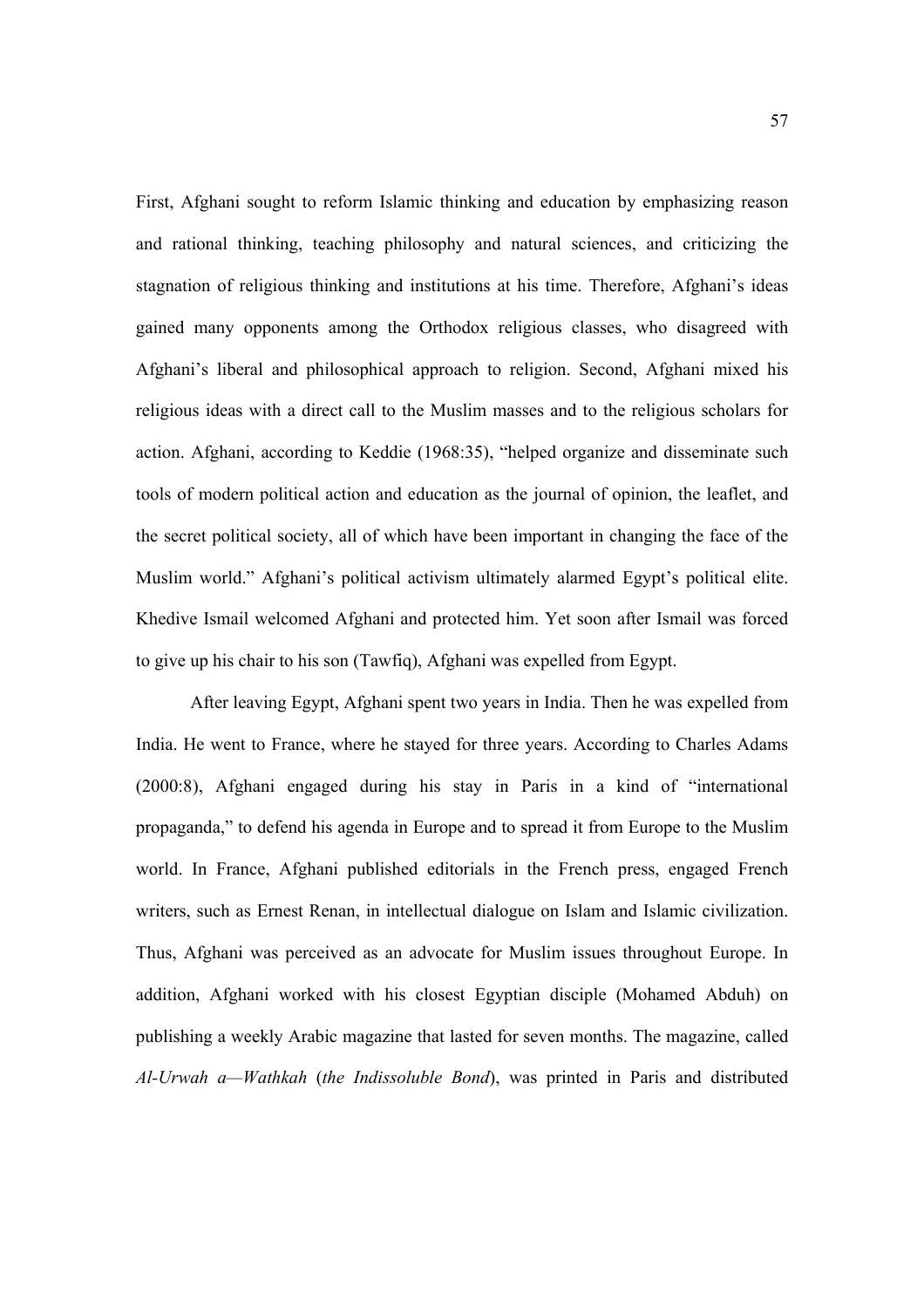First, Afghani sought to reform Islamic thinking and education by emphasizing reason and rational thinking, teaching philosophy and natural sciences, and criticizing the stagnation of religious thinking and institutions at his time. Therefore, Afghani's ideas gained many opponents among the Orthodox religious classes, who disagreed with Afghani's liberal and philosophical approach to religion. Second, Afghani mixed his religious ideas with a direct call to the Muslim masses and to the religious scholars for action. Afghani, according to Keddie (1968:35), "helped organize and disseminate such tools of modern political action and education as the journal of opinion, the leaflet, and the secret political society, all of which have been important in changing the face of the Muslim world." Afghani's political activism ultimately alarmed Egypt's political elite. Khedive Ismail welcomed Afghani and protected him. Yet soon after Ismail was forced to give up his chair to his son (Tawfiq), Afghani was expelled from Egypt.

 After leaving Egypt, Afghani spent two years in India. Then he was expelled from India. He went to France, where he stayed for three years. According to Charles Adams (2000:8), Afghani engaged during his stay in Paris in a kind of "international propaganda," to defend his agenda in Europe and to spread it from Europe to the Muslim world. In France, Afghani published editorials in the French press, engaged French writers, such as Ernest Renan, in intellectual dialogue on Islam and Islamic civilization. Thus, Afghani was perceived as an advocate for Muslim issues throughout Europe. In addition, Afghani worked with his closest Egyptian disciple (Mohamed Abduh) on publishing a weekly Arabic magazine that lasted for seven months. The magazine, called *Al-Urwah a—Wathkah* (*the Indissoluble Bond*), was printed in Paris and distributed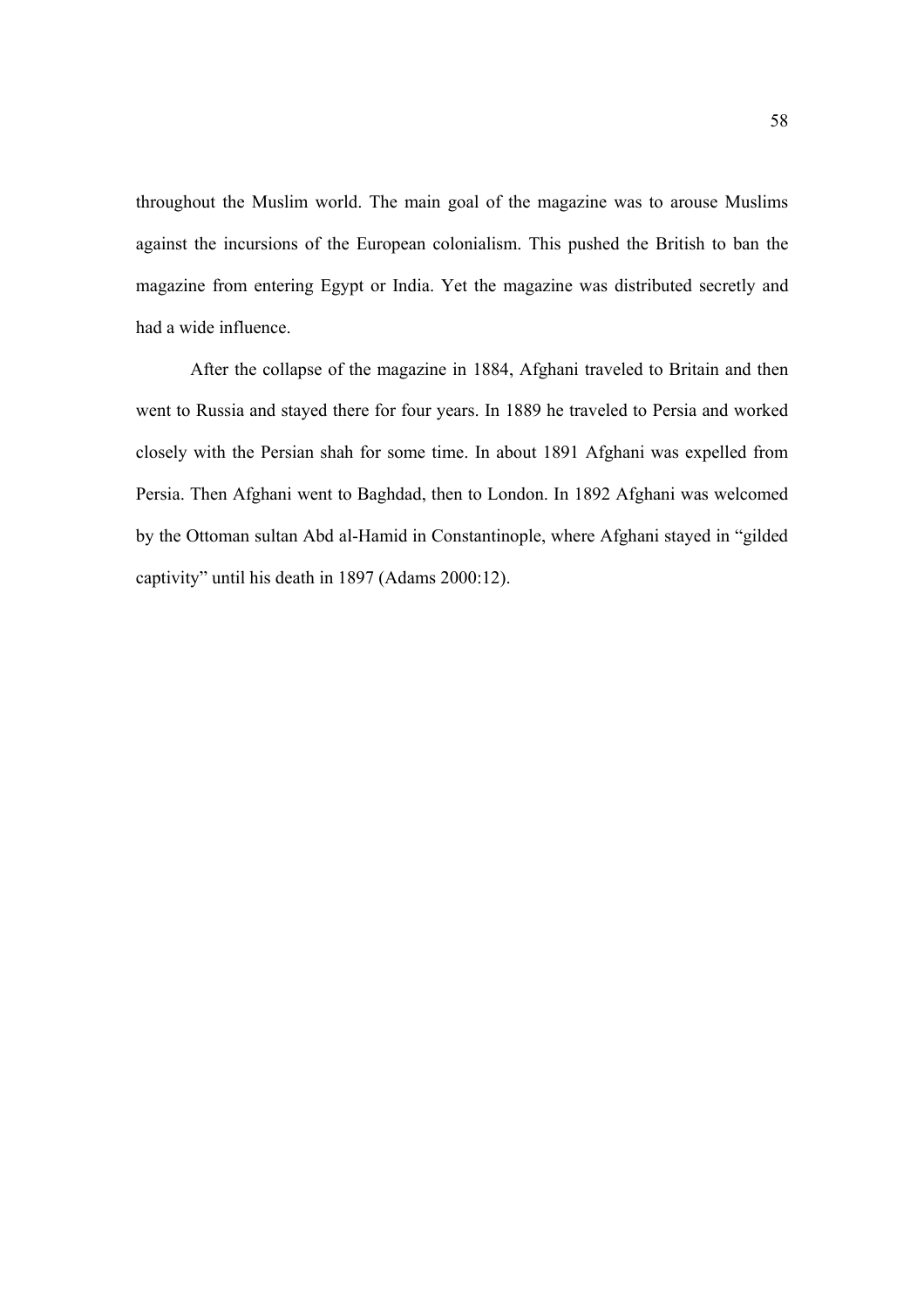throughout the Muslim world. The main goal of the magazine was to arouse Muslims against the incursions of the European colonialism. This pushed the British to ban the magazine from entering Egypt or India. Yet the magazine was distributed secretly and had a wide influence.

 After the collapse of the magazine in 1884, Afghani traveled to Britain and then went to Russia and stayed there for four years. In 1889 he traveled to Persia and worked closely with the Persian shah for some time. In about 1891 Afghani was expelled from Persia. Then Afghani went to Baghdad, then to London. In 1892 Afghani was welcomed by the Ottoman sultan Abd al-Hamid in Constantinople, where Afghani stayed in "gilded captivity" until his death in 1897 (Adams 2000:12).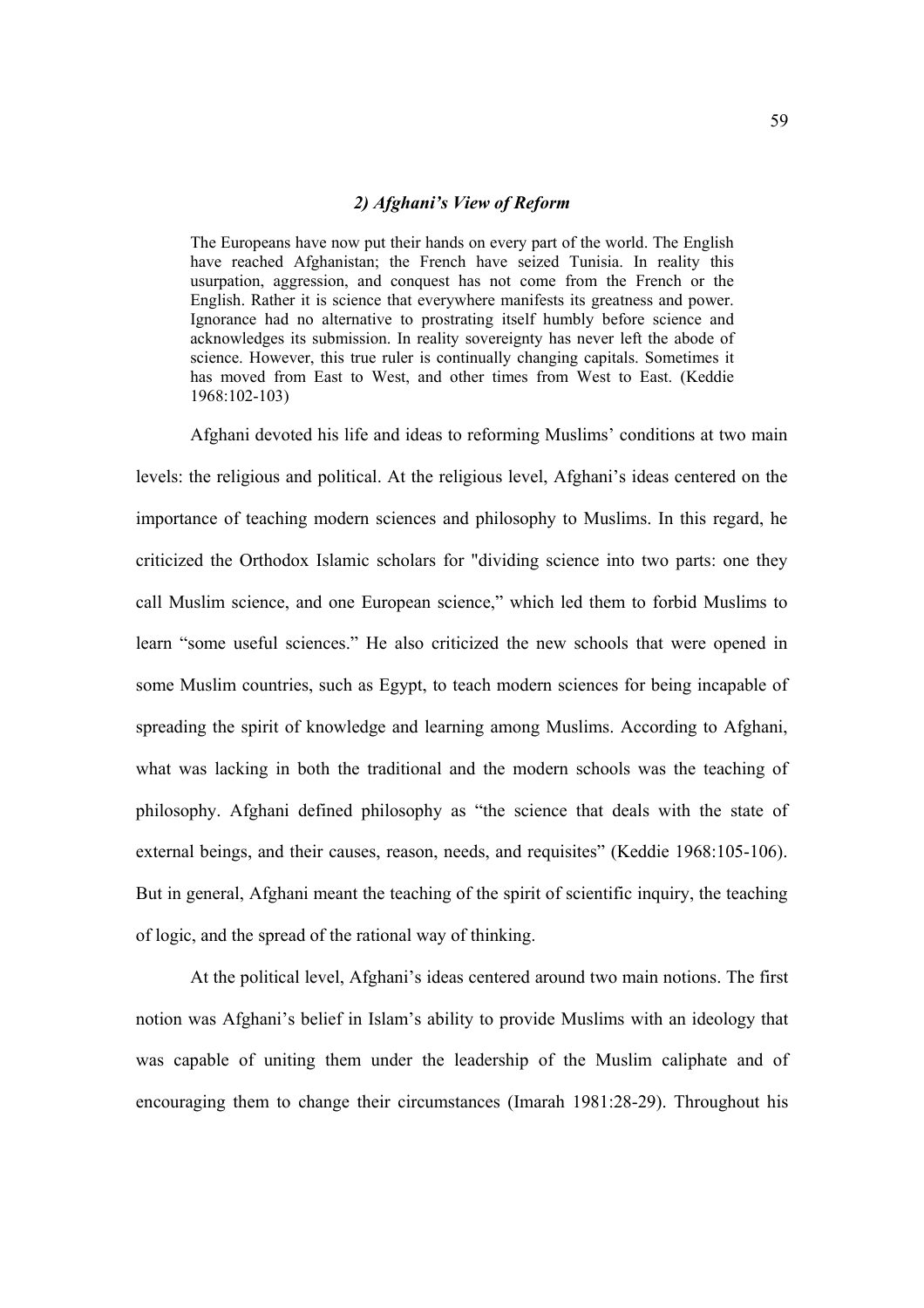# *2) Afghani's View of Reform*

The Europeans have now put their hands on every part of the world. The English have reached Afghanistan; the French have seized Tunisia. In reality this usurpation, aggression, and conquest has not come from the French or the English. Rather it is science that everywhere manifests its greatness and power. Ignorance had no alternative to prostrating itself humbly before science and acknowledges its submission. In reality sovereignty has never left the abode of science. However, this true ruler is continually changing capitals. Sometimes it has moved from East to West, and other times from West to East. (Keddie 1968:102-103)

Afghani devoted his life and ideas to reforming Muslims' conditions at two main levels: the religious and political. At the religious level, Afghani's ideas centered on the importance of teaching modern sciences and philosophy to Muslims. In this regard, he criticized the Orthodox Islamic scholars for "dividing science into two parts: one they call Muslim science, and one European science," which led them to forbid Muslims to learn "some useful sciences." He also criticized the new schools that were opened in some Muslim countries, such as Egypt, to teach modern sciences for being incapable of spreading the spirit of knowledge and learning among Muslims. According to Afghani, what was lacking in both the traditional and the modern schools was the teaching of philosophy. Afghani defined philosophy as "the science that deals with the state of external beings, and their causes, reason, needs, and requisites" (Keddie 1968:105-106). But in general, Afghani meant the teaching of the spirit of scientific inquiry, the teaching of logic, and the spread of the rational way of thinking.

At the political level, Afghani's ideas centered around two main notions. The first notion was Afghani's belief in Islam's ability to provide Muslims with an ideology that was capable of uniting them under the leadership of the Muslim caliphate and of encouraging them to change their circumstances (Imarah 1981:28-29). Throughout his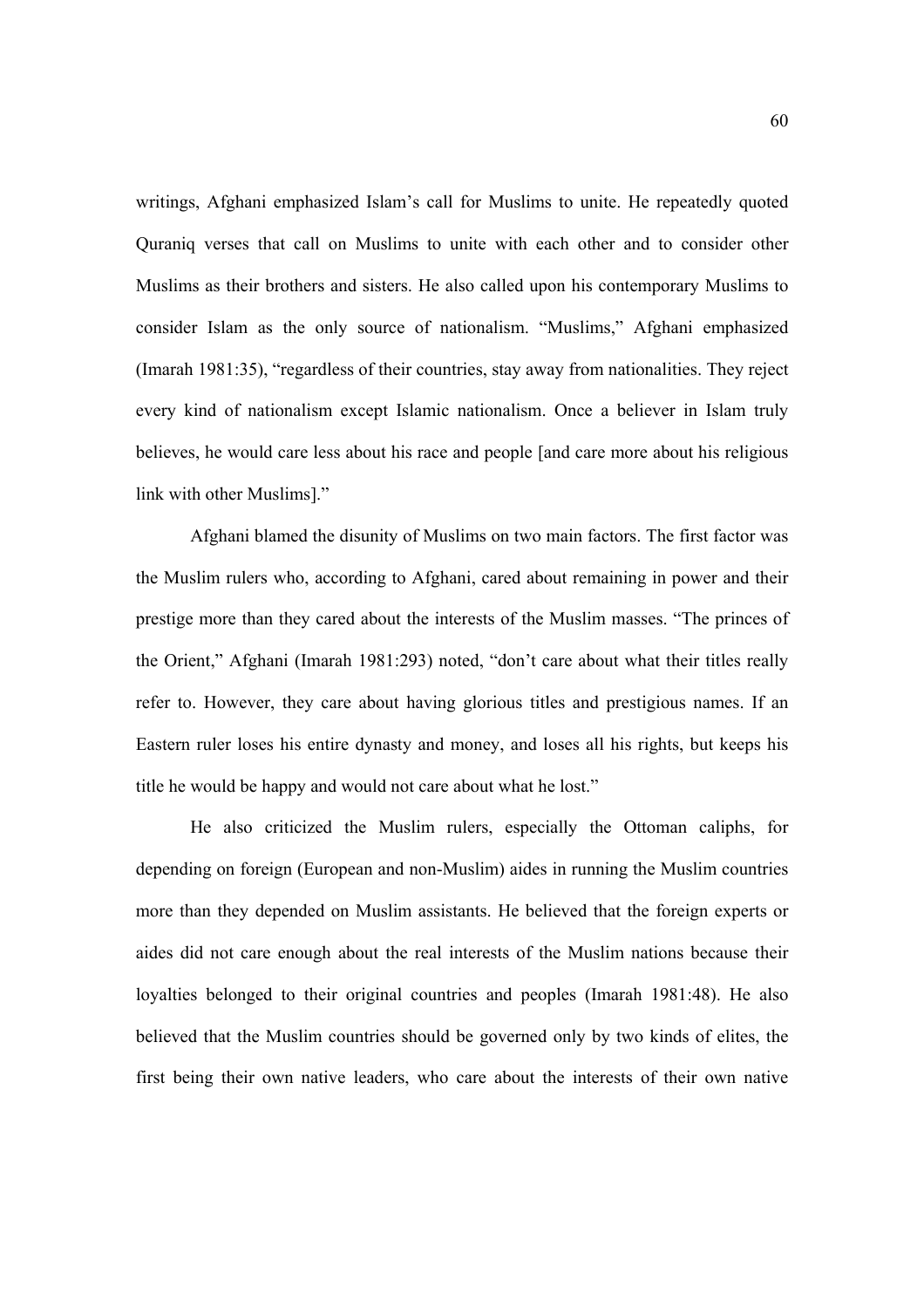writings, Afghani emphasized Islam's call for Muslims to unite. He repeatedly quoted Quraniq verses that call on Muslims to unite with each other and to consider other Muslims as their brothers and sisters. He also called upon his contemporary Muslims to consider Islam as the only source of nationalism. "Muslims," Afghani emphasized (Imarah 1981:35), "regardless of their countries, stay away from nationalities. They reject every kind of nationalism except Islamic nationalism. Once a believer in Islam truly believes, he would care less about his race and people [and care more about his religious link with other Muslims]."

Afghani blamed the disunity of Muslims on two main factors. The first factor was the Muslim rulers who, according to Afghani, cared about remaining in power and their prestige more than they cared about the interests of the Muslim masses. "The princes of the Orient," Afghani (Imarah 1981:293) noted, "don't care about what their titles really refer to. However, they care about having glorious titles and prestigious names. If an Eastern ruler loses his entire dynasty and money, and loses all his rights, but keeps his title he would be happy and would not care about what he lost."

He also criticized the Muslim rulers, especially the Ottoman caliphs, for depending on foreign (European and non-Muslim) aides in running the Muslim countries more than they depended on Muslim assistants. He believed that the foreign experts or aides did not care enough about the real interests of the Muslim nations because their loyalties belonged to their original countries and peoples (Imarah 1981:48). He also believed that the Muslim countries should be governed only by two kinds of elites, the first being their own native leaders, who care about the interests of their own native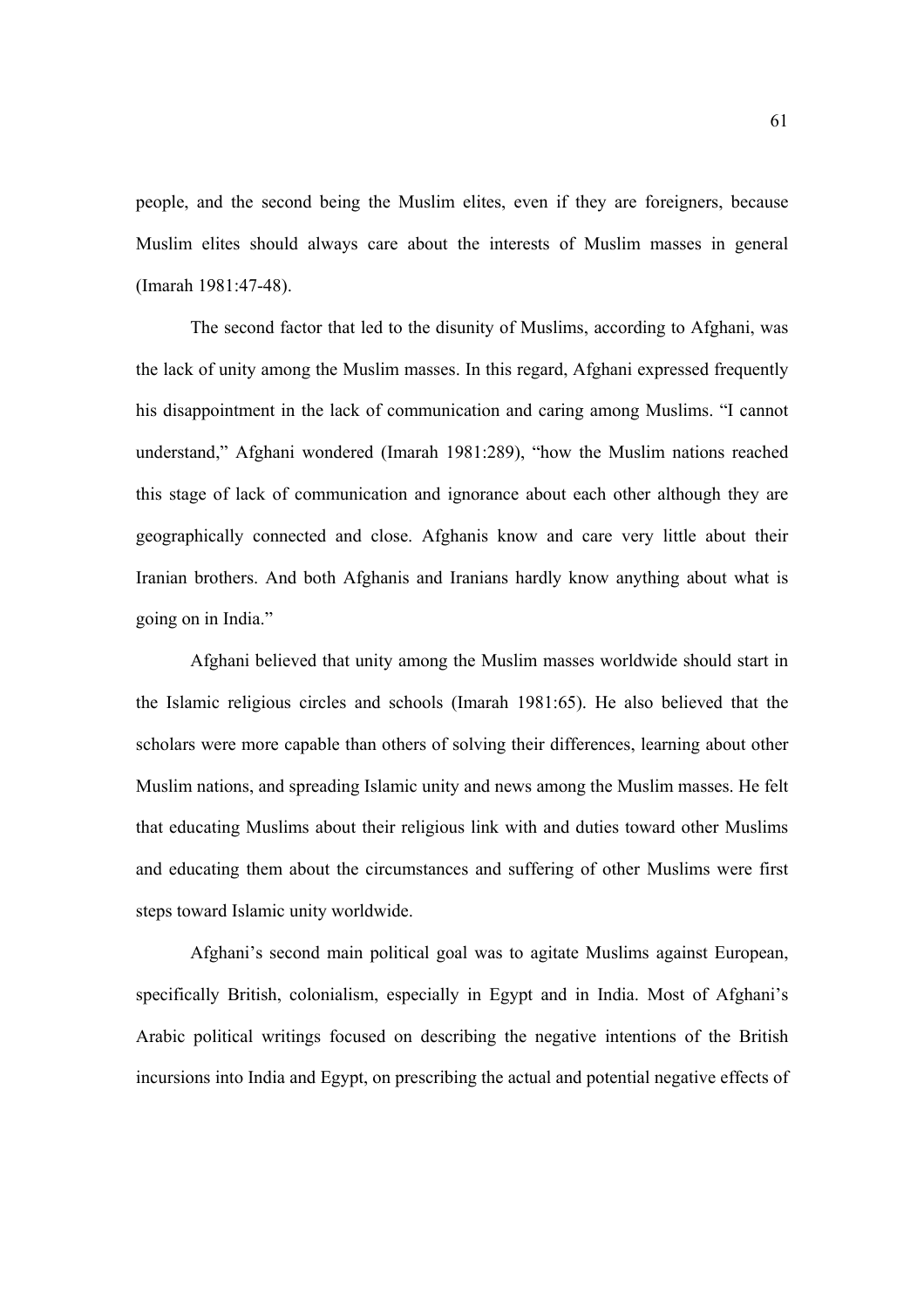people, and the second being the Muslim elites, even if they are foreigners, because Muslim elites should always care about the interests of Muslim masses in general (Imarah 1981:47-48).

The second factor that led to the disunity of Muslims, according to Afghani, was the lack of unity among the Muslim masses. In this regard, Afghani expressed frequently his disappointment in the lack of communication and caring among Muslims. "I cannot understand," Afghani wondered (Imarah 1981:289), "how the Muslim nations reached this stage of lack of communication and ignorance about each other although they are geographically connected and close. Afghanis know and care very little about their Iranian brothers. And both Afghanis and Iranians hardly know anything about what is going on in India."

Afghani believed that unity among the Muslim masses worldwide should start in the Islamic religious circles and schools (Imarah 1981:65). He also believed that the scholars were more capable than others of solving their differences, learning about other Muslim nations, and spreading Islamic unity and news among the Muslim masses. He felt that educating Muslims about their religious link with and duties toward other Muslims and educating them about the circumstances and suffering of other Muslims were first steps toward Islamic unity worldwide.

Afghani's second main political goal was to agitate Muslims against European, specifically British, colonialism, especially in Egypt and in India. Most of Afghani's Arabic political writings focused on describing the negative intentions of the British incursions into India and Egypt, on prescribing the actual and potential negative effects of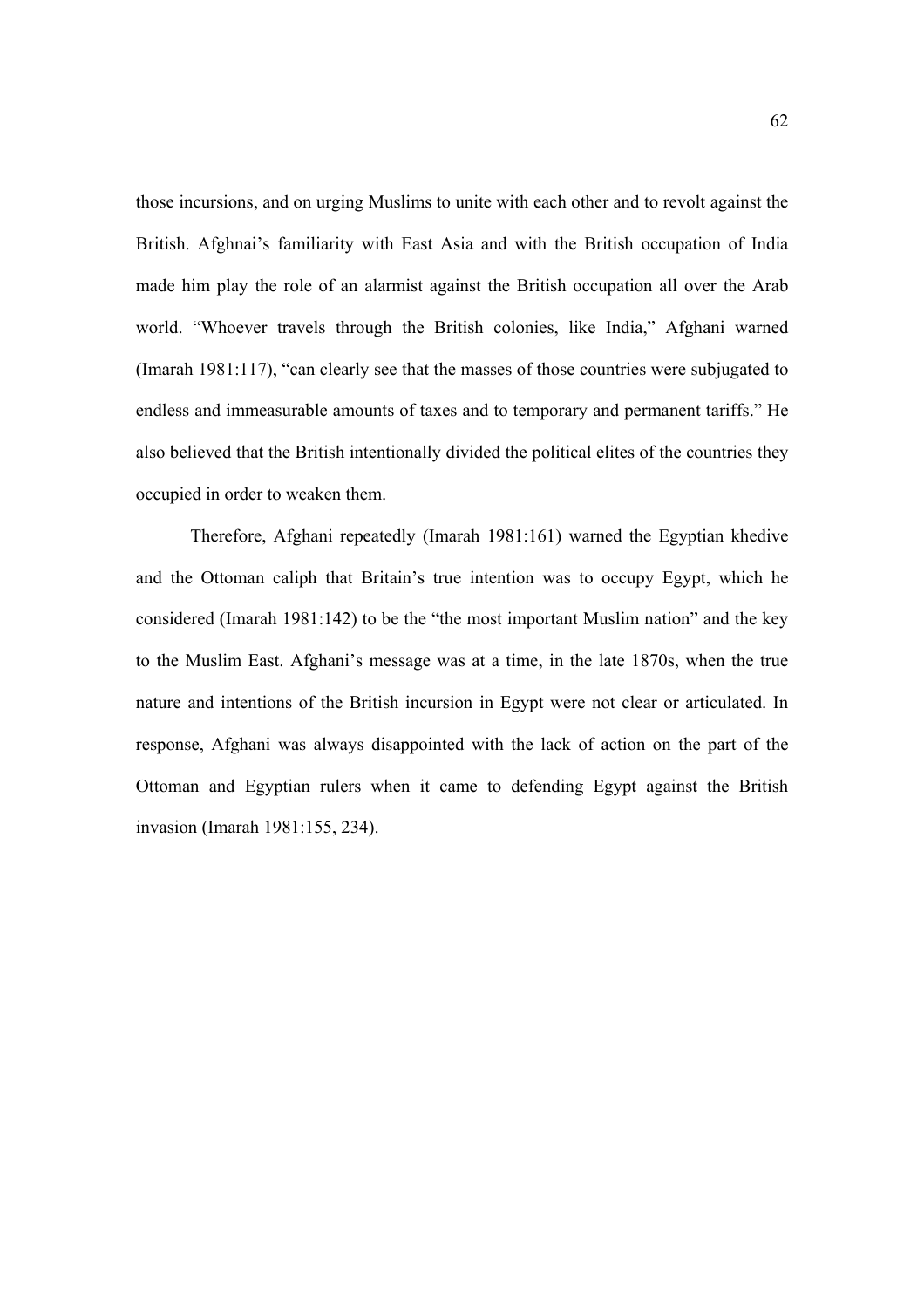those incursions, and on urging Muslims to unite with each other and to revolt against the British. Afghnai's familiarity with East Asia and with the British occupation of India made him play the role of an alarmist against the British occupation all over the Arab world. "Whoever travels through the British colonies, like India," Afghani warned (Imarah 1981:117), "can clearly see that the masses of those countries were subjugated to endless and immeasurable amounts of taxes and to temporary and permanent tariffs." He also believed that the British intentionally divided the political elites of the countries they occupied in order to weaken them.

Therefore, Afghani repeatedly (Imarah 1981:161) warned the Egyptian khedive and the Ottoman caliph that Britain's true intention was to occupy Egypt, which he considered (Imarah 1981:142) to be the "the most important Muslim nation" and the key to the Muslim East. Afghani's message was at a time, in the late 1870s, when the true nature and intentions of the British incursion in Egypt were not clear or articulated. In response, Afghani was always disappointed with the lack of action on the part of the Ottoman and Egyptian rulers when it came to defending Egypt against the British invasion (Imarah 1981:155, 234).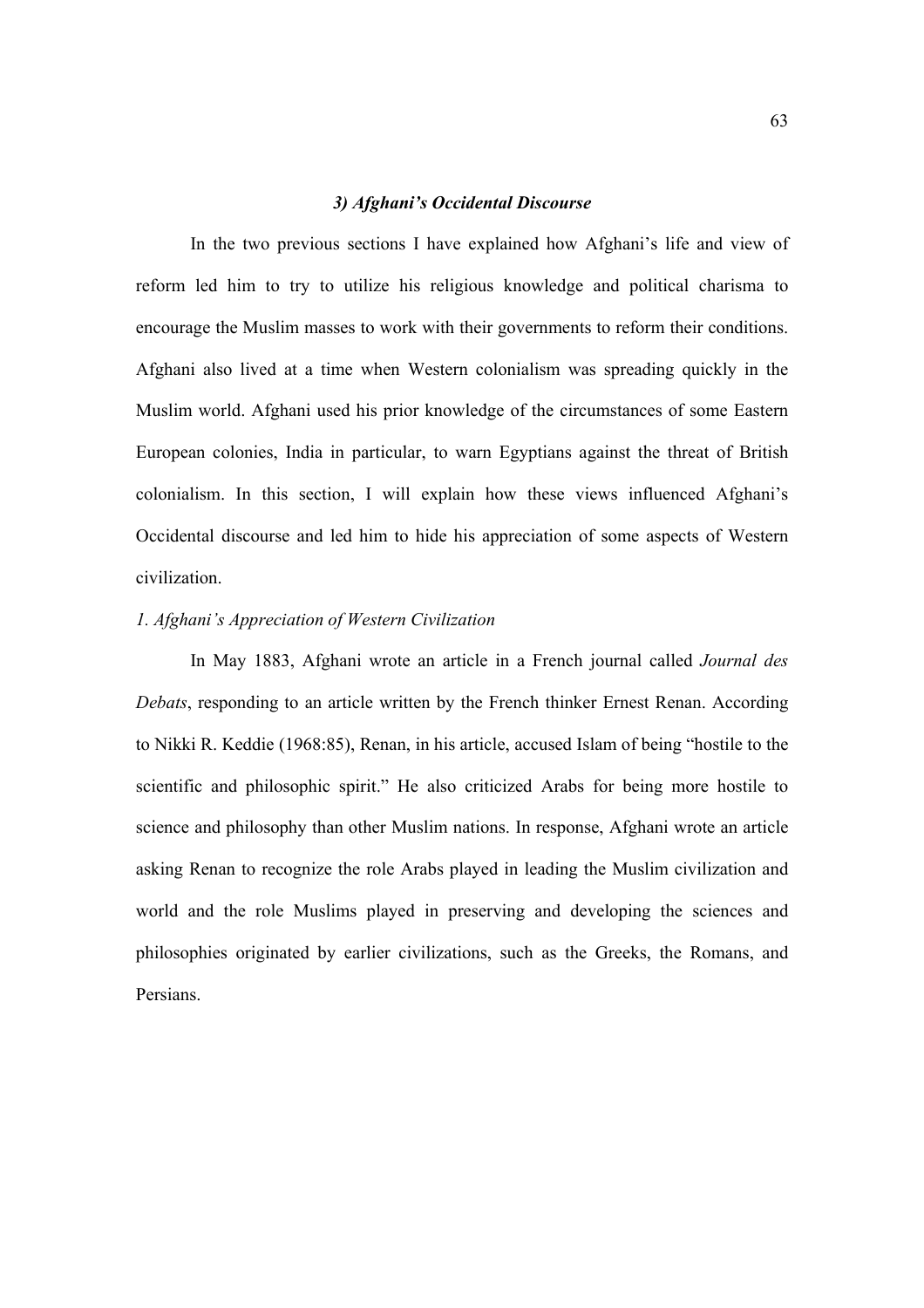## *3) Afghani's Occidental Discourse*

In the two previous sections I have explained how Afghani's life and view of reform led him to try to utilize his religious knowledge and political charisma to encourage the Muslim masses to work with their governments to reform their conditions. Afghani also lived at a time when Western colonialism was spreading quickly in the Muslim world. Afghani used his prior knowledge of the circumstances of some Eastern European colonies, India in particular, to warn Egyptians against the threat of British colonialism. In this section, I will explain how these views influenced Afghani's Occidental discourse and led him to hide his appreciation of some aspects of Western civilization.

# *1. Afghani's Appreciation of Western Civilization*

 In May 1883, Afghani wrote an article in a French journal called *Journal des Debats*, responding to an article written by the French thinker Ernest Renan. According to Nikki R. Keddie (1968:85), Renan, in his article, accused Islam of being "hostile to the scientific and philosophic spirit." He also criticized Arabs for being more hostile to science and philosophy than other Muslim nations. In response, Afghani wrote an article asking Renan to recognize the role Arabs played in leading the Muslim civilization and world and the role Muslims played in preserving and developing the sciences and philosophies originated by earlier civilizations, such as the Greeks, the Romans, and Persians.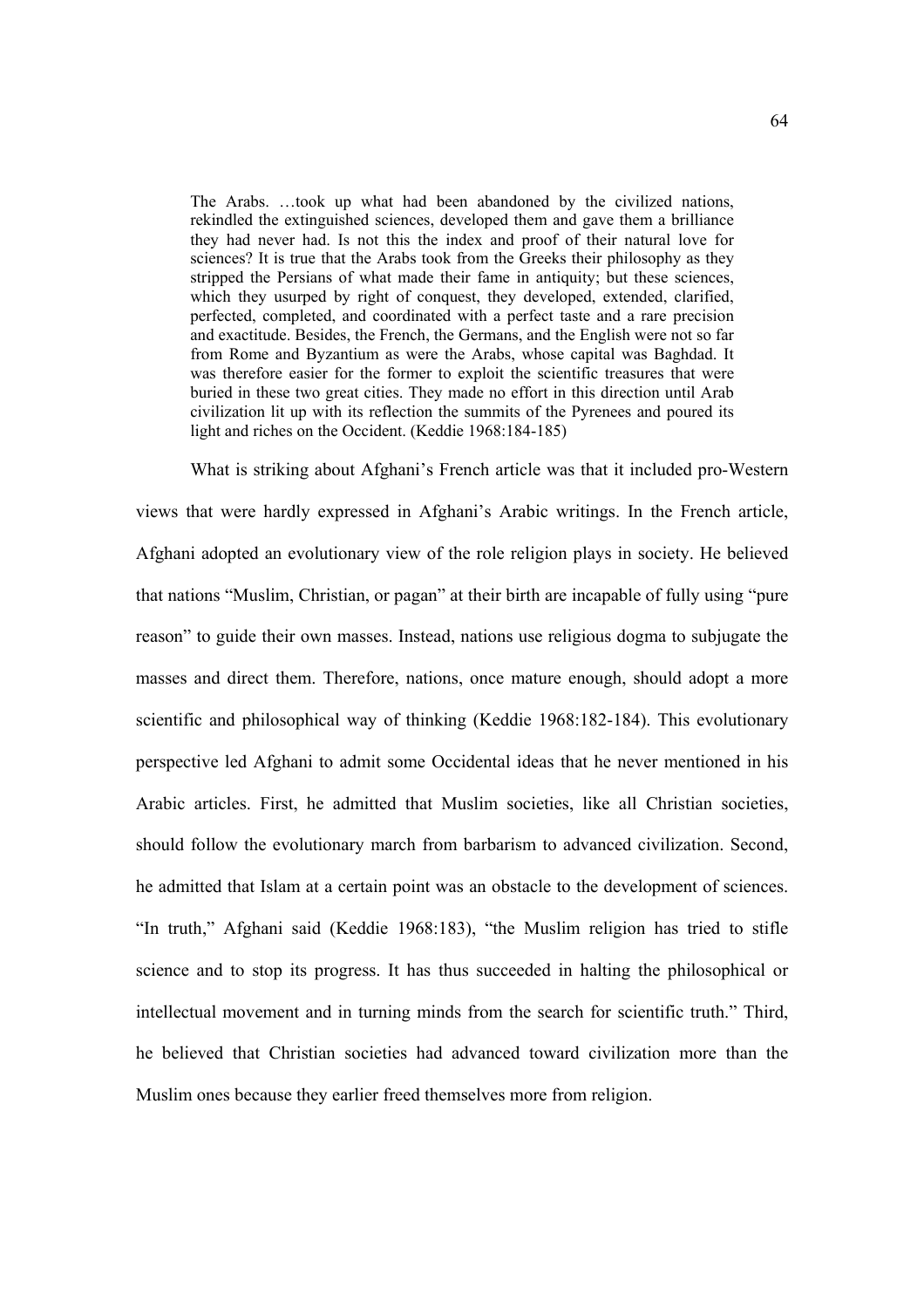The Arabs. …took up what had been abandoned by the civilized nations, rekindled the extinguished sciences, developed them and gave them a brilliance they had never had. Is not this the index and proof of their natural love for sciences? It is true that the Arabs took from the Greeks their philosophy as they stripped the Persians of what made their fame in antiquity; but these sciences, which they usurped by right of conquest, they developed, extended, clarified, perfected, completed, and coordinated with a perfect taste and a rare precision and exactitude. Besides, the French, the Germans, and the English were not so far from Rome and Byzantium as were the Arabs, whose capital was Baghdad. It was therefore easier for the former to exploit the scientific treasures that were buried in these two great cities. They made no effort in this direction until Arab civilization lit up with its reflection the summits of the Pyrenees and poured its light and riches on the Occident. (Keddie 1968:184-185)

 What is striking about Afghani's French article was that it included pro-Western views that were hardly expressed in Afghani's Arabic writings. In the French article, Afghani adopted an evolutionary view of the role religion plays in society. He believed that nations "Muslim, Christian, or pagan" at their birth are incapable of fully using "pure reason" to guide their own masses. Instead, nations use religious dogma to subjugate the masses and direct them. Therefore, nations, once mature enough, should adopt a more scientific and philosophical way of thinking (Keddie 1968:182-184). This evolutionary perspective led Afghani to admit some Occidental ideas that he never mentioned in his Arabic articles. First, he admitted that Muslim societies, like all Christian societies, should follow the evolutionary march from barbarism to advanced civilization. Second, he admitted that Islam at a certain point was an obstacle to the development of sciences. "In truth," Afghani said (Keddie 1968:183), "the Muslim religion has tried to stifle science and to stop its progress. It has thus succeeded in halting the philosophical or intellectual movement and in turning minds from the search for scientific truth." Third, he believed that Christian societies had advanced toward civilization more than the Muslim ones because they earlier freed themselves more from religion.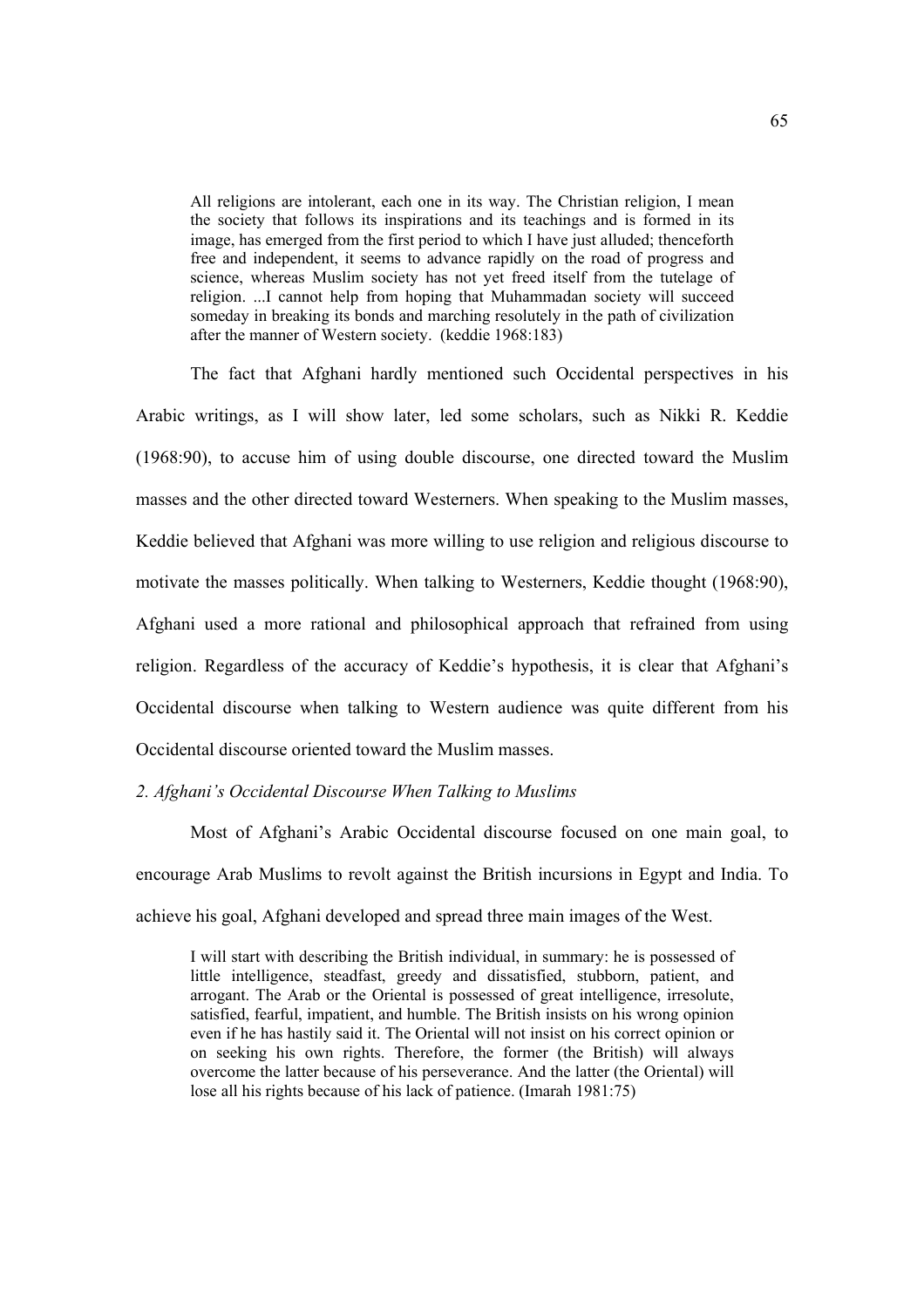All religions are intolerant, each one in its way. The Christian religion, I mean the society that follows its inspirations and its teachings and is formed in its image, has emerged from the first period to which I have just alluded; thenceforth free and independent, it seems to advance rapidly on the road of progress and science, whereas Muslim society has not yet freed itself from the tutelage of religion. ...I cannot help from hoping that Muhammadan society will succeed someday in breaking its bonds and marching resolutely in the path of civilization after the manner of Western society. (keddie 1968:183)

 The fact that Afghani hardly mentioned such Occidental perspectives in his Arabic writings, as I will show later, led some scholars, such as Nikki R. Keddie (1968:90), to accuse him of using double discourse, one directed toward the Muslim masses and the other directed toward Westerners. When speaking to the Muslim masses, Keddie believed that Afghani was more willing to use religion and religious discourse to motivate the masses politically. When talking to Westerners, Keddie thought (1968:90), Afghani used a more rational and philosophical approach that refrained from using religion. Regardless of the accuracy of Keddie's hypothesis, it is clear that Afghani's Occidental discourse when talking to Western audience was quite different from his Occidental discourse oriented toward the Muslim masses.

# *2. Afghani's Occidental Discourse When Talking to Muslims*

 Most of Afghani's Arabic Occidental discourse focused on one main goal, to encourage Arab Muslims to revolt against the British incursions in Egypt and India. To achieve his goal, Afghani developed and spread three main images of the West.

I will start with describing the British individual, in summary: he is possessed of little intelligence, steadfast, greedy and dissatisfied, stubborn, patient, and arrogant. The Arab or the Oriental is possessed of great intelligence, irresolute, satisfied, fearful, impatient, and humble. The British insists on his wrong opinion even if he has hastily said it. The Oriental will not insist on his correct opinion or on seeking his own rights. Therefore, the former (the British) will always overcome the latter because of his perseverance. And the latter (the Oriental) will lose all his rights because of his lack of patience. (Imarah 1981:75)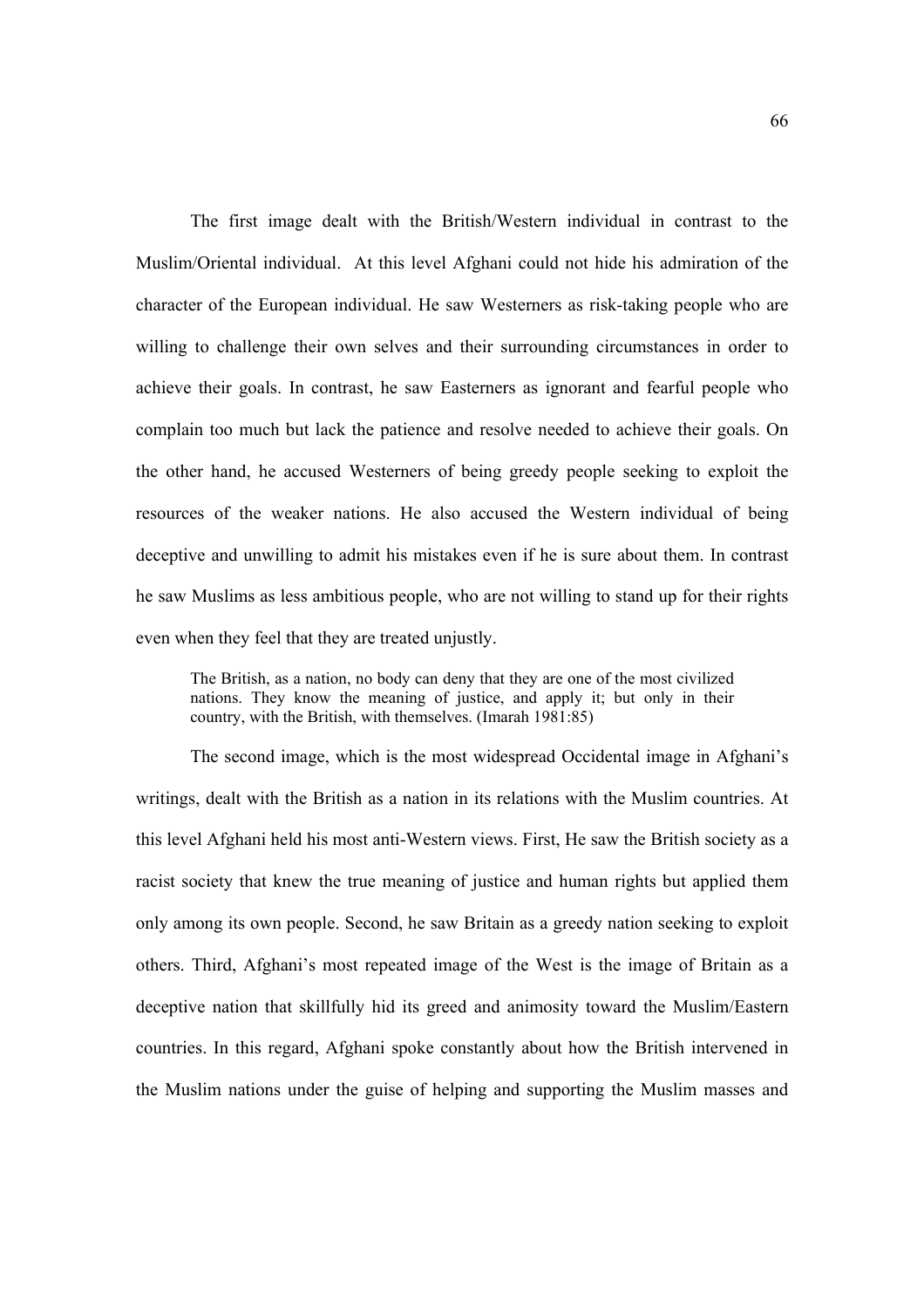The first image dealt with the British/Western individual in contrast to the Muslim/Oriental individual. At this level Afghani could not hide his admiration of the character of the European individual. He saw Westerners as risk-taking people who are willing to challenge their own selves and their surrounding circumstances in order to achieve their goals. In contrast, he saw Easterners as ignorant and fearful people who complain too much but lack the patience and resolve needed to achieve their goals. On the other hand, he accused Westerners of being greedy people seeking to exploit the resources of the weaker nations. He also accused the Western individual of being deceptive and unwilling to admit his mistakes even if he is sure about them. In contrast he saw Muslims as less ambitious people, who are not willing to stand up for their rights even when they feel that they are treated unjustly.

The British, as a nation, no body can deny that they are one of the most civilized nations. They know the meaning of justice, and apply it; but only in their country, with the British, with themselves. (Imarah 1981:85)

 The second image, which is the most widespread Occidental image in Afghani's writings, dealt with the British as a nation in its relations with the Muslim countries. At this level Afghani held his most anti-Western views. First, He saw the British society as a racist society that knew the true meaning of justice and human rights but applied them only among its own people. Second, he saw Britain as a greedy nation seeking to exploit others. Third, Afghani's most repeated image of the West is the image of Britain as a deceptive nation that skillfully hid its greed and animosity toward the Muslim/Eastern countries. In this regard, Afghani spoke constantly about how the British intervened in the Muslim nations under the guise of helping and supporting the Muslim masses and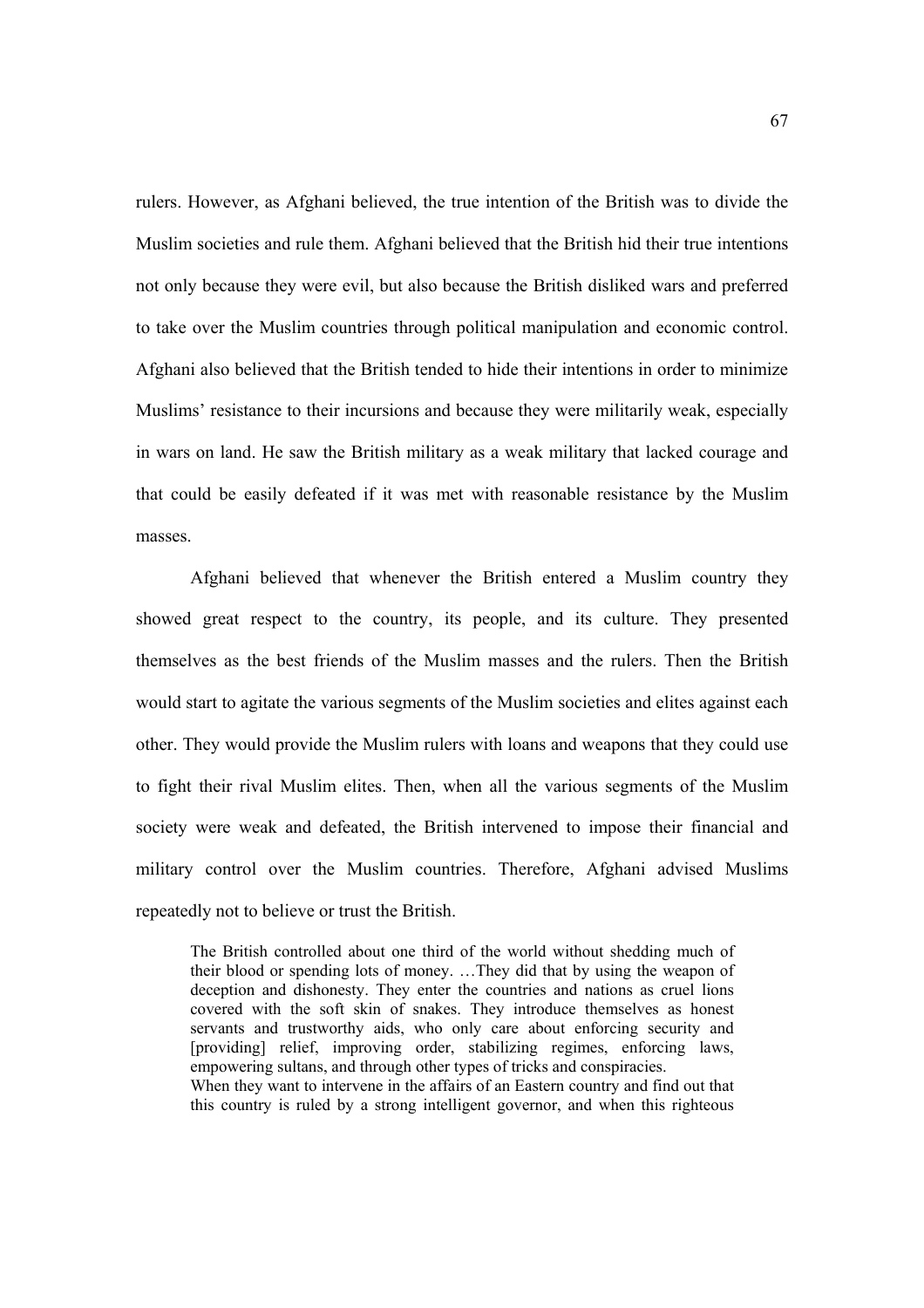rulers. However, as Afghani believed, the true intention of the British was to divide the Muslim societies and rule them. Afghani believed that the British hid their true intentions not only because they were evil, but also because the British disliked wars and preferred to take over the Muslim countries through political manipulation and economic control. Afghani also believed that the British tended to hide their intentions in order to minimize Muslims' resistance to their incursions and because they were militarily weak, especially in wars on land. He saw the British military as a weak military that lacked courage and that could be easily defeated if it was met with reasonable resistance by the Muslim masses.

Afghani believed that whenever the British entered a Muslim country they showed great respect to the country, its people, and its culture. They presented themselves as the best friends of the Muslim masses and the rulers. Then the British would start to agitate the various segments of the Muslim societies and elites against each other. They would provide the Muslim rulers with loans and weapons that they could use to fight their rival Muslim elites. Then, when all the various segments of the Muslim society were weak and defeated, the British intervened to impose their financial and military control over the Muslim countries. Therefore, Afghani advised Muslims repeatedly not to believe or trust the British.

The British controlled about one third of the world without shedding much of their blood or spending lots of money. …They did that by using the weapon of deception and dishonesty. They enter the countries and nations as cruel lions covered with the soft skin of snakes. They introduce themselves as honest servants and trustworthy aids, who only care about enforcing security and [providing] relief, improving order, stabilizing regimes, enforcing laws, empowering sultans, and through other types of tricks and conspiracies. When they want to intervene in the affairs of an Eastern country and find out that this country is ruled by a strong intelligent governor, and when this righteous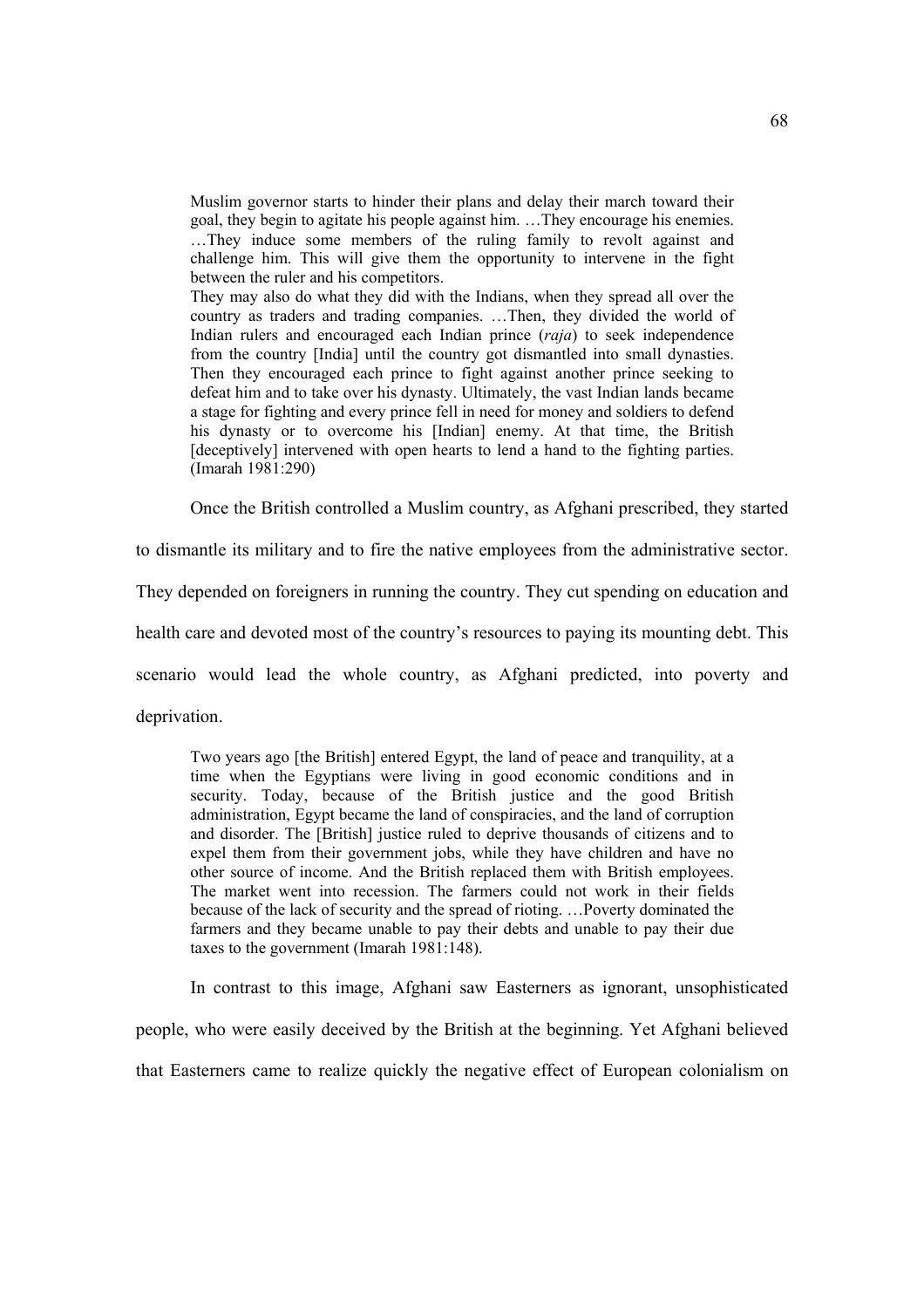Muslim governor starts to hinder their plans and delay their march toward their goal, they begin to agitate his people against him. …They encourage his enemies. …They induce some members of the ruling family to revolt against and challenge him. This will give them the opportunity to intervene in the fight between the ruler and his competitors.

They may also do what they did with the Indians, when they spread all over the country as traders and trading companies. …Then, they divided the world of Indian rulers and encouraged each Indian prince (*raja*) to seek independence from the country [India] until the country got dismantled into small dynasties. Then they encouraged each prince to fight against another prince seeking to defeat him and to take over his dynasty. Ultimately, the vast Indian lands became a stage for fighting and every prince fell in need for money and soldiers to defend his dynasty or to overcome his [Indian] enemy. At that time, the British [deceptively] intervened with open hearts to lend a hand to the fighting parties. (Imarah 1981:290)

Once the British controlled a Muslim country, as Afghani prescribed, they started

to dismantle its military and to fire the native employees from the administrative sector.

They depended on foreigners in running the country. They cut spending on education and

health care and devoted most of the country's resources to paying its mounting debt. This

scenario would lead the whole country, as Afghani predicted, into poverty and

deprivation.

Two years ago [the British] entered Egypt, the land of peace and tranquility, at a time when the Egyptians were living in good economic conditions and in security. Today, because of the British justice and the good British administration, Egypt became the land of conspiracies, and the land of corruption and disorder. The [British] justice ruled to deprive thousands of citizens and to expel them from their government jobs, while they have children and have no other source of income. And the British replaced them with British employees. The market went into recession. The farmers could not work in their fields because of the lack of security and the spread of rioting. …Poverty dominated the farmers and they became unable to pay their debts and unable to pay their due taxes to the government (Imarah 1981:148).

 In contrast to this image, Afghani saw Easterners as ignorant, unsophisticated people, who were easily deceived by the British at the beginning. Yet Afghani believed that Easterners came to realize quickly the negative effect of European colonialism on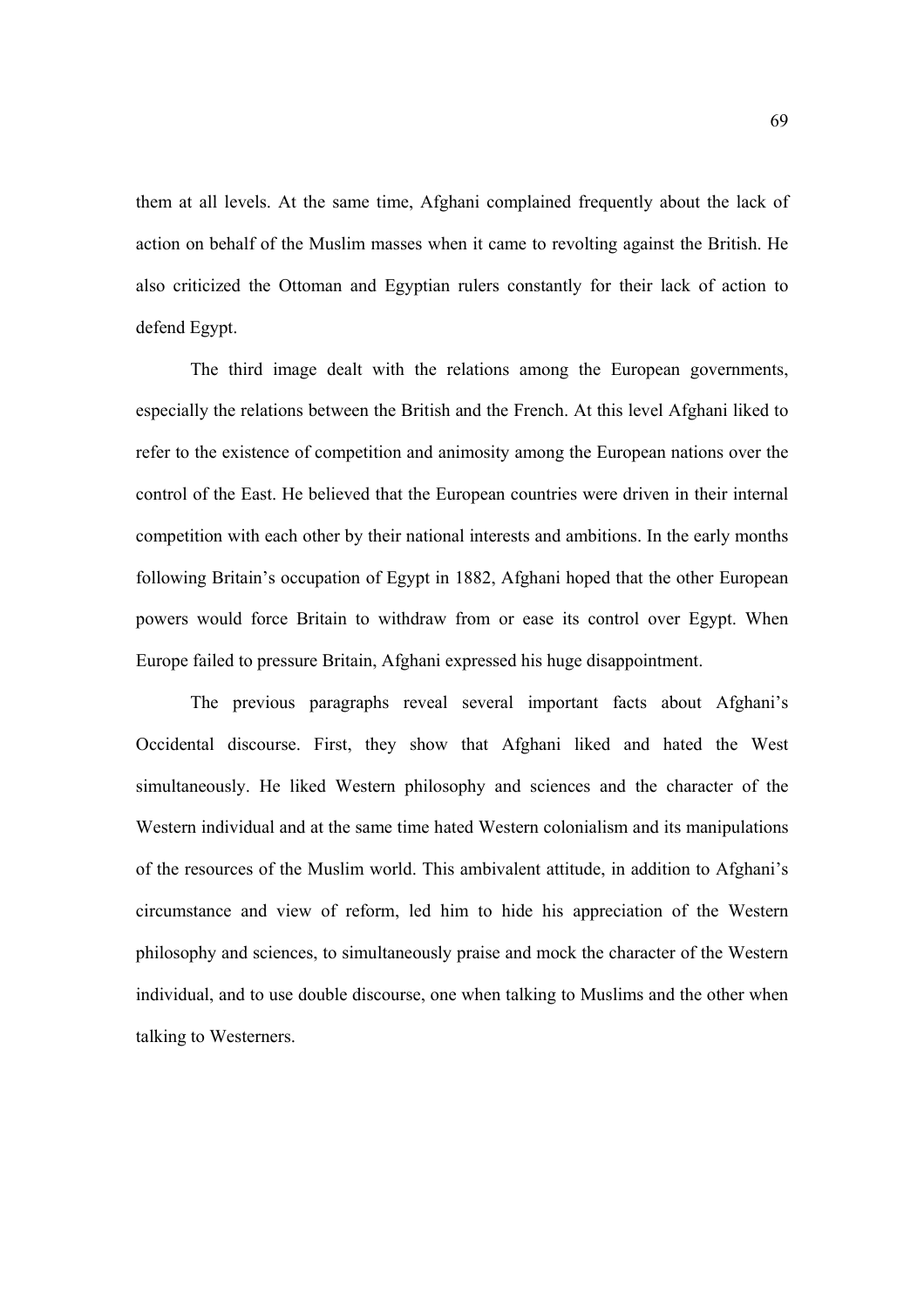them at all levels. At the same time, Afghani complained frequently about the lack of action on behalf of the Muslim masses when it came to revolting against the British. He also criticized the Ottoman and Egyptian rulers constantly for their lack of action to defend Egypt.

 The third image dealt with the relations among the European governments, especially the relations between the British and the French. At this level Afghani liked to refer to the existence of competition and animosity among the European nations over the control of the East. He believed that the European countries were driven in their internal competition with each other by their national interests and ambitions. In the early months following Britain's occupation of Egypt in 1882, Afghani hoped that the other European powers would force Britain to withdraw from or ease its control over Egypt. When Europe failed to pressure Britain, Afghani expressed his huge disappointment.

 The previous paragraphs reveal several important facts about Afghani's Occidental discourse. First, they show that Afghani liked and hated the West simultaneously. He liked Western philosophy and sciences and the character of the Western individual and at the same time hated Western colonialism and its manipulations of the resources of the Muslim world. This ambivalent attitude, in addition to Afghani's circumstance and view of reform, led him to hide his appreciation of the Western philosophy and sciences, to simultaneously praise and mock the character of the Western individual, and to use double discourse, one when talking to Muslims and the other when talking to Westerners.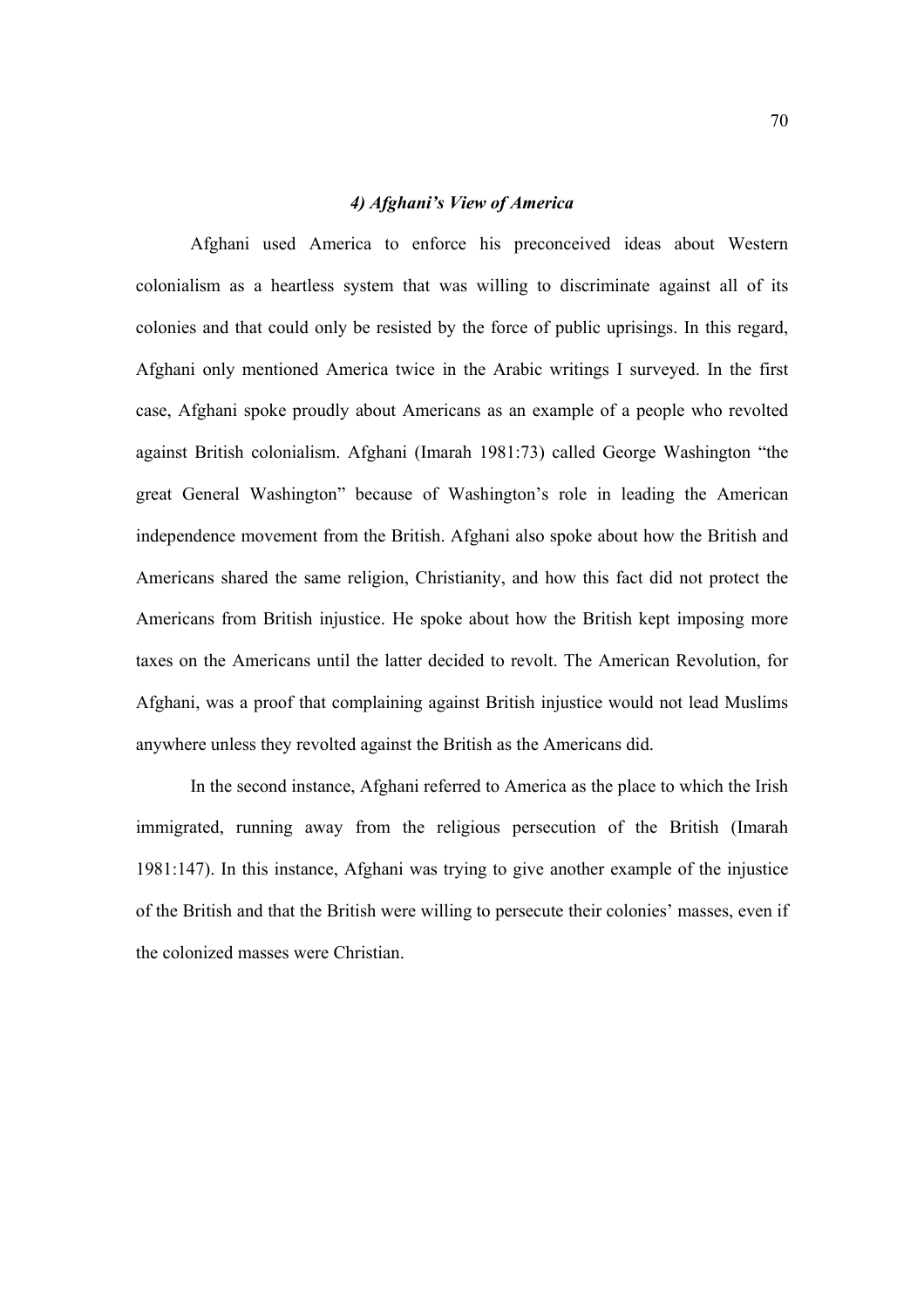### *4) Afghani's View of America*

Afghani used America to enforce his preconceived ideas about Western colonialism as a heartless system that was willing to discriminate against all of its colonies and that could only be resisted by the force of public uprisings. In this regard, Afghani only mentioned America twice in the Arabic writings I surveyed. In the first case, Afghani spoke proudly about Americans as an example of a people who revolted against British colonialism. Afghani (Imarah 1981:73) called George Washington "the great General Washington" because of Washington's role in leading the American independence movement from the British. Afghani also spoke about how the British and Americans shared the same religion, Christianity, and how this fact did not protect the Americans from British injustice. He spoke about how the British kept imposing more taxes on the Americans until the latter decided to revolt. The American Revolution, for Afghani, was a proof that complaining against British injustice would not lead Muslims anywhere unless they revolted against the British as the Americans did.

In the second instance, Afghani referred to America as the place to which the Irish immigrated, running away from the religious persecution of the British (Imarah 1981:147). In this instance, Afghani was trying to give another example of the injustice of the British and that the British were willing to persecute their colonies' masses, even if the colonized masses were Christian.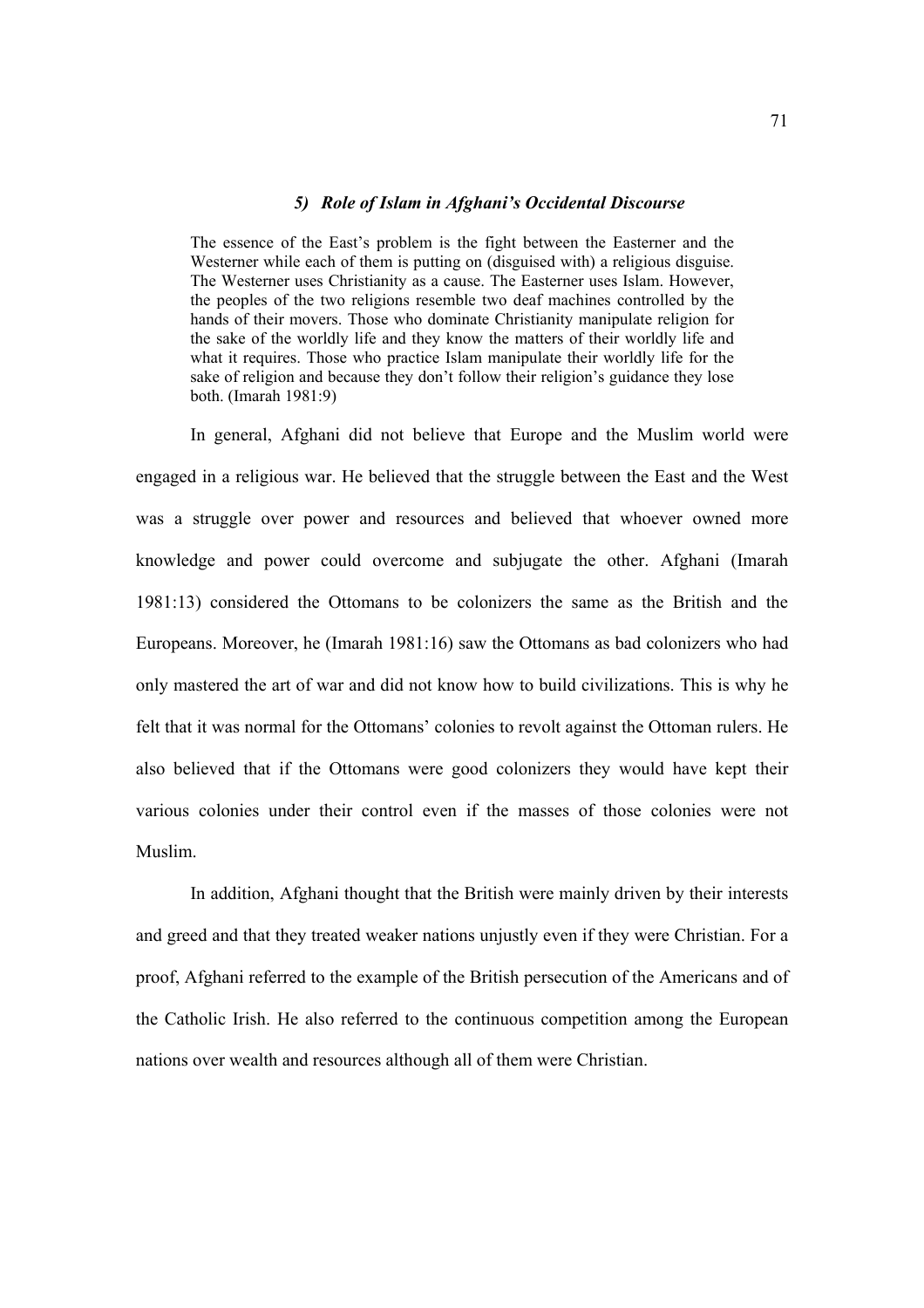# *5) Role of Islam in Afghani's Occidental Discourse*

The essence of the East's problem is the fight between the Easterner and the Westerner while each of them is putting on (disguised with) a religious disguise. The Westerner uses Christianity as a cause. The Easterner uses Islam. However, the peoples of the two religions resemble two deaf machines controlled by the hands of their movers. Those who dominate Christianity manipulate religion for the sake of the worldly life and they know the matters of their worldly life and what it requires. Those who practice Islam manipulate their worldly life for the sake of religion and because they don't follow their religion's guidance they lose both. (Imarah 1981:9)

In general, Afghani did not believe that Europe and the Muslim world were engaged in a religious war. He believed that the struggle between the East and the West was a struggle over power and resources and believed that whoever owned more knowledge and power could overcome and subjugate the other. Afghani (Imarah 1981:13) considered the Ottomans to be colonizers the same as the British and the Europeans. Moreover, he (Imarah 1981:16) saw the Ottomans as bad colonizers who had only mastered the art of war and did not know how to build civilizations. This is why he felt that it was normal for the Ottomans' colonies to revolt against the Ottoman rulers. He also believed that if the Ottomans were good colonizers they would have kept their various colonies under their control even if the masses of those colonies were not Muslim.

In addition, Afghani thought that the British were mainly driven by their interests and greed and that they treated weaker nations unjustly even if they were Christian. For a proof, Afghani referred to the example of the British persecution of the Americans and of the Catholic Irish. He also referred to the continuous competition among the European nations over wealth and resources although all of them were Christian.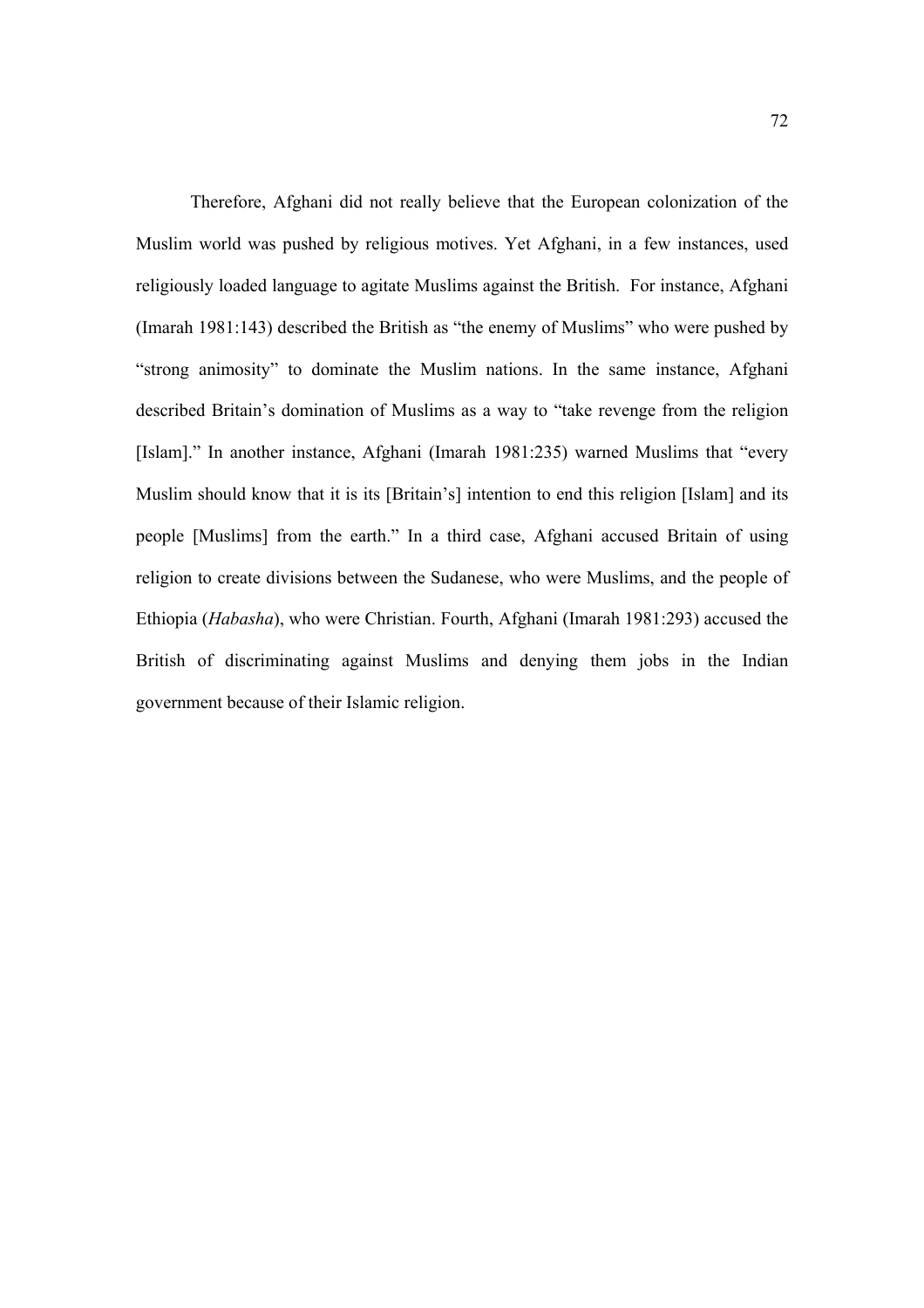Therefore, Afghani did not really believe that the European colonization of the Muslim world was pushed by religious motives. Yet Afghani, in a few instances, used religiously loaded language to agitate Muslims against the British. For instance, Afghani (Imarah 1981:143) described the British as "the enemy of Muslims" who were pushed by "strong animosity" to dominate the Muslim nations. In the same instance, Afghani described Britain's domination of Muslims as a way to "take revenge from the religion [Islam]." In another instance, Afghani (Imarah 1981:235) warned Muslims that "every Muslim should know that it is its [Britain's] intention to end this religion [Islam] and its people [Muslims] from the earth." In a third case, Afghani accused Britain of using religion to create divisions between the Sudanese, who were Muslims, and the people of Ethiopia (*Habasha*), who were Christian. Fourth, Afghani (Imarah 1981:293) accused the British of discriminating against Muslims and denying them jobs in the Indian government because of their Islamic religion.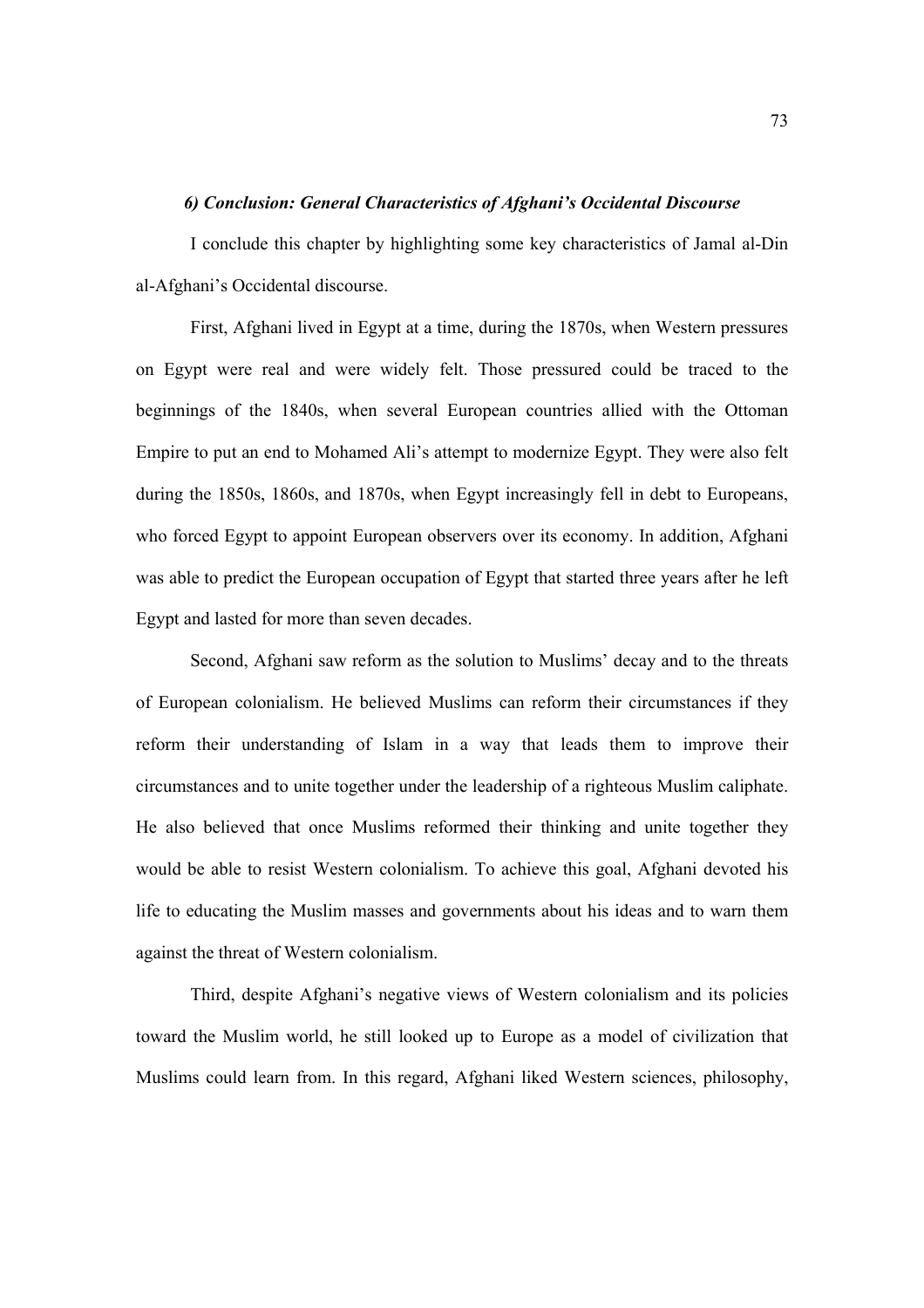# *6) Conclusion: General Characteristics of Afghani's Occidental Discourse*

I conclude this chapter by highlighting some key characteristics of Jamal al-Din al-Afghani's Occidental discourse.

First, Afghani lived in Egypt at a time, during the 1870s, when Western pressures on Egypt were real and were widely felt. Those pressured could be traced to the beginnings of the 1840s, when several European countries allied with the Ottoman Empire to put an end to Mohamed Ali's attempt to modernize Egypt. They were also felt during the 1850s, 1860s, and 1870s, when Egypt increasingly fell in debt to Europeans, who forced Egypt to appoint European observers over its economy. In addition, Afghani was able to predict the European occupation of Egypt that started three years after he left Egypt and lasted for more than seven decades.

Second, Afghani saw reform as the solution to Muslims' decay and to the threats of European colonialism. He believed Muslims can reform their circumstances if they reform their understanding of Islam in a way that leads them to improve their circumstances and to unite together under the leadership of a righteous Muslim caliphate. He also believed that once Muslims reformed their thinking and unite together they would be able to resist Western colonialism. To achieve this goal, Afghani devoted his life to educating the Muslim masses and governments about his ideas and to warn them against the threat of Western colonialism.

Third, despite Afghani's negative views of Western colonialism and its policies toward the Muslim world, he still looked up to Europe as a model of civilization that Muslims could learn from. In this regard, Afghani liked Western sciences, philosophy,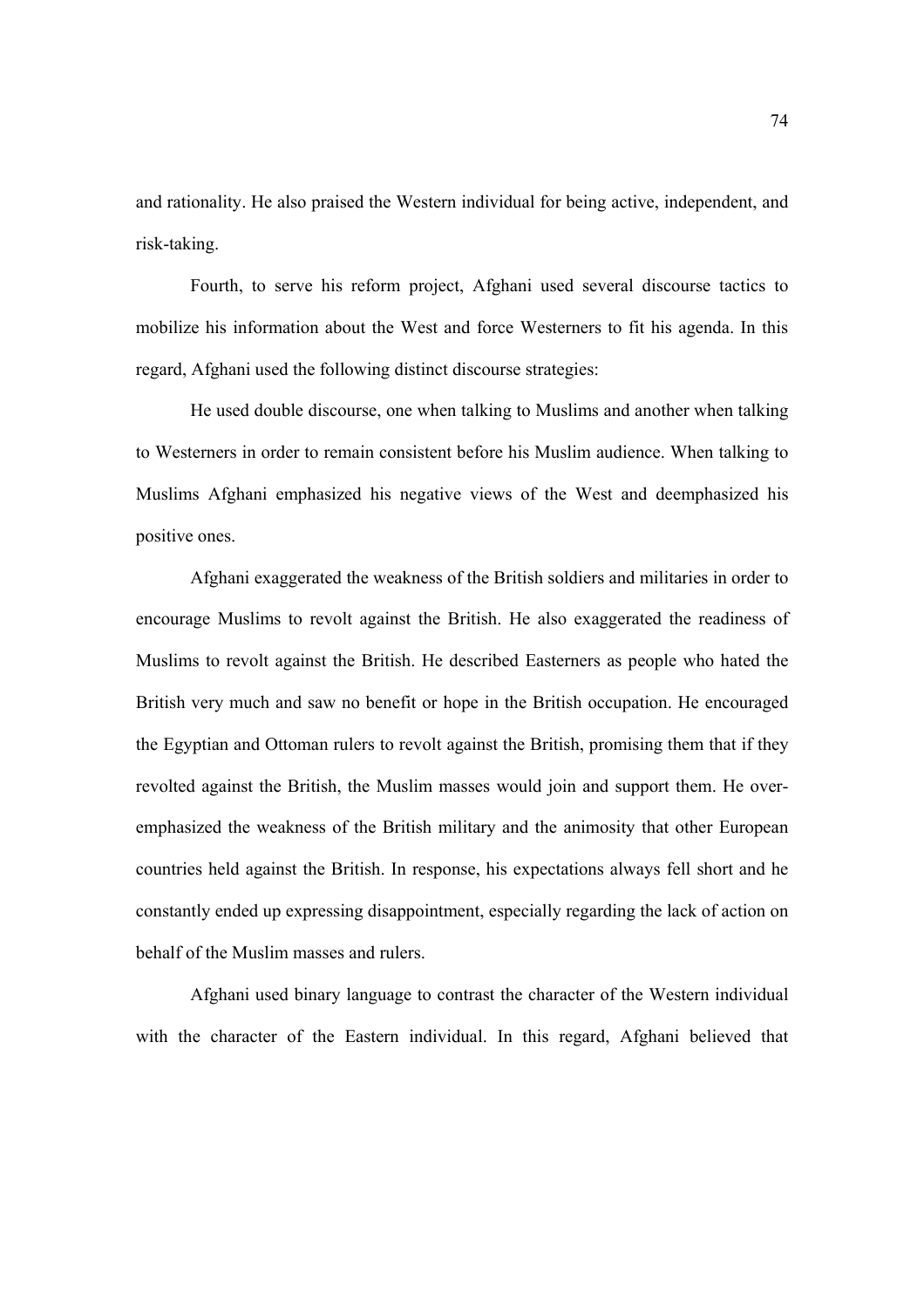and rationality. He also praised the Western individual for being active, independent, and risk-taking.

Fourth, to serve his reform project, Afghani used several discourse tactics to mobilize his information about the West and force Westerners to fit his agenda. In this regard, Afghani used the following distinct discourse strategies:

He used double discourse, one when talking to Muslims and another when talking to Westerners in order to remain consistent before his Muslim audience. When talking to Muslims Afghani emphasized his negative views of the West and deemphasized his positive ones.

Afghani exaggerated the weakness of the British soldiers and militaries in order to encourage Muslims to revolt against the British. He also exaggerated the readiness of Muslims to revolt against the British. He described Easterners as people who hated the British very much and saw no benefit or hope in the British occupation. He encouraged the Egyptian and Ottoman rulers to revolt against the British, promising them that if they revolted against the British, the Muslim masses would join and support them. He overemphasized the weakness of the British military and the animosity that other European countries held against the British. In response, his expectations always fell short and he constantly ended up expressing disappointment, especially regarding the lack of action on behalf of the Muslim masses and rulers.

Afghani used binary language to contrast the character of the Western individual with the character of the Eastern individual. In this regard, Afghani believed that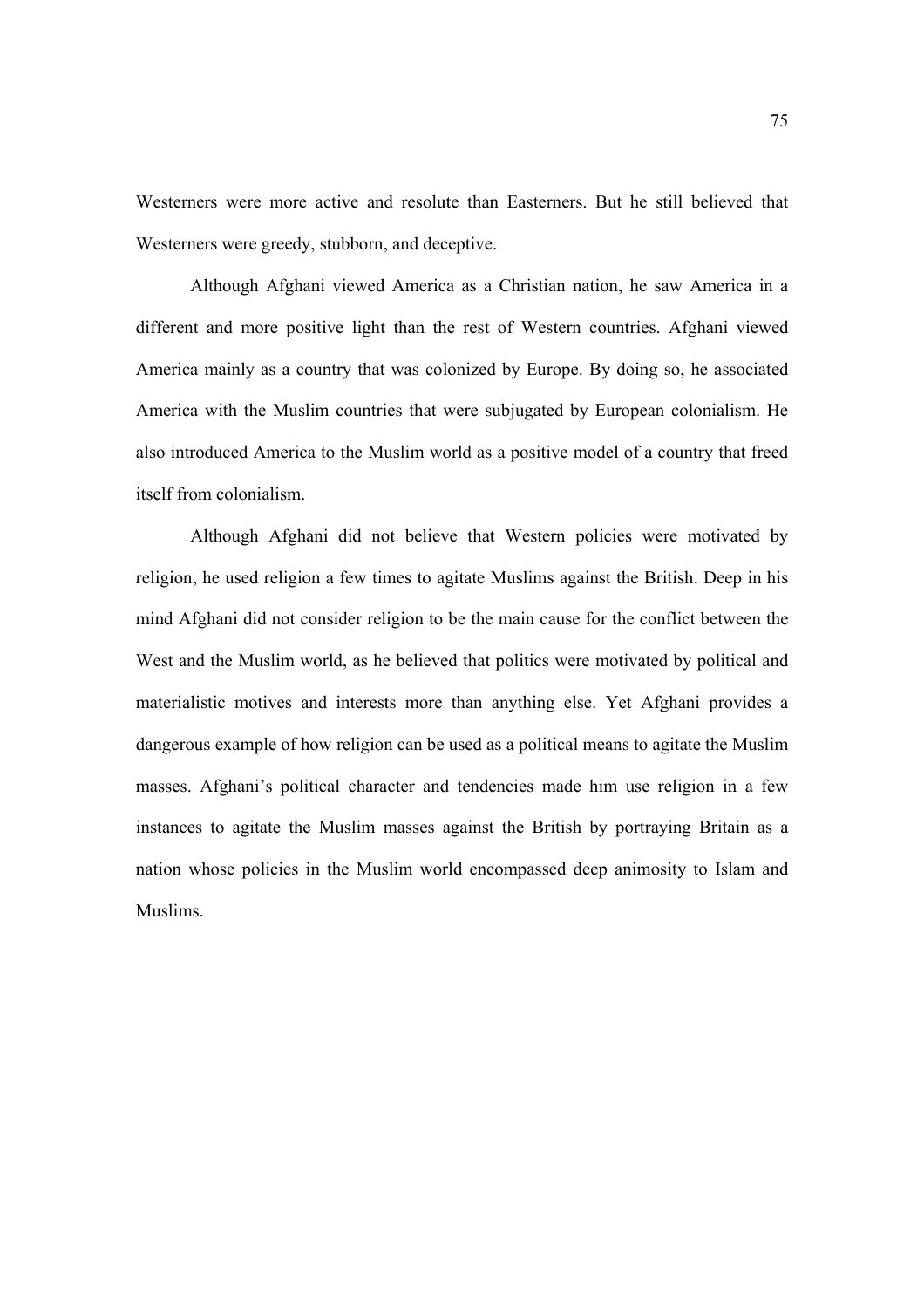Westerners were more active and resolute than Easterners. But he still believed that Westerners were greedy, stubborn, and deceptive.

Although Afghani viewed America as a Christian nation, he saw America in a different and more positive light than the rest of Western countries. Afghani viewed America mainly as a country that was colonized by Europe. By doing so, he associated America with the Muslim countries that were subjugated by European colonialism. He also introduced America to the Muslim world as a positive model of a country that freed itself from colonialism.

Although Afghani did not believe that Western policies were motivated by religion, he used religion a few times to agitate Muslims against the British. Deep in his mind Afghani did not consider religion to be the main cause for the conflict between the West and the Muslim world, as he believed that politics were motivated by political and materialistic motives and interests more than anything else. Yet Afghani provides a dangerous example of how religion can be used as a political means to agitate the Muslim masses. Afghani's political character and tendencies made him use religion in a few instances to agitate the Muslim masses against the British by portraying Britain as a nation whose policies in the Muslim world encompassed deep animosity to Islam and Muslims.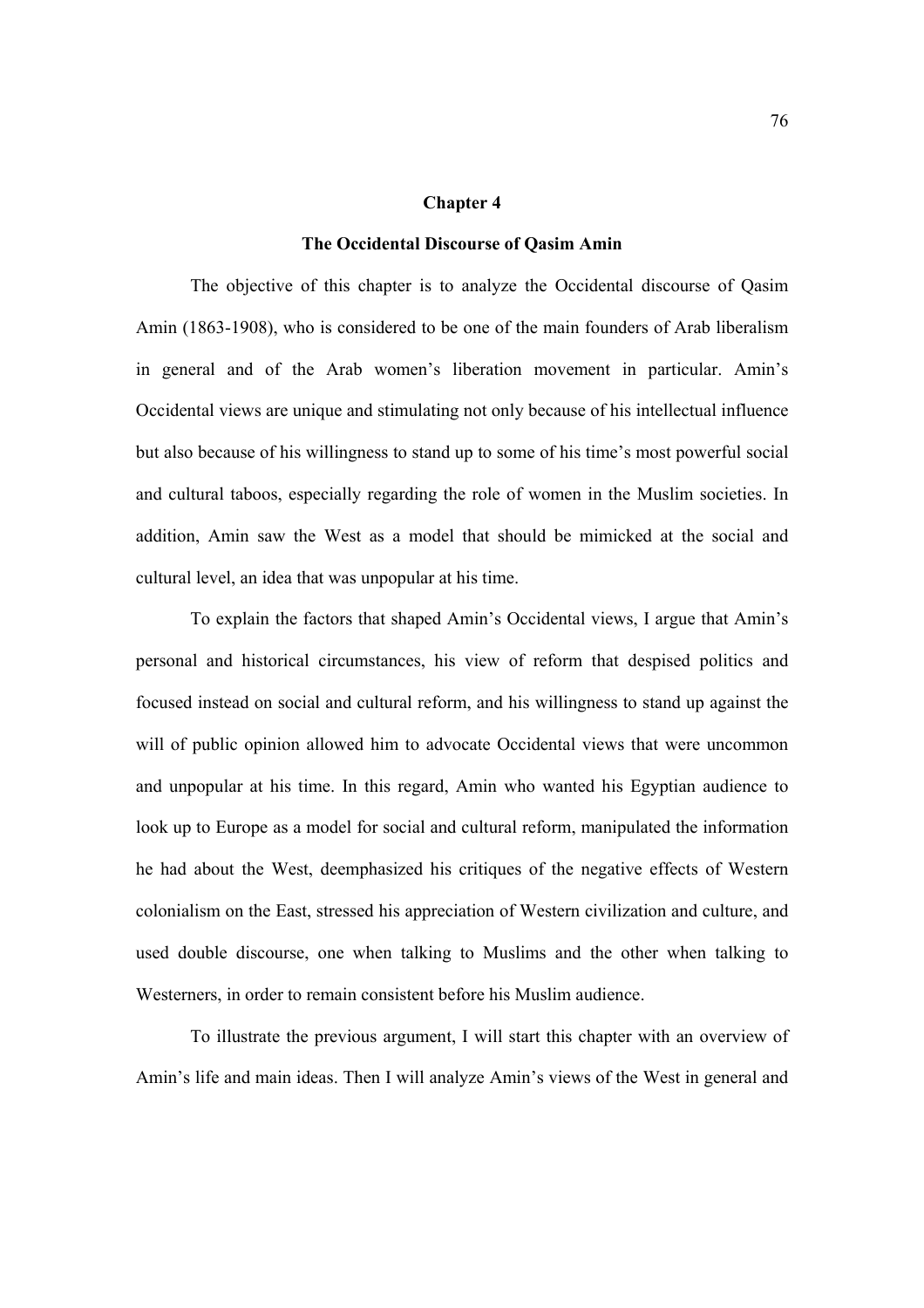#### **Chapter 4**

#### **The Occidental Discourse of Qasim Amin**

The objective of this chapter is to analyze the Occidental discourse of Qasim Amin (1863-1908), who is considered to be one of the main founders of Arab liberalism in general and of the Arab women's liberation movement in particular. Amin's Occidental views are unique and stimulating not only because of his intellectual influence but also because of his willingness to stand up to some of his time's most powerful social and cultural taboos, especially regarding the role of women in the Muslim societies. In addition, Amin saw the West as a model that should be mimicked at the social and cultural level, an idea that was unpopular at his time.

To explain the factors that shaped Amin's Occidental views, I argue that Amin's personal and historical circumstances, his view of reform that despised politics and focused instead on social and cultural reform, and his willingness to stand up against the will of public opinion allowed him to advocate Occidental views that were uncommon and unpopular at his time. In this regard, Amin who wanted his Egyptian audience to look up to Europe as a model for social and cultural reform, manipulated the information he had about the West, deemphasized his critiques of the negative effects of Western colonialism on the East, stressed his appreciation of Western civilization and culture, and used double discourse, one when talking to Muslims and the other when talking to Westerners, in order to remain consistent before his Muslim audience.

To illustrate the previous argument, I will start this chapter with an overview of Amin's life and main ideas. Then I will analyze Amin's views of the West in general and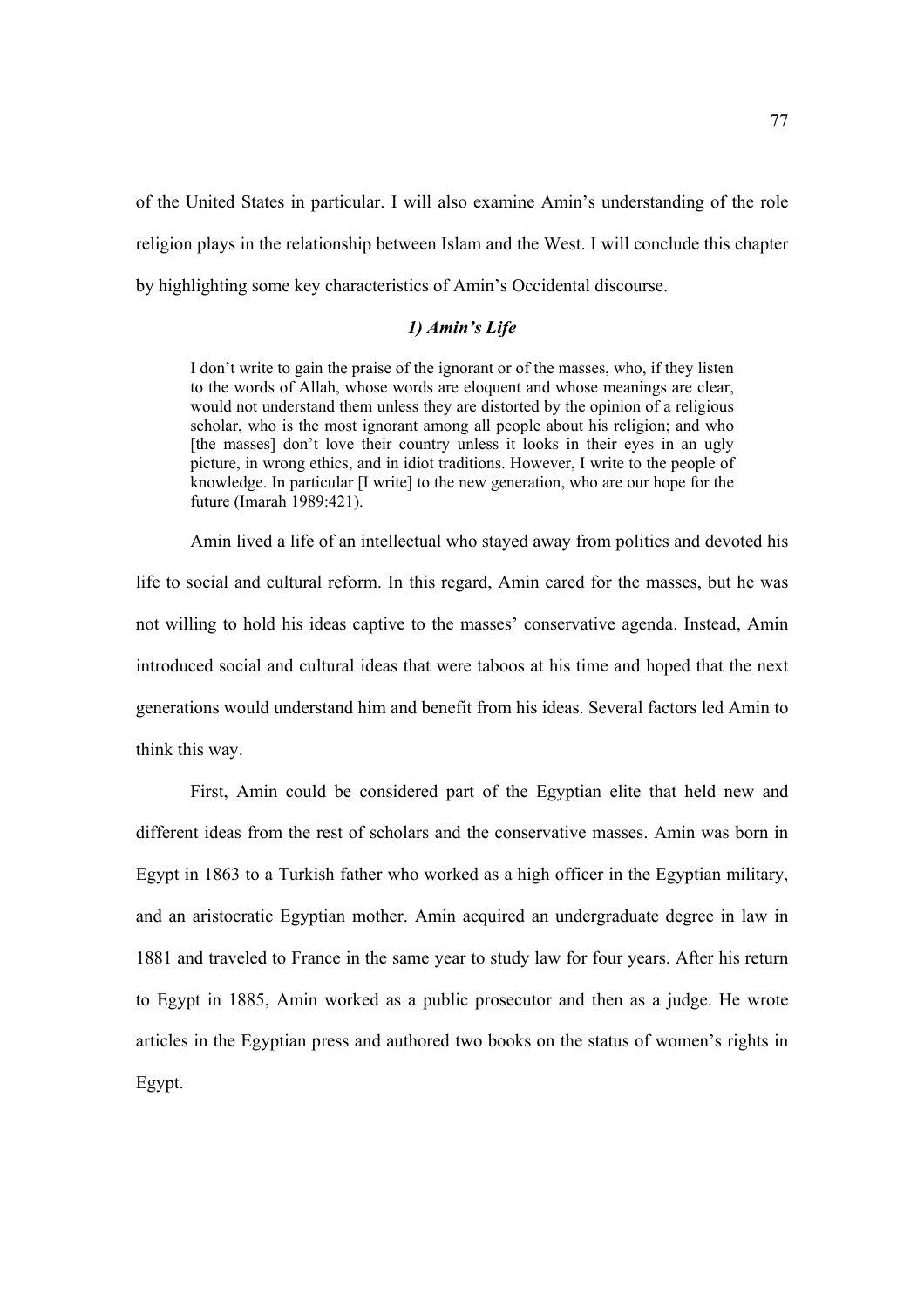of the United States in particular. I will also examine Amin's understanding of the role religion plays in the relationship between Islam and the West. I will conclude this chapter by highlighting some key characteristics of Amin's Occidental discourse.

# *1) Amin's Life*

I don't write to gain the praise of the ignorant or of the masses, who, if they listen to the words of Allah, whose words are eloquent and whose meanings are clear, would not understand them unless they are distorted by the opinion of a religious scholar, who is the most ignorant among all people about his religion; and who [the masses] don't love their country unless it looks in their eyes in an ugly picture, in wrong ethics, and in idiot traditions. However, I write to the people of knowledge. In particular [I write] to the new generation, who are our hope for the future (Imarah 1989:421).

 Amin lived a life of an intellectual who stayed away from politics and devoted his life to social and cultural reform. In this regard, Amin cared for the masses, but he was not willing to hold his ideas captive to the masses' conservative agenda. Instead, Amin introduced social and cultural ideas that were taboos at his time and hoped that the next generations would understand him and benefit from his ideas. Several factors led Amin to think this way.

First, Amin could be considered part of the Egyptian elite that held new and different ideas from the rest of scholars and the conservative masses. Amin was born in Egypt in 1863 to a Turkish father who worked as a high officer in the Egyptian military, and an aristocratic Egyptian mother. Amin acquired an undergraduate degree in law in 1881 and traveled to France in the same year to study law for four years. After his return to Egypt in 1885, Amin worked as a public prosecutor and then as a judge. He wrote articles in the Egyptian press and authored two books on the status of women's rights in Egypt.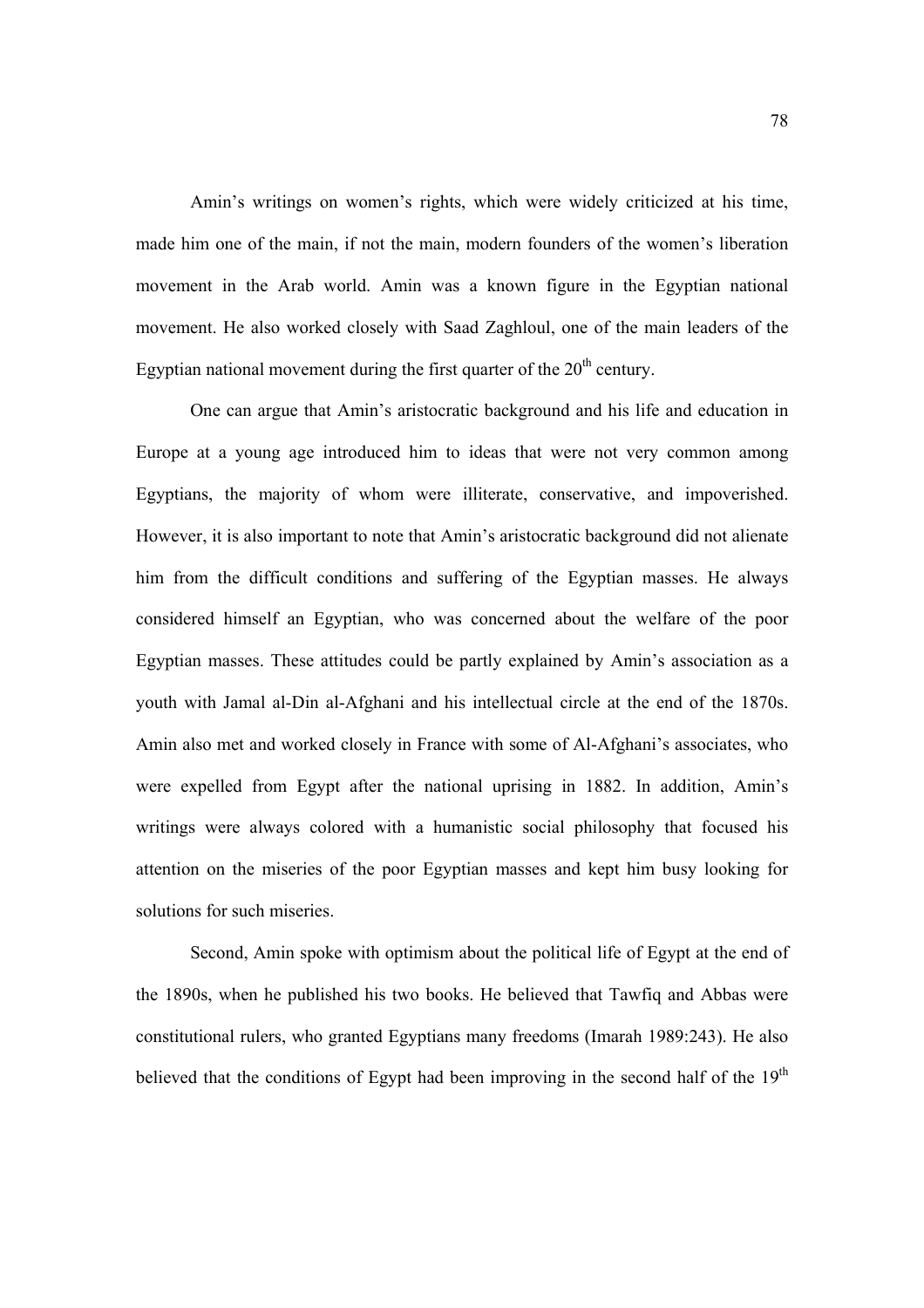Amin's writings on women's rights, which were widely criticized at his time, made him one of the main, if not the main, modern founders of the women's liberation movement in the Arab world. Amin was a known figure in the Egyptian national movement. He also worked closely with Saad Zaghloul, one of the main leaders of the Egyptian national movement during the first quarter of the  $20<sup>th</sup>$  century.

One can argue that Amin's aristocratic background and his life and education in Europe at a young age introduced him to ideas that were not very common among Egyptians, the majority of whom were illiterate, conservative, and impoverished. However, it is also important to note that Amin's aristocratic background did not alienate him from the difficult conditions and suffering of the Egyptian masses. He always considered himself an Egyptian, who was concerned about the welfare of the poor Egyptian masses. These attitudes could be partly explained by Amin's association as a youth with Jamal al-Din al-Afghani and his intellectual circle at the end of the 1870s. Amin also met and worked closely in France with some of Al-Afghani's associates, who were expelled from Egypt after the national uprising in 1882. In addition, Amin's writings were always colored with a humanistic social philosophy that focused his attention on the miseries of the poor Egyptian masses and kept him busy looking for solutions for such miseries.

Second, Amin spoke with optimism about the political life of Egypt at the end of the 1890s, when he published his two books. He believed that Tawfiq and Abbas were constitutional rulers, who granted Egyptians many freedoms (Imarah 1989:243). He also believed that the conditions of Egypt had been improving in the second half of the  $19<sup>th</sup>$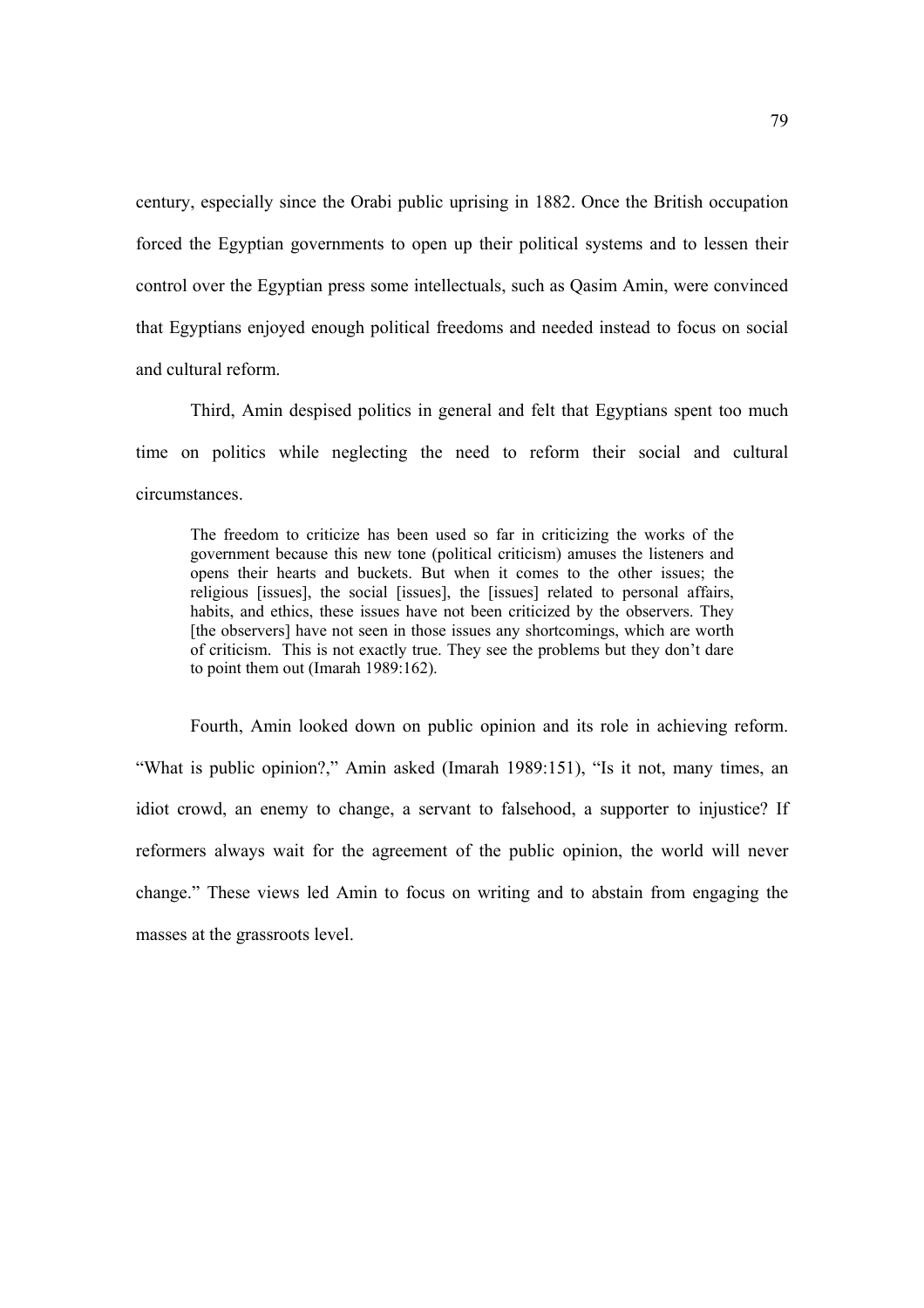century, especially since the Orabi public uprising in 1882. Once the British occupation forced the Egyptian governments to open up their political systems and to lessen their control over the Egyptian press some intellectuals, such as Qasim Amin, were convinced that Egyptians enjoyed enough political freedoms and needed instead to focus on social and cultural reform.

Third, Amin despised politics in general and felt that Egyptians spent too much time on politics while neglecting the need to reform their social and cultural circumstances.

The freedom to criticize has been used so far in criticizing the works of the government because this new tone (political criticism) amuses the listeners and opens their hearts and buckets. But when it comes to the other issues; the religious [issues], the social [issues], the [issues] related to personal affairs, habits, and ethics, these issues have not been criticized by the observers. They [the observers] have not seen in those issues any shortcomings, which are worth of criticism. This is not exactly true. They see the problems but they don't dare to point them out (Imarah 1989:162).

Fourth, Amin looked down on public opinion and its role in achieving reform. "What is public opinion?," Amin asked (Imarah 1989:151), "Is it not, many times, an idiot crowd, an enemy to change, a servant to falsehood, a supporter to injustice? If reformers always wait for the agreement of the public opinion, the world will never change." These views led Amin to focus on writing and to abstain from engaging the masses at the grassroots level.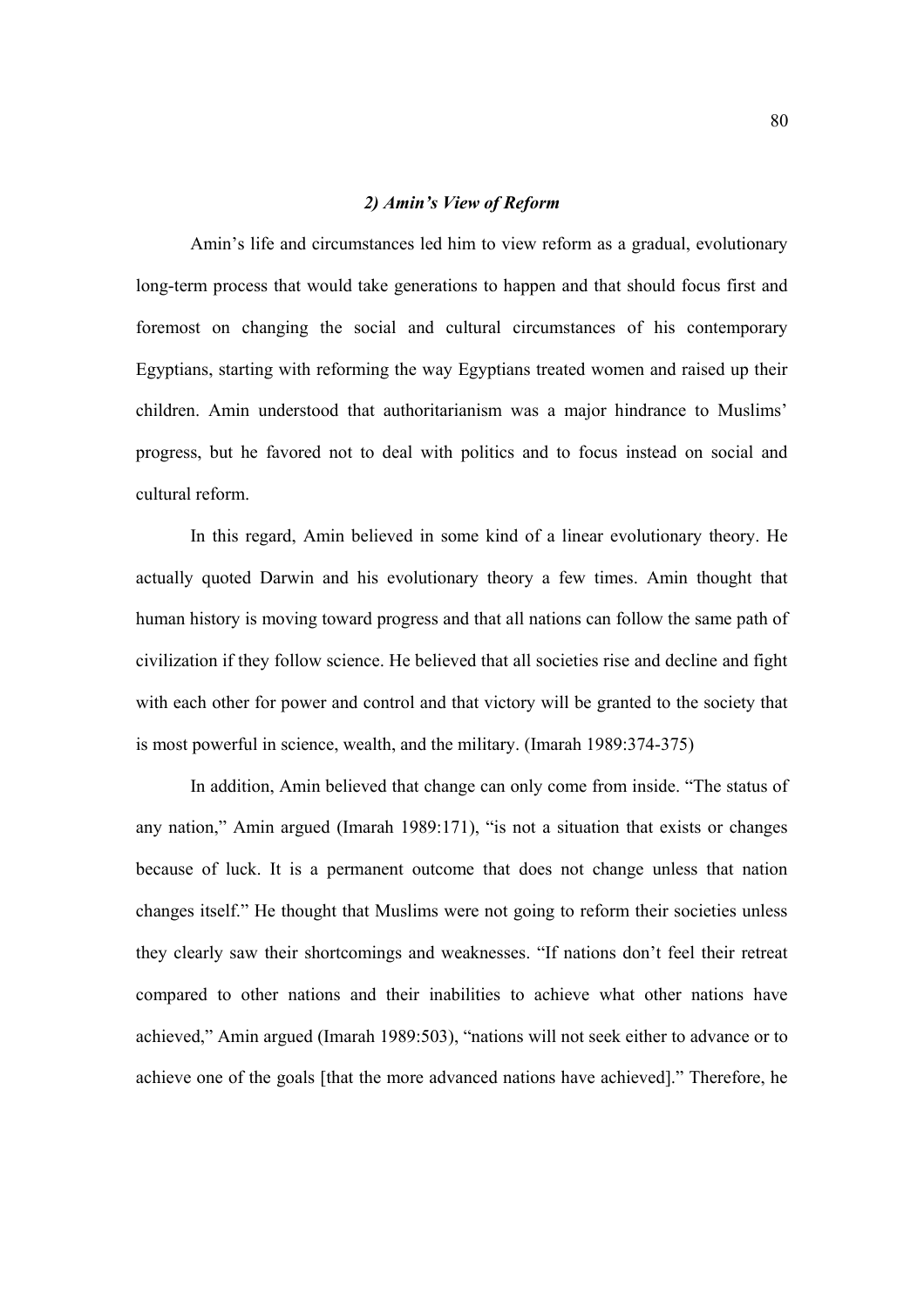### *2) Amin's View of Reform*

Amin's life and circumstances led him to view reform as a gradual, evolutionary long-term process that would take generations to happen and that should focus first and foremost on changing the social and cultural circumstances of his contemporary Egyptians, starting with reforming the way Egyptians treated women and raised up their children. Amin understood that authoritarianism was a major hindrance to Muslims' progress, but he favored not to deal with politics and to focus instead on social and cultural reform.

In this regard, Amin believed in some kind of a linear evolutionary theory. He actually quoted Darwin and his evolutionary theory a few times. Amin thought that human history is moving toward progress and that all nations can follow the same path of civilization if they follow science. He believed that all societies rise and decline and fight with each other for power and control and that victory will be granted to the society that is most powerful in science, wealth, and the military. (Imarah 1989:374-375)

In addition, Amin believed that change can only come from inside. "The status of any nation," Amin argued (Imarah 1989:171), "is not a situation that exists or changes because of luck. It is a permanent outcome that does not change unless that nation changes itself." He thought that Muslims were not going to reform their societies unless they clearly saw their shortcomings and weaknesses. "If nations don't feel their retreat compared to other nations and their inabilities to achieve what other nations have achieved," Amin argued (Imarah 1989:503), "nations will not seek either to advance or to achieve one of the goals [that the more advanced nations have achieved]." Therefore, he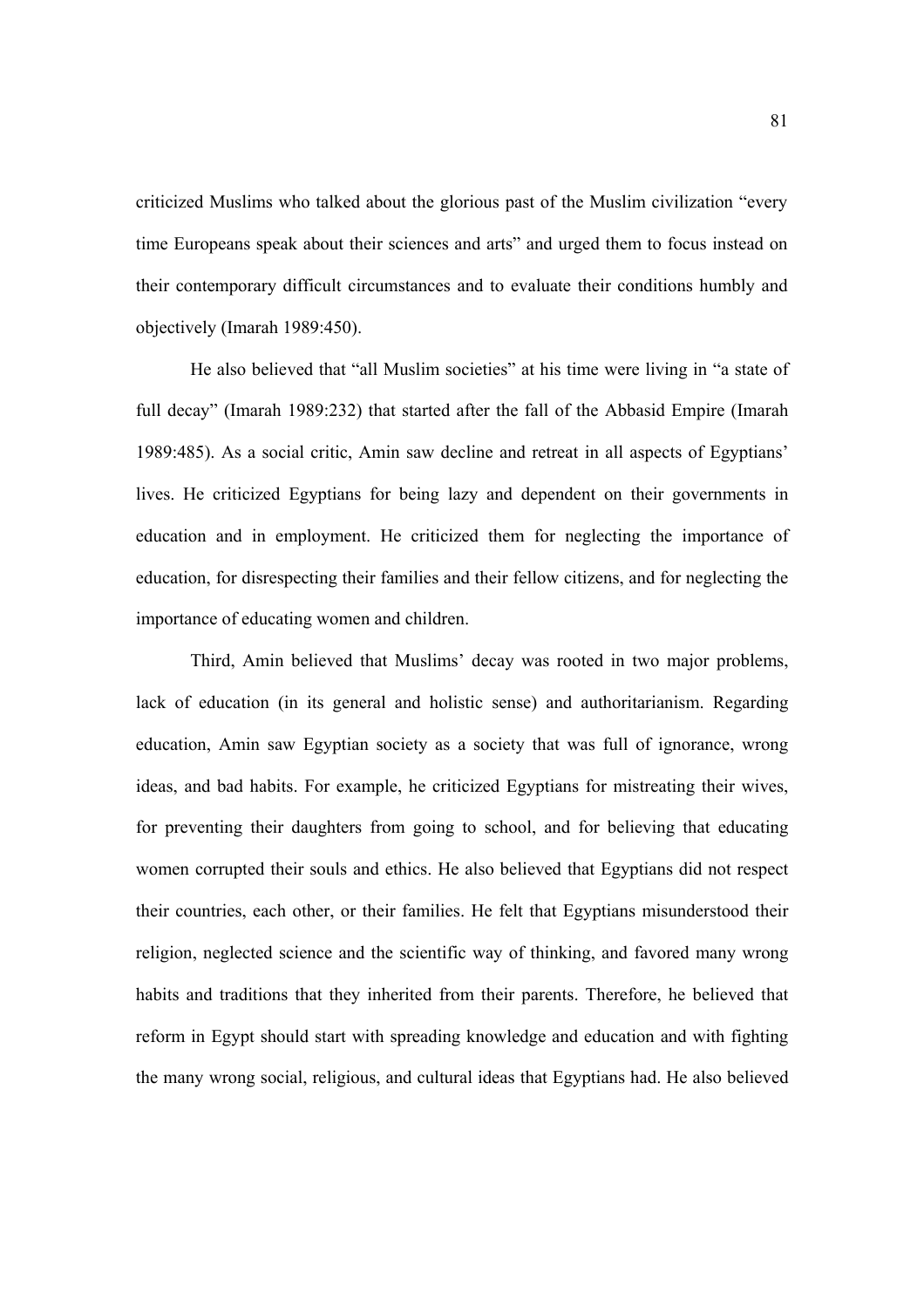criticized Muslims who talked about the glorious past of the Muslim civilization "every time Europeans speak about their sciences and arts" and urged them to focus instead on their contemporary difficult circumstances and to evaluate their conditions humbly and objectively (Imarah 1989:450).

He also believed that "all Muslim societies" at his time were living in "a state of full decay" (Imarah 1989:232) that started after the fall of the Abbasid Empire (Imarah 1989:485). As a social critic, Amin saw decline and retreat in all aspects of Egyptians' lives. He criticized Egyptians for being lazy and dependent on their governments in education and in employment. He criticized them for neglecting the importance of education, for disrespecting their families and their fellow citizens, and for neglecting the importance of educating women and children.

Third, Amin believed that Muslims' decay was rooted in two major problems, lack of education (in its general and holistic sense) and authoritarianism. Regarding education, Amin saw Egyptian society as a society that was full of ignorance, wrong ideas, and bad habits. For example, he criticized Egyptians for mistreating their wives, for preventing their daughters from going to school, and for believing that educating women corrupted their souls and ethics. He also believed that Egyptians did not respect their countries, each other, or their families. He felt that Egyptians misunderstood their religion, neglected science and the scientific way of thinking, and favored many wrong habits and traditions that they inherited from their parents. Therefore, he believed that reform in Egypt should start with spreading knowledge and education and with fighting the many wrong social, religious, and cultural ideas that Egyptians had. He also believed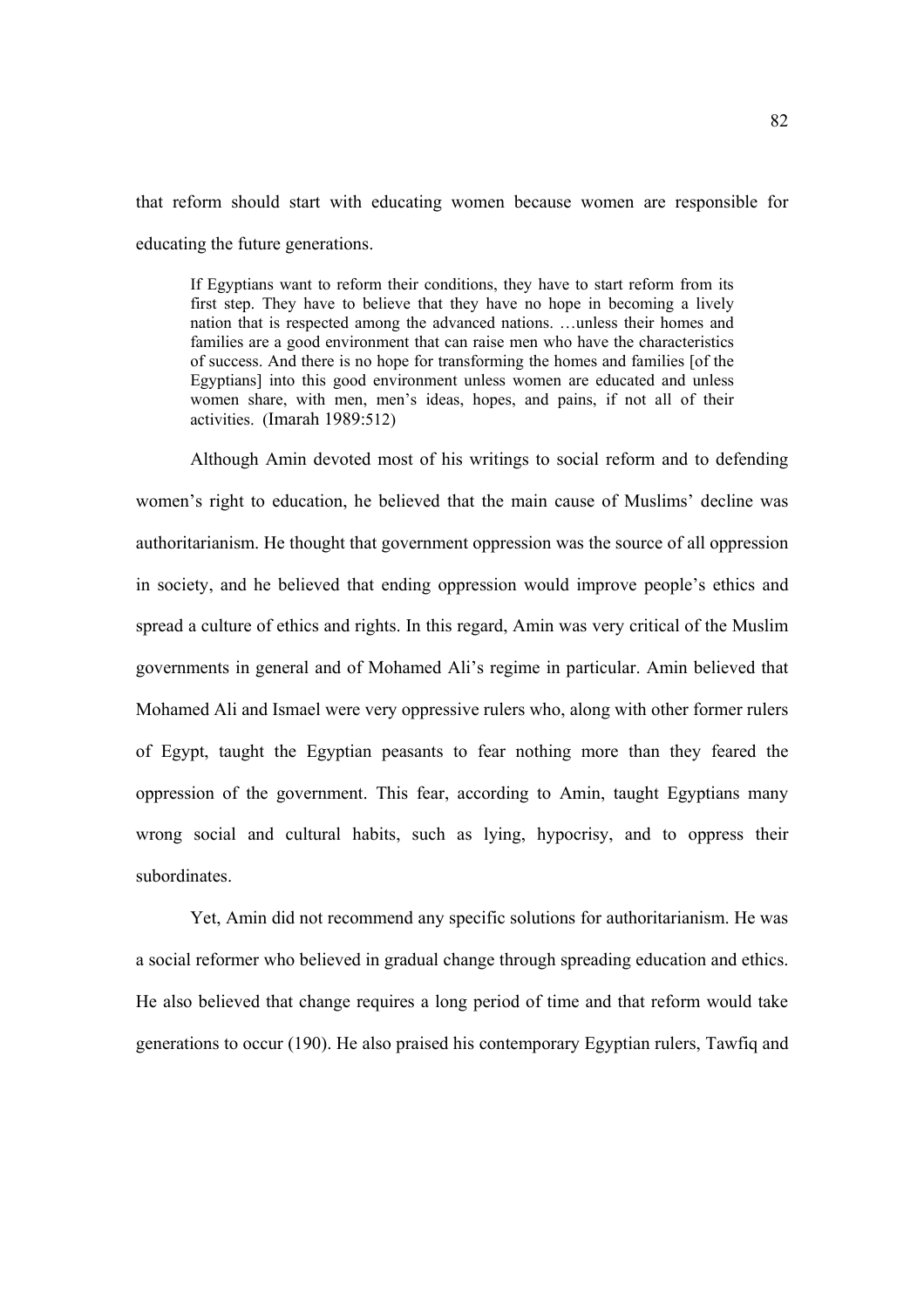that reform should start with educating women because women are responsible for educating the future generations.

If Egyptians want to reform their conditions, they have to start reform from its first step. They have to believe that they have no hope in becoming a lively nation that is respected among the advanced nations. …unless their homes and families are a good environment that can raise men who have the characteristics of success. And there is no hope for transforming the homes and families [of the Egyptians] into this good environment unless women are educated and unless women share, with men, men's ideas, hopes, and pains, if not all of their activities. (Imarah 1989:512)

Although Amin devoted most of his writings to social reform and to defending women's right to education, he believed that the main cause of Muslims' decline was authoritarianism. He thought that government oppression was the source of all oppression in society, and he believed that ending oppression would improve people's ethics and spread a culture of ethics and rights. In this regard, Amin was very critical of the Muslim governments in general and of Mohamed Ali's regime in particular. Amin believed that Mohamed Ali and Ismael were very oppressive rulers who, along with other former rulers of Egypt, taught the Egyptian peasants to fear nothing more than they feared the oppression of the government. This fear, according to Amin, taught Egyptians many wrong social and cultural habits, such as lying, hypocrisy, and to oppress their subordinates.

Yet, Amin did not recommend any specific solutions for authoritarianism. He was a social reformer who believed in gradual change through spreading education and ethics. He also believed that change requires a long period of time and that reform would take generations to occur (190). He also praised his contemporary Egyptian rulers, Tawfiq and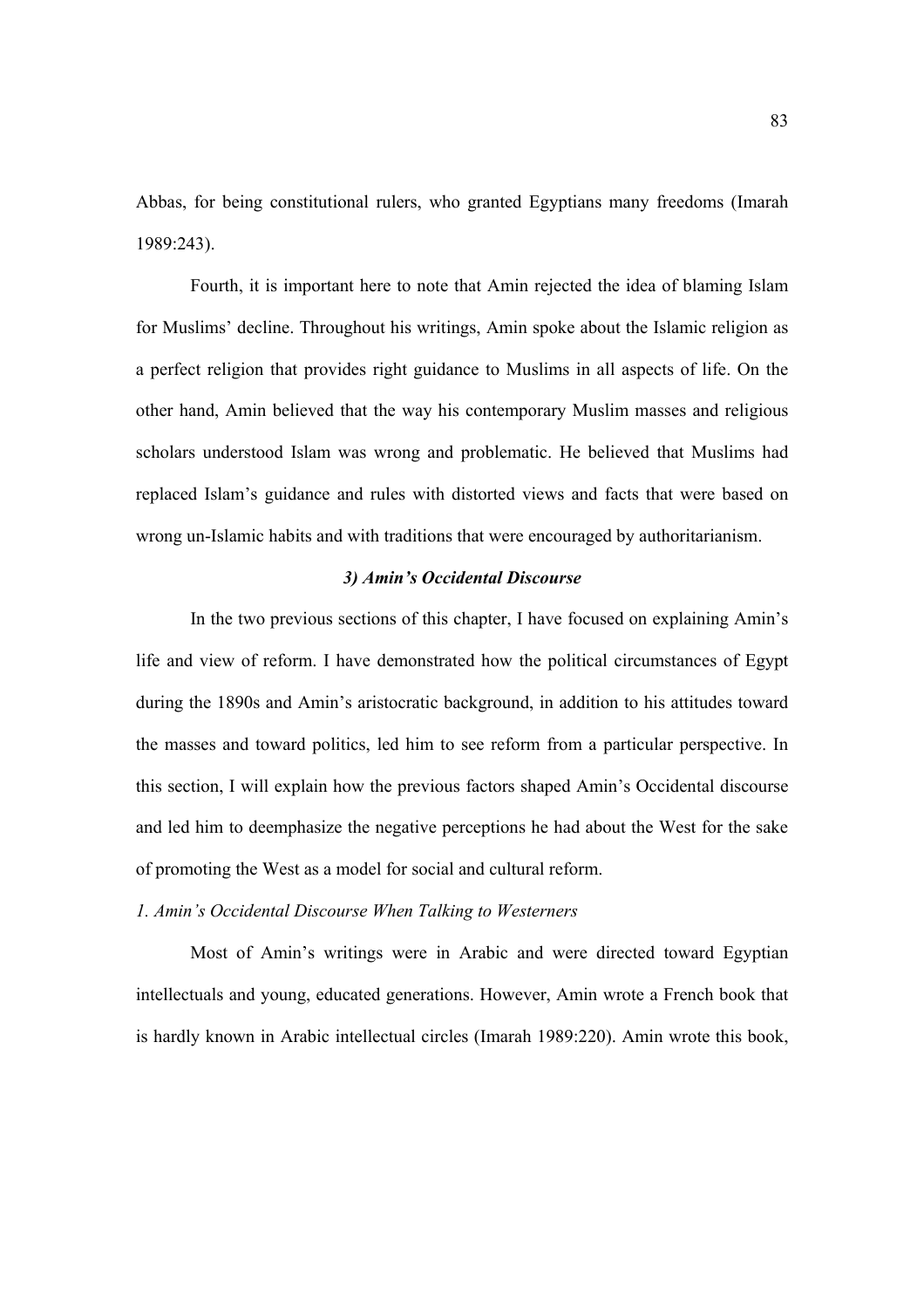Abbas, for being constitutional rulers, who granted Egyptians many freedoms (Imarah 1989:243).

Fourth, it is important here to note that Amin rejected the idea of blaming Islam for Muslims' decline. Throughout his writings, Amin spoke about the Islamic religion as a perfect religion that provides right guidance to Muslims in all aspects of life. On the other hand, Amin believed that the way his contemporary Muslim masses and religious scholars understood Islam was wrong and problematic. He believed that Muslims had replaced Islam's guidance and rules with distorted views and facts that were based on wrong un-Islamic habits and with traditions that were encouraged by authoritarianism.

# *3) Amin's Occidental Discourse*

 In the two previous sections of this chapter, I have focused on explaining Amin's life and view of reform. I have demonstrated how the political circumstances of Egypt during the 1890s and Amin's aristocratic background, in addition to his attitudes toward the masses and toward politics, led him to see reform from a particular perspective. In this section, I will explain how the previous factors shaped Amin's Occidental discourse and led him to deemphasize the negative perceptions he had about the West for the sake of promoting the West as a model for social and cultural reform.

*1. Amin's Occidental Discourse When Talking to Westerners* 

Most of Amin's writings were in Arabic and were directed toward Egyptian intellectuals and young, educated generations. However, Amin wrote a French book that is hardly known in Arabic intellectual circles (Imarah 1989:220). Amin wrote this book,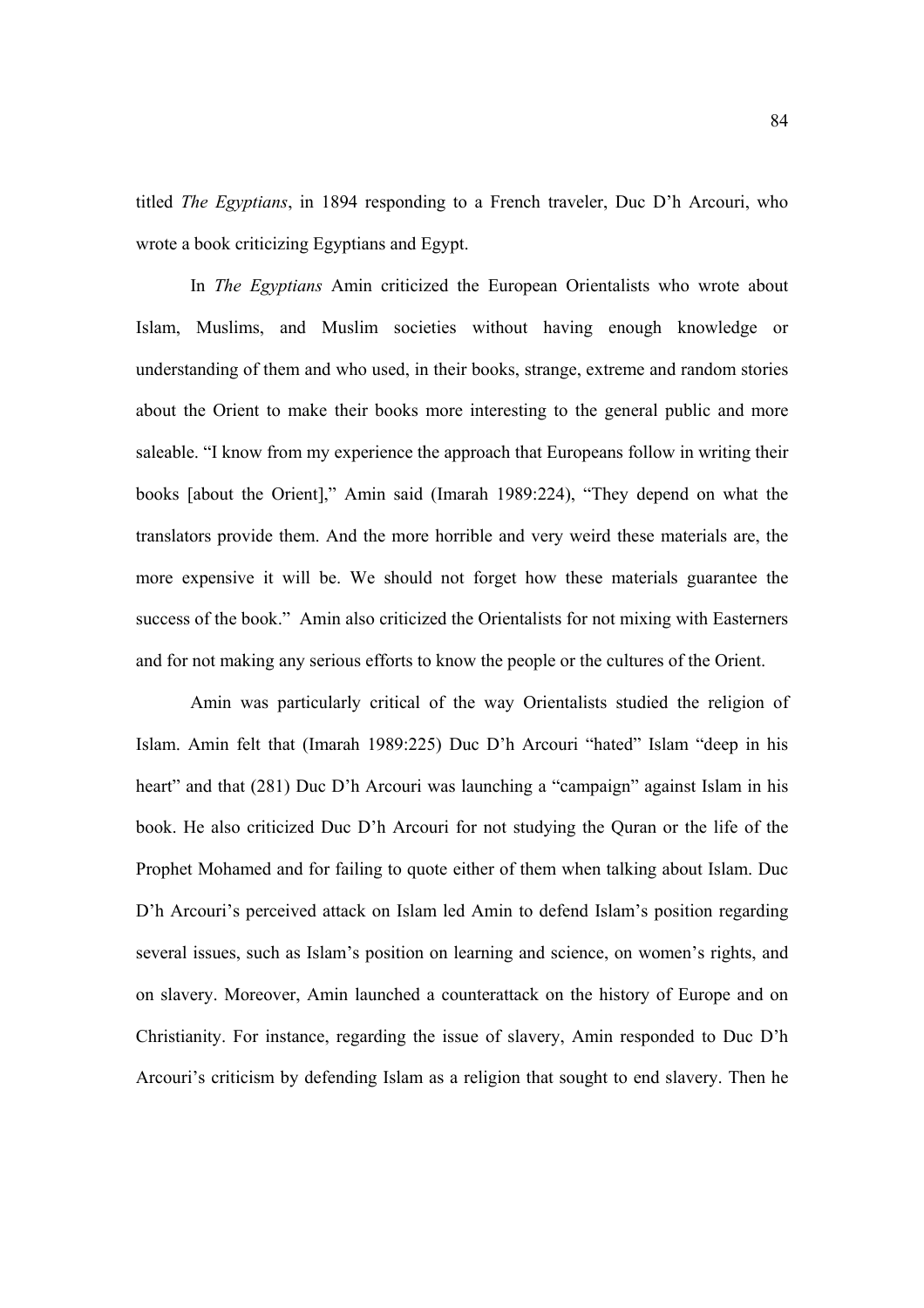titled *The Egyptians*, in 1894 responding to a French traveler, Duc D'h Arcouri, who wrote a book criticizing Egyptians and Egypt.

 In *The Egyptians* Amin criticized the European Orientalists who wrote about Islam, Muslims, and Muslim societies without having enough knowledge or understanding of them and who used, in their books, strange, extreme and random stories about the Orient to make their books more interesting to the general public and more saleable. "I know from my experience the approach that Europeans follow in writing their books [about the Orient]," Amin said (Imarah 1989:224), "They depend on what the translators provide them. And the more horrible and very weird these materials are, the more expensive it will be. We should not forget how these materials guarantee the success of the book." Amin also criticized the Orientalists for not mixing with Easterners and for not making any serious efforts to know the people or the cultures of the Orient.

 Amin was particularly critical of the way Orientalists studied the religion of Islam. Amin felt that (Imarah 1989:225) Duc D'h Arcouri "hated" Islam "deep in his heart" and that (281) Duc D'h Arcouri was launching a "campaign" against Islam in his book. He also criticized Duc D'h Arcouri for not studying the Quran or the life of the Prophet Mohamed and for failing to quote either of them when talking about Islam. Duc D'h Arcouri's perceived attack on Islam led Amin to defend Islam's position regarding several issues, such as Islam's position on learning and science, on women's rights, and on slavery. Moreover, Amin launched a counterattack on the history of Europe and on Christianity. For instance, regarding the issue of slavery, Amin responded to Duc D'h Arcouri's criticism by defending Islam as a religion that sought to end slavery. Then he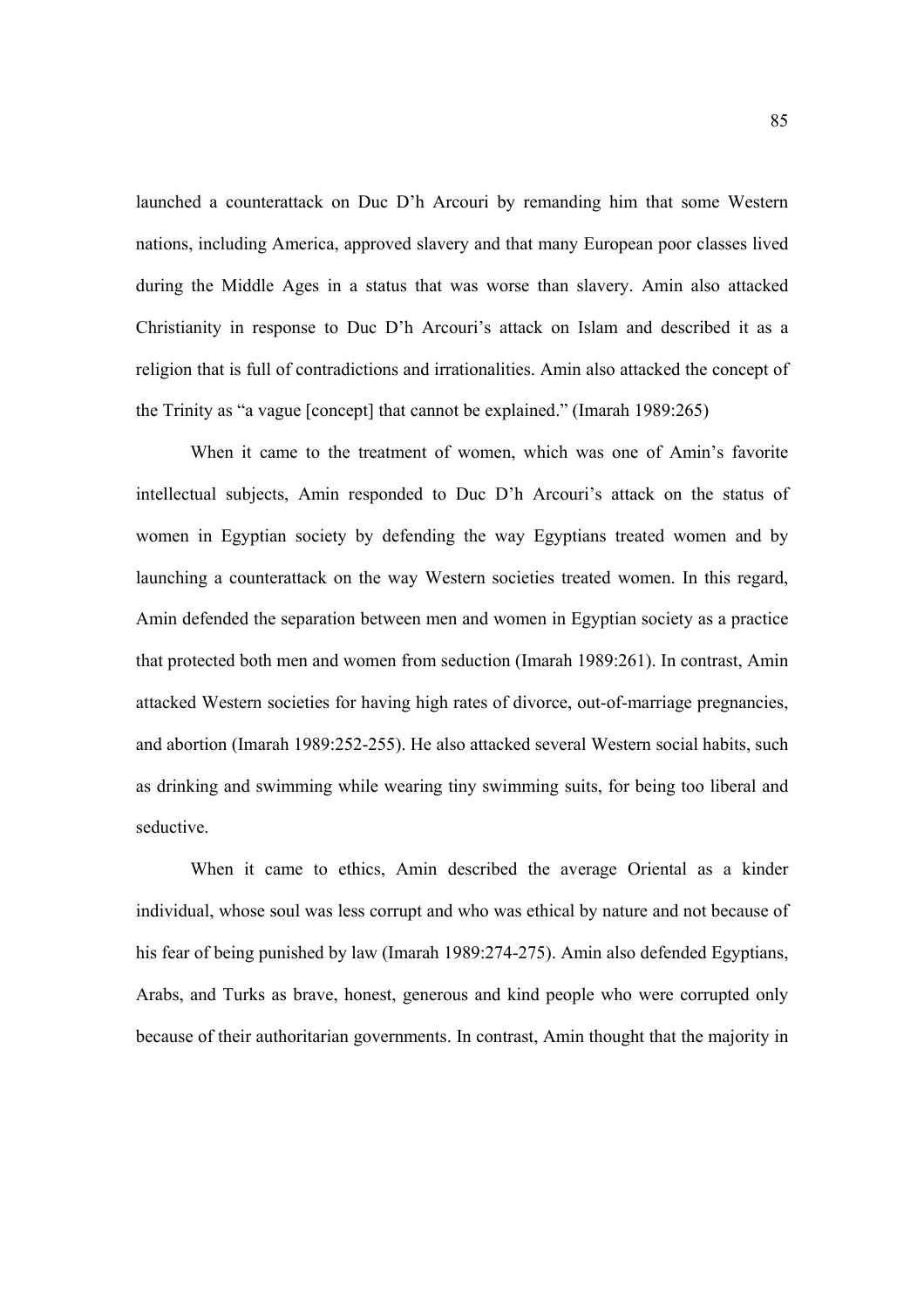launched a counterattack on Duc D'h Arcouri by remanding him that some Western nations, including America, approved slavery and that many European poor classes lived during the Middle Ages in a status that was worse than slavery. Amin also attacked Christianity in response to Duc D'h Arcouri's attack on Islam and described it as a religion that is full of contradictions and irrationalities. Amin also attacked the concept of the Trinity as "a vague [concept] that cannot be explained." (Imarah 1989:265)

 When it came to the treatment of women, which was one of Amin's favorite intellectual subjects, Amin responded to Duc D'h Arcouri's attack on the status of women in Egyptian society by defending the way Egyptians treated women and by launching a counterattack on the way Western societies treated women. In this regard, Amin defended the separation between men and women in Egyptian society as a practice that protected both men and women from seduction (Imarah 1989:261). In contrast, Amin attacked Western societies for having high rates of divorce, out-of-marriage pregnancies, and abortion (Imarah 1989:252-255). He also attacked several Western social habits, such as drinking and swimming while wearing tiny swimming suits, for being too liberal and seductive.

 When it came to ethics, Amin described the average Oriental as a kinder individual, whose soul was less corrupt and who was ethical by nature and not because of his fear of being punished by law (Imarah 1989:274-275). Amin also defended Egyptians, Arabs, and Turks as brave, honest, generous and kind people who were corrupted only because of their authoritarian governments. In contrast, Amin thought that the majority in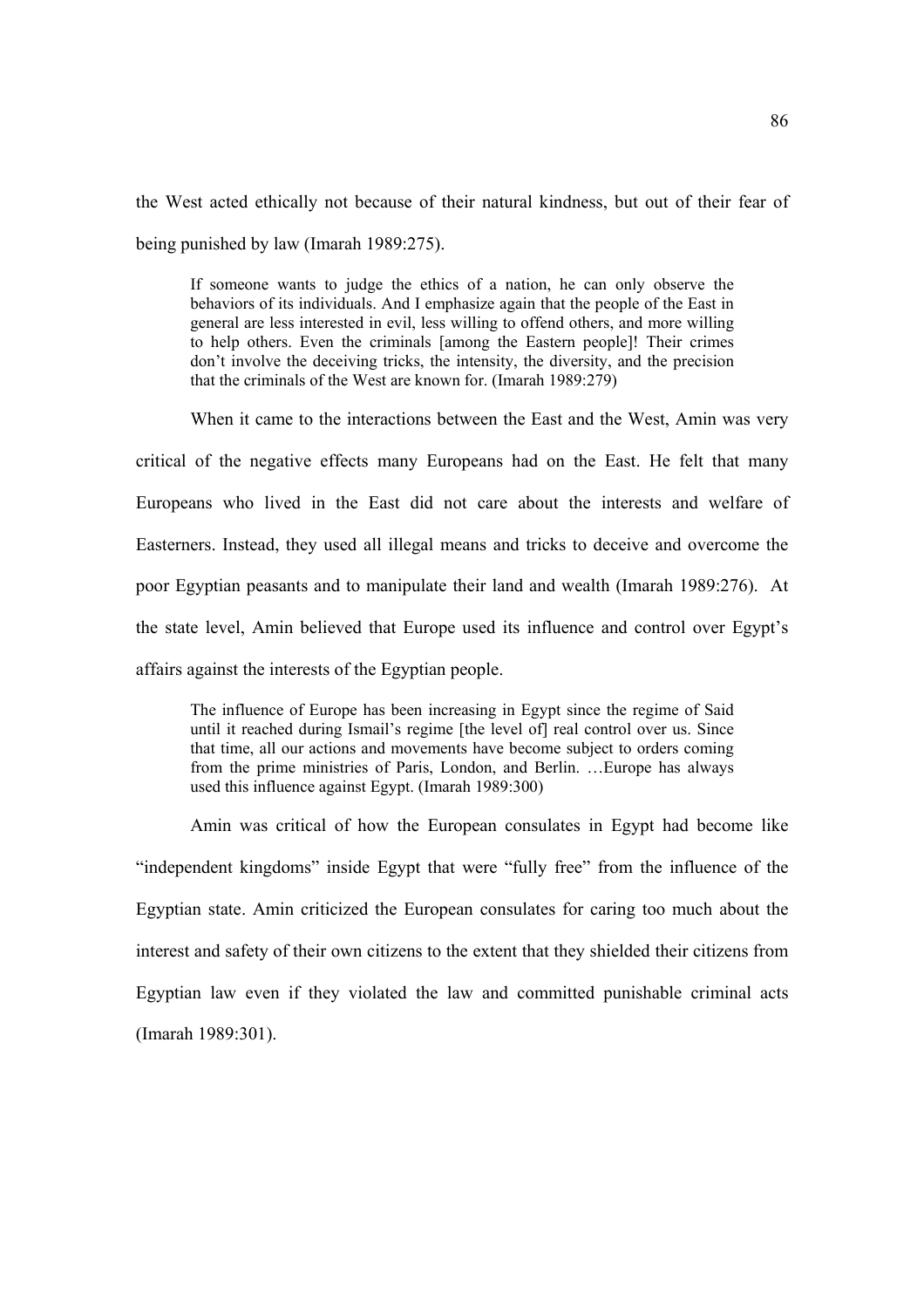the West acted ethically not because of their natural kindness, but out of their fear of being punished by law (Imarah 1989:275).

If someone wants to judge the ethics of a nation, he can only observe the behaviors of its individuals. And I emphasize again that the people of the East in general are less interested in evil, less willing to offend others, and more willing to help others. Even the criminals [among the Eastern people]! Their crimes don't involve the deceiving tricks, the intensity, the diversity, and the precision that the criminals of the West are known for. (Imarah 1989:279)

 When it came to the interactions between the East and the West, Amin was very critical of the negative effects many Europeans had on the East. He felt that many Europeans who lived in the East did not care about the interests and welfare of Easterners. Instead, they used all illegal means and tricks to deceive and overcome the poor Egyptian peasants and to manipulate their land and wealth (Imarah 1989:276). At the state level, Amin believed that Europe used its influence and control over Egypt's affairs against the interests of the Egyptian people.

The influence of Europe has been increasing in Egypt since the regime of Said until it reached during Ismail's regime [the level of] real control over us. Since that time, all our actions and movements have become subject to orders coming from the prime ministries of Paris, London, and Berlin. …Europe has always used this influence against Egypt. (Imarah 1989:300)

 Amin was critical of how the European consulates in Egypt had become like "independent kingdoms" inside Egypt that were "fully free" from the influence of the Egyptian state. Amin criticized the European consulates for caring too much about the interest and safety of their own citizens to the extent that they shielded their citizens from Egyptian law even if they violated the law and committed punishable criminal acts (Imarah 1989:301).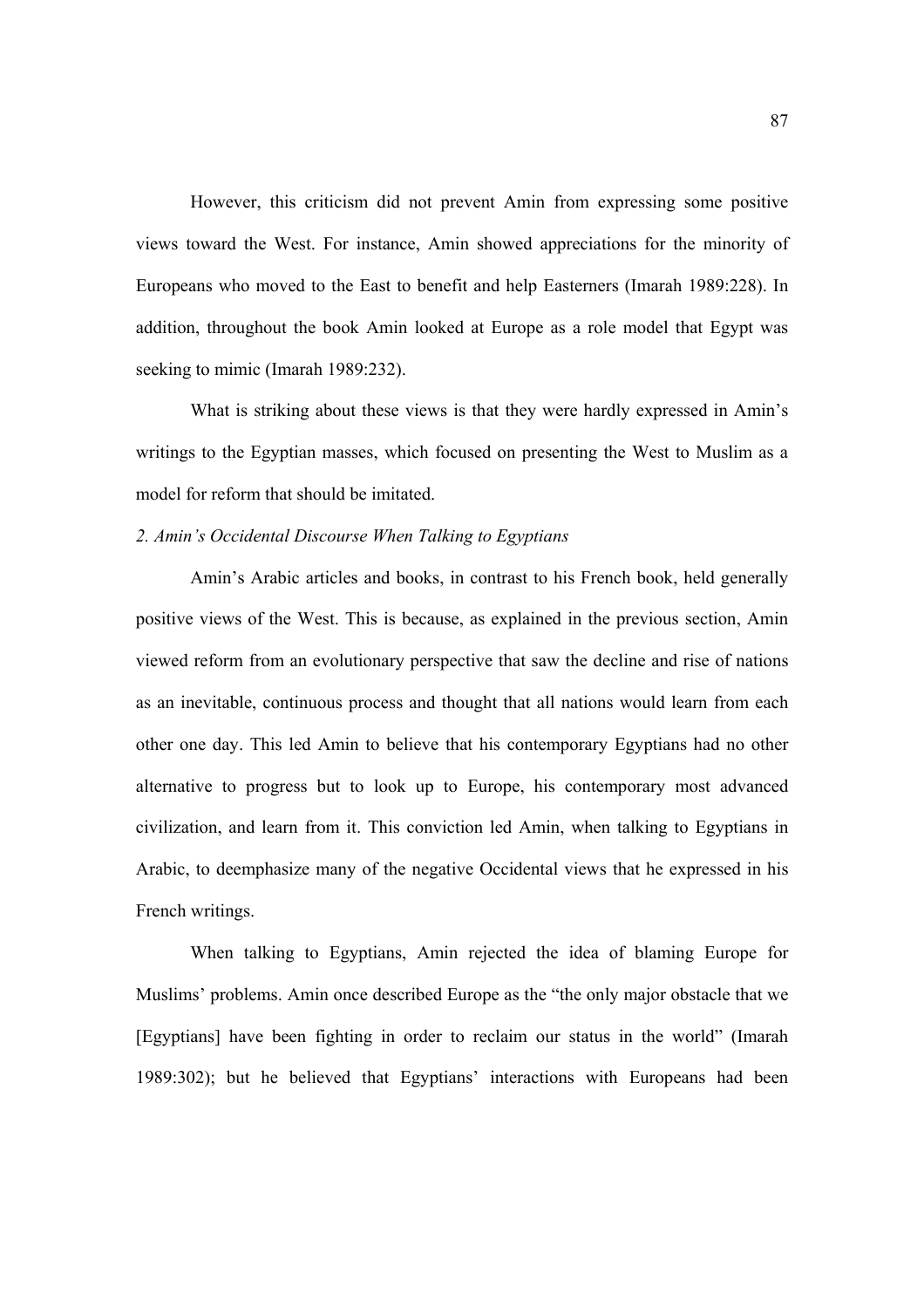However, this criticism did not prevent Amin from expressing some positive views toward the West. For instance, Amin showed appreciations for the minority of Europeans who moved to the East to benefit and help Easterners (Imarah 1989:228). In addition, throughout the book Amin looked at Europe as a role model that Egypt was seeking to mimic (Imarah 1989:232).

 What is striking about these views is that they were hardly expressed in Amin's writings to the Egyptian masses, which focused on presenting the West to Muslim as a model for reform that should be imitated.

# *2. Amin's Occidental Discourse When Talking to Egyptians*

 Amin's Arabic articles and books, in contrast to his French book, held generally positive views of the West. This is because, as explained in the previous section, Amin viewed reform from an evolutionary perspective that saw the decline and rise of nations as an inevitable, continuous process and thought that all nations would learn from each other one day. This led Amin to believe that his contemporary Egyptians had no other alternative to progress but to look up to Europe, his contemporary most advanced civilization, and learn from it. This conviction led Amin, when talking to Egyptians in Arabic, to deemphasize many of the negative Occidental views that he expressed in his French writings.

 When talking to Egyptians, Amin rejected the idea of blaming Europe for Muslims' problems. Amin once described Europe as the "the only major obstacle that we [Egyptians] have been fighting in order to reclaim our status in the world" (Imarah 1989:302); but he believed that Egyptians' interactions with Europeans had been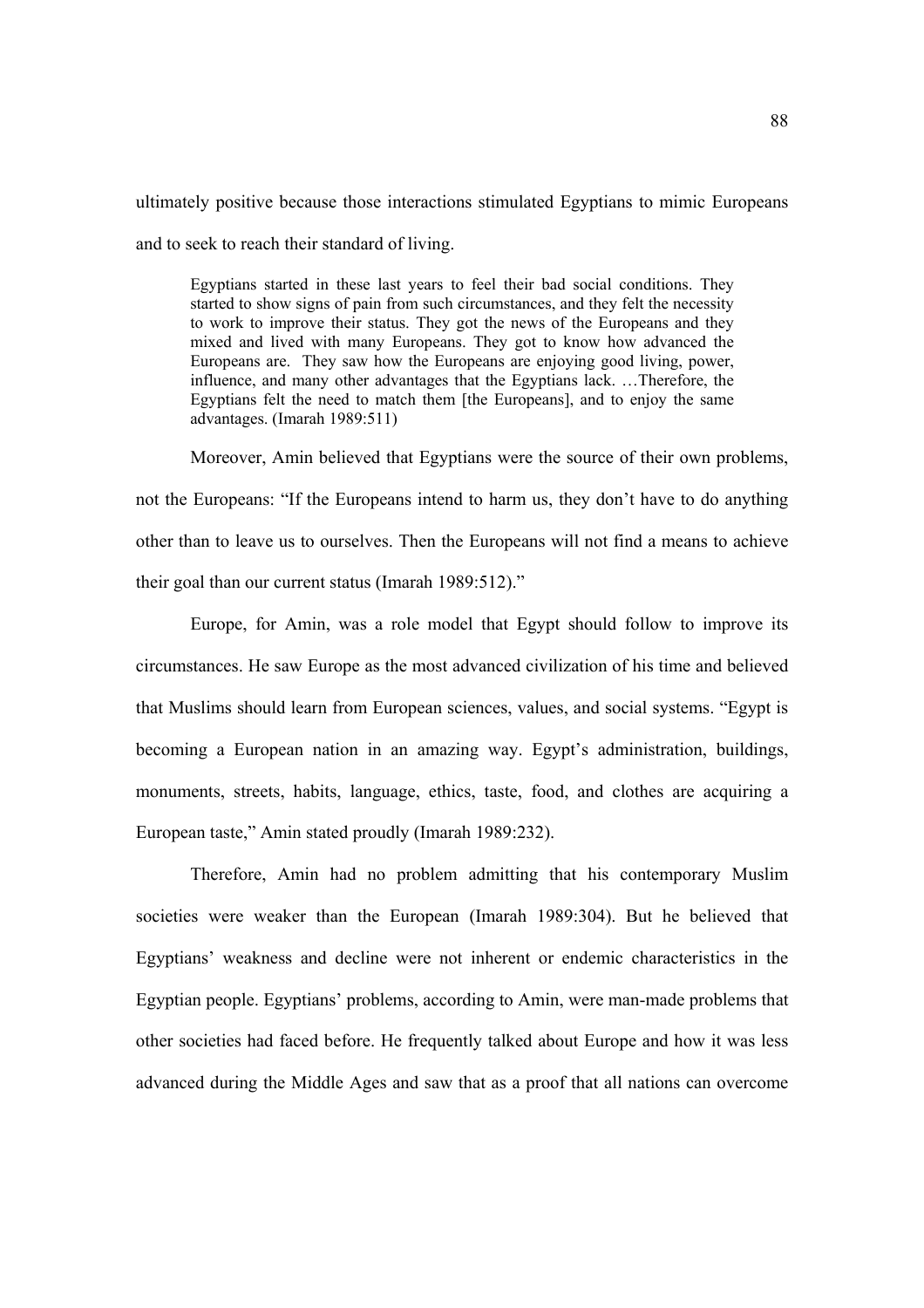ultimately positive because those interactions stimulated Egyptians to mimic Europeans and to seek to reach their standard of living.

Egyptians started in these last years to feel their bad social conditions. They started to show signs of pain from such circumstances, and they felt the necessity to work to improve their status. They got the news of the Europeans and they mixed and lived with many Europeans. They got to know how advanced the Europeans are. They saw how the Europeans are enjoying good living, power, influence, and many other advantages that the Egyptians lack. …Therefore, the Egyptians felt the need to match them [the Europeans], and to enjoy the same advantages. (Imarah 1989:511)

Moreover, Amin believed that Egyptians were the source of their own problems, not the Europeans: "If the Europeans intend to harm us, they don't have to do anything other than to leave us to ourselves. Then the Europeans will not find a means to achieve their goal than our current status (Imarah 1989:512)."

Europe, for Amin, was a role model that Egypt should follow to improve its circumstances. He saw Europe as the most advanced civilization of his time and believed that Muslims should learn from European sciences, values, and social systems. "Egypt is becoming a European nation in an amazing way. Egypt's administration, buildings, monuments, streets, habits, language, ethics, taste, food, and clothes are acquiring a European taste," Amin stated proudly (Imarah 1989:232).

Therefore, Amin had no problem admitting that his contemporary Muslim societies were weaker than the European (Imarah 1989:304). But he believed that Egyptians' weakness and decline were not inherent or endemic characteristics in the Egyptian people. Egyptians' problems, according to Amin, were man-made problems that other societies had faced before. He frequently talked about Europe and how it was less advanced during the Middle Ages and saw that as a proof that all nations can overcome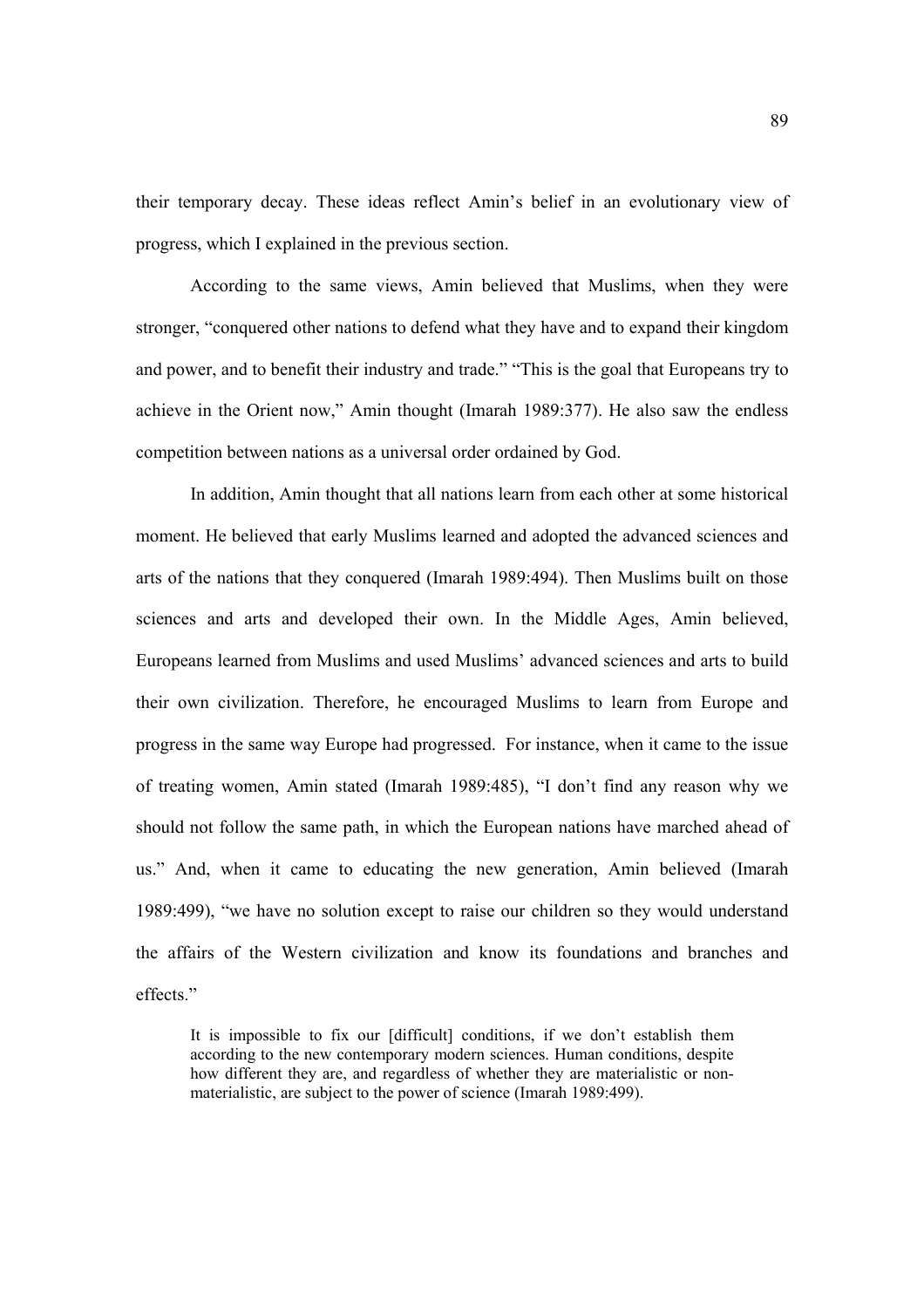their temporary decay. These ideas reflect Amin's belief in an evolutionary view of progress, which I explained in the previous section.

According to the same views, Amin believed that Muslims, when they were stronger, "conquered other nations to defend what they have and to expand their kingdom and power, and to benefit their industry and trade." "This is the goal that Europeans try to achieve in the Orient now," Amin thought (Imarah 1989:377). He also saw the endless competition between nations as a universal order ordained by God.

In addition, Amin thought that all nations learn from each other at some historical moment. He believed that early Muslims learned and adopted the advanced sciences and arts of the nations that they conquered (Imarah 1989:494). Then Muslims built on those sciences and arts and developed their own. In the Middle Ages, Amin believed, Europeans learned from Muslims and used Muslims' advanced sciences and arts to build their own civilization. Therefore, he encouraged Muslims to learn from Europe and progress in the same way Europe had progressed. For instance, when it came to the issue of treating women, Amin stated (Imarah 1989:485), "I don't find any reason why we should not follow the same path, in which the European nations have marched ahead of us." And, when it came to educating the new generation, Amin believed (Imarah 1989:499), "we have no solution except to raise our children so they would understand the affairs of the Western civilization and know its foundations and branches and effects."

It is impossible to fix our [difficult] conditions, if we don't establish them according to the new contemporary modern sciences. Human conditions, despite how different they are, and regardless of whether they are materialistic or nonmaterialistic, are subject to the power of science (Imarah 1989:499).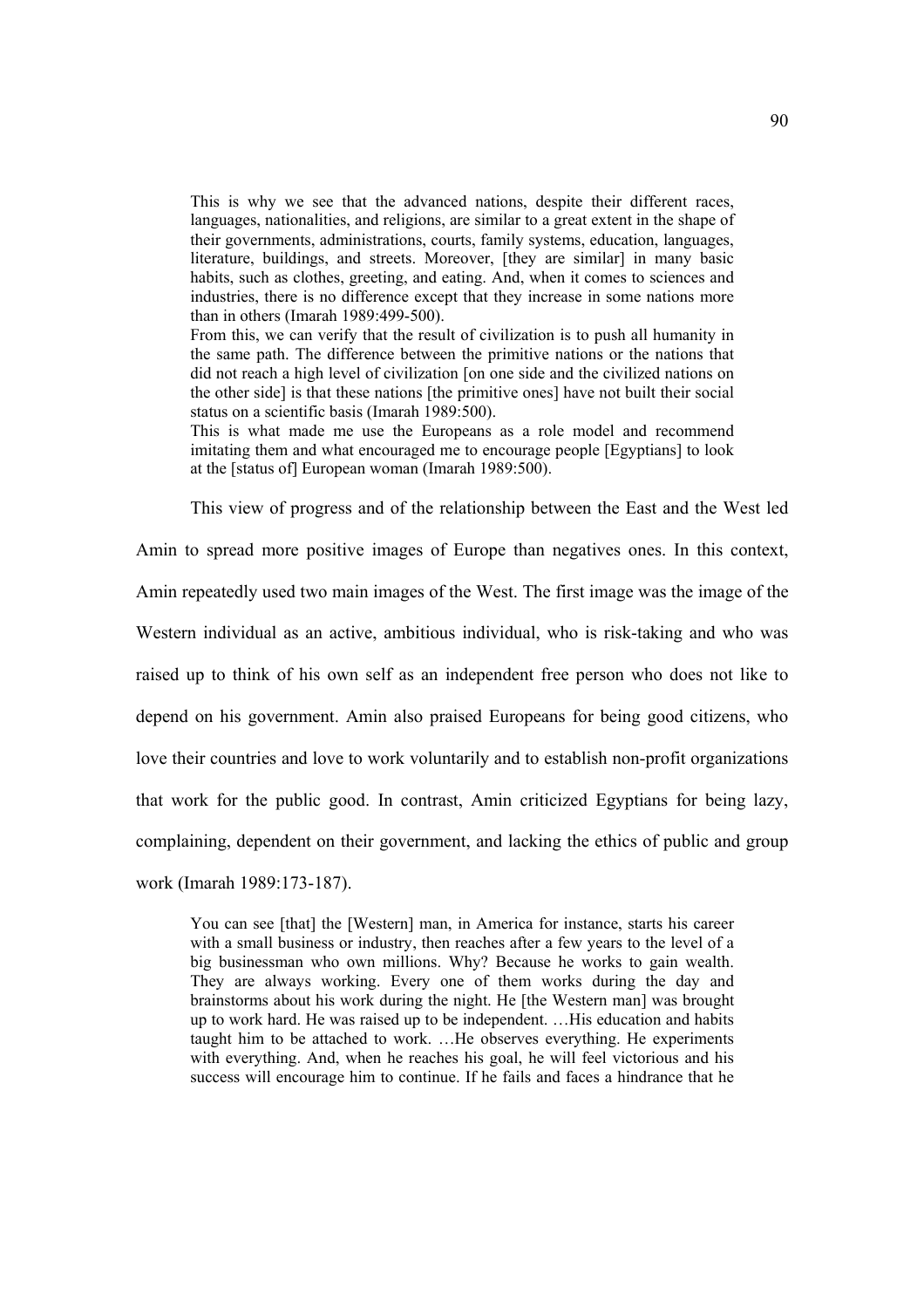This is why we see that the advanced nations, despite their different races, languages, nationalities, and religions, are similar to a great extent in the shape of their governments, administrations, courts, family systems, education, languages, literature, buildings, and streets. Moreover, [they are similar] in many basic habits, such as clothes, greeting, and eating. And, when it comes to sciences and industries, there is no difference except that they increase in some nations more than in others (Imarah 1989:499-500).

From this, we can verify that the result of civilization is to push all humanity in the same path. The difference between the primitive nations or the nations that did not reach a high level of civilization [on one side and the civilized nations on the other side] is that these nations [the primitive ones] have not built their social status on a scientific basis (Imarah 1989:500).

This is what made me use the Europeans as a role model and recommend imitating them and what encouraged me to encourage people [Egyptians] to look at the [status of] European woman (Imarah 1989:500).

This view of progress and of the relationship between the East and the West led Amin to spread more positive images of Europe than negatives ones. In this context, Amin repeatedly used two main images of the West. The first image was the image of the Western individual as an active, ambitious individual, who is risk-taking and who was raised up to think of his own self as an independent free person who does not like to depend on his government. Amin also praised Europeans for being good citizens, who love their countries and love to work voluntarily and to establish non-profit organizations that work for the public good. In contrast, Amin criticized Egyptians for being lazy, complaining, dependent on their government, and lacking the ethics of public and group work (Imarah 1989:173-187).

You can see [that] the [Western] man, in America for instance, starts his career with a small business or industry, then reaches after a few years to the level of a big businessman who own millions. Why? Because he works to gain wealth. They are always working. Every one of them works during the day and brainstorms about his work during the night. He [the Western man] was brought up to work hard. He was raised up to be independent. …His education and habits taught him to be attached to work. …He observes everything. He experiments with everything. And, when he reaches his goal, he will feel victorious and his success will encourage him to continue. If he fails and faces a hindrance that he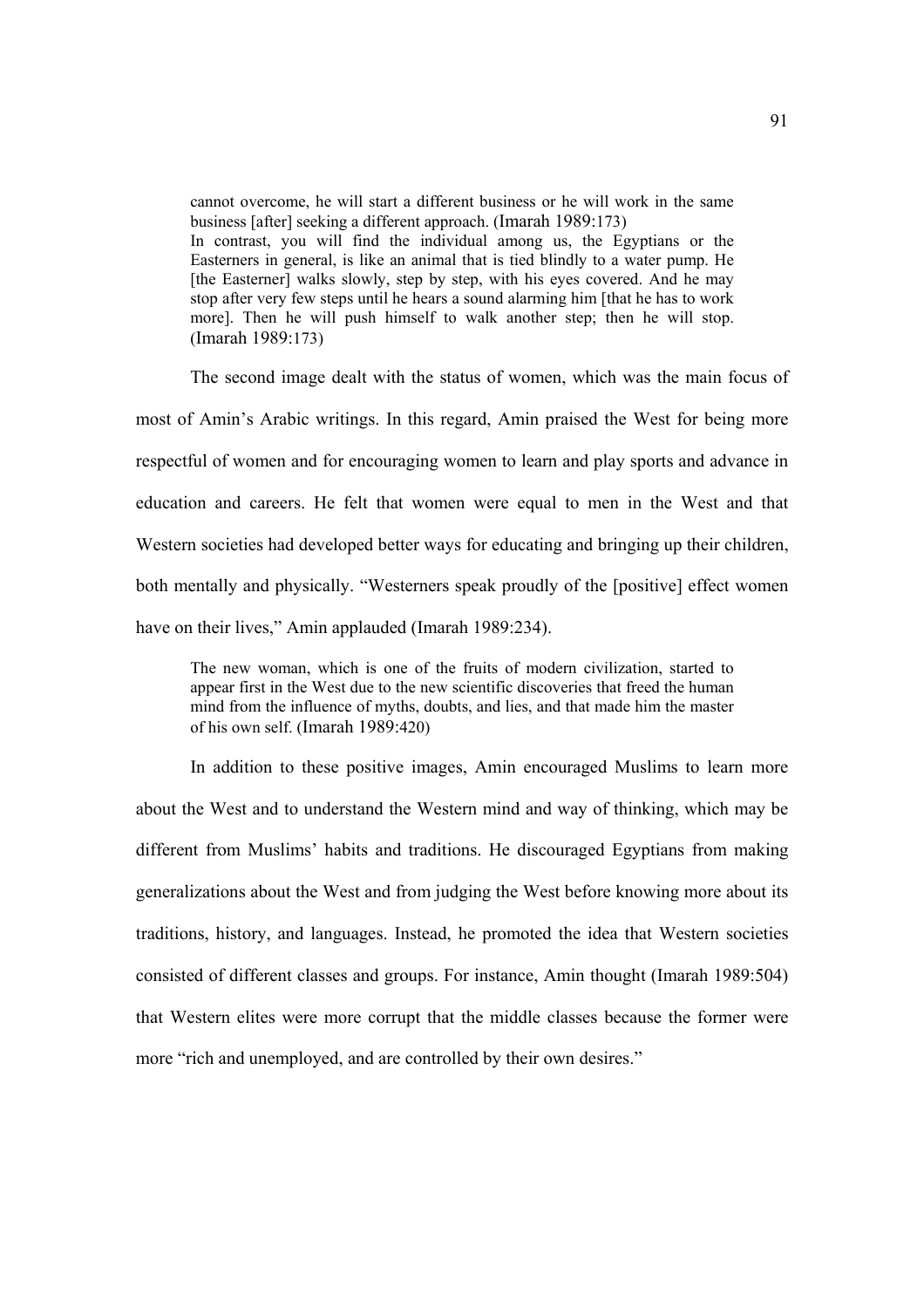cannot overcome, he will start a different business or he will work in the same business [after] seeking a different approach. (Imarah 1989:173) In contrast, you will find the individual among us, the Egyptians or the Easterners in general, is like an animal that is tied blindly to a water pump. He [the Easterner] walks slowly, step by step, with his eyes covered. And he may stop after very few steps until he hears a sound alarming him [that he has to work more]. Then he will push himself to walk another step; then he will stop. (Imarah 1989:173)

The second image dealt with the status of women, which was the main focus of most of Amin's Arabic writings. In this regard, Amin praised the West for being more respectful of women and for encouraging women to learn and play sports and advance in education and careers. He felt that women were equal to men in the West and that Western societies had developed better ways for educating and bringing up their children, both mentally and physically. "Westerners speak proudly of the [positive] effect women have on their lives," Amin applauded (Imarah 1989:234).

The new woman, which is one of the fruits of modern civilization, started to appear first in the West due to the new scientific discoveries that freed the human mind from the influence of myths, doubts, and lies, and that made him the master of his own self. (Imarah 1989:420)

In addition to these positive images, Amin encouraged Muslims to learn more about the West and to understand the Western mind and way of thinking, which may be different from Muslims' habits and traditions. He discouraged Egyptians from making generalizations about the West and from judging the West before knowing more about its traditions, history, and languages. Instead, he promoted the idea that Western societies consisted of different classes and groups. For instance, Amin thought (Imarah 1989:504) that Western elites were more corrupt that the middle classes because the former were more "rich and unemployed, and are controlled by their own desires."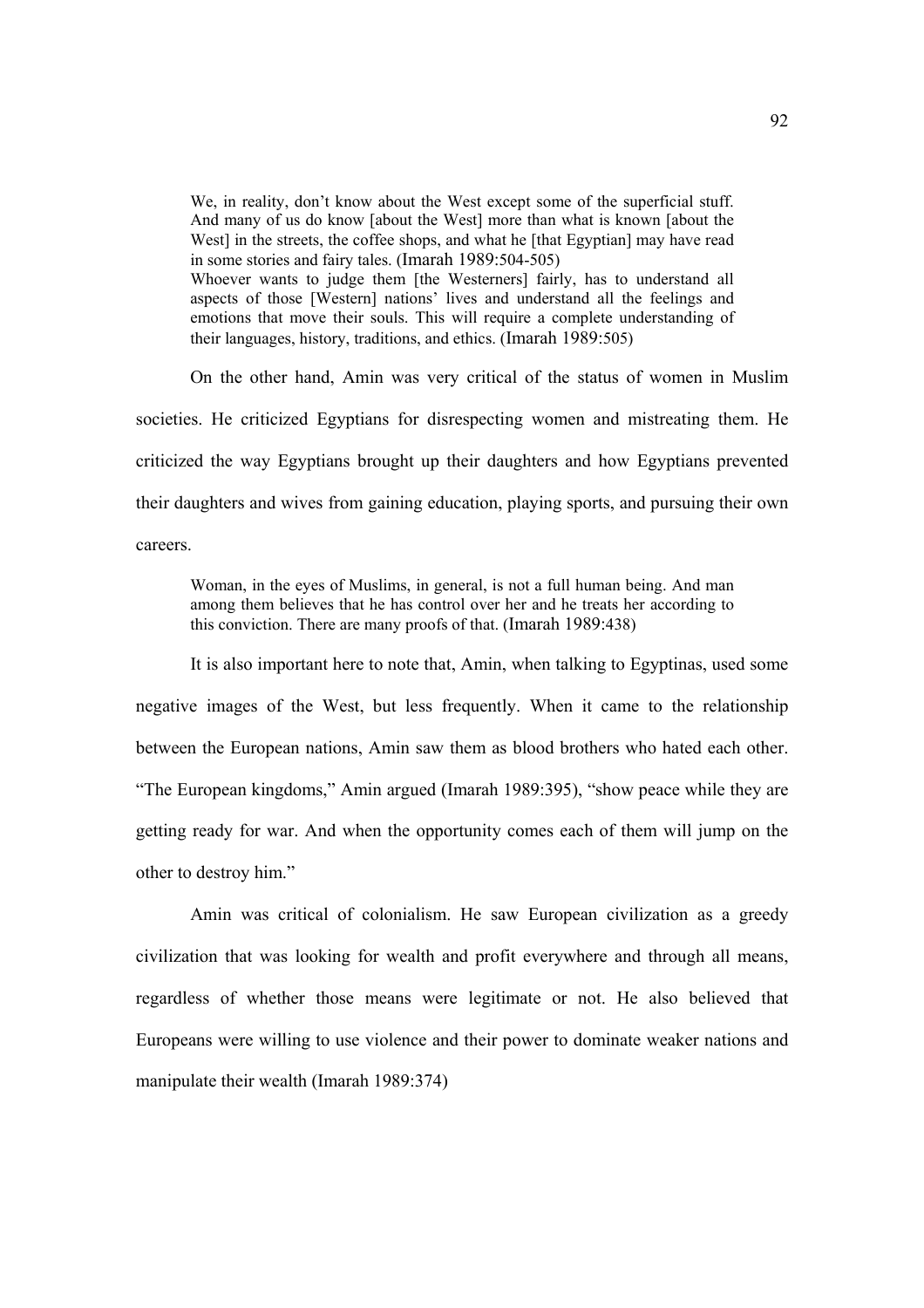We, in reality, don't know about the West except some of the superficial stuff. And many of us do know [about the West] more than what is known [about the West] in the streets, the coffee shops, and what he [that Egyptian] may have read in some stories and fairy tales. (Imarah 1989:504-505) Whoever wants to judge them [the Westerners] fairly, has to understand all aspects of those [Western] nations' lives and understand all the feelings and emotions that move their souls. This will require a complete understanding of their languages, history, traditions, and ethics. (Imarah 1989:505)

On the other hand, Amin was very critical of the status of women in Muslim societies. He criticized Egyptians for disrespecting women and mistreating them. He criticized the way Egyptians brought up their daughters and how Egyptians prevented their daughters and wives from gaining education, playing sports, and pursuing their own careers.

Woman, in the eyes of Muslims, in general, is not a full human being. And man among them believes that he has control over her and he treats her according to this conviction. There are many proofs of that. (Imarah 1989:438)

It is also important here to note that, Amin, when talking to Egyptinas, used some negative images of the West, but less frequently. When it came to the relationship between the European nations, Amin saw them as blood brothers who hated each other. "The European kingdoms," Amin argued (Imarah 1989:395), "show peace while they are getting ready for war. And when the opportunity comes each of them will jump on the other to destroy him."

 Amin was critical of colonialism. He saw European civilization as a greedy civilization that was looking for wealth and profit everywhere and through all means, regardless of whether those means were legitimate or not. He also believed that Europeans were willing to use violence and their power to dominate weaker nations and manipulate their wealth (Imarah 1989:374)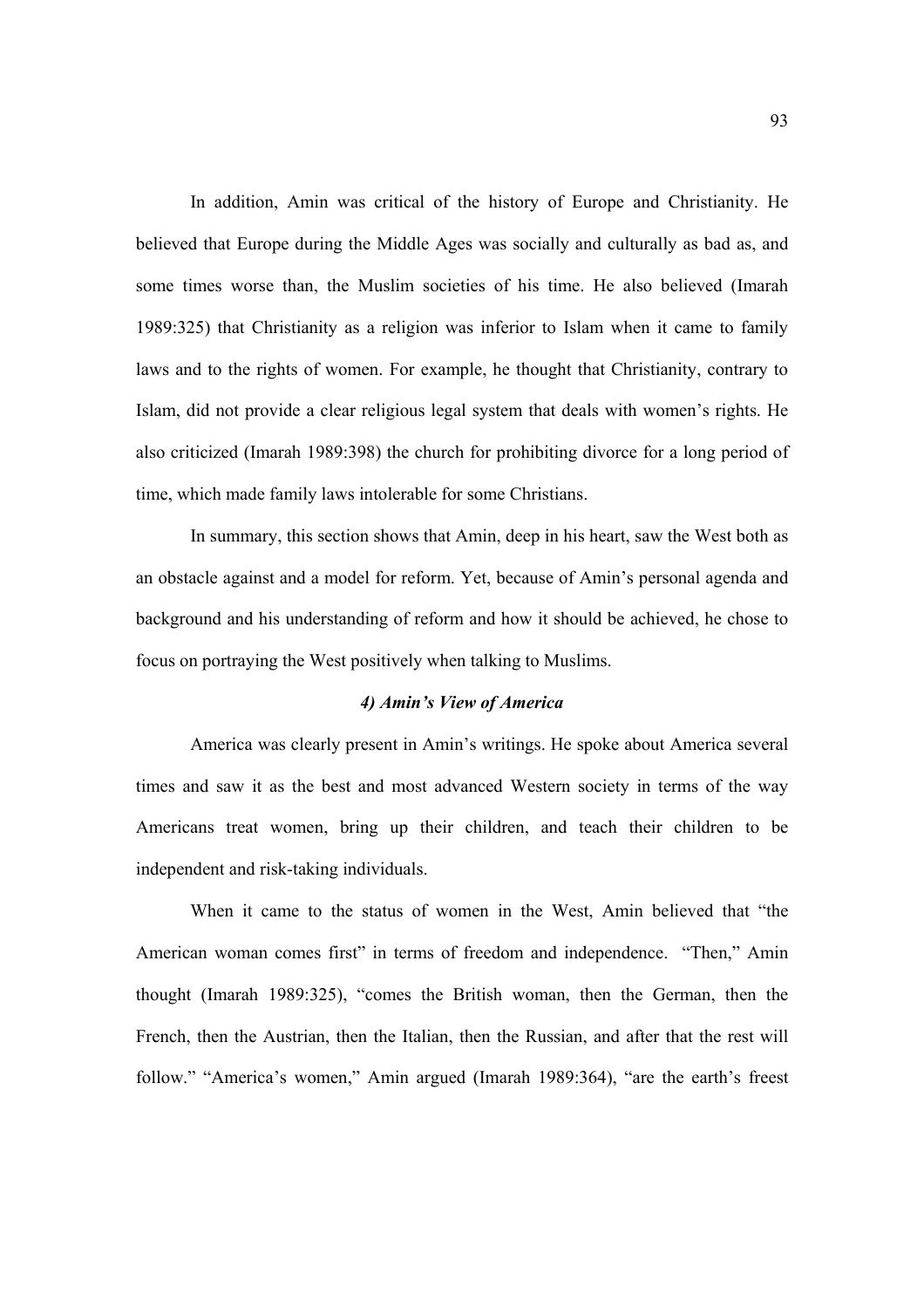In addition, Amin was critical of the history of Europe and Christianity. He believed that Europe during the Middle Ages was socially and culturally as bad as, and some times worse than, the Muslim societies of his time. He also believed (Imarah 1989:325) that Christianity as a religion was inferior to Islam when it came to family laws and to the rights of women. For example, he thought that Christianity, contrary to Islam, did not provide a clear religious legal system that deals with women's rights. He also criticized (Imarah 1989:398) the church for prohibiting divorce for a long period of time, which made family laws intolerable for some Christians.

 In summary, this section shows that Amin, deep in his heart, saw the West both as an obstacle against and a model for reform. Yet, because of Amin's personal agenda and background and his understanding of reform and how it should be achieved, he chose to focus on portraying the West positively when talking to Muslims.

#### *4) Amin's View of America*

 America was clearly present in Amin's writings. He spoke about America several times and saw it as the best and most advanced Western society in terms of the way Americans treat women, bring up their children, and teach their children to be independent and risk-taking individuals.

 When it came to the status of women in the West, Amin believed that "the American woman comes first" in terms of freedom and independence. "Then," Amin thought (Imarah 1989:325), "comes the British woman, then the German, then the French, then the Austrian, then the Italian, then the Russian, and after that the rest will follow." "America's women," Amin argued (Imarah 1989:364), "are the earth's freest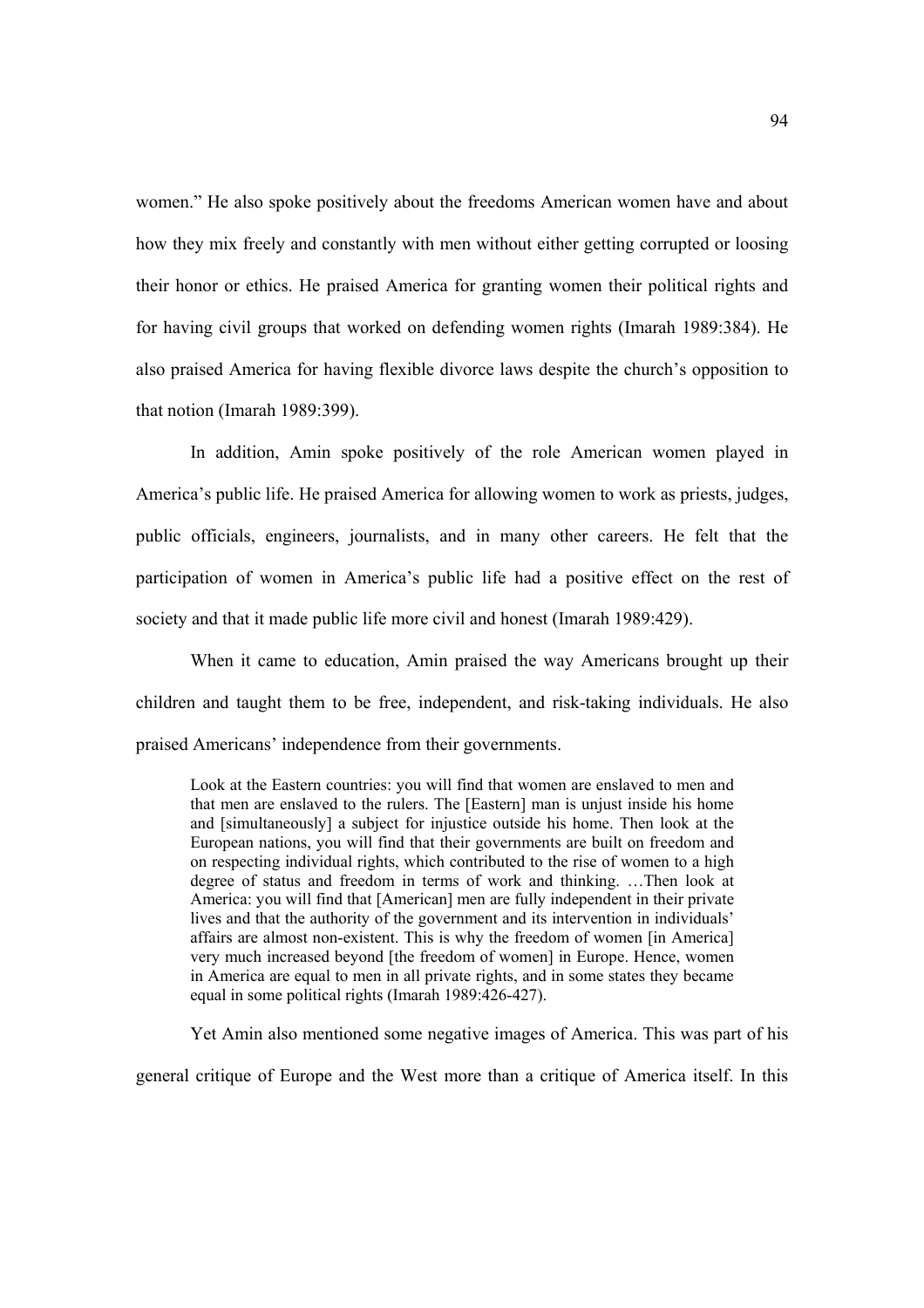women." He also spoke positively about the freedoms American women have and about how they mix freely and constantly with men without either getting corrupted or loosing their honor or ethics. He praised America for granting women their political rights and for having civil groups that worked on defending women rights (Imarah 1989:384). He also praised America for having flexible divorce laws despite the church's opposition to that notion (Imarah 1989:399).

 In addition, Amin spoke positively of the role American women played in America's public life. He praised America for allowing women to work as priests, judges, public officials, engineers, journalists, and in many other careers. He felt that the participation of women in America's public life had a positive effect on the rest of society and that it made public life more civil and honest (Imarah 1989:429).

 When it came to education, Amin praised the way Americans brought up their children and taught them to be free, independent, and risk-taking individuals. He also praised Americans' independence from their governments.

Look at the Eastern countries: you will find that women are enslaved to men and that men are enslaved to the rulers. The [Eastern] man is unjust inside his home and [simultaneously] a subject for injustice outside his home. Then look at the European nations, you will find that their governments are built on freedom and on respecting individual rights, which contributed to the rise of women to a high degree of status and freedom in terms of work and thinking. …Then look at America: you will find that [American] men are fully independent in their private lives and that the authority of the government and its intervention in individuals' affairs are almost non-existent. This is why the freedom of women [in America] very much increased beyond [the freedom of women] in Europe. Hence, women in America are equal to men in all private rights, and in some states they became equal in some political rights (Imarah 1989:426-427).

Yet Amin also mentioned some negative images of America. This was part of his general critique of Europe and the West more than a critique of America itself. In this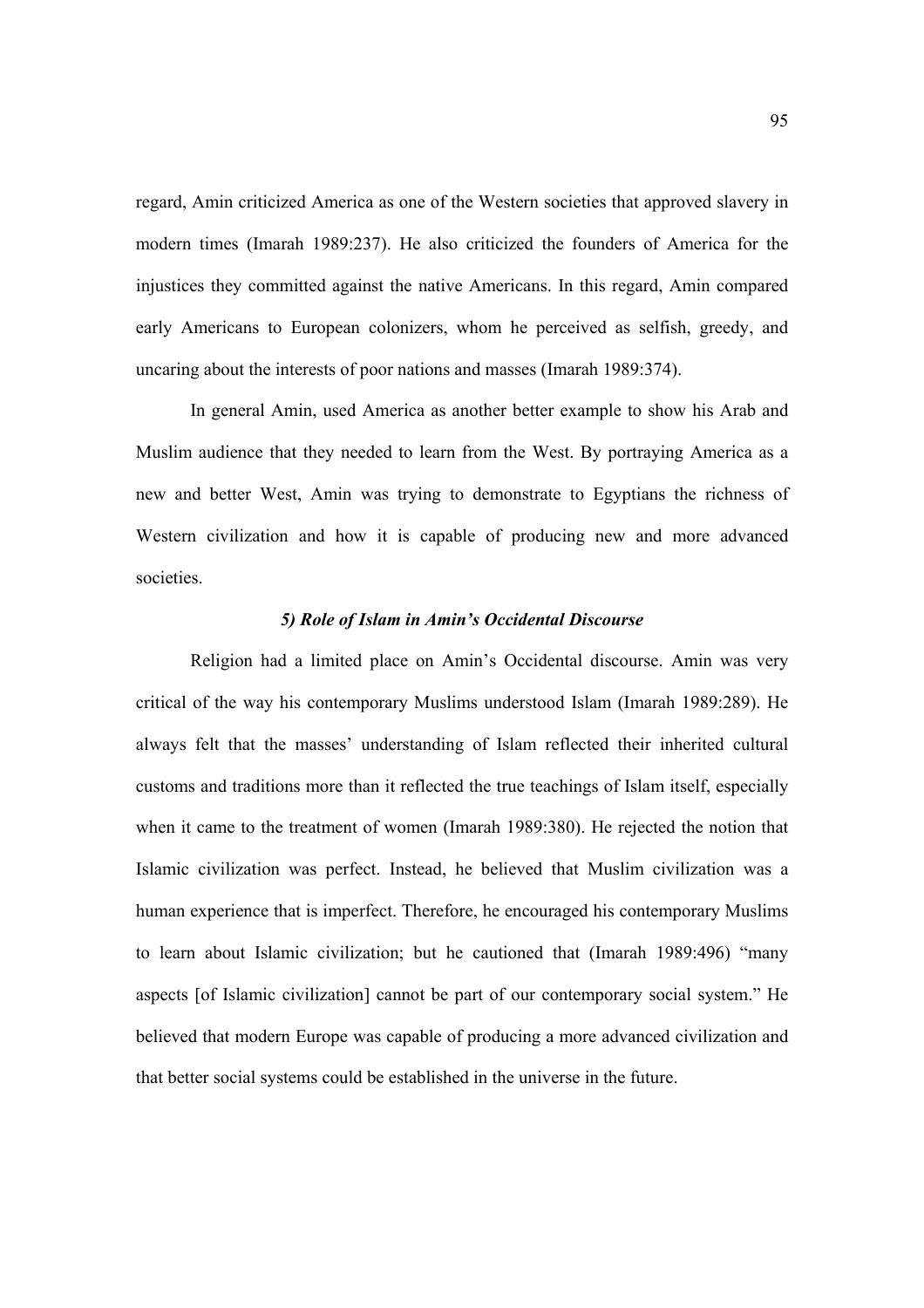regard, Amin criticized America as one of the Western societies that approved slavery in modern times (Imarah 1989:237). He also criticized the founders of America for the injustices they committed against the native Americans. In this regard, Amin compared early Americans to European colonizers, whom he perceived as selfish, greedy, and uncaring about the interests of poor nations and masses (Imarah 1989:374).

 In general Amin, used America as another better example to show his Arab and Muslim audience that they needed to learn from the West. By portraying America as a new and better West, Amin was trying to demonstrate to Egyptians the richness of Western civilization and how it is capable of producing new and more advanced societies.

#### *5) Role of Islam in Amin's Occidental Discourse*

Religion had a limited place on Amin's Occidental discourse. Amin was very critical of the way his contemporary Muslims understood Islam (Imarah 1989:289). He always felt that the masses' understanding of Islam reflected their inherited cultural customs and traditions more than it reflected the true teachings of Islam itself, especially when it came to the treatment of women (Imarah 1989:380). He rejected the notion that Islamic civilization was perfect. Instead, he believed that Muslim civilization was a human experience that is imperfect. Therefore, he encouraged his contemporary Muslims to learn about Islamic civilization; but he cautioned that (Imarah 1989:496) "many aspects [of Islamic civilization] cannot be part of our contemporary social system." He believed that modern Europe was capable of producing a more advanced civilization and that better social systems could be established in the universe in the future.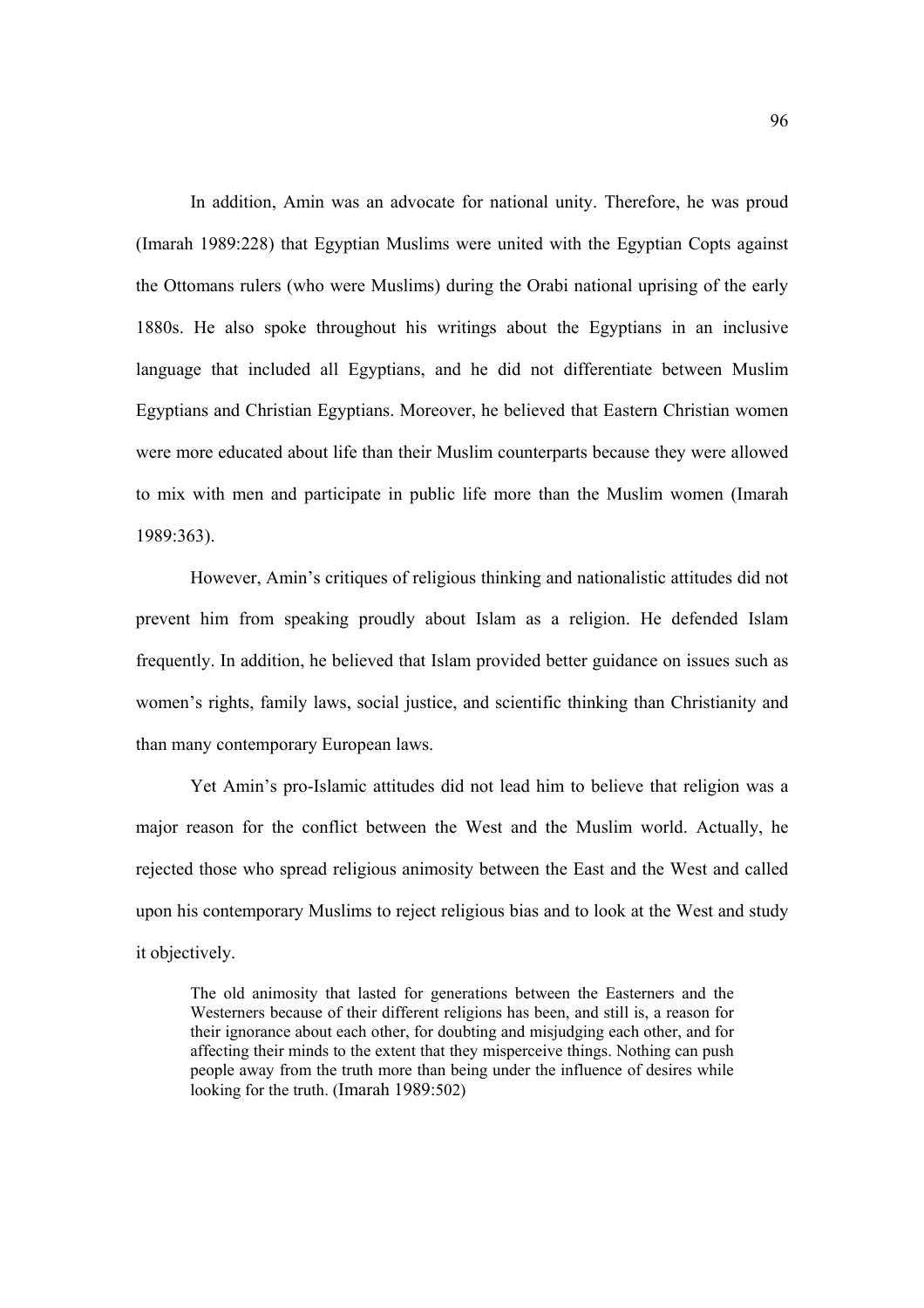In addition, Amin was an advocate for national unity. Therefore, he was proud (Imarah 1989:228) that Egyptian Muslims were united with the Egyptian Copts against the Ottomans rulers (who were Muslims) during the Orabi national uprising of the early 1880s. He also spoke throughout his writings about the Egyptians in an inclusive language that included all Egyptians, and he did not differentiate between Muslim Egyptians and Christian Egyptians. Moreover, he believed that Eastern Christian women were more educated about life than their Muslim counterparts because they were allowed to mix with men and participate in public life more than the Muslim women (Imarah 1989:363).

However, Amin's critiques of religious thinking and nationalistic attitudes did not prevent him from speaking proudly about Islam as a religion. He defended Islam frequently. In addition, he believed that Islam provided better guidance on issues such as women's rights, family laws, social justice, and scientific thinking than Christianity and than many contemporary European laws.

Yet Amin's pro-Islamic attitudes did not lead him to believe that religion was a major reason for the conflict between the West and the Muslim world. Actually, he rejected those who spread religious animosity between the East and the West and called upon his contemporary Muslims to reject religious bias and to look at the West and study it objectively.

The old animosity that lasted for generations between the Easterners and the Westerners because of their different religions has been, and still is, a reason for their ignorance about each other, for doubting and misjudging each other, and for affecting their minds to the extent that they misperceive things. Nothing can push people away from the truth more than being under the influence of desires while looking for the truth. (Imarah 1989:502)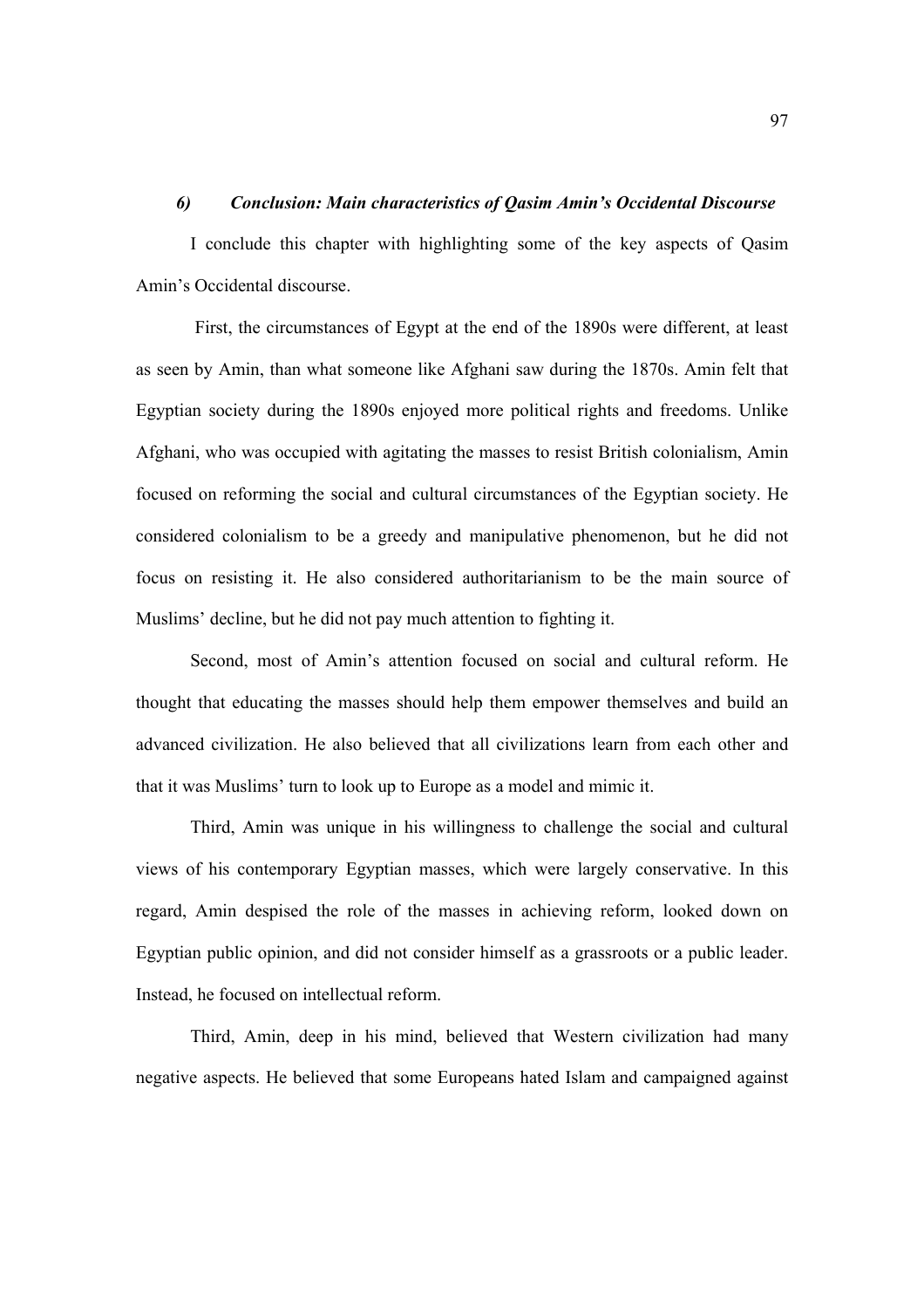## *6) Conclusion: Main characteristics of Qasim Amin's Occidental Discourse*

I conclude this chapter with highlighting some of the key aspects of Qasim Amin's Occidental discourse.

 First, the circumstances of Egypt at the end of the 1890s were different, at least as seen by Amin, than what someone like Afghani saw during the 1870s. Amin felt that Egyptian society during the 1890s enjoyed more political rights and freedoms. Unlike Afghani, who was occupied with agitating the masses to resist British colonialism, Amin focused on reforming the social and cultural circumstances of the Egyptian society. He considered colonialism to be a greedy and manipulative phenomenon, but he did not focus on resisting it. He also considered authoritarianism to be the main source of Muslims' decline, but he did not pay much attention to fighting it.

Second, most of Amin's attention focused on social and cultural reform. He thought that educating the masses should help them empower themselves and build an advanced civilization. He also believed that all civilizations learn from each other and that it was Muslims' turn to look up to Europe as a model and mimic it.

Third, Amin was unique in his willingness to challenge the social and cultural views of his contemporary Egyptian masses, which were largely conservative. In this regard, Amin despised the role of the masses in achieving reform, looked down on Egyptian public opinion, and did not consider himself as a grassroots or a public leader. Instead, he focused on intellectual reform.

Third, Amin, deep in his mind, believed that Western civilization had many negative aspects. He believed that some Europeans hated Islam and campaigned against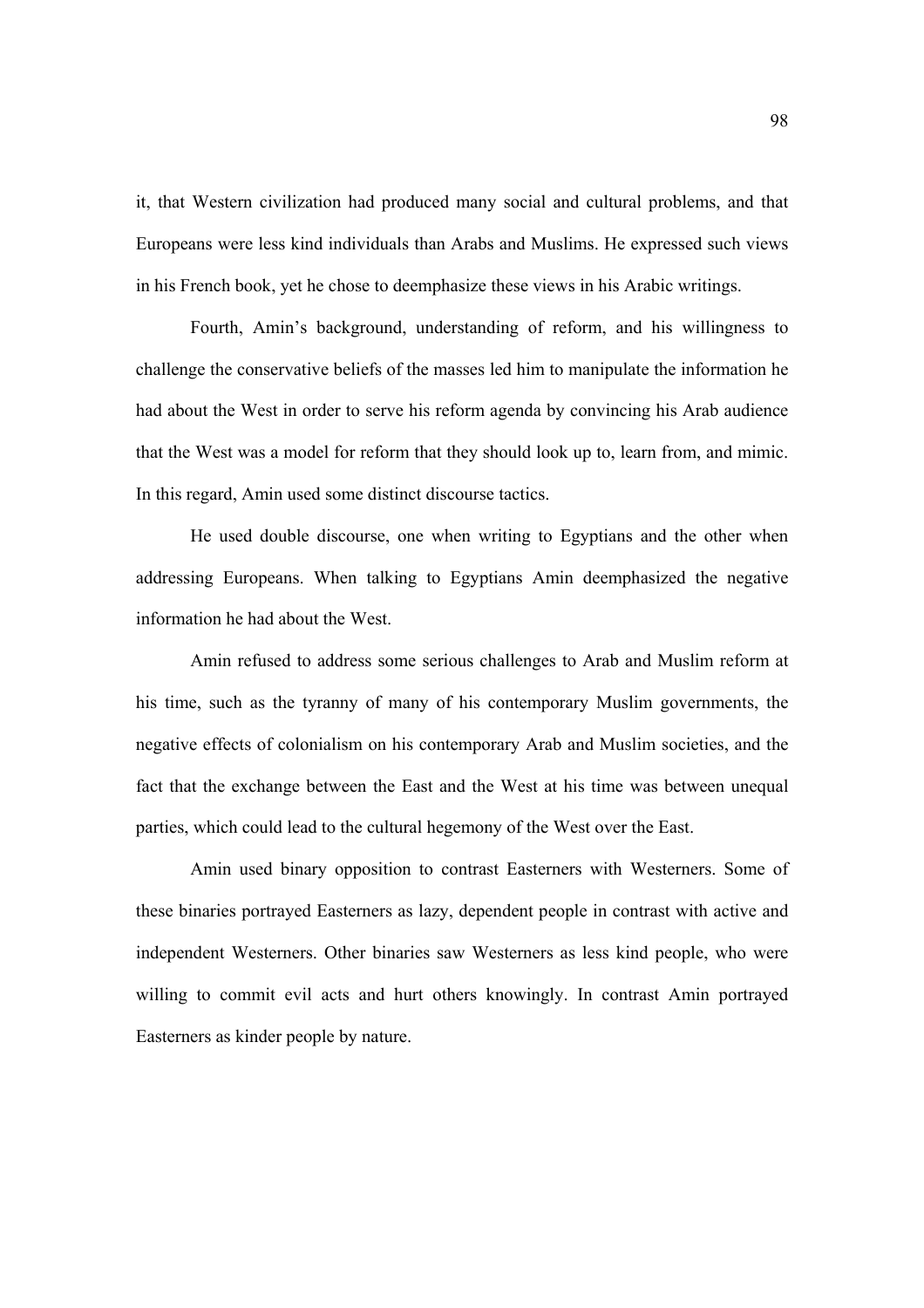it, that Western civilization had produced many social and cultural problems, and that Europeans were less kind individuals than Arabs and Muslims. He expressed such views in his French book, yet he chose to deemphasize these views in his Arabic writings.

Fourth, Amin's background, understanding of reform, and his willingness to challenge the conservative beliefs of the masses led him to manipulate the information he had about the West in order to serve his reform agenda by convincing his Arab audience that the West was a model for reform that they should look up to, learn from, and mimic. In this regard, Amin used some distinct discourse tactics.

He used double discourse, one when writing to Egyptians and the other when addressing Europeans. When talking to Egyptians Amin deemphasized the negative information he had about the West.

Amin refused to address some serious challenges to Arab and Muslim reform at his time, such as the tyranny of many of his contemporary Muslim governments, the negative effects of colonialism on his contemporary Arab and Muslim societies, and the fact that the exchange between the East and the West at his time was between unequal parties, which could lead to the cultural hegemony of the West over the East.

Amin used binary opposition to contrast Easterners with Westerners. Some of these binaries portrayed Easterners as lazy, dependent people in contrast with active and independent Westerners. Other binaries saw Westerners as less kind people, who were willing to commit evil acts and hurt others knowingly. In contrast Amin portrayed Easterners as kinder people by nature.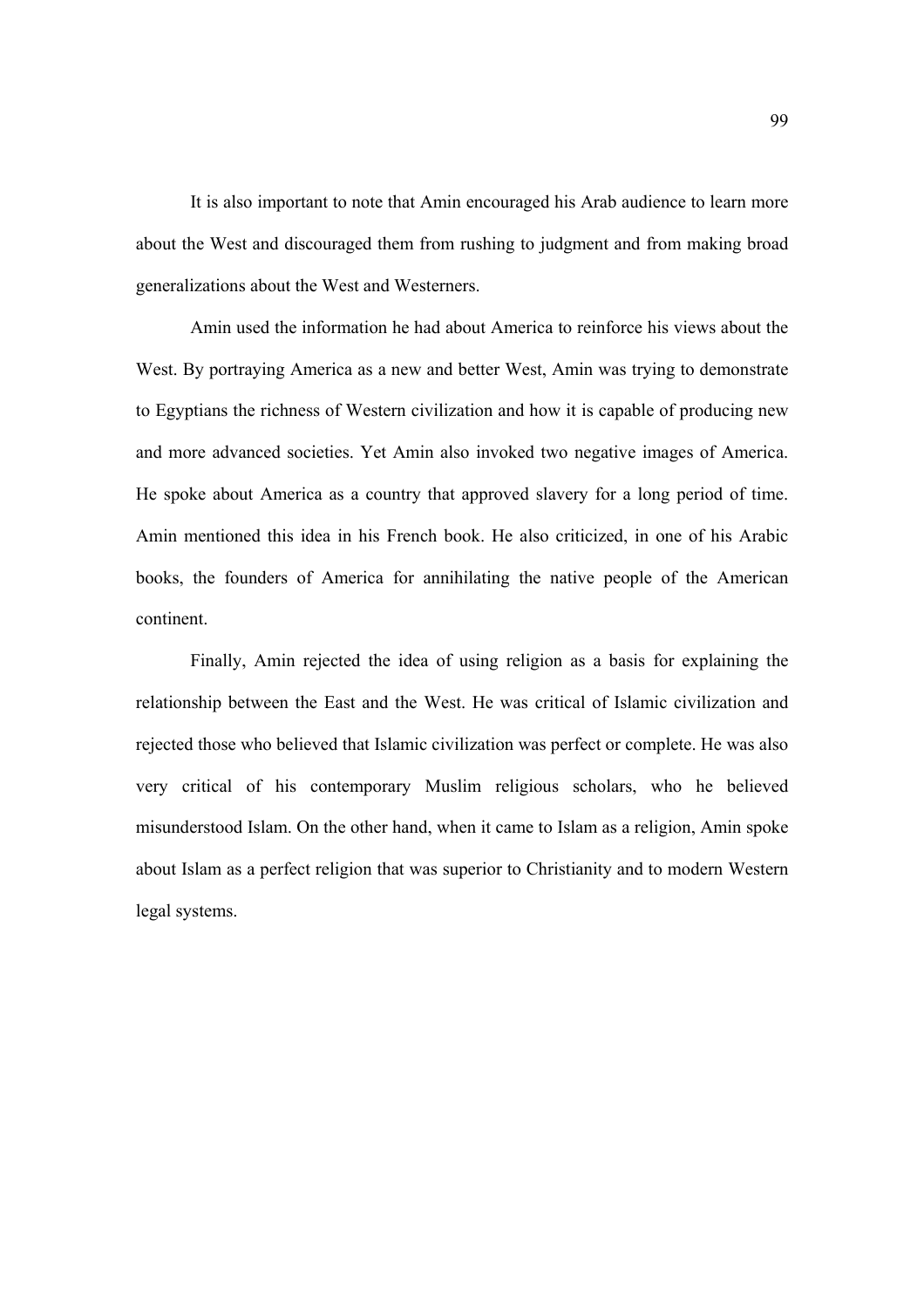It is also important to note that Amin encouraged his Arab audience to learn more about the West and discouraged them from rushing to judgment and from making broad generalizations about the West and Westerners.

Amin used the information he had about America to reinforce his views about the West. By portraying America as a new and better West, Amin was trying to demonstrate to Egyptians the richness of Western civilization and how it is capable of producing new and more advanced societies. Yet Amin also invoked two negative images of America. He spoke about America as a country that approved slavery for a long period of time. Amin mentioned this idea in his French book. He also criticized, in one of his Arabic books, the founders of America for annihilating the native people of the American continent.

Finally, Amin rejected the idea of using religion as a basis for explaining the relationship between the East and the West. He was critical of Islamic civilization and rejected those who believed that Islamic civilization was perfect or complete. He was also very critical of his contemporary Muslim religious scholars, who he believed misunderstood Islam. On the other hand, when it came to Islam as a religion, Amin spoke about Islam as a perfect religion that was superior to Christianity and to modern Western legal systems.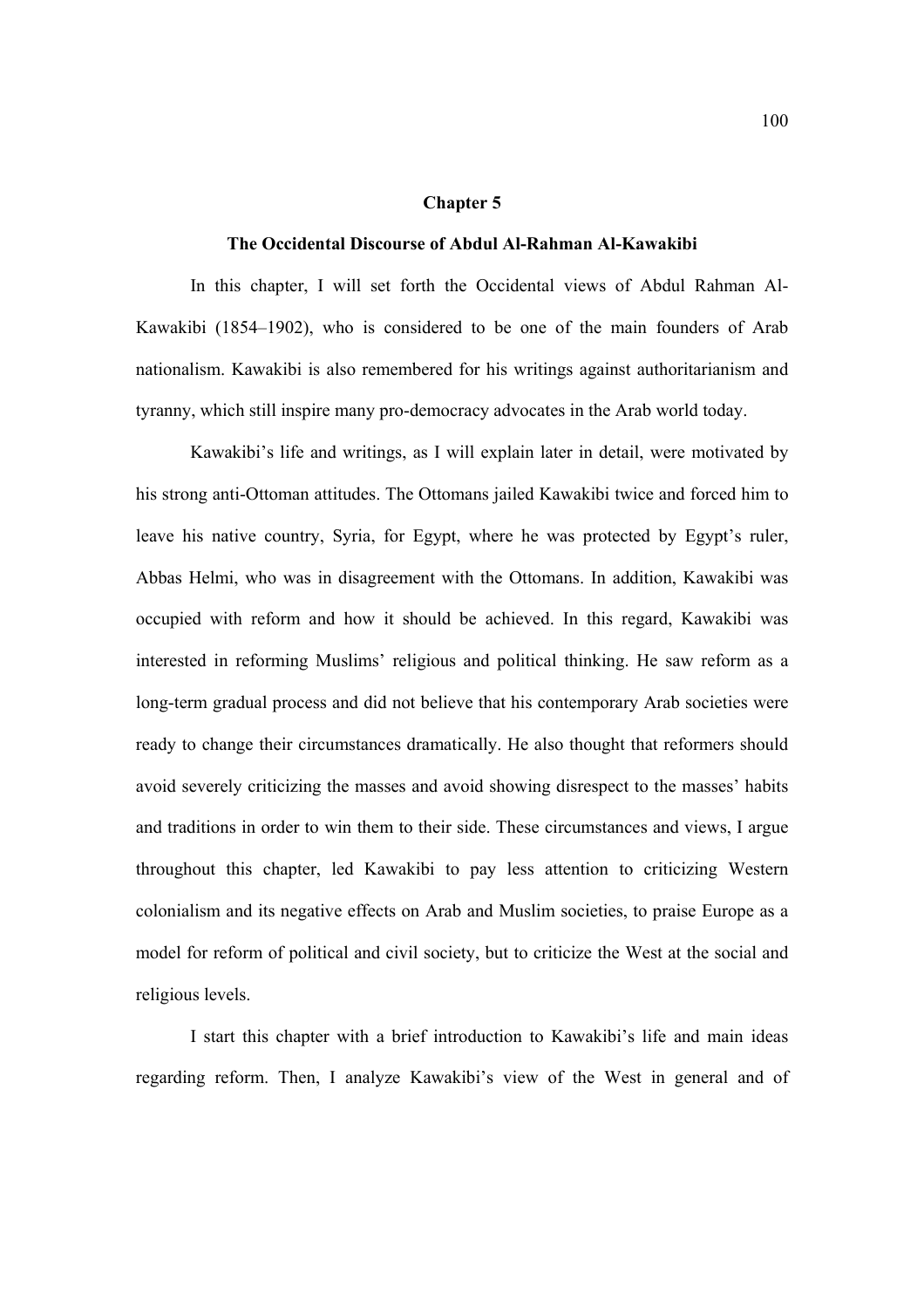#### **Chapter 5**

### **The Occidental Discourse of Abdul Al-Rahman Al-Kawakibi**

 In this chapter, I will set forth the Occidental views of Abdul Rahman Al-Kawakibi (1854–1902), who is considered to be one of the main founders of Arab nationalism. Kawakibi is also remembered for his writings against authoritarianism and tyranny, which still inspire many pro-democracy advocates in the Arab world today.

Kawakibi's life and writings, as I will explain later in detail, were motivated by his strong anti-Ottoman attitudes. The Ottomans jailed Kawakibi twice and forced him to leave his native country, Syria, for Egypt, where he was protected by Egypt's ruler, Abbas Helmi, who was in disagreement with the Ottomans. In addition, Kawakibi was occupied with reform and how it should be achieved. In this regard, Kawakibi was interested in reforming Muslims' religious and political thinking. He saw reform as a long-term gradual process and did not believe that his contemporary Arab societies were ready to change their circumstances dramatically. He also thought that reformers should avoid severely criticizing the masses and avoid showing disrespect to the masses' habits and traditions in order to win them to their side. These circumstances and views, I argue throughout this chapter, led Kawakibi to pay less attention to criticizing Western colonialism and its negative effects on Arab and Muslim societies, to praise Europe as a model for reform of political and civil society, but to criticize the West at the social and religious levels.

I start this chapter with a brief introduction to Kawakibi's life and main ideas regarding reform. Then, I analyze Kawakibi's view of the West in general and of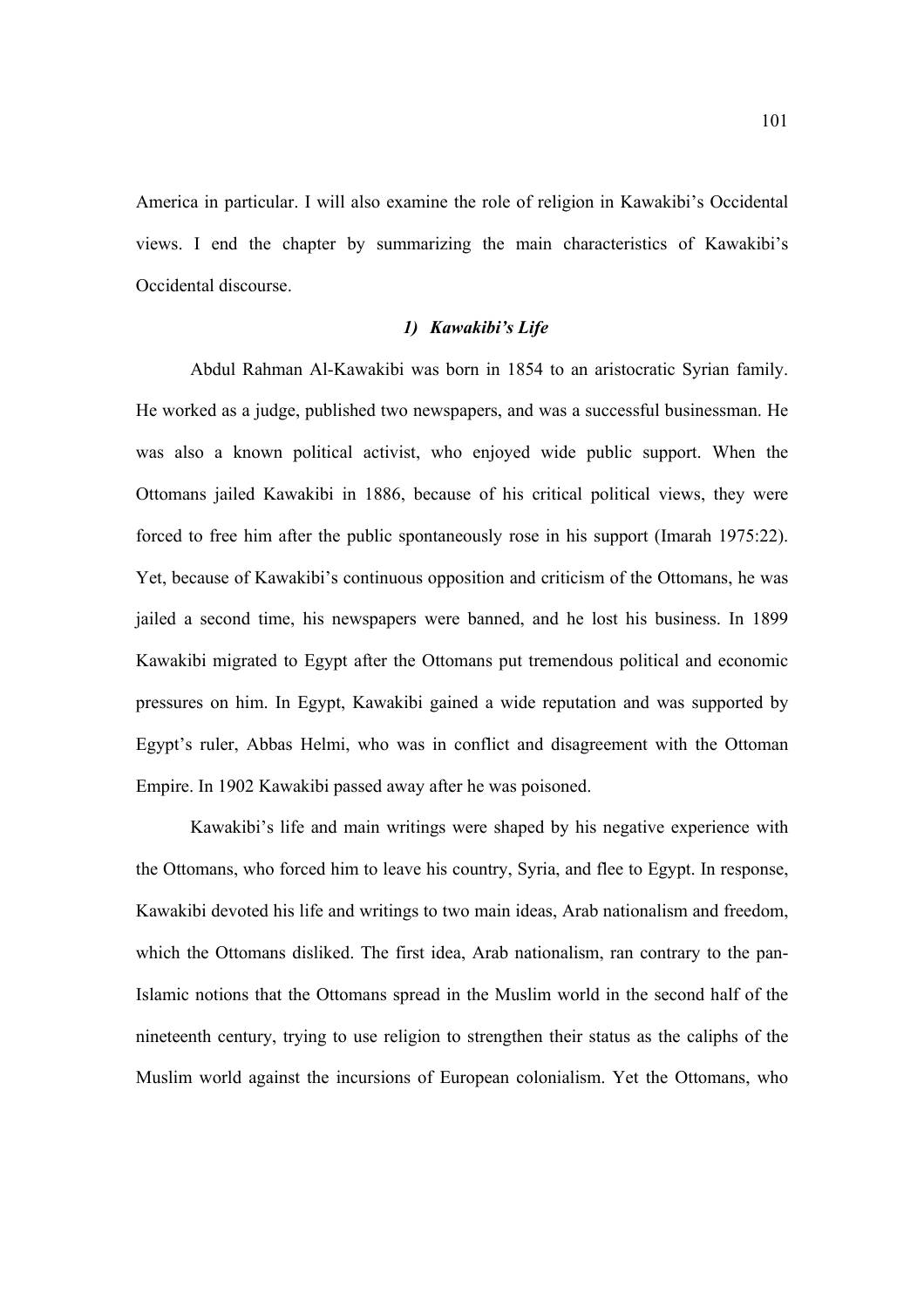America in particular. I will also examine the role of religion in Kawakibi's Occidental views. I end the chapter by summarizing the main characteristics of Kawakibi's Occidental discourse.

### *1) Kawakibi's Life*

Abdul Rahman Al-Kawakibi was born in 1854 to an aristocratic Syrian family. He worked as a judge, published two newspapers, and was a successful businessman. He was also a known political activist, who enjoyed wide public support. When the Ottomans jailed Kawakibi in 1886, because of his critical political views, they were forced to free him after the public spontaneously rose in his support (Imarah 1975:22). Yet, because of Kawakibi's continuous opposition and criticism of the Ottomans, he was jailed a second time, his newspapers were banned, and he lost his business. In 1899 Kawakibi migrated to Egypt after the Ottomans put tremendous political and economic pressures on him. In Egypt, Kawakibi gained a wide reputation and was supported by Egypt's ruler, Abbas Helmi, who was in conflict and disagreement with the Ottoman Empire. In 1902 Kawakibi passed away after he was poisoned.

Kawakibi's life and main writings were shaped by his negative experience with the Ottomans, who forced him to leave his country, Syria, and flee to Egypt. In response, Kawakibi devoted his life and writings to two main ideas, Arab nationalism and freedom, which the Ottomans disliked. The first idea, Arab nationalism, ran contrary to the pan-Islamic notions that the Ottomans spread in the Muslim world in the second half of the nineteenth century, trying to use religion to strengthen their status as the caliphs of the Muslim world against the incursions of European colonialism. Yet the Ottomans, who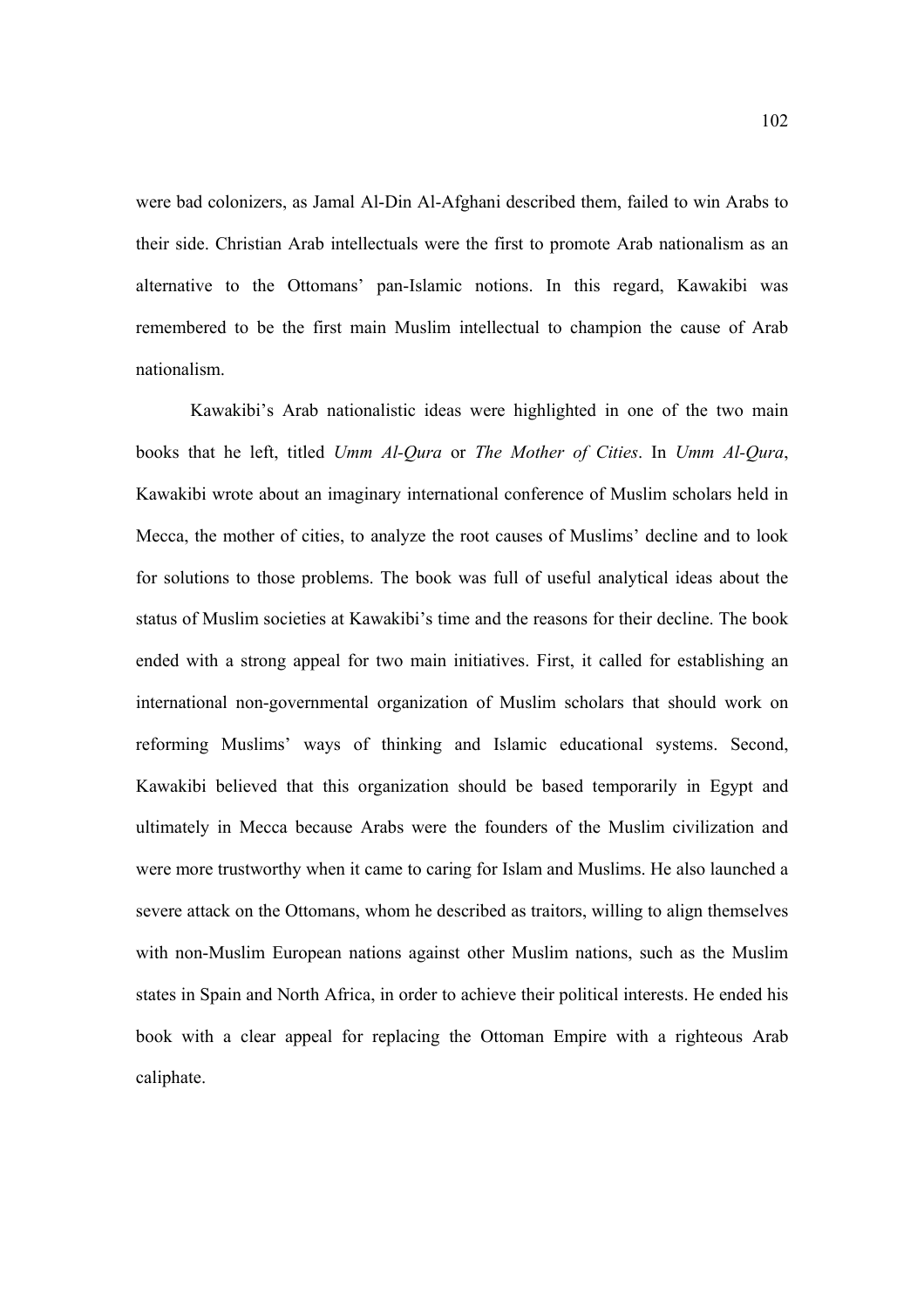were bad colonizers, as Jamal Al-Din Al-Afghani described them, failed to win Arabs to their side. Christian Arab intellectuals were the first to promote Arab nationalism as an alternative to the Ottomans' pan-Islamic notions. In this regard, Kawakibi was remembered to be the first main Muslim intellectual to champion the cause of Arab nationalism.

Kawakibi's Arab nationalistic ideas were highlighted in one of the two main books that he left, titled *Umm Al-Qura* or *The Mother of Cities*. In *Umm Al-Qura*, Kawakibi wrote about an imaginary international conference of Muslim scholars held in Mecca, the mother of cities, to analyze the root causes of Muslims' decline and to look for solutions to those problems. The book was full of useful analytical ideas about the status of Muslim societies at Kawakibi's time and the reasons for their decline. The book ended with a strong appeal for two main initiatives. First, it called for establishing an international non-governmental organization of Muslim scholars that should work on reforming Muslims' ways of thinking and Islamic educational systems. Second, Kawakibi believed that this organization should be based temporarily in Egypt and ultimately in Mecca because Arabs were the founders of the Muslim civilization and were more trustworthy when it came to caring for Islam and Muslims. He also launched a severe attack on the Ottomans, whom he described as traitors, willing to align themselves with non-Muslim European nations against other Muslim nations, such as the Muslim states in Spain and North Africa, in order to achieve their political interests. He ended his book with a clear appeal for replacing the Ottoman Empire with a righteous Arab caliphate.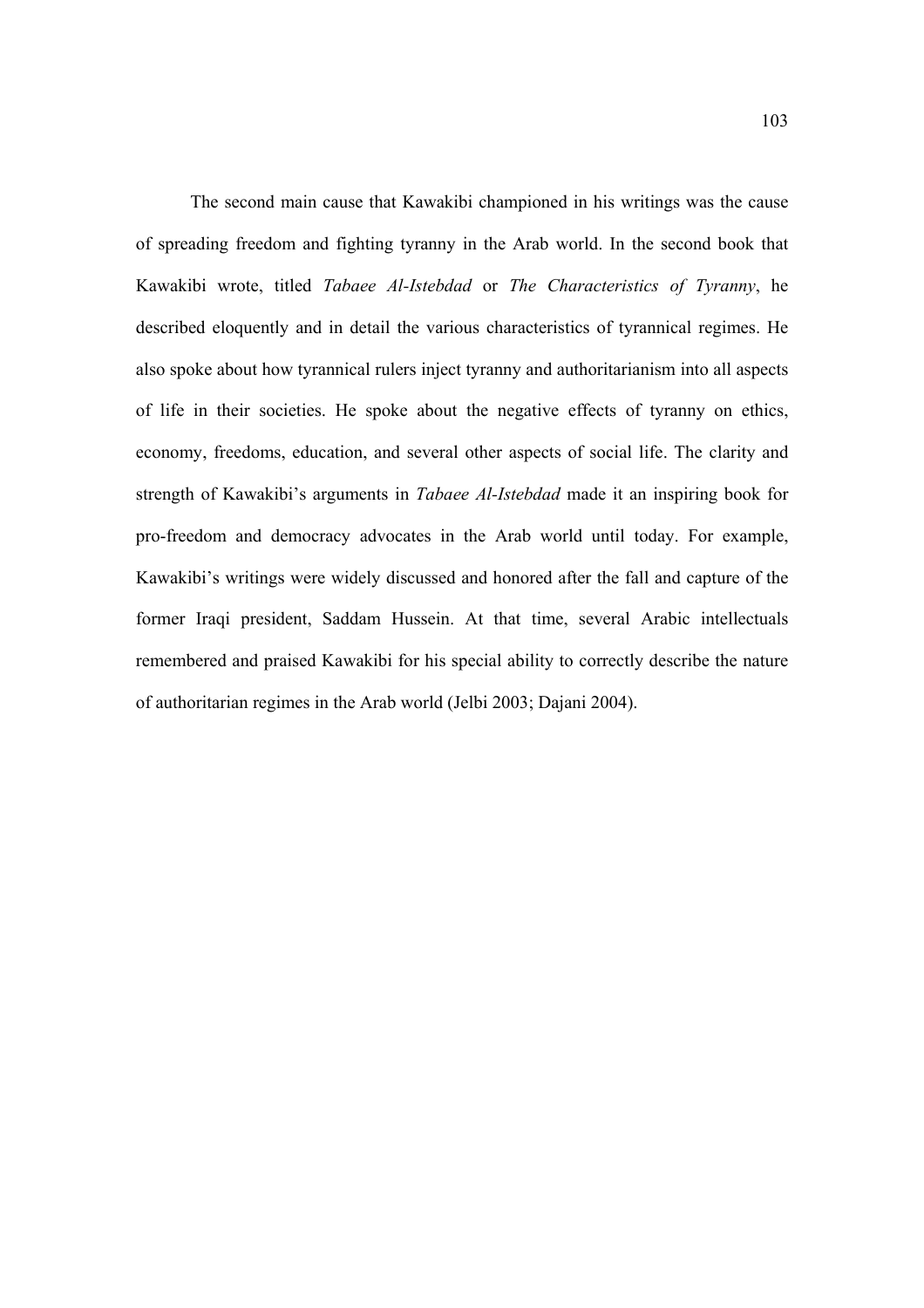The second main cause that Kawakibi championed in his writings was the cause of spreading freedom and fighting tyranny in the Arab world. In the second book that Kawakibi wrote, titled *Tabaee Al-Istebdad* or *The Characteristics of Tyranny*, he described eloquently and in detail the various characteristics of tyrannical regimes. He also spoke about how tyrannical rulers inject tyranny and authoritarianism into all aspects of life in their societies. He spoke about the negative effects of tyranny on ethics, economy, freedoms, education, and several other aspects of social life. The clarity and strength of Kawakibi's arguments in *Tabaee Al-Istebdad* made it an inspiring book for pro-freedom and democracy advocates in the Arab world until today. For example, Kawakibi's writings were widely discussed and honored after the fall and capture of the former Iraqi president, Saddam Hussein. At that time, several Arabic intellectuals remembered and praised Kawakibi for his special ability to correctly describe the nature of authoritarian regimes in the Arab world (Jelbi 2003; Dajani 2004).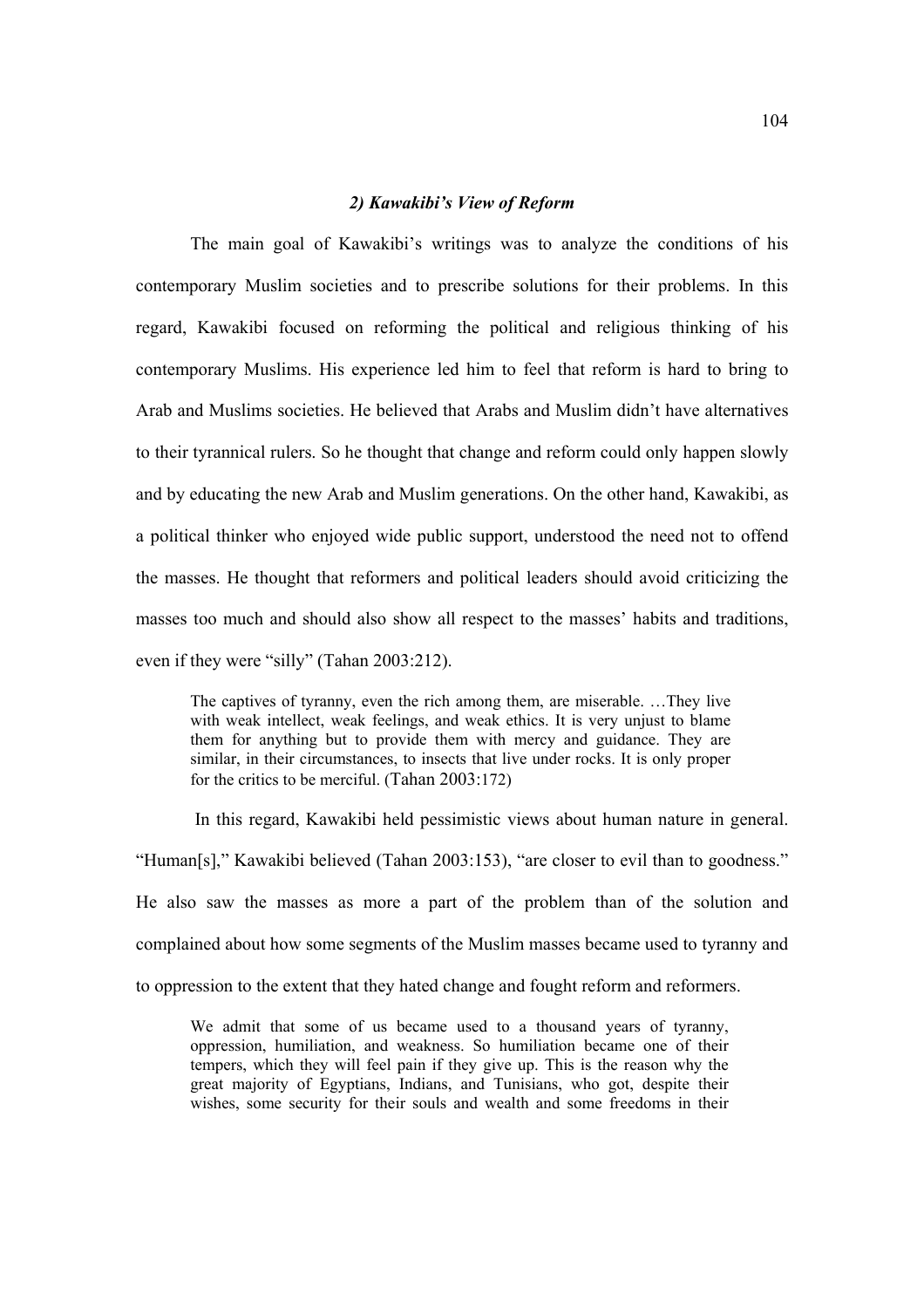#### *2) Kawakibi's View of Reform*

The main goal of Kawakibi's writings was to analyze the conditions of his contemporary Muslim societies and to prescribe solutions for their problems. In this regard, Kawakibi focused on reforming the political and religious thinking of his contemporary Muslims. His experience led him to feel that reform is hard to bring to Arab and Muslims societies. He believed that Arabs and Muslim didn't have alternatives to their tyrannical rulers. So he thought that change and reform could only happen slowly and by educating the new Arab and Muslim generations. On the other hand, Kawakibi, as a political thinker who enjoyed wide public support, understood the need not to offend the masses. He thought that reformers and political leaders should avoid criticizing the masses too much and should also show all respect to the masses' habits and traditions, even if they were "silly" (Tahan 2003:212).

The captives of tyranny, even the rich among them, are miserable. …They live with weak intellect, weak feelings, and weak ethics. It is very unjust to blame them for anything but to provide them with mercy and guidance. They are similar, in their circumstances, to insects that live under rocks. It is only proper for the critics to be merciful. (Tahan 2003:172)

 In this regard, Kawakibi held pessimistic views about human nature in general. "Human[s]," Kawakibi believed (Tahan 2003:153), "are closer to evil than to goodness." He also saw the masses as more a part of the problem than of the solution and complained about how some segments of the Muslim masses became used to tyranny and to oppression to the extent that they hated change and fought reform and reformers.

We admit that some of us became used to a thousand years of tyranny, oppression, humiliation, and weakness. So humiliation became one of their tempers, which they will feel pain if they give up. This is the reason why the great majority of Egyptians, Indians, and Tunisians, who got, despite their wishes, some security for their souls and wealth and some freedoms in their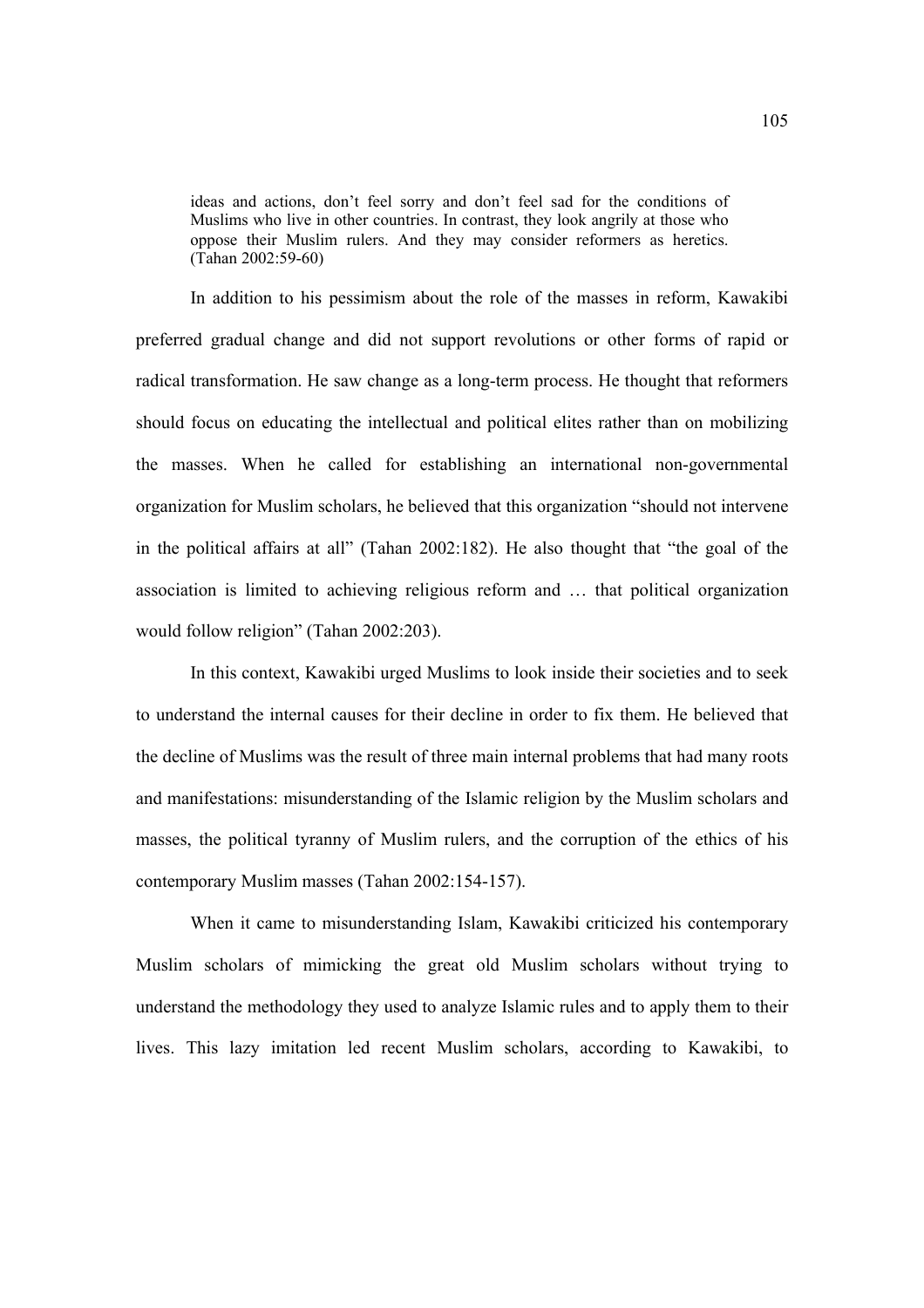ideas and actions, don't feel sorry and don't feel sad for the conditions of Muslims who live in other countries. In contrast, they look angrily at those who oppose their Muslim rulers. And they may consider reformers as heretics. (Tahan 2002:59-60)

In addition to his pessimism about the role of the masses in reform, Kawakibi preferred gradual change and did not support revolutions or other forms of rapid or radical transformation. He saw change as a long-term process. He thought that reformers should focus on educating the intellectual and political elites rather than on mobilizing the masses. When he called for establishing an international non-governmental organization for Muslim scholars, he believed that this organization "should not intervene in the political affairs at all" (Tahan 2002:182). He also thought that "the goal of the association is limited to achieving religious reform and … that political organization would follow religion" (Tahan 2002:203).

In this context, Kawakibi urged Muslims to look inside their societies and to seek to understand the internal causes for their decline in order to fix them. He believed that the decline of Muslims was the result of three main internal problems that had many roots and manifestations: misunderstanding of the Islamic religion by the Muslim scholars and masses, the political tyranny of Muslim rulers, and the corruption of the ethics of his contemporary Muslim masses (Tahan 2002:154-157).

When it came to misunderstanding Islam, Kawakibi criticized his contemporary Muslim scholars of mimicking the great old Muslim scholars without trying to understand the methodology they used to analyze Islamic rules and to apply them to their lives. This lazy imitation led recent Muslim scholars, according to Kawakibi, to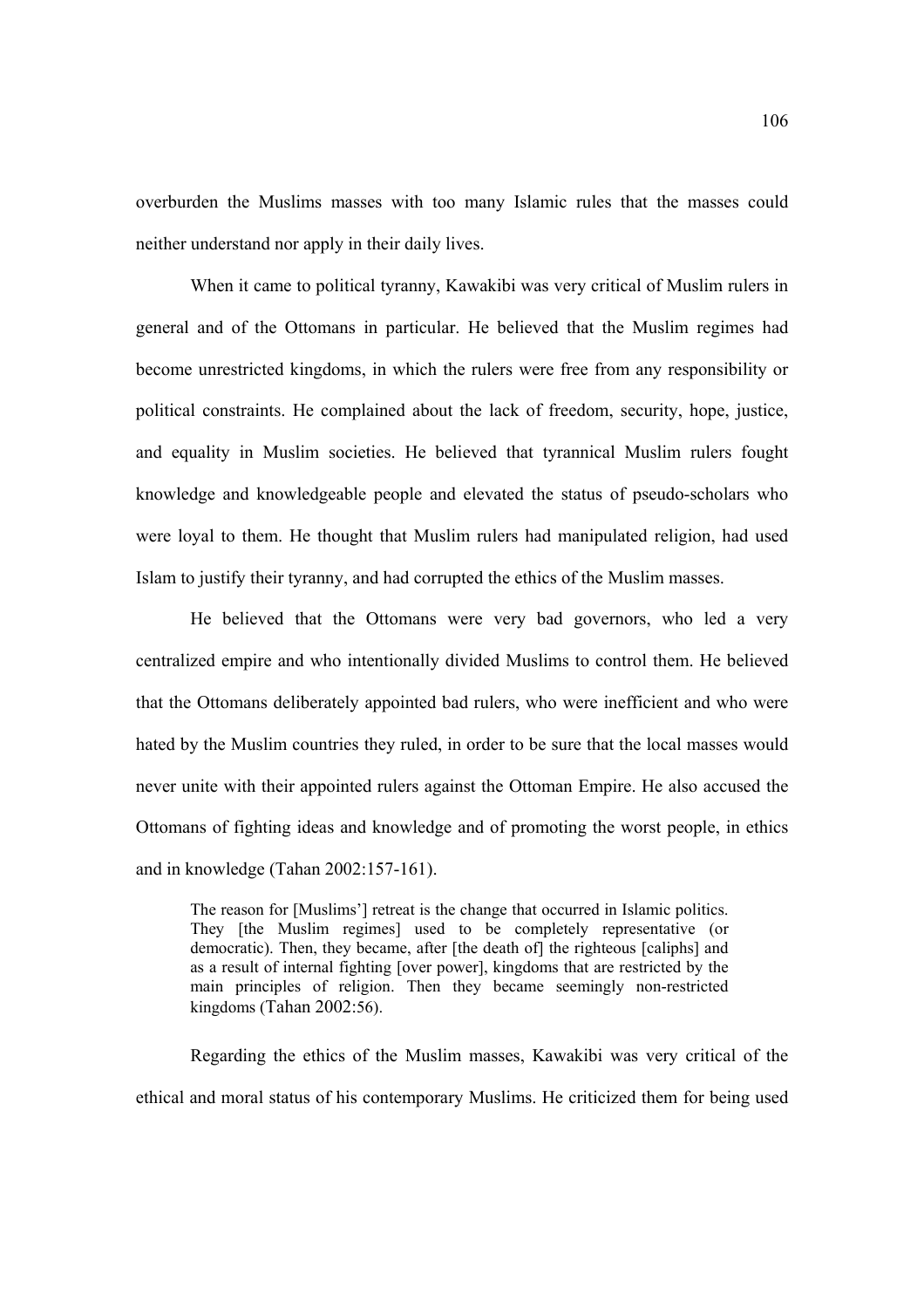overburden the Muslims masses with too many Islamic rules that the masses could neither understand nor apply in their daily lives.

When it came to political tyranny, Kawakibi was very critical of Muslim rulers in general and of the Ottomans in particular. He believed that the Muslim regimes had become unrestricted kingdoms, in which the rulers were free from any responsibility or political constraints. He complained about the lack of freedom, security, hope, justice, and equality in Muslim societies. He believed that tyrannical Muslim rulers fought knowledge and knowledgeable people and elevated the status of pseudo-scholars who were loyal to them. He thought that Muslim rulers had manipulated religion, had used Islam to justify their tyranny, and had corrupted the ethics of the Muslim masses.

He believed that the Ottomans were very bad governors, who led a very centralized empire and who intentionally divided Muslims to control them. He believed that the Ottomans deliberately appointed bad rulers, who were inefficient and who were hated by the Muslim countries they ruled, in order to be sure that the local masses would never unite with their appointed rulers against the Ottoman Empire. He also accused the Ottomans of fighting ideas and knowledge and of promoting the worst people, in ethics and in knowledge (Tahan 2002:157-161).

The reason for [Muslims'] retreat is the change that occurred in Islamic politics. They [the Muslim regimes] used to be completely representative (or democratic). Then, they became, after [the death of] the righteous [caliphs] and as a result of internal fighting [over power], kingdoms that are restricted by the main principles of religion. Then they became seemingly non-restricted kingdoms (Tahan 2002:56).

Regarding the ethics of the Muslim masses, Kawakibi was very critical of the ethical and moral status of his contemporary Muslims. He criticized them for being used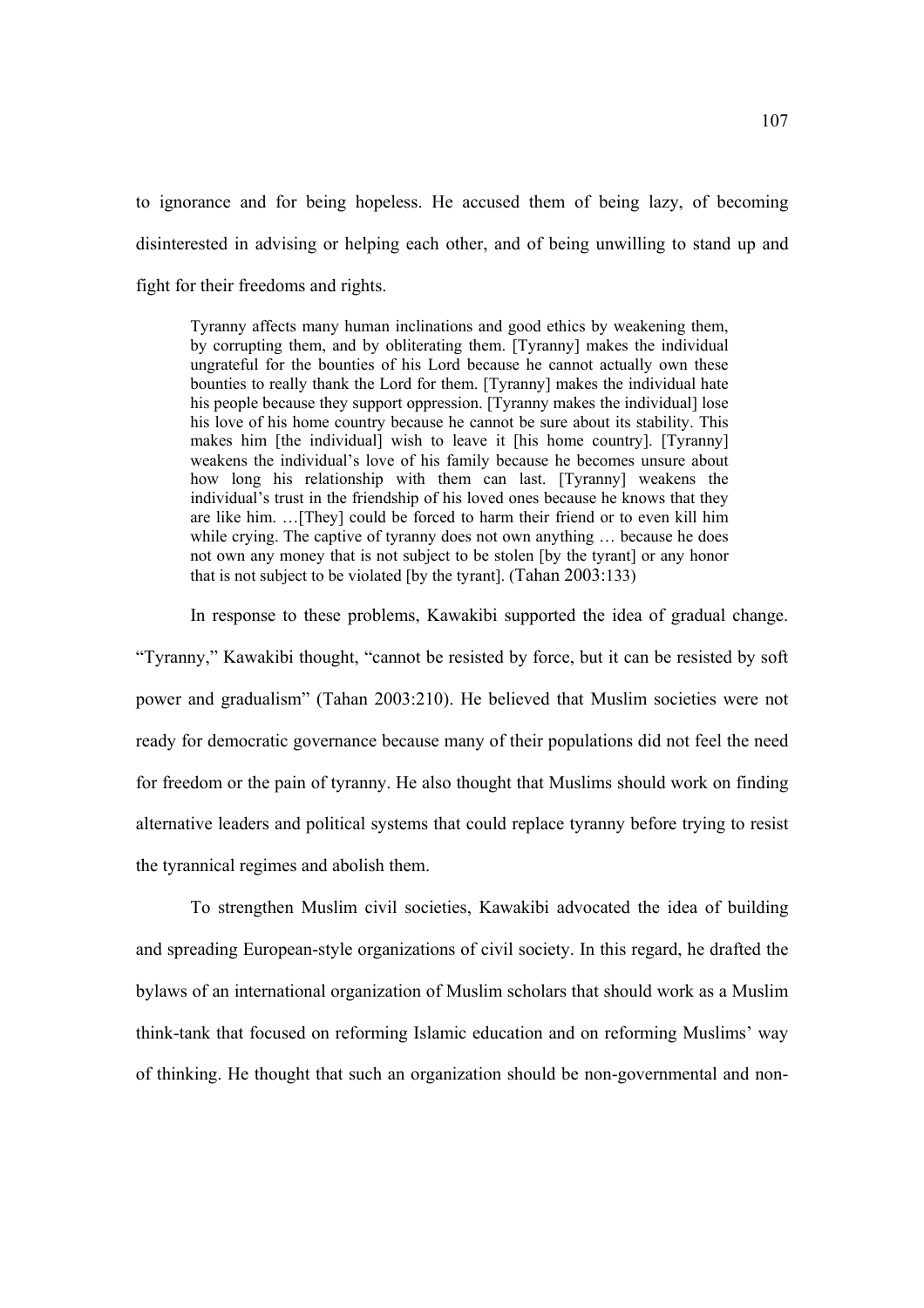to ignorance and for being hopeless. He accused them of being lazy, of becoming disinterested in advising or helping each other, and of being unwilling to stand up and fight for their freedoms and rights.

Tyranny affects many human inclinations and good ethics by weakening them, by corrupting them, and by obliterating them. [Tyranny] makes the individual ungrateful for the bounties of his Lord because he cannot actually own these bounties to really thank the Lord for them. [Tyranny] makes the individual hate his people because they support oppression. [Tyranny makes the individual] lose his love of his home country because he cannot be sure about its stability. This makes him [the individual] wish to leave it [his home country]. [Tyranny] weakens the individual's love of his family because he becomes unsure about how long his relationship with them can last. [Tyranny] weakens the individual's trust in the friendship of his loved ones because he knows that they are like him. …[They] could be forced to harm their friend or to even kill him while crying. The captive of tyranny does not own anything ... because he does not own any money that is not subject to be stolen [by the tyrant] or any honor that is not subject to be violated [by the tyrant]. (Tahan 2003:133)

In response to these problems, Kawakibi supported the idea of gradual change.

"Tyranny," Kawakibi thought, "cannot be resisted by force, but it can be resisted by soft power and gradualism" (Tahan 2003:210). He believed that Muslim societies were not ready for democratic governance because many of their populations did not feel the need for freedom or the pain of tyranny. He also thought that Muslims should work on finding alternative leaders and political systems that could replace tyranny before trying to resist the tyrannical regimes and abolish them.

 To strengthen Muslim civil societies, Kawakibi advocated the idea of building and spreading European-style organizations of civil society. In this regard, he drafted the bylaws of an international organization of Muslim scholars that should work as a Muslim think-tank that focused on reforming Islamic education and on reforming Muslims' way of thinking. He thought that such an organization should be non-governmental and non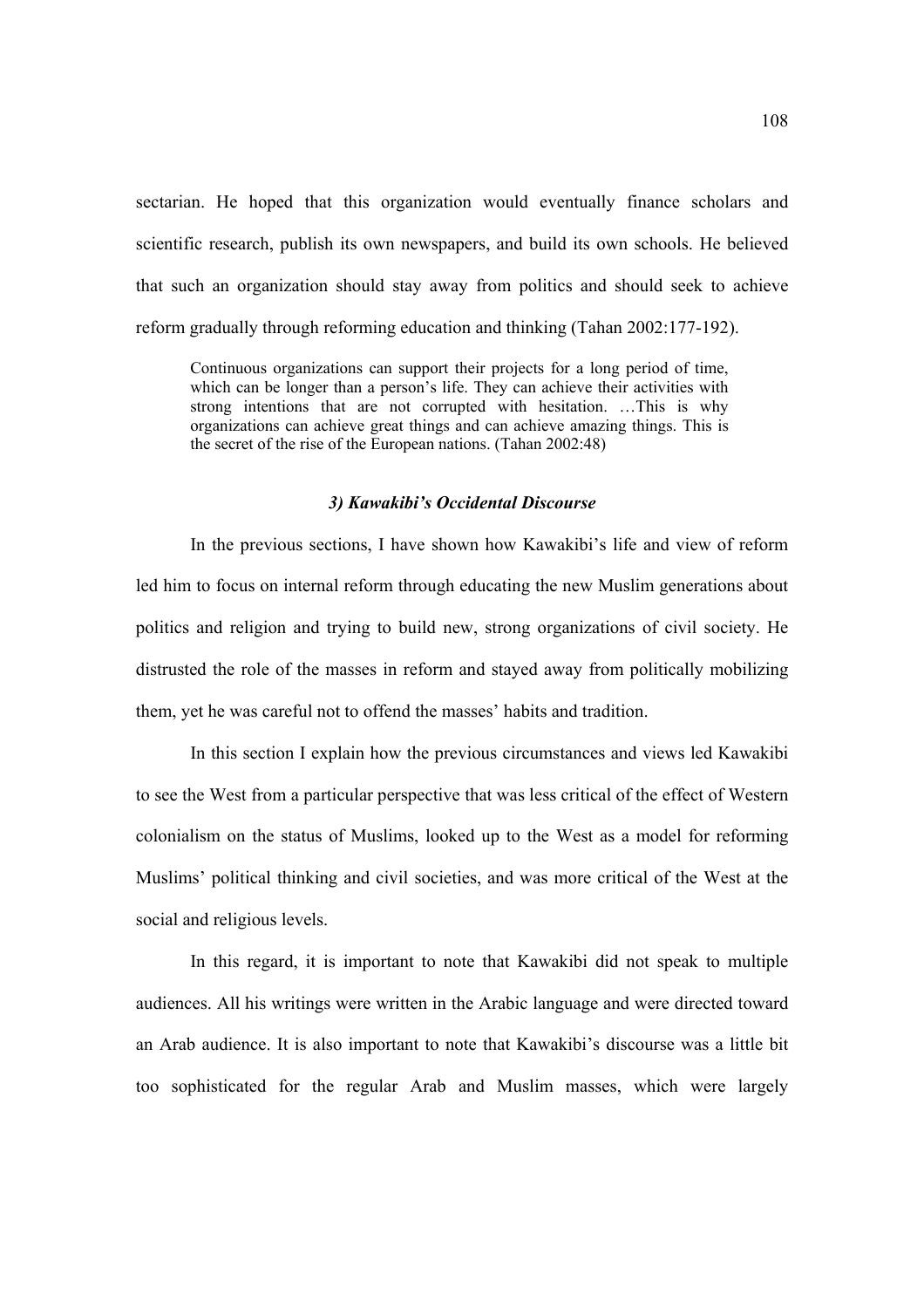sectarian. He hoped that this organization would eventually finance scholars and scientific research, publish its own newspapers, and build its own schools. He believed that such an organization should stay away from politics and should seek to achieve reform gradually through reforming education and thinking (Tahan 2002:177-192).

Continuous organizations can support their projects for a long period of time, which can be longer than a person's life. They can achieve their activities with strong intentions that are not corrupted with hesitation. …This is why organizations can achieve great things and can achieve amazing things. This is the secret of the rise of the European nations. (Tahan 2002:48)

#### *3) Kawakibi's Occidental Discourse*

In the previous sections, I have shown how Kawakibi's life and view of reform led him to focus on internal reform through educating the new Muslim generations about politics and religion and trying to build new, strong organizations of civil society. He distrusted the role of the masses in reform and stayed away from politically mobilizing them, yet he was careful not to offend the masses' habits and tradition.

 In this section I explain how the previous circumstances and views led Kawakibi to see the West from a particular perspective that was less critical of the effect of Western colonialism on the status of Muslims, looked up to the West as a model for reforming Muslims' political thinking and civil societies, and was more critical of the West at the social and religious levels.

 In this regard, it is important to note that Kawakibi did not speak to multiple audiences. All his writings were written in the Arabic language and were directed toward an Arab audience. It is also important to note that Kawakibi's discourse was a little bit too sophisticated for the regular Arab and Muslim masses, which were largely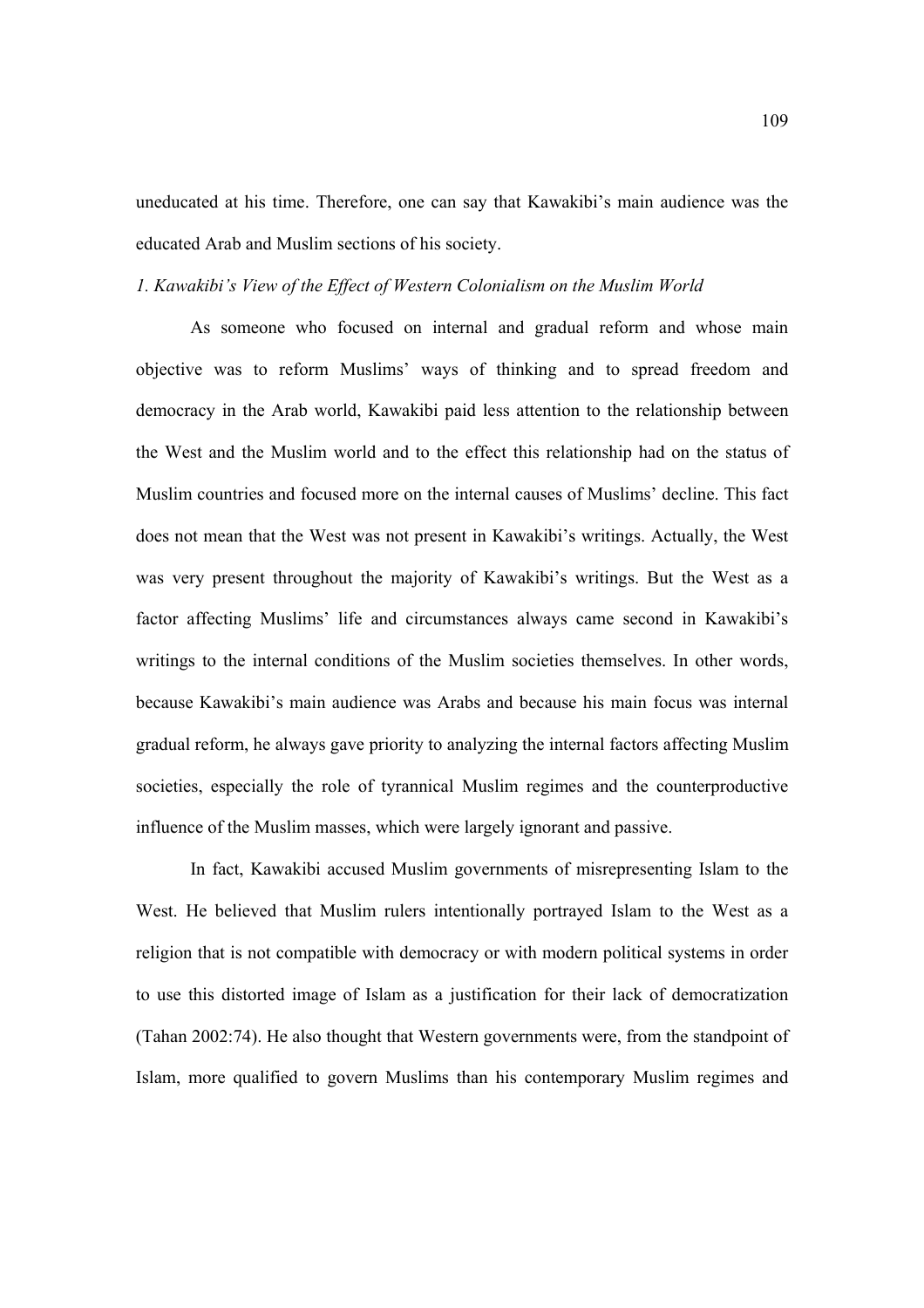uneducated at his time. Therefore, one can say that Kawakibi's main audience was the educated Arab and Muslim sections of his society.

### *1. Kawakibi's View of the Effect of Western Colonialism on the Muslim World*

 As someone who focused on internal and gradual reform and whose main objective was to reform Muslims' ways of thinking and to spread freedom and democracy in the Arab world, Kawakibi paid less attention to the relationship between the West and the Muslim world and to the effect this relationship had on the status of Muslim countries and focused more on the internal causes of Muslims' decline. This fact does not mean that the West was not present in Kawakibi's writings. Actually, the West was very present throughout the majority of Kawakibi's writings. But the West as a factor affecting Muslims' life and circumstances always came second in Kawakibi's writings to the internal conditions of the Muslim societies themselves. In other words, because Kawakibi's main audience was Arabs and because his main focus was internal gradual reform, he always gave priority to analyzing the internal factors affecting Muslim societies, especially the role of tyrannical Muslim regimes and the counterproductive influence of the Muslim masses, which were largely ignorant and passive.

In fact, Kawakibi accused Muslim governments of misrepresenting Islam to the West. He believed that Muslim rulers intentionally portrayed Islam to the West as a religion that is not compatible with democracy or with modern political systems in order to use this distorted image of Islam as a justification for their lack of democratization (Tahan 2002:74). He also thought that Western governments were, from the standpoint of Islam, more qualified to govern Muslims than his contemporary Muslim regimes and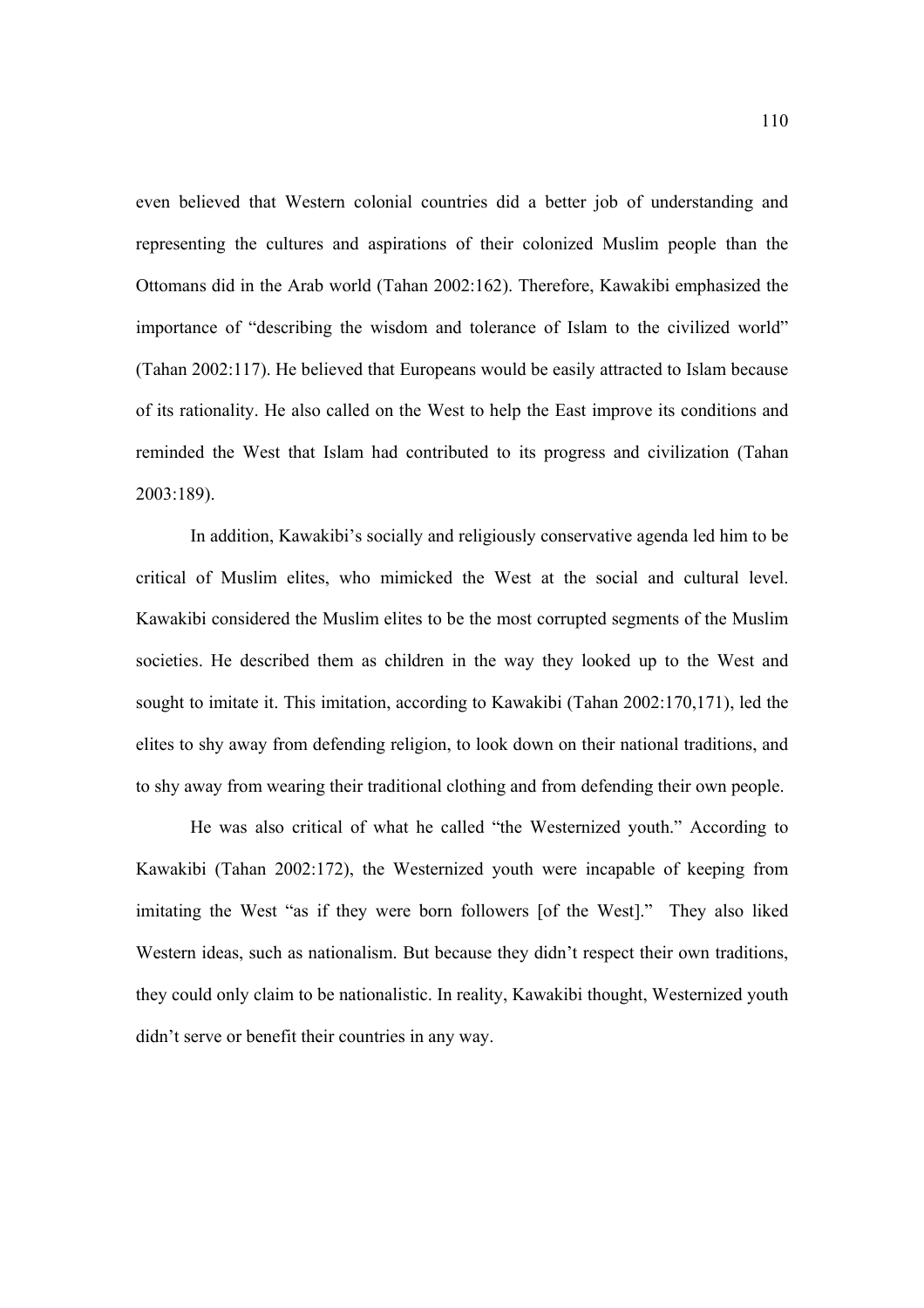even believed that Western colonial countries did a better job of understanding and representing the cultures and aspirations of their colonized Muslim people than the Ottomans did in the Arab world (Tahan 2002:162). Therefore, Kawakibi emphasized the importance of "describing the wisdom and tolerance of Islam to the civilized world" (Tahan 2002:117). He believed that Europeans would be easily attracted to Islam because of its rationality. He also called on the West to help the East improve its conditions and reminded the West that Islam had contributed to its progress and civilization (Tahan 2003:189).

 In addition, Kawakibi's socially and religiously conservative agenda led him to be critical of Muslim elites, who mimicked the West at the social and cultural level. Kawakibi considered the Muslim elites to be the most corrupted segments of the Muslim societies. He described them as children in the way they looked up to the West and sought to imitate it. This imitation, according to Kawakibi (Tahan 2002:170,171), led the elites to shy away from defending religion, to look down on their national traditions, and to shy away from wearing their traditional clothing and from defending their own people.

He was also critical of what he called "the Westernized youth." According to Kawakibi (Tahan 2002:172), the Westernized youth were incapable of keeping from imitating the West "as if they were born followers [of the West]." They also liked Western ideas, such as nationalism. But because they didn't respect their own traditions, they could only claim to be nationalistic. In reality, Kawakibi thought, Westernized youth didn't serve or benefit their countries in any way.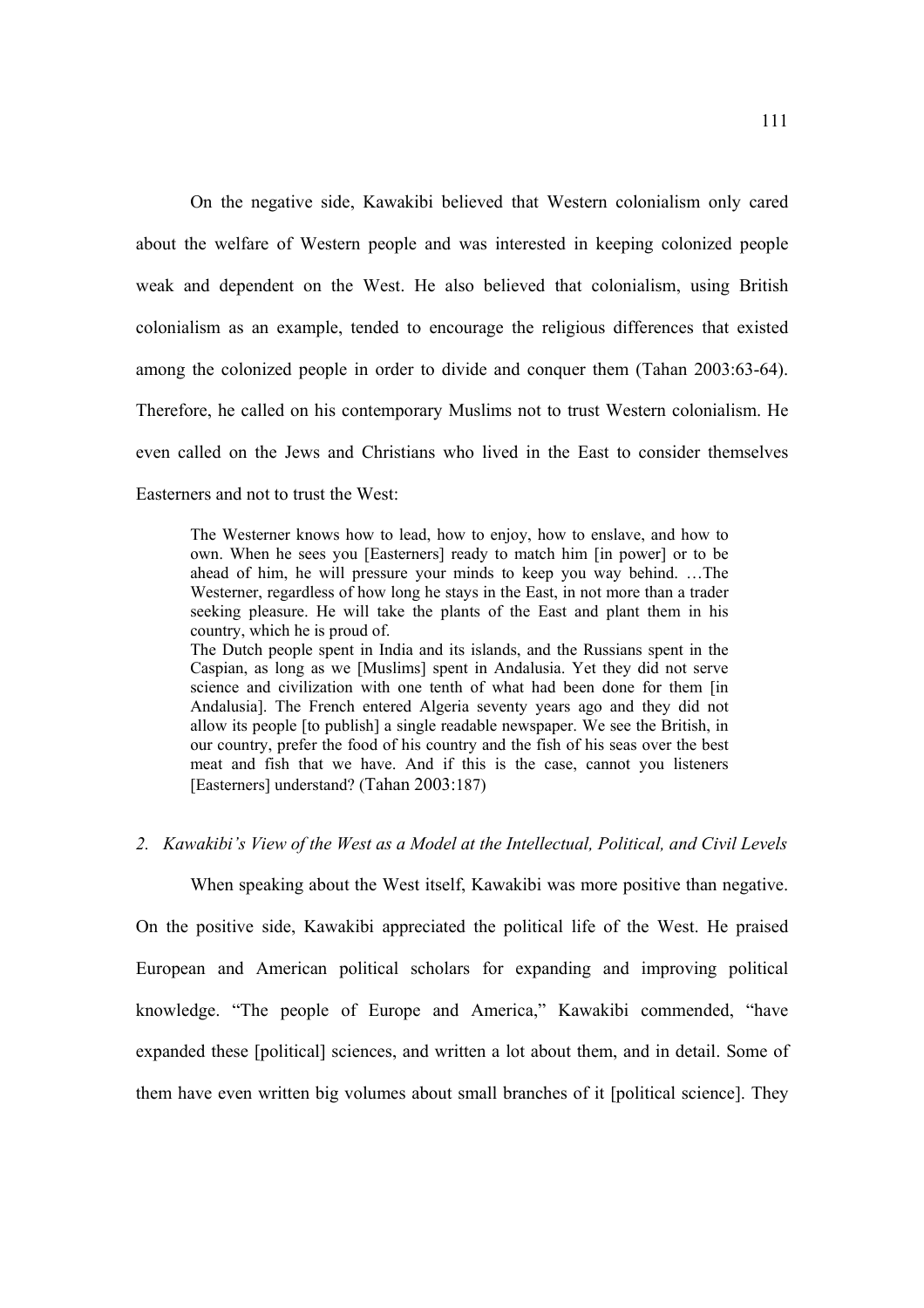On the negative side, Kawakibi believed that Western colonialism only cared about the welfare of Western people and was interested in keeping colonized people weak and dependent on the West. He also believed that colonialism, using British colonialism as an example, tended to encourage the religious differences that existed among the colonized people in order to divide and conquer them (Tahan 2003:63-64). Therefore, he called on his contemporary Muslims not to trust Western colonialism. He even called on the Jews and Christians who lived in the East to consider themselves Easterners and not to trust the West:

The Westerner knows how to lead, how to enjoy, how to enslave, and how to own. When he sees you [Easterners] ready to match him [in power] or to be ahead of him, he will pressure your minds to keep you way behind. …The Westerner, regardless of how long he stays in the East, in not more than a trader seeking pleasure. He will take the plants of the East and plant them in his country, which he is proud of.

The Dutch people spent in India and its islands, and the Russians spent in the Caspian, as long as we [Muslims] spent in Andalusia. Yet they did not serve science and civilization with one tenth of what had been done for them [in Andalusia]. The French entered Algeria seventy years ago and they did not allow its people [to publish] a single readable newspaper. We see the British, in our country, prefer the food of his country and the fish of his seas over the best meat and fish that we have. And if this is the case, cannot you listeners [Easterners] understand? (Tahan 2003:187)

# *2. Kawakibi's View of the West as a Model at the Intellectual, Political, and Civil Levels*

 When speaking about the West itself, Kawakibi was more positive than negative. On the positive side, Kawakibi appreciated the political life of the West. He praised European and American political scholars for expanding and improving political knowledge. "The people of Europe and America," Kawakibi commended, "have expanded these [political] sciences, and written a lot about them, and in detail. Some of them have even written big volumes about small branches of it [political science]. They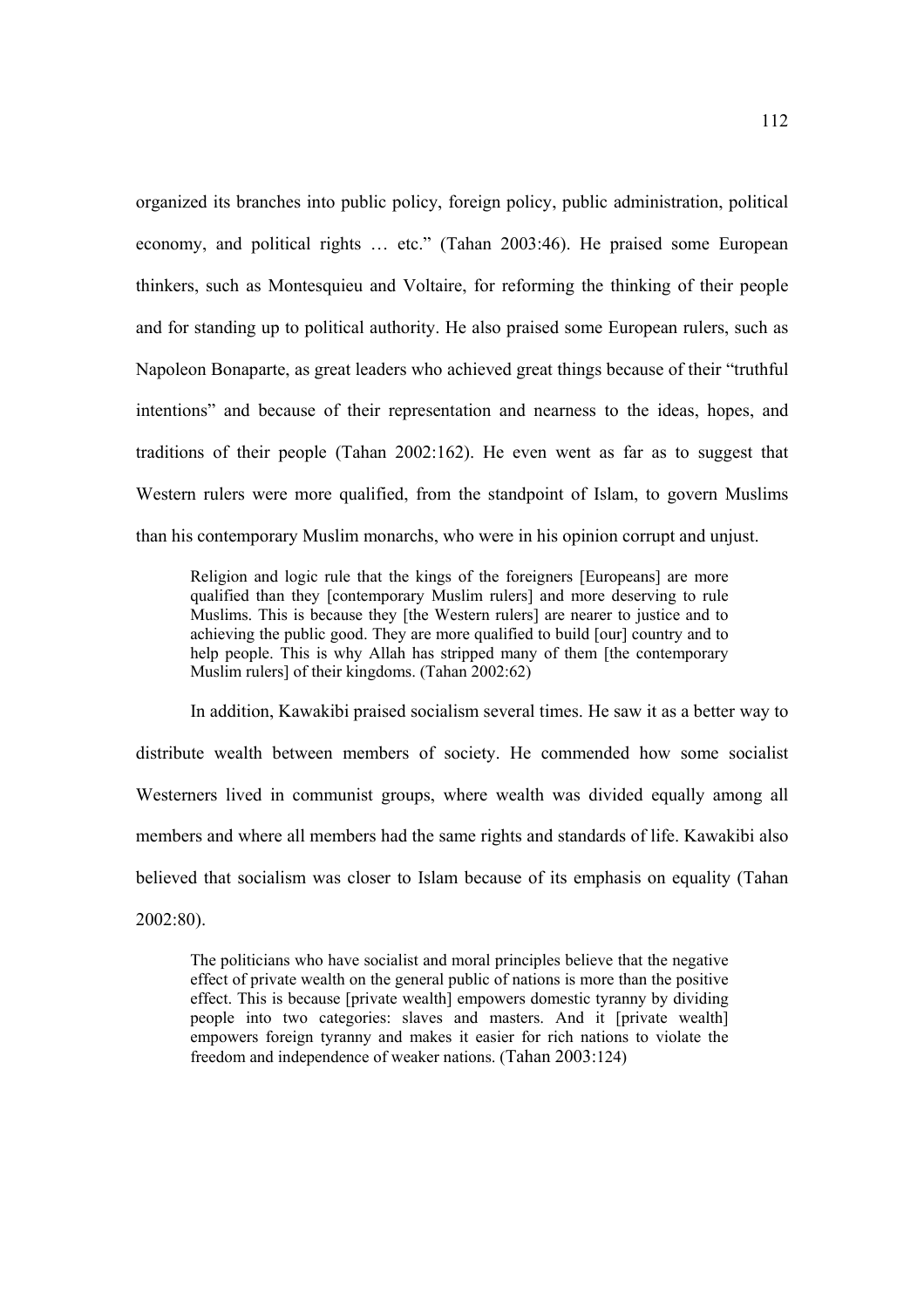organized its branches into public policy, foreign policy, public administration, political economy, and political rights … etc." (Tahan 2003:46). He praised some European thinkers, such as Montesquieu and Voltaire, for reforming the thinking of their people and for standing up to political authority. He also praised some European rulers, such as Napoleon Bonaparte, as great leaders who achieved great things because of their "truthful intentions" and because of their representation and nearness to the ideas, hopes, and traditions of their people (Tahan 2002:162). He even went as far as to suggest that Western rulers were more qualified, from the standpoint of Islam, to govern Muslims than his contemporary Muslim monarchs, who were in his opinion corrupt and unjust.

Religion and logic rule that the kings of the foreigners [Europeans] are more qualified than they [contemporary Muslim rulers] and more deserving to rule Muslims. This is because they [the Western rulers] are nearer to justice and to achieving the public good. They are more qualified to build [our] country and to help people. This is why Allah has stripped many of them [the contemporary Muslim rulers] of their kingdoms. (Tahan 2002:62)

 In addition, Kawakibi praised socialism several times. He saw it as a better way to distribute wealth between members of society. He commended how some socialist Westerners lived in communist groups, where wealth was divided equally among all members and where all members had the same rights and standards of life. Kawakibi also believed that socialism was closer to Islam because of its emphasis on equality (Tahan 2002:80).

The politicians who have socialist and moral principles believe that the negative effect of private wealth on the general public of nations is more than the positive effect. This is because [private wealth] empowers domestic tyranny by dividing people into two categories: slaves and masters. And it [private wealth] empowers foreign tyranny and makes it easier for rich nations to violate the freedom and independence of weaker nations. (Tahan 2003:124)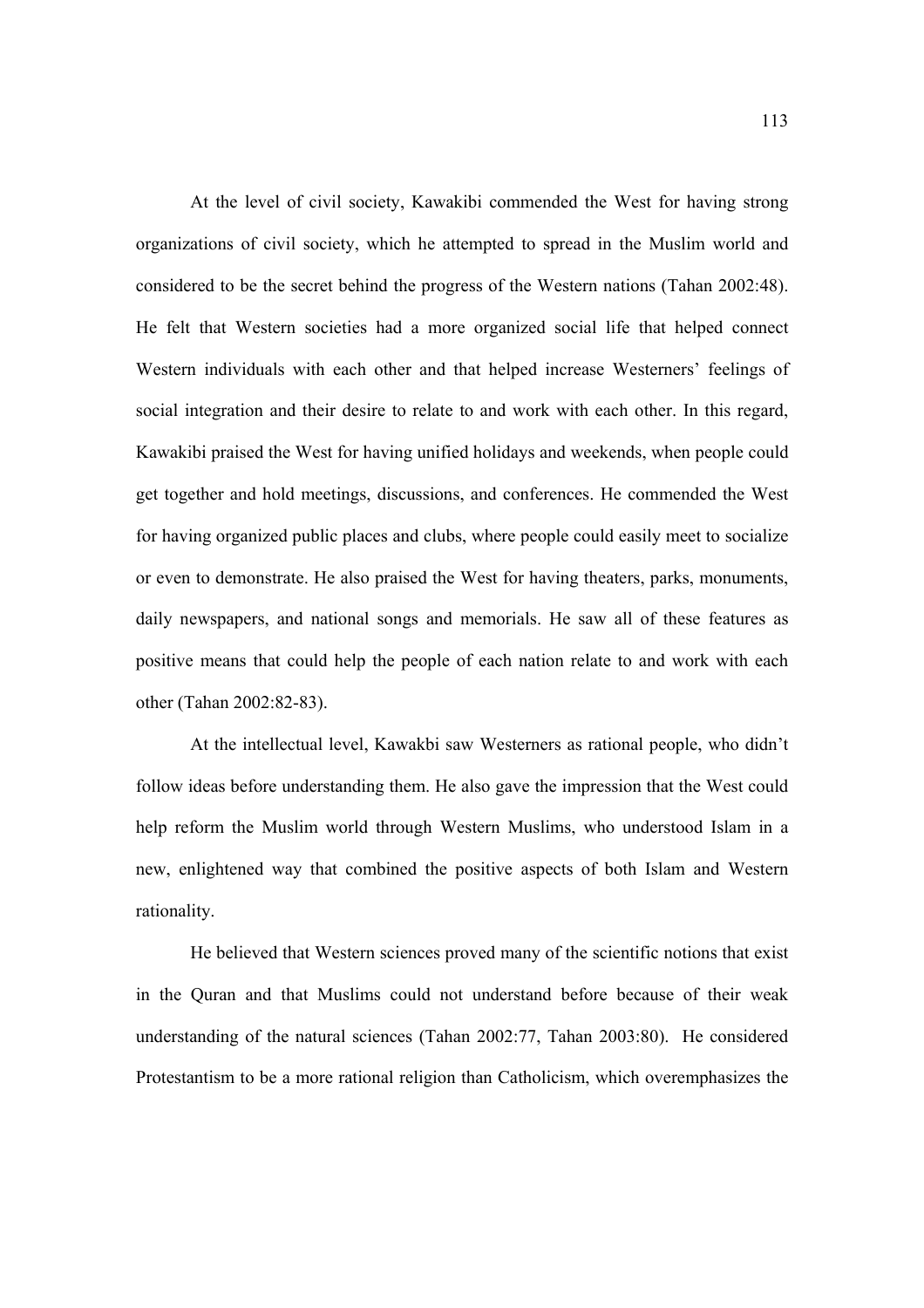At the level of civil society, Kawakibi commended the West for having strong organizations of civil society, which he attempted to spread in the Muslim world and considered to be the secret behind the progress of the Western nations (Tahan 2002:48). He felt that Western societies had a more organized social life that helped connect Western individuals with each other and that helped increase Westerners' feelings of social integration and their desire to relate to and work with each other. In this regard, Kawakibi praised the West for having unified holidays and weekends, when people could get together and hold meetings, discussions, and conferences. He commended the West for having organized public places and clubs, where people could easily meet to socialize or even to demonstrate. He also praised the West for having theaters, parks, monuments, daily newspapers, and national songs and memorials. He saw all of these features as positive means that could help the people of each nation relate to and work with each other (Tahan 2002:82-83).

 At the intellectual level, Kawakbi saw Westerners as rational people, who didn't follow ideas before understanding them. He also gave the impression that the West could help reform the Muslim world through Western Muslims, who understood Islam in a new, enlightened way that combined the positive aspects of both Islam and Western rationality.

He believed that Western sciences proved many of the scientific notions that exist in the Quran and that Muslims could not understand before because of their weak understanding of the natural sciences (Tahan 2002:77, Tahan 2003:80). He considered Protestantism to be a more rational religion than Catholicism, which overemphasizes the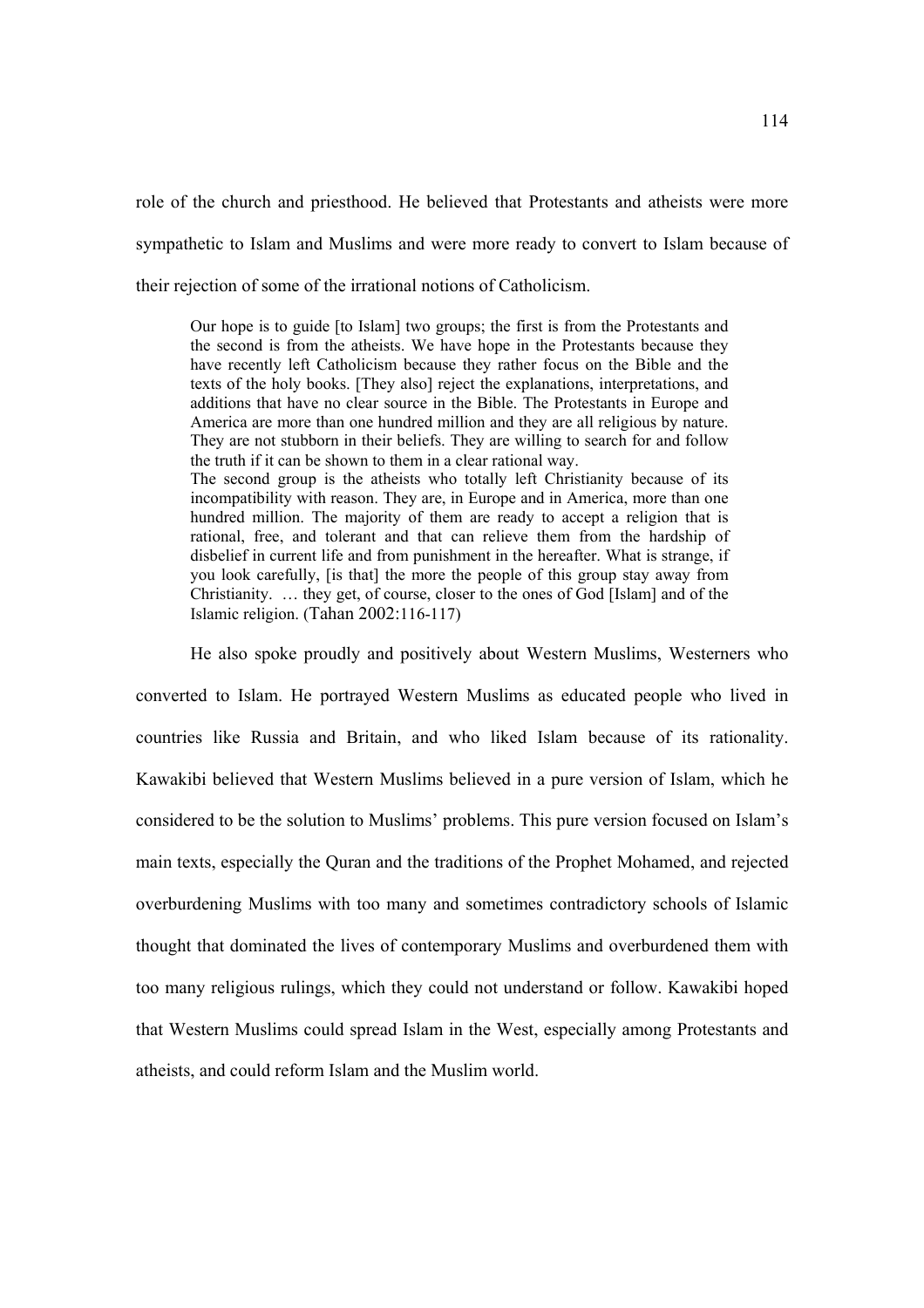role of the church and priesthood. He believed that Protestants and atheists were more sympathetic to Islam and Muslims and were more ready to convert to Islam because of their rejection of some of the irrational notions of Catholicism.

Our hope is to guide [to Islam] two groups; the first is from the Protestants and the second is from the atheists. We have hope in the Protestants because they have recently left Catholicism because they rather focus on the Bible and the texts of the holy books. [They also] reject the explanations, interpretations, and additions that have no clear source in the Bible. The Protestants in Europe and America are more than one hundred million and they are all religious by nature. They are not stubborn in their beliefs. They are willing to search for and follow the truth if it can be shown to them in a clear rational way. The second group is the atheists who totally left Christianity because of its incompatibility with reason. They are, in Europe and in America, more than one hundred million. The majority of them are ready to accept a religion that is rational, free, and tolerant and that can relieve them from the hardship of disbelief in current life and from punishment in the hereafter. What is strange, if you look carefully, [is that] the more the people of this group stay away from Christianity. … they get, of course, closer to the ones of God [Islam] and of the Islamic religion. (Tahan 2002:116-117)

 He also spoke proudly and positively about Western Muslims, Westerners who converted to Islam. He portrayed Western Muslims as educated people who lived in countries like Russia and Britain, and who liked Islam because of its rationality. Kawakibi believed that Western Muslims believed in a pure version of Islam, which he considered to be the solution to Muslims' problems. This pure version focused on Islam's main texts, especially the Quran and the traditions of the Prophet Mohamed, and rejected overburdening Muslims with too many and sometimes contradictory schools of Islamic thought that dominated the lives of contemporary Muslims and overburdened them with too many religious rulings, which they could not understand or follow. Kawakibi hoped that Western Muslims could spread Islam in the West, especially among Protestants and atheists, and could reform Islam and the Muslim world.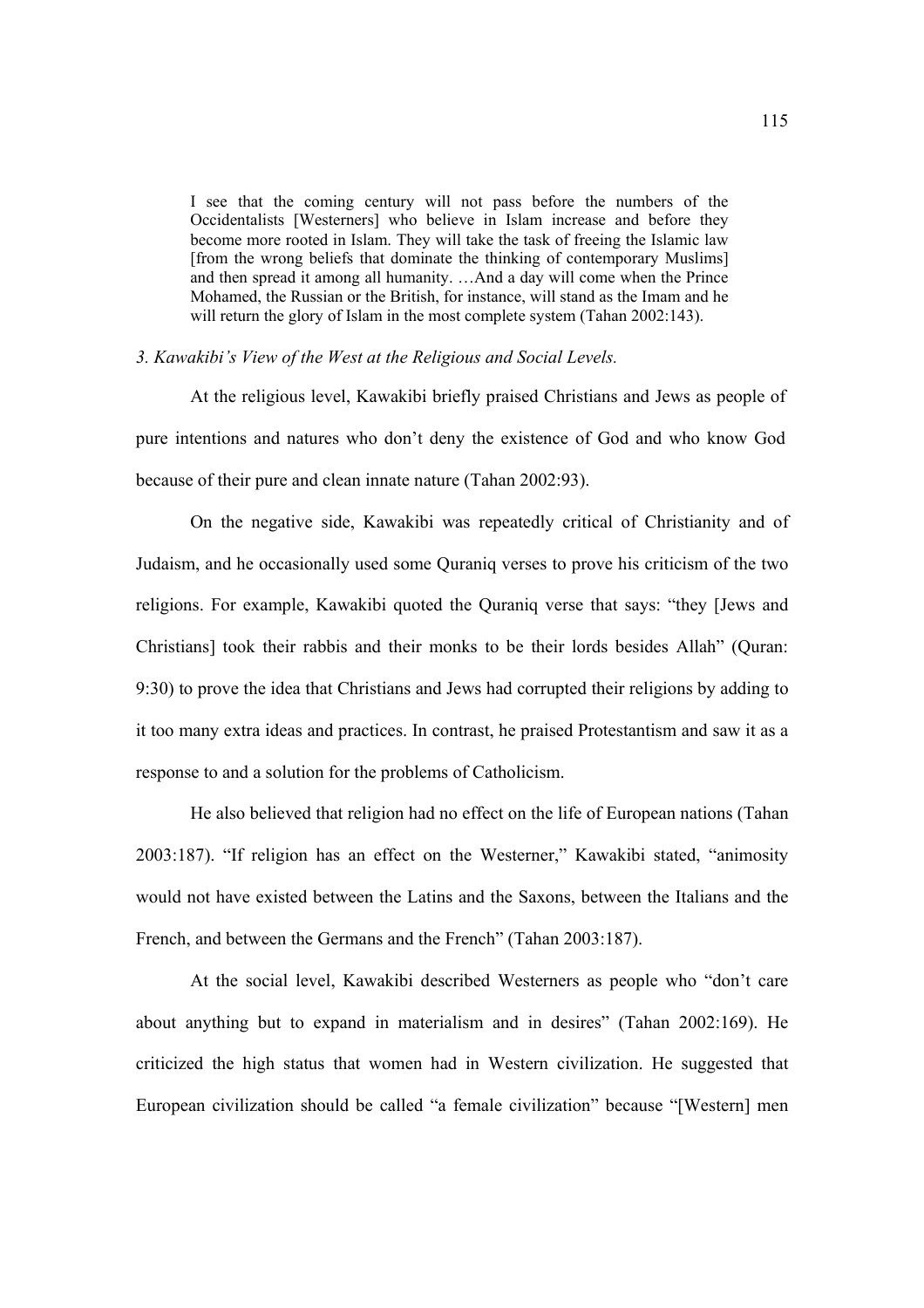I see that the coming century will not pass before the numbers of the Occidentalists [Westerners] who believe in Islam increase and before they become more rooted in Islam. They will take the task of freeing the Islamic law [from the wrong beliefs that dominate the thinking of contemporary Muslims] and then spread it among all humanity. …And a day will come when the Prince Mohamed, the Russian or the British, for instance, will stand as the Imam and he will return the glory of Islam in the most complete system (Tahan 2002:143).

### *3. Kawakibi's View of the West at the Religious and Social Levels.*

 At the religious level, Kawakibi briefly praised Christians and Jews as people of pure intentions and natures who don't deny the existence of God and who know God because of their pure and clean innate nature (Tahan 2002:93).

 On the negative side, Kawakibi was repeatedly critical of Christianity and of Judaism, and he occasionally used some Quraniq verses to prove his criticism of the two religions. For example, Kawakibi quoted the Quraniq verse that says: "they [Jews and Christians] took their rabbis and their monks to be their lords besides Allah" (Quran: 9:30) to prove the idea that Christians and Jews had corrupted their religions by adding to it too many extra ideas and practices. In contrast, he praised Protestantism and saw it as a response to and a solution for the problems of Catholicism.

 He also believed that religion had no effect on the life of European nations (Tahan 2003:187). "If religion has an effect on the Westerner," Kawakibi stated, "animosity would not have existed between the Latins and the Saxons, between the Italians and the French, and between the Germans and the French" (Tahan 2003:187).

 At the social level, Kawakibi described Westerners as people who "don't care about anything but to expand in materialism and in desires" (Tahan 2002:169). He criticized the high status that women had in Western civilization. He suggested that European civilization should be called "a female civilization" because "[Western] men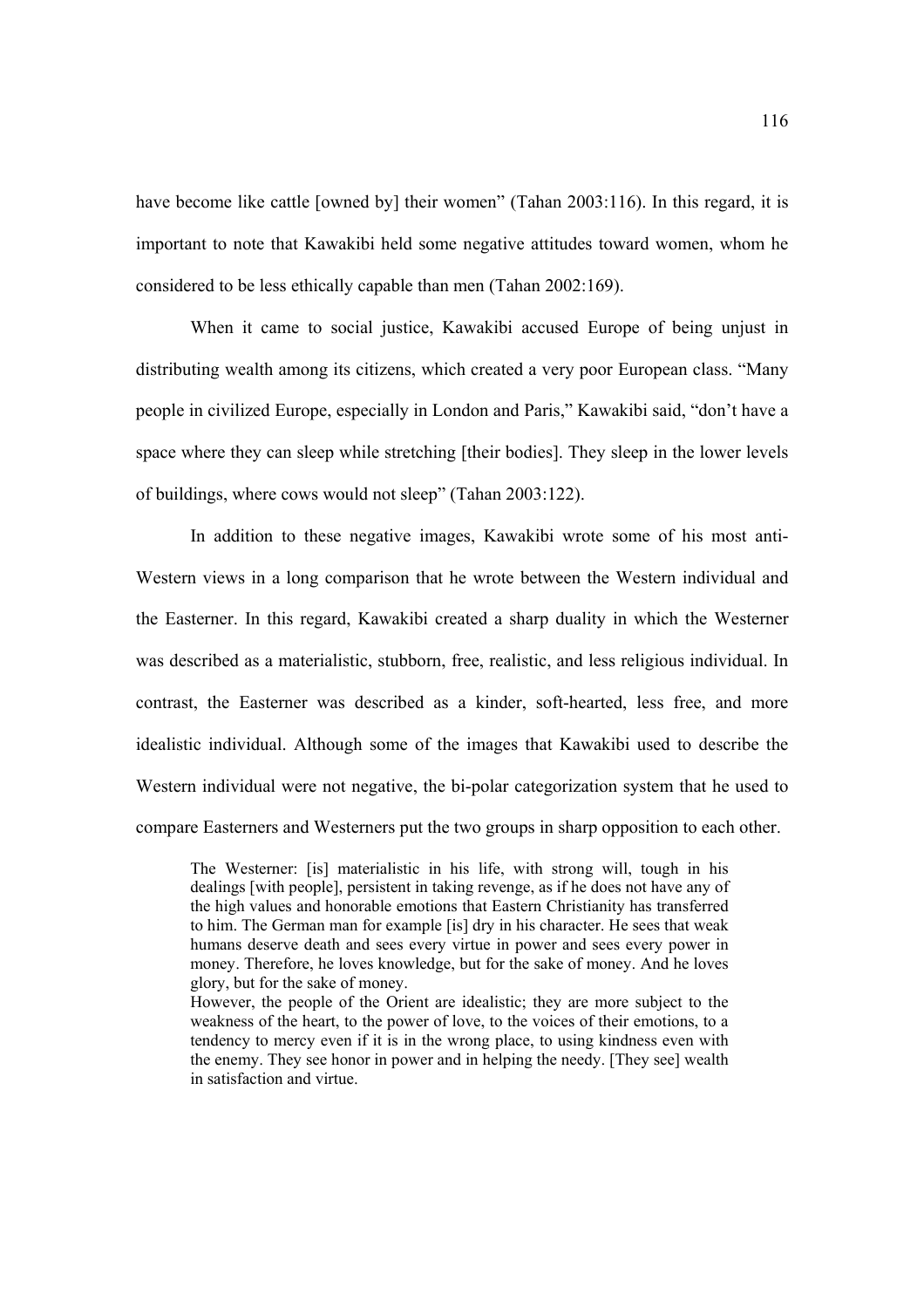have become like cattle [owned by] their women" (Tahan 2003:116). In this regard, it is important to note that Kawakibi held some negative attitudes toward women, whom he considered to be less ethically capable than men (Tahan 2002:169).

 When it came to social justice, Kawakibi accused Europe of being unjust in distributing wealth among its citizens, which created a very poor European class. "Many people in civilized Europe, especially in London and Paris," Kawakibi said, "don't have a space where they can sleep while stretching [their bodies]. They sleep in the lower levels of buildings, where cows would not sleep" (Tahan 2003:122).

 In addition to these negative images, Kawakibi wrote some of his most anti-Western views in a long comparison that he wrote between the Western individual and the Easterner. In this regard, Kawakibi created a sharp duality in which the Westerner was described as a materialistic, stubborn, free, realistic, and less religious individual. In contrast, the Easterner was described as a kinder, soft-hearted, less free, and more idealistic individual. Although some of the images that Kawakibi used to describe the Western individual were not negative, the bi-polar categorization system that he used to compare Easterners and Westerners put the two groups in sharp opposition to each other.

The Westerner: [is] materialistic in his life, with strong will, tough in his dealings [with people], persistent in taking revenge, as if he does not have any of the high values and honorable emotions that Eastern Christianity has transferred to him. The German man for example [is] dry in his character. He sees that weak humans deserve death and sees every virtue in power and sees every power in money. Therefore, he loves knowledge, but for the sake of money. And he loves glory, but for the sake of money.

However, the people of the Orient are idealistic; they are more subject to the weakness of the heart, to the power of love, to the voices of their emotions, to a tendency to mercy even if it is in the wrong place, to using kindness even with the enemy. They see honor in power and in helping the needy. [They see] wealth in satisfaction and virtue.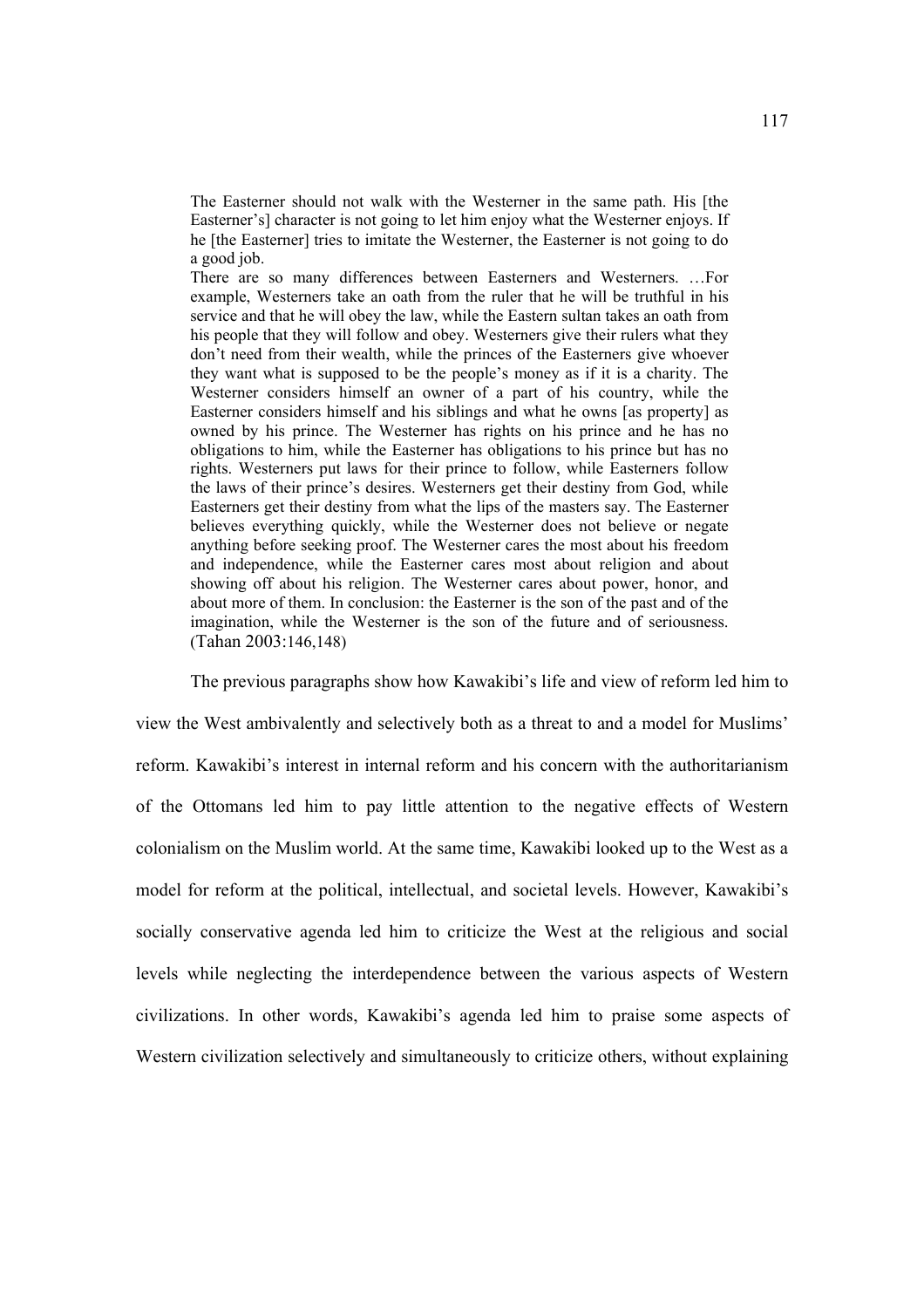The Easterner should not walk with the Westerner in the same path. His [the Easterner's] character is not going to let him enjoy what the Westerner enjoys. If he [the Easterner] tries to imitate the Westerner, the Easterner is not going to do a good job.

There are so many differences between Easterners and Westerners. …For example, Westerners take an oath from the ruler that he will be truthful in his service and that he will obey the law, while the Eastern sultan takes an oath from his people that they will follow and obey. Westerners give their rulers what they don't need from their wealth, while the princes of the Easterners give whoever they want what is supposed to be the people's money as if it is a charity. The Westerner considers himself an owner of a part of his country, while the Easterner considers himself and his siblings and what he owns [as property] as owned by his prince. The Westerner has rights on his prince and he has no obligations to him, while the Easterner has obligations to his prince but has no rights. Westerners put laws for their prince to follow, while Easterners follow the laws of their prince's desires. Westerners get their destiny from God, while Easterners get their destiny from what the lips of the masters say. The Easterner believes everything quickly, while the Westerner does not believe or negate anything before seeking proof. The Westerner cares the most about his freedom and independence, while the Easterner cares most about religion and about showing off about his religion. The Westerner cares about power, honor, and about more of them. In conclusion: the Easterner is the son of the past and of the imagination, while the Westerner is the son of the future and of seriousness. (Tahan 2003:146,148)

The previous paragraphs show how Kawakibi's life and view of reform led him to

view the West ambivalently and selectively both as a threat to and a model for Muslims' reform. Kawakibi's interest in internal reform and his concern with the authoritarianism of the Ottomans led him to pay little attention to the negative effects of Western colonialism on the Muslim world. At the same time, Kawakibi looked up to the West as a model for reform at the political, intellectual, and societal levels. However, Kawakibi's socially conservative agenda led him to criticize the West at the religious and social levels while neglecting the interdependence between the various aspects of Western civilizations. In other words, Kawakibi's agenda led him to praise some aspects of Western civilization selectively and simultaneously to criticize others, without explaining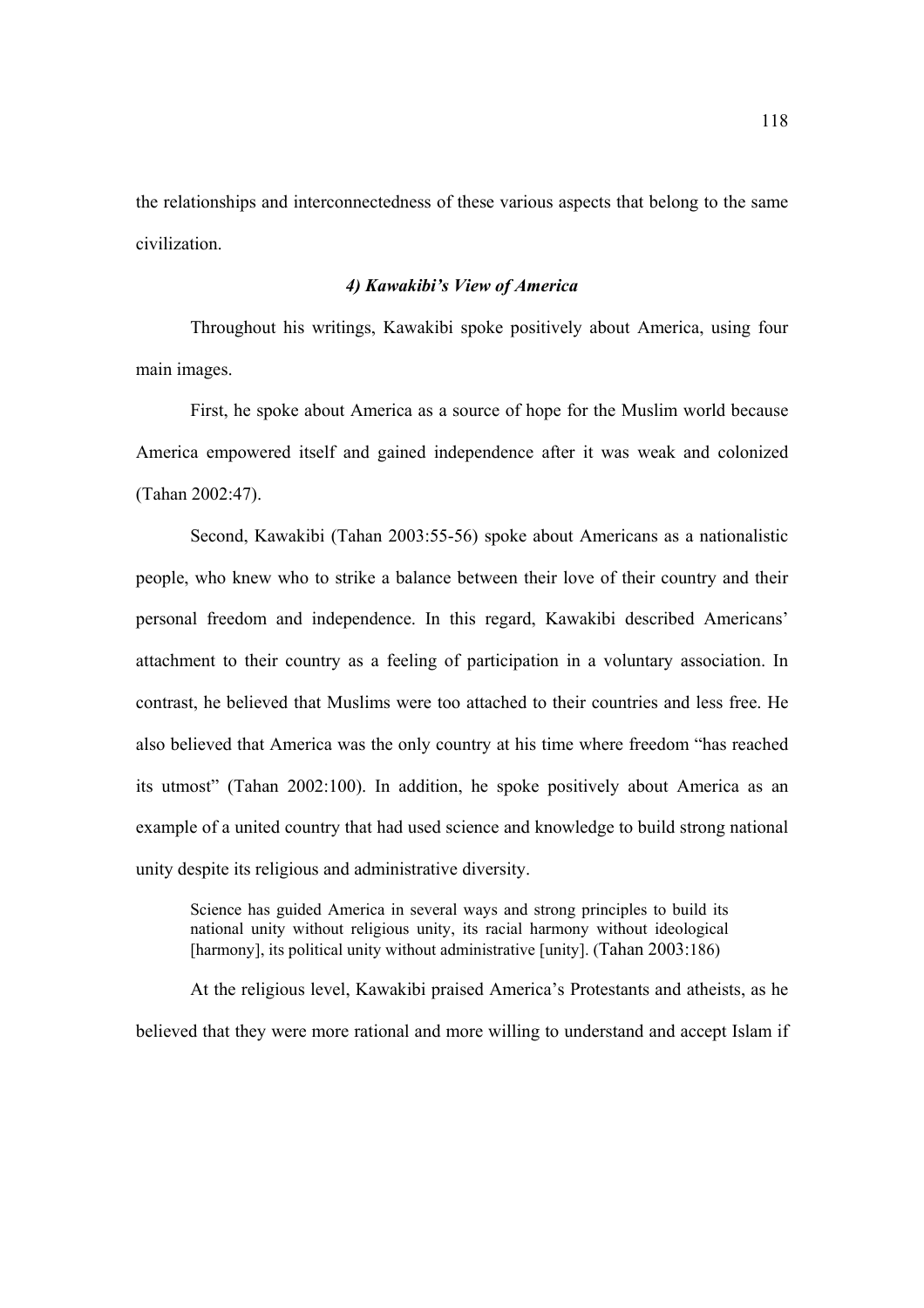the relationships and interconnectedness of these various aspects that belong to the same civilization.

## *4) Kawakibi's View of America*

Throughout his writings, Kawakibi spoke positively about America, using four main images.

First, he spoke about America as a source of hope for the Muslim world because America empowered itself and gained independence after it was weak and colonized (Tahan 2002:47).

 Second, Kawakibi (Tahan 2003:55-56) spoke about Americans as a nationalistic people, who knew who to strike a balance between their love of their country and their personal freedom and independence. In this regard, Kawakibi described Americans' attachment to their country as a feeling of participation in a voluntary association. In contrast, he believed that Muslims were too attached to their countries and less free. He also believed that America was the only country at his time where freedom "has reached its utmost" (Tahan 2002:100). In addition, he spoke positively about America as an example of a united country that had used science and knowledge to build strong national unity despite its religious and administrative diversity.

Science has guided America in several ways and strong principles to build its national unity without religious unity, its racial harmony without ideological [harmony], its political unity without administrative [unity]. (Tahan 2003:186)

 At the religious level, Kawakibi praised America's Protestants and atheists, as he believed that they were more rational and more willing to understand and accept Islam if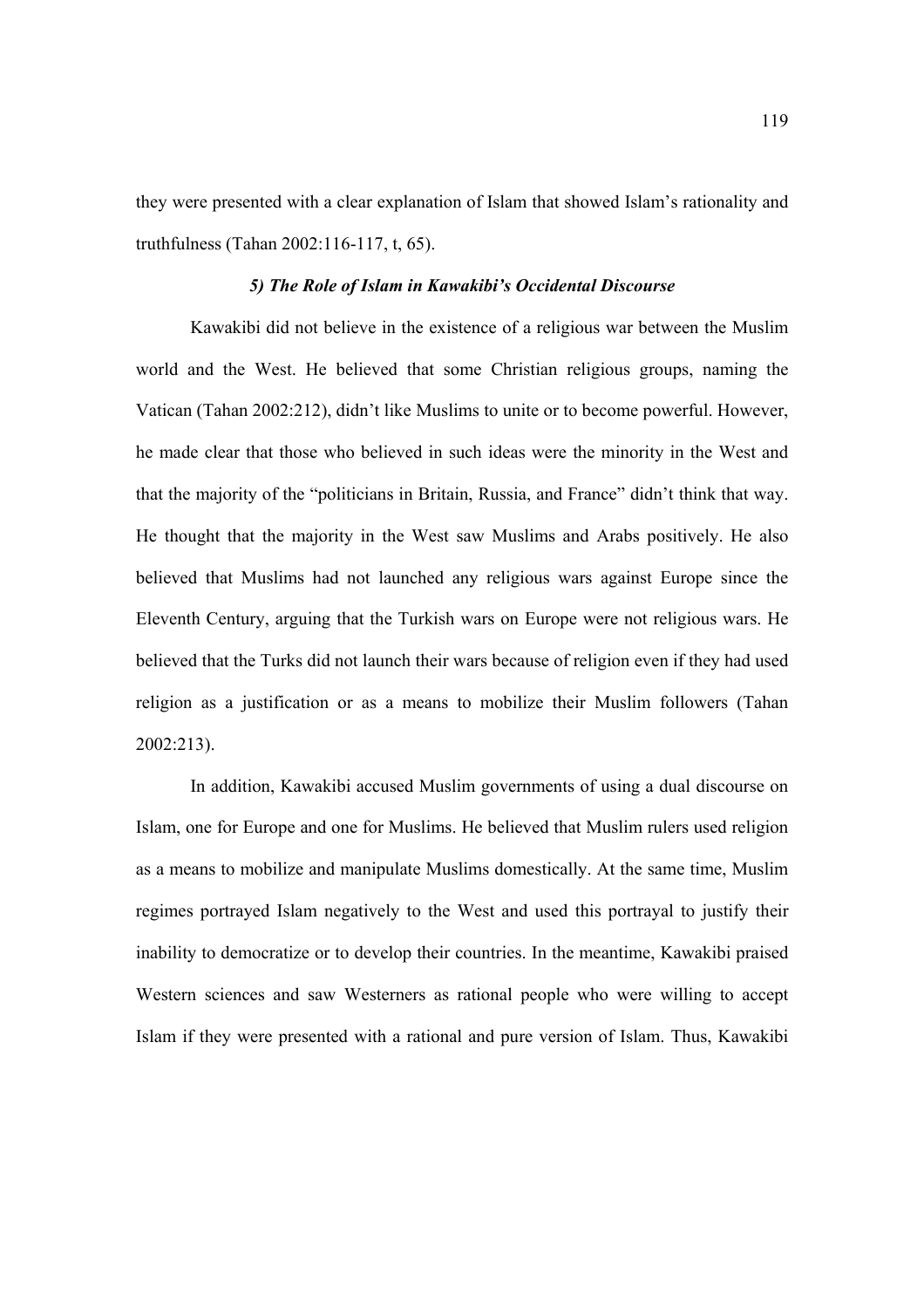they were presented with a clear explanation of Islam that showed Islam's rationality and truthfulness (Tahan 2002:116-117, t, 65).

### *5) The Role of Islam in Kawakibi's Occidental Discourse*

Kawakibi did not believe in the existence of a religious war between the Muslim world and the West. He believed that some Christian religious groups, naming the Vatican (Tahan 2002:212), didn't like Muslims to unite or to become powerful. However, he made clear that those who believed in such ideas were the minority in the West and that the majority of the "politicians in Britain, Russia, and France" didn't think that way. He thought that the majority in the West saw Muslims and Arabs positively. He also believed that Muslims had not launched any religious wars against Europe since the Eleventh Century, arguing that the Turkish wars on Europe were not religious wars. He believed that the Turks did not launch their wars because of religion even if they had used religion as a justification or as a means to mobilize their Muslim followers (Tahan 2002:213).

In addition, Kawakibi accused Muslim governments of using a dual discourse on Islam, one for Europe and one for Muslims. He believed that Muslim rulers used religion as a means to mobilize and manipulate Muslims domestically. At the same time, Muslim regimes portrayed Islam negatively to the West and used this portrayal to justify their inability to democratize or to develop their countries. In the meantime, Kawakibi praised Western sciences and saw Westerners as rational people who were willing to accept Islam if they were presented with a rational and pure version of Islam. Thus, Kawakibi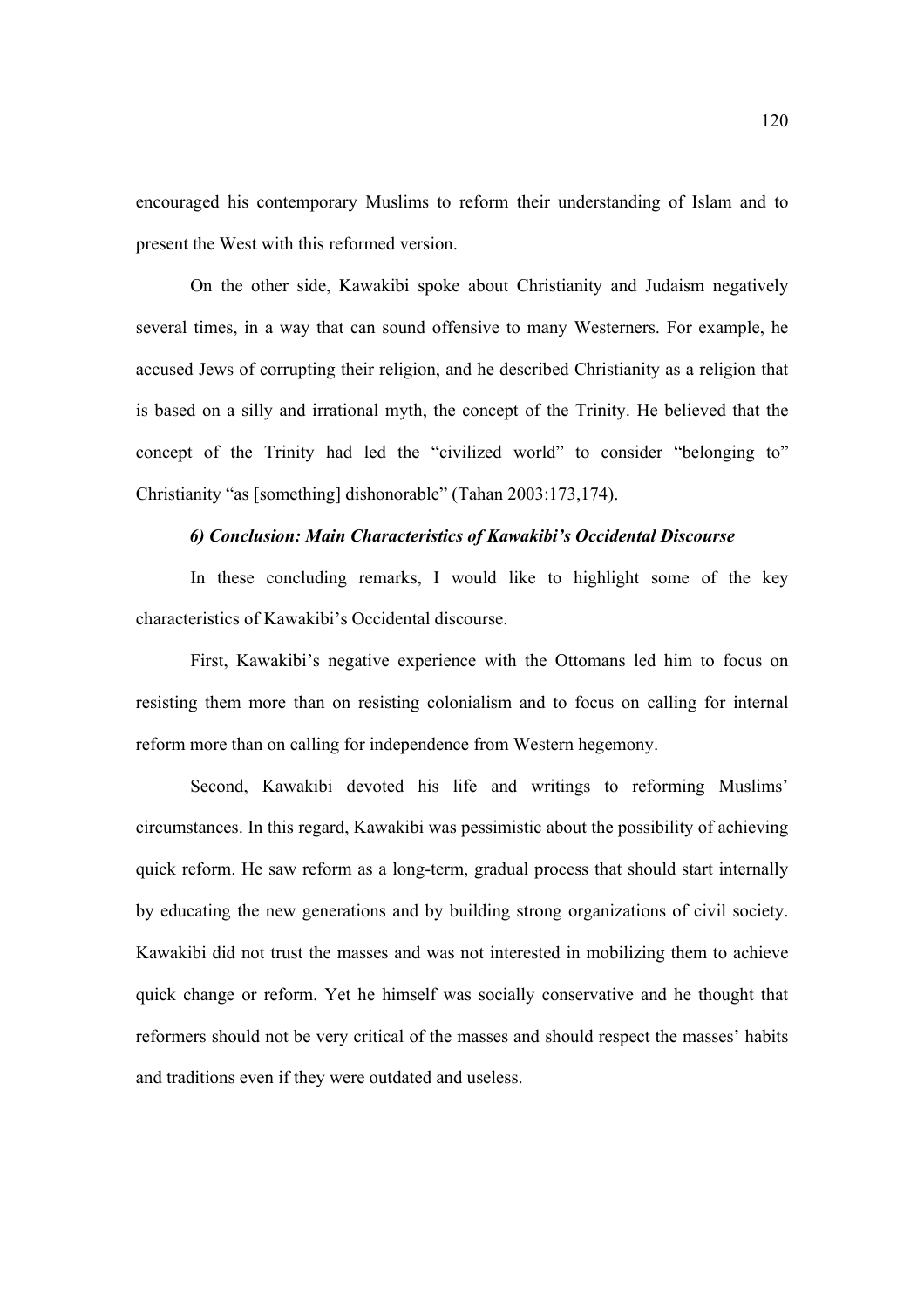encouraged his contemporary Muslims to reform their understanding of Islam and to present the West with this reformed version.

On the other side, Kawakibi spoke about Christianity and Judaism negatively several times, in a way that can sound offensive to many Westerners. For example, he accused Jews of corrupting their religion, and he described Christianity as a religion that is based on a silly and irrational myth, the concept of the Trinity. He believed that the concept of the Trinity had led the "civilized world" to consider "belonging to" Christianity "as [something] dishonorable" (Tahan 2003:173,174).

# *6) Conclusion: Main Characteristics of Kawakibi's Occidental Discourse*

In these concluding remarks, I would like to highlight some of the key characteristics of Kawakibi's Occidental discourse.

 First, Kawakibi's negative experience with the Ottomans led him to focus on resisting them more than on resisting colonialism and to focus on calling for internal reform more than on calling for independence from Western hegemony.

 Second, Kawakibi devoted his life and writings to reforming Muslims' circumstances. In this regard, Kawakibi was pessimistic about the possibility of achieving quick reform. He saw reform as a long-term, gradual process that should start internally by educating the new generations and by building strong organizations of civil society. Kawakibi did not trust the masses and was not interested in mobilizing them to achieve quick change or reform. Yet he himself was socially conservative and he thought that reformers should not be very critical of the masses and should respect the masses' habits and traditions even if they were outdated and useless.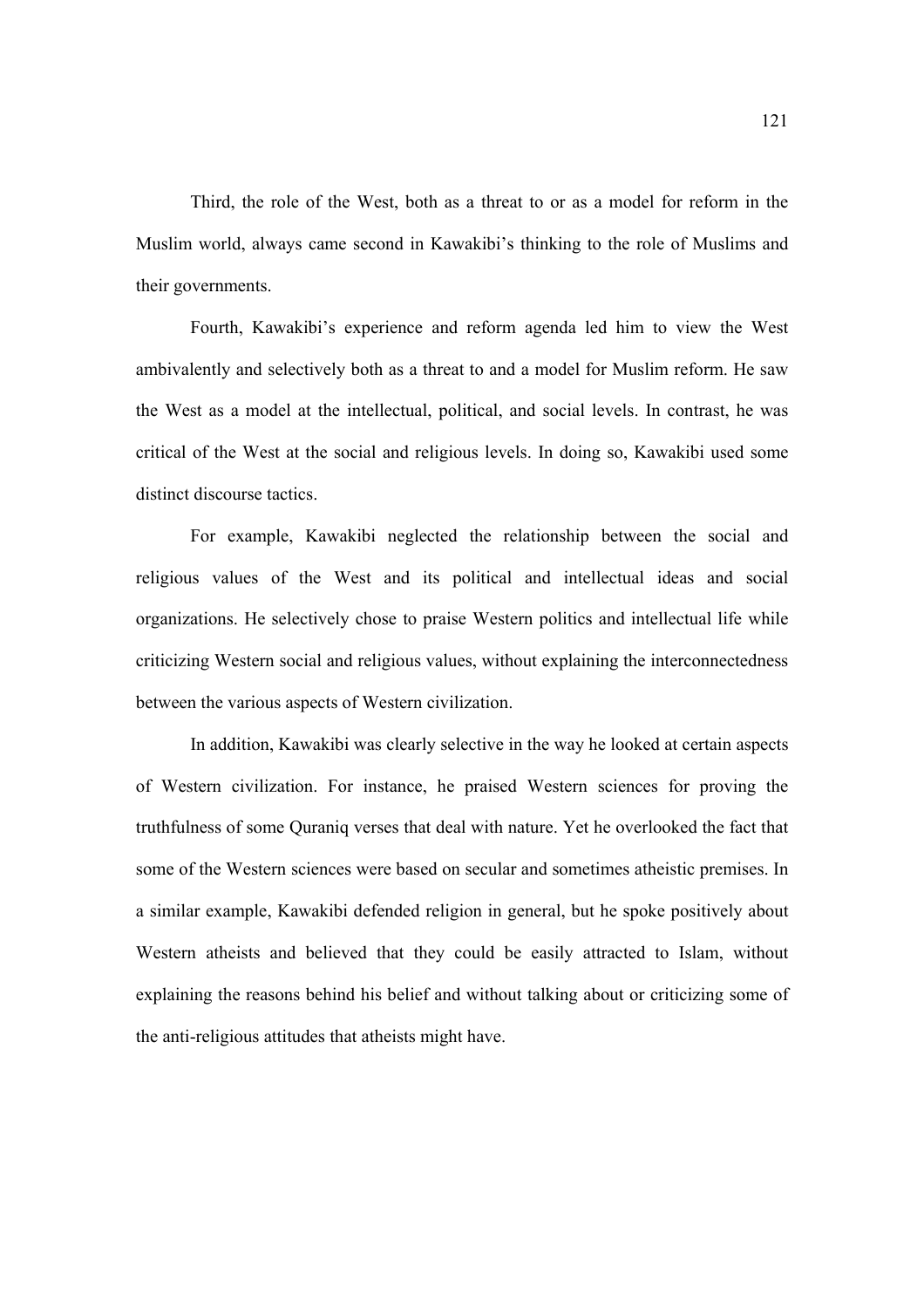Third, the role of the West, both as a threat to or as a model for reform in the Muslim world, always came second in Kawakibi's thinking to the role of Muslims and their governments.

 Fourth, Kawakibi's experience and reform agenda led him to view the West ambivalently and selectively both as a threat to and a model for Muslim reform. He saw the West as a model at the intellectual, political, and social levels. In contrast, he was critical of the West at the social and religious levels. In doing so, Kawakibi used some distinct discourse tactics.

For example, Kawakibi neglected the relationship between the social and religious values of the West and its political and intellectual ideas and social organizations. He selectively chose to praise Western politics and intellectual life while criticizing Western social and religious values, without explaining the interconnectedness between the various aspects of Western civilization.

In addition, Kawakibi was clearly selective in the way he looked at certain aspects of Western civilization. For instance, he praised Western sciences for proving the truthfulness of some Quraniq verses that deal with nature. Yet he overlooked the fact that some of the Western sciences were based on secular and sometimes atheistic premises. In a similar example, Kawakibi defended religion in general, but he spoke positively about Western atheists and believed that they could be easily attracted to Islam, without explaining the reasons behind his belief and without talking about or criticizing some of the anti-religious attitudes that atheists might have.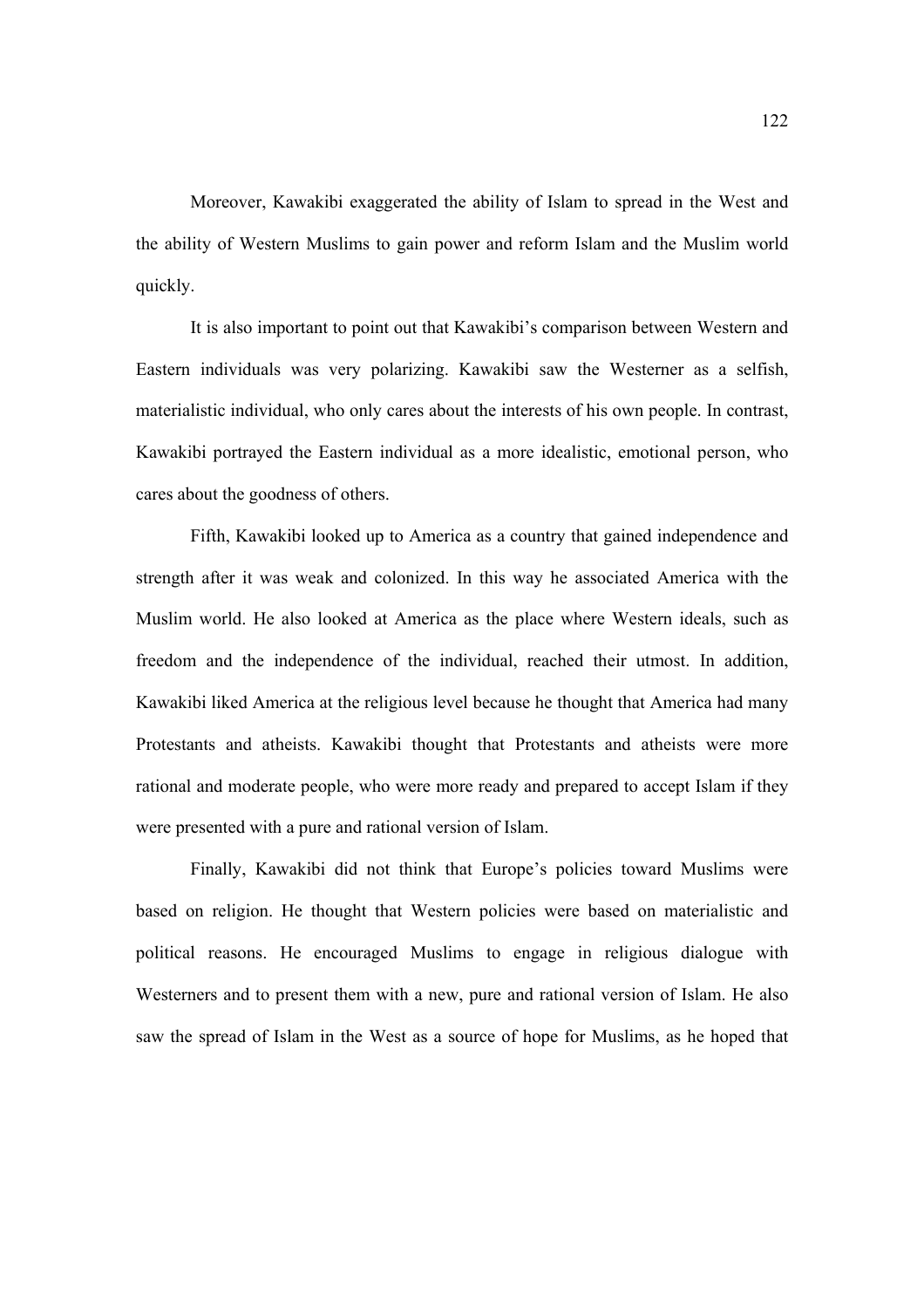Moreover, Kawakibi exaggerated the ability of Islam to spread in the West and the ability of Western Muslims to gain power and reform Islam and the Muslim world quickly.

It is also important to point out that Kawakibi's comparison between Western and Eastern individuals was very polarizing. Kawakibi saw the Westerner as a selfish, materialistic individual, who only cares about the interests of his own people. In contrast, Kawakibi portrayed the Eastern individual as a more idealistic, emotional person, who cares about the goodness of others.

Fifth, Kawakibi looked up to America as a country that gained independence and strength after it was weak and colonized. In this way he associated America with the Muslim world. He also looked at America as the place where Western ideals, such as freedom and the independence of the individual, reached their utmost. In addition, Kawakibi liked America at the religious level because he thought that America had many Protestants and atheists. Kawakibi thought that Protestants and atheists were more rational and moderate people, who were more ready and prepared to accept Islam if they were presented with a pure and rational version of Islam.

Finally, Kawakibi did not think that Europe's policies toward Muslims were based on religion. He thought that Western policies were based on materialistic and political reasons. He encouraged Muslims to engage in religious dialogue with Westerners and to present them with a new, pure and rational version of Islam. He also saw the spread of Islam in the West as a source of hope for Muslims, as he hoped that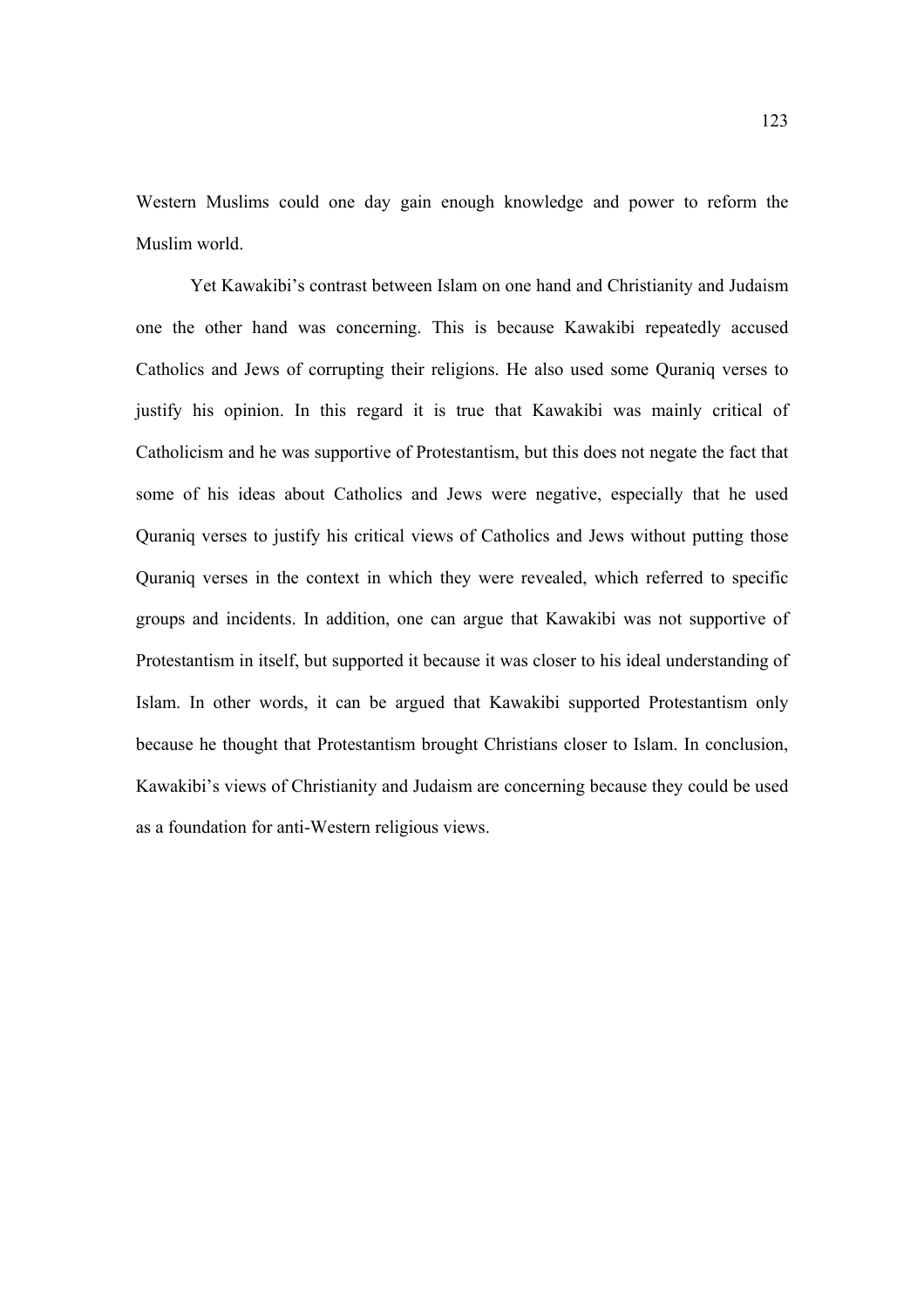Western Muslims could one day gain enough knowledge and power to reform the Muslim world.

Yet Kawakibi's contrast between Islam on one hand and Christianity and Judaism one the other hand was concerning. This is because Kawakibi repeatedly accused Catholics and Jews of corrupting their religions. He also used some Quraniq verses to justify his opinion. In this regard it is true that Kawakibi was mainly critical of Catholicism and he was supportive of Protestantism, but this does not negate the fact that some of his ideas about Catholics and Jews were negative, especially that he used Quraniq verses to justify his critical views of Catholics and Jews without putting those Quraniq verses in the context in which they were revealed, which referred to specific groups and incidents. In addition, one can argue that Kawakibi was not supportive of Protestantism in itself, but supported it because it was closer to his ideal understanding of Islam. In other words, it can be argued that Kawakibi supported Protestantism only because he thought that Protestantism brought Christians closer to Islam. In conclusion, Kawakibi's views of Christianity and Judaism are concerning because they could be used as a foundation for anti-Western religious views.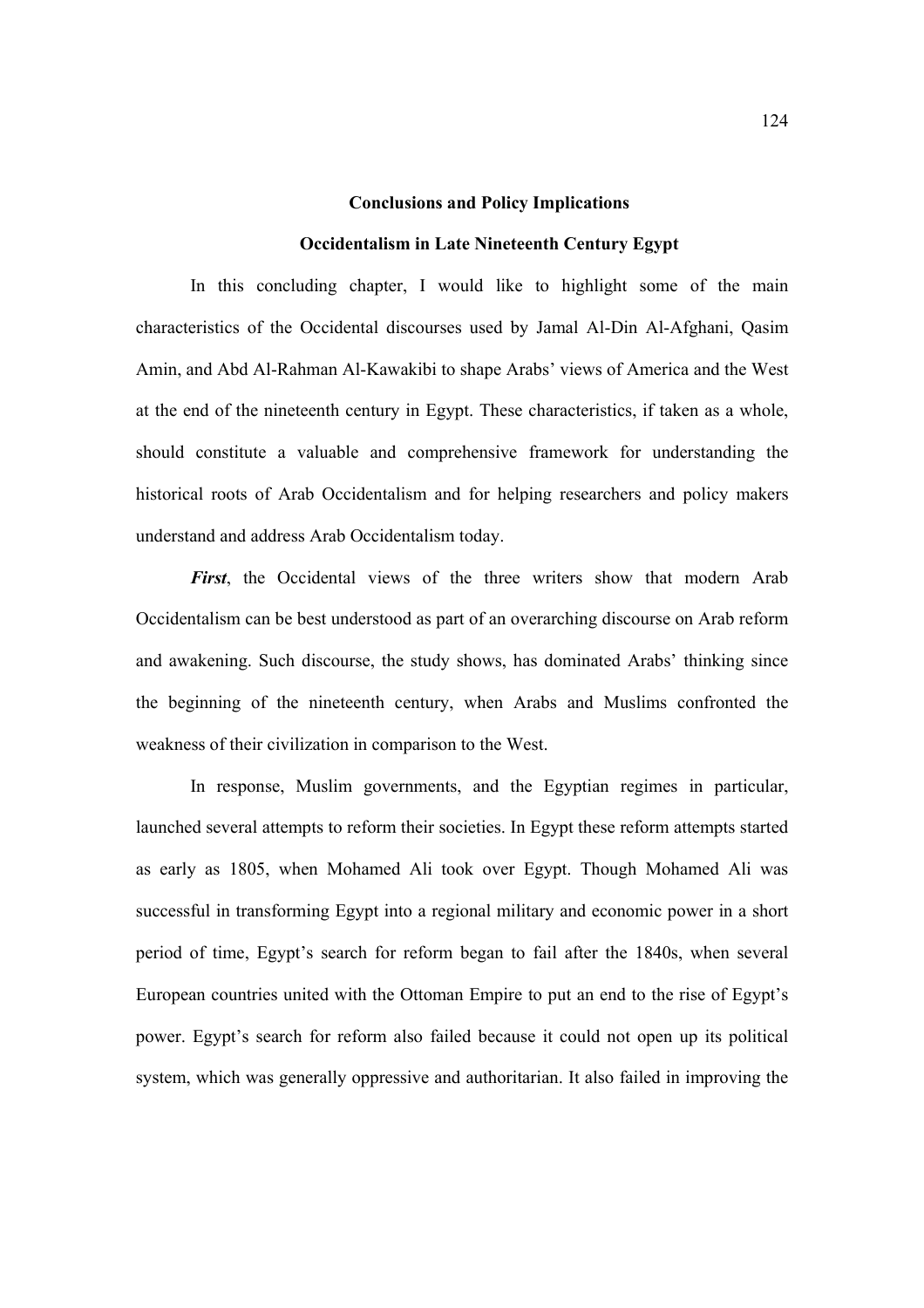#### **Conclusions and Policy Implications**

### **Occidentalism in Late Nineteenth Century Egypt**

In this concluding chapter, I would like to highlight some of the main characteristics of the Occidental discourses used by Jamal Al-Din Al-Afghani, Qasim Amin, and Abd Al-Rahman Al-Kawakibi to shape Arabs' views of America and the West at the end of the nineteenth century in Egypt. These characteristics, if taken as a whole, should constitute a valuable and comprehensive framework for understanding the historical roots of Arab Occidentalism and for helping researchers and policy makers understand and address Arab Occidentalism today.

*First*, the Occidental views of the three writers show that modern Arab Occidentalism can be best understood as part of an overarching discourse on Arab reform and awakening. Such discourse, the study shows, has dominated Arabs' thinking since the beginning of the nineteenth century, when Arabs and Muslims confronted the weakness of their civilization in comparison to the West.

In response, Muslim governments, and the Egyptian regimes in particular, launched several attempts to reform their societies. In Egypt these reform attempts started as early as 1805, when Mohamed Ali took over Egypt. Though Mohamed Ali was successful in transforming Egypt into a regional military and economic power in a short period of time, Egypt's search for reform began to fail after the 1840s, when several European countries united with the Ottoman Empire to put an end to the rise of Egypt's power. Egypt's search for reform also failed because it could not open up its political system, which was generally oppressive and authoritarian. It also failed in improving the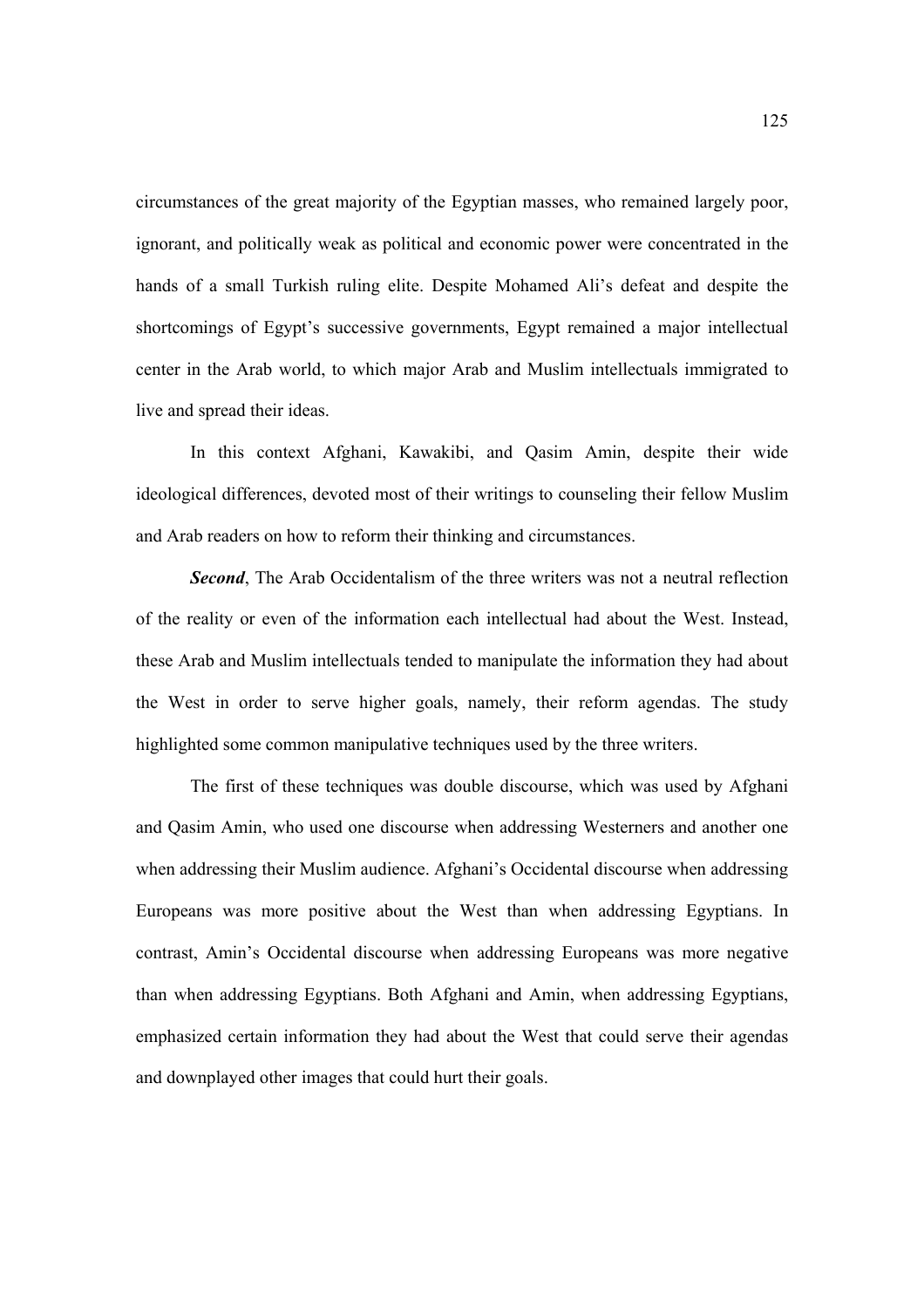circumstances of the great majority of the Egyptian masses, who remained largely poor, ignorant, and politically weak as political and economic power were concentrated in the hands of a small Turkish ruling elite. Despite Mohamed Ali's defeat and despite the shortcomings of Egypt's successive governments, Egypt remained a major intellectual center in the Arab world, to which major Arab and Muslim intellectuals immigrated to live and spread their ideas.

In this context Afghani, Kawakibi, and Qasim Amin, despite their wide ideological differences, devoted most of their writings to counseling their fellow Muslim and Arab readers on how to reform their thinking and circumstances.

*Second*, The Arab Occidentalism of the three writers was not a neutral reflection of the reality or even of the information each intellectual had about the West. Instead, these Arab and Muslim intellectuals tended to manipulate the information they had about the West in order to serve higher goals, namely, their reform agendas. The study highlighted some common manipulative techniques used by the three writers.

The first of these techniques was double discourse, which was used by Afghani and Qasim Amin, who used one discourse when addressing Westerners and another one when addressing their Muslim audience. Afghani's Occidental discourse when addressing Europeans was more positive about the West than when addressing Egyptians. In contrast, Amin's Occidental discourse when addressing Europeans was more negative than when addressing Egyptians. Both Afghani and Amin, when addressing Egyptians, emphasized certain information they had about the West that could serve their agendas and downplayed other images that could hurt their goals.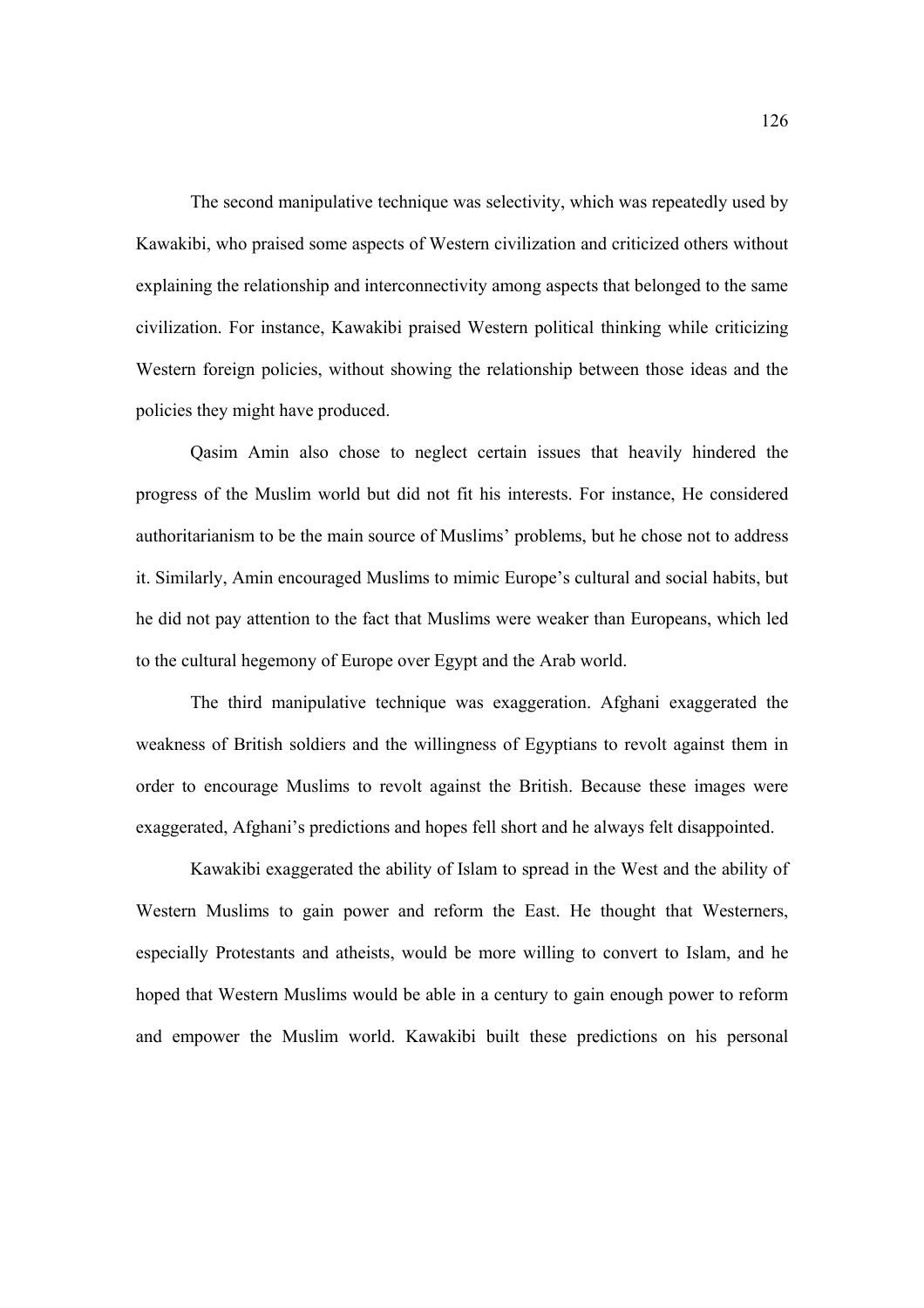The second manipulative technique was selectivity, which was repeatedly used by Kawakibi, who praised some aspects of Western civilization and criticized others without explaining the relationship and interconnectivity among aspects that belonged to the same civilization. For instance, Kawakibi praised Western political thinking while criticizing Western foreign policies, without showing the relationship between those ideas and the policies they might have produced.

Qasim Amin also chose to neglect certain issues that heavily hindered the progress of the Muslim world but did not fit his interests. For instance, He considered authoritarianism to be the main source of Muslims' problems, but he chose not to address it. Similarly, Amin encouraged Muslims to mimic Europe's cultural and social habits, but he did not pay attention to the fact that Muslims were weaker than Europeans, which led to the cultural hegemony of Europe over Egypt and the Arab world.

The third manipulative technique was exaggeration. Afghani exaggerated the weakness of British soldiers and the willingness of Egyptians to revolt against them in order to encourage Muslims to revolt against the British. Because these images were exaggerated, Afghani's predictions and hopes fell short and he always felt disappointed.

Kawakibi exaggerated the ability of Islam to spread in the West and the ability of Western Muslims to gain power and reform the East. He thought that Westerners, especially Protestants and atheists, would be more willing to convert to Islam, and he hoped that Western Muslims would be able in a century to gain enough power to reform and empower the Muslim world. Kawakibi built these predictions on his personal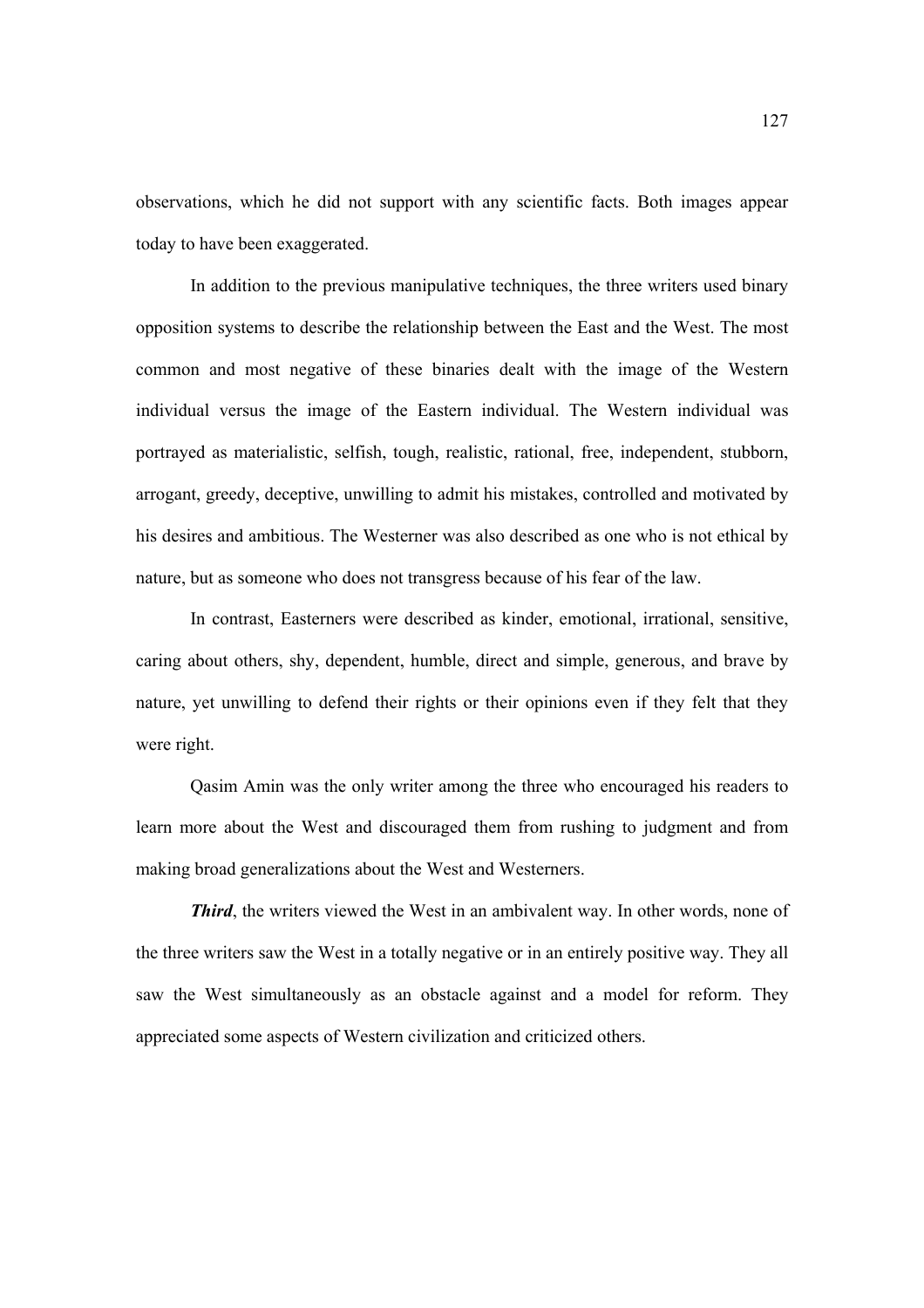observations, which he did not support with any scientific facts. Both images appear today to have been exaggerated.

In addition to the previous manipulative techniques, the three writers used binary opposition systems to describe the relationship between the East and the West. The most common and most negative of these binaries dealt with the image of the Western individual versus the image of the Eastern individual. The Western individual was portrayed as materialistic, selfish, tough, realistic, rational, free, independent, stubborn, arrogant, greedy, deceptive, unwilling to admit his mistakes, controlled and motivated by his desires and ambitious. The Westerner was also described as one who is not ethical by nature, but as someone who does not transgress because of his fear of the law.

In contrast, Easterners were described as kinder, emotional, irrational, sensitive, caring about others, shy, dependent, humble, direct and simple, generous, and brave by nature, yet unwilling to defend their rights or their opinions even if they felt that they were right.

Qasim Amin was the only writer among the three who encouraged his readers to learn more about the West and discouraged them from rushing to judgment and from making broad generalizations about the West and Westerners.

*Third*, the writers viewed the West in an ambivalent way. In other words, none of the three writers saw the West in a totally negative or in an entirely positive way. They all saw the West simultaneously as an obstacle against and a model for reform. They appreciated some aspects of Western civilization and criticized others.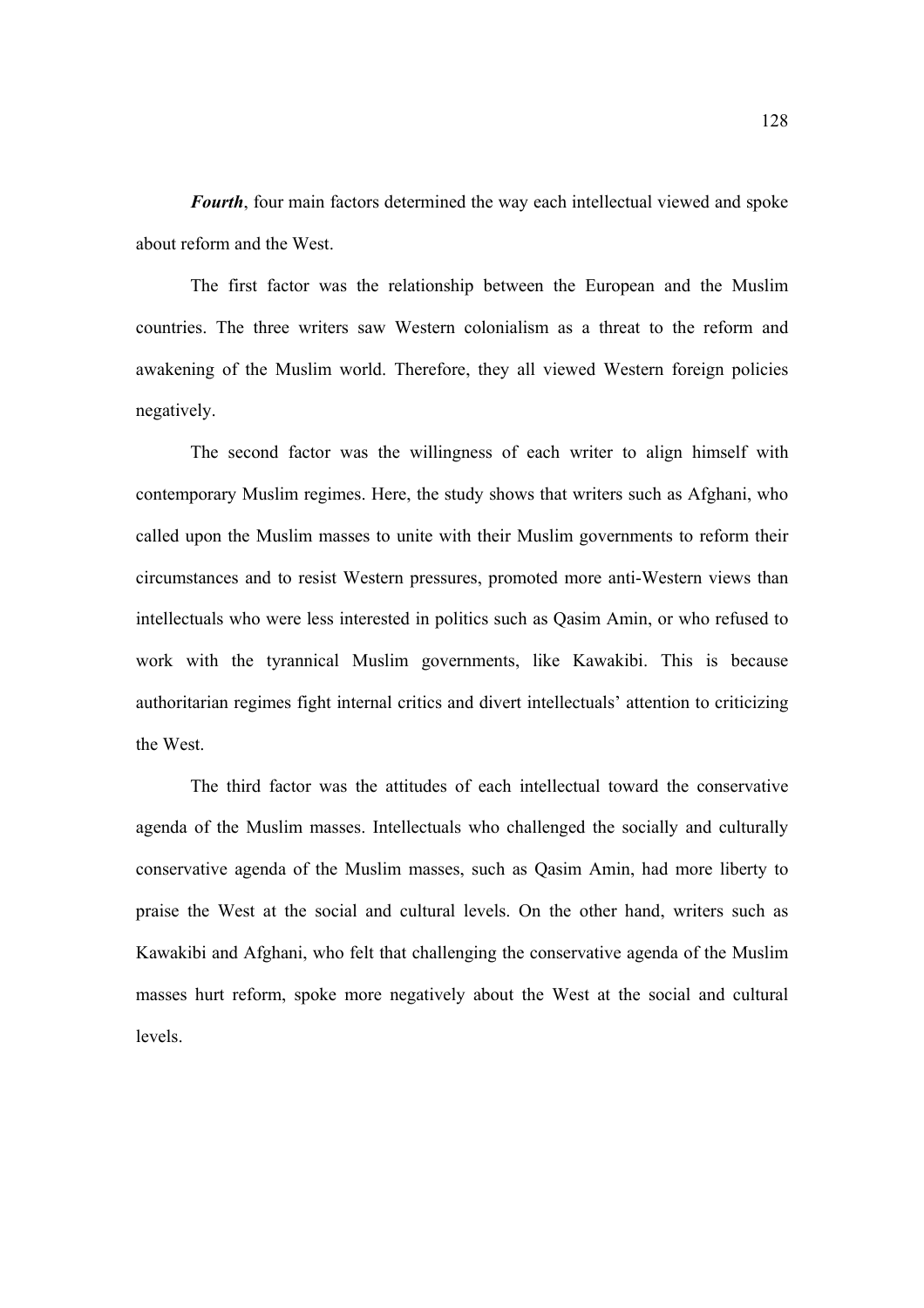*Fourth*, four main factors determined the way each intellectual viewed and spoke about reform and the West.

The first factor was the relationship between the European and the Muslim countries. The three writers saw Western colonialism as a threat to the reform and awakening of the Muslim world. Therefore, they all viewed Western foreign policies negatively.

The second factor was the willingness of each writer to align himself with contemporary Muslim regimes. Here, the study shows that writers such as Afghani, who called upon the Muslim masses to unite with their Muslim governments to reform their circumstances and to resist Western pressures, promoted more anti-Western views than intellectuals who were less interested in politics such as Qasim Amin, or who refused to work with the tyrannical Muslim governments, like Kawakibi. This is because authoritarian regimes fight internal critics and divert intellectuals' attention to criticizing the West.

The third factor was the attitudes of each intellectual toward the conservative agenda of the Muslim masses. Intellectuals who challenged the socially and culturally conservative agenda of the Muslim masses, such as Qasim Amin, had more liberty to praise the West at the social and cultural levels. On the other hand, writers such as Kawakibi and Afghani, who felt that challenging the conservative agenda of the Muslim masses hurt reform, spoke more negatively about the West at the social and cultural levels.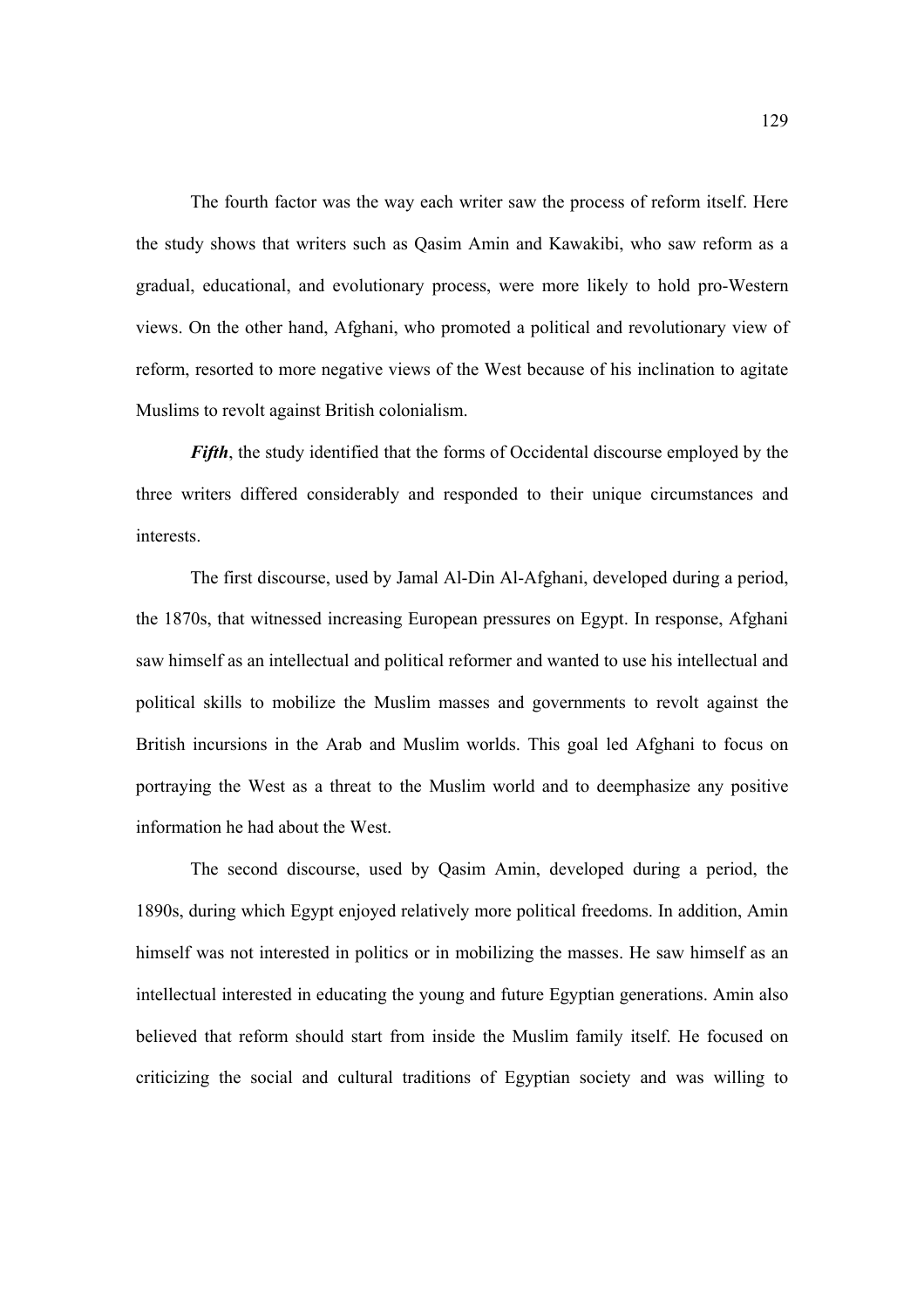The fourth factor was the way each writer saw the process of reform itself. Here the study shows that writers such as Qasim Amin and Kawakibi, who saw reform as a gradual, educational, and evolutionary process, were more likely to hold pro-Western views. On the other hand, Afghani, who promoted a political and revolutionary view of reform, resorted to more negative views of the West because of his inclination to agitate Muslims to revolt against British colonialism.

*Fifth*, the study identified that the forms of Occidental discourse employed by the three writers differed considerably and responded to their unique circumstances and interests.

The first discourse, used by Jamal Al-Din Al-Afghani, developed during a period, the 1870s, that witnessed increasing European pressures on Egypt. In response, Afghani saw himself as an intellectual and political reformer and wanted to use his intellectual and political skills to mobilize the Muslim masses and governments to revolt against the British incursions in the Arab and Muslim worlds. This goal led Afghani to focus on portraying the West as a threat to the Muslim world and to deemphasize any positive information he had about the West.

The second discourse, used by Qasim Amin, developed during a period, the 1890s, during which Egypt enjoyed relatively more political freedoms. In addition, Amin himself was not interested in politics or in mobilizing the masses. He saw himself as an intellectual interested in educating the young and future Egyptian generations. Amin also believed that reform should start from inside the Muslim family itself. He focused on criticizing the social and cultural traditions of Egyptian society and was willing to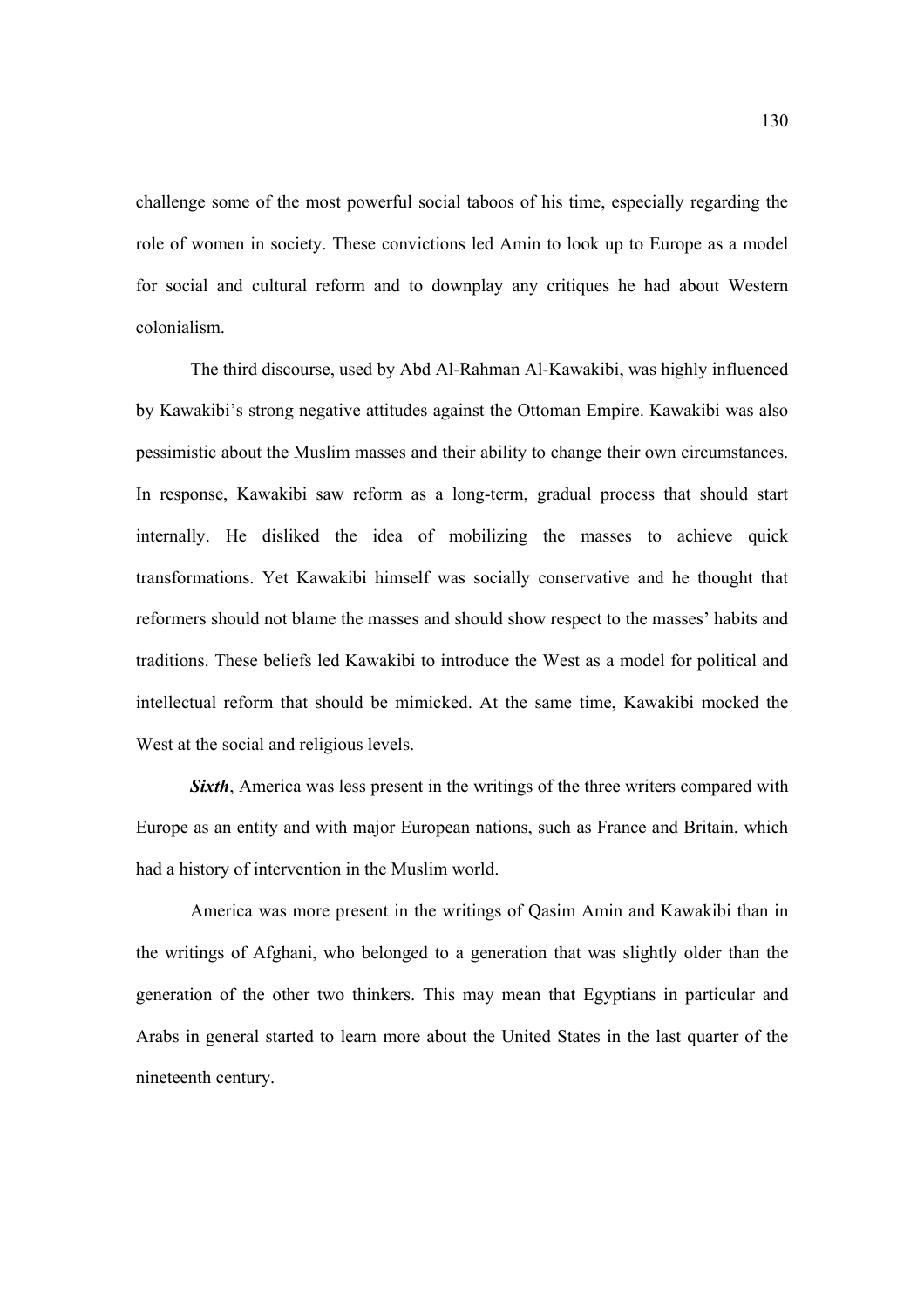challenge some of the most powerful social taboos of his time, especially regarding the role of women in society. These convictions led Amin to look up to Europe as a model for social and cultural reform and to downplay any critiques he had about Western colonialism.

The third discourse, used by Abd Al-Rahman Al-Kawakibi, was highly influenced by Kawakibi's strong negative attitudes against the Ottoman Empire. Kawakibi was also pessimistic about the Muslim masses and their ability to change their own circumstances. In response, Kawakibi saw reform as a long-term, gradual process that should start internally. He disliked the idea of mobilizing the masses to achieve quick transformations. Yet Kawakibi himself was socially conservative and he thought that reformers should not blame the masses and should show respect to the masses' habits and traditions. These beliefs led Kawakibi to introduce the West as a model for political and intellectual reform that should be mimicked. At the same time, Kawakibi mocked the West at the social and religious levels.

**Sixth**, America was less present in the writings of the three writers compared with Europe as an entity and with major European nations, such as France and Britain, which had a history of intervention in the Muslim world.

America was more present in the writings of Qasim Amin and Kawakibi than in the writings of Afghani, who belonged to a generation that was slightly older than the generation of the other two thinkers. This may mean that Egyptians in particular and Arabs in general started to learn more about the United States in the last quarter of the nineteenth century.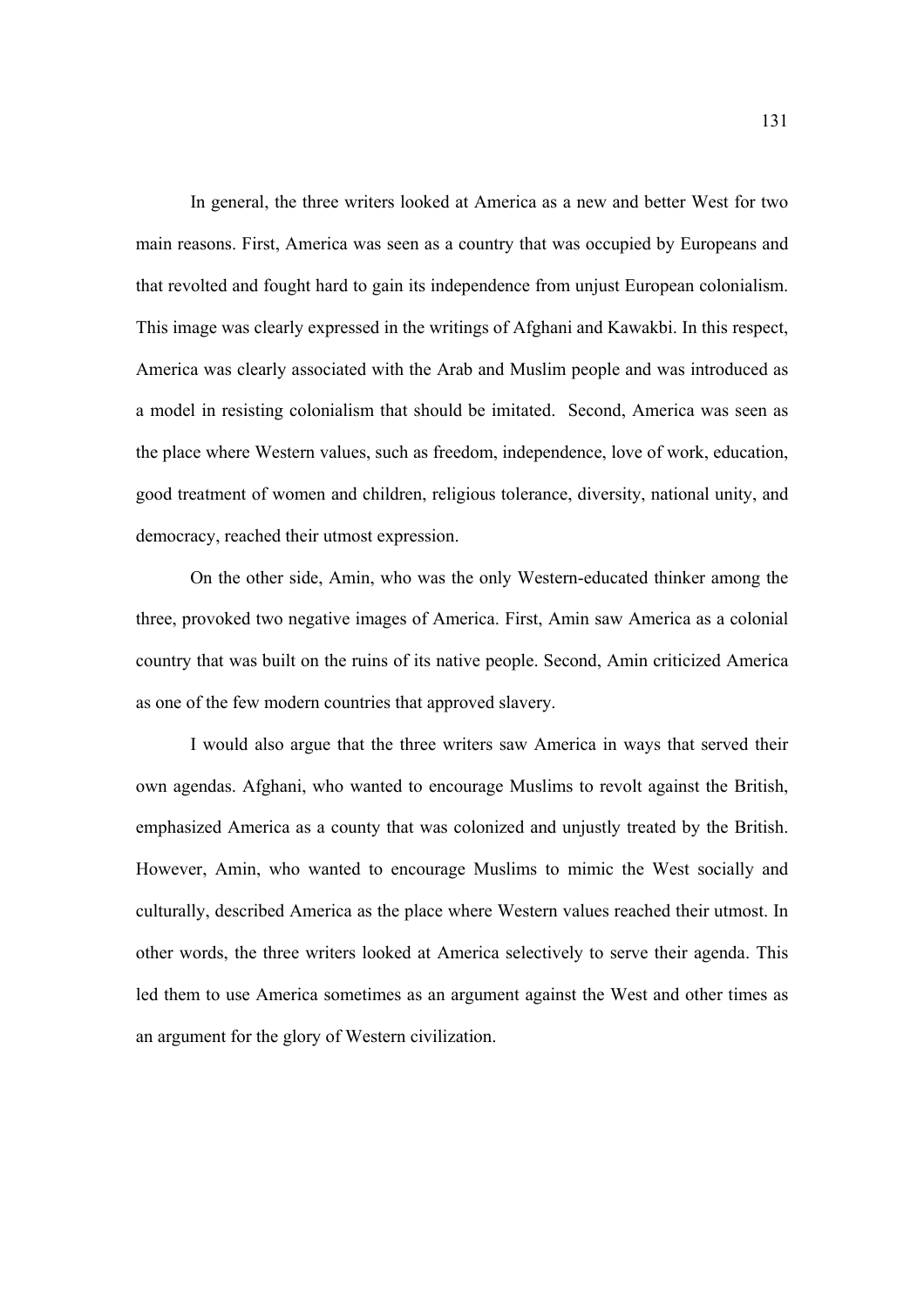In general, the three writers looked at America as a new and better West for two main reasons. First, America was seen as a country that was occupied by Europeans and that revolted and fought hard to gain its independence from unjust European colonialism. This image was clearly expressed in the writings of Afghani and Kawakbi. In this respect, America was clearly associated with the Arab and Muslim people and was introduced as a model in resisting colonialism that should be imitated. Second, America was seen as the place where Western values, such as freedom, independence, love of work, education, good treatment of women and children, religious tolerance, diversity, national unity, and democracy, reached their utmost expression.

 On the other side, Amin, who was the only Western-educated thinker among the three, provoked two negative images of America. First, Amin saw America as a colonial country that was built on the ruins of its native people. Second, Amin criticized America as one of the few modern countries that approved slavery.

I would also argue that the three writers saw America in ways that served their own agendas. Afghani, who wanted to encourage Muslims to revolt against the British, emphasized America as a county that was colonized and unjustly treated by the British. However, Amin, who wanted to encourage Muslims to mimic the West socially and culturally, described America as the place where Western values reached their utmost. In other words, the three writers looked at America selectively to serve their agenda. This led them to use America sometimes as an argument against the West and other times as an argument for the glory of Western civilization.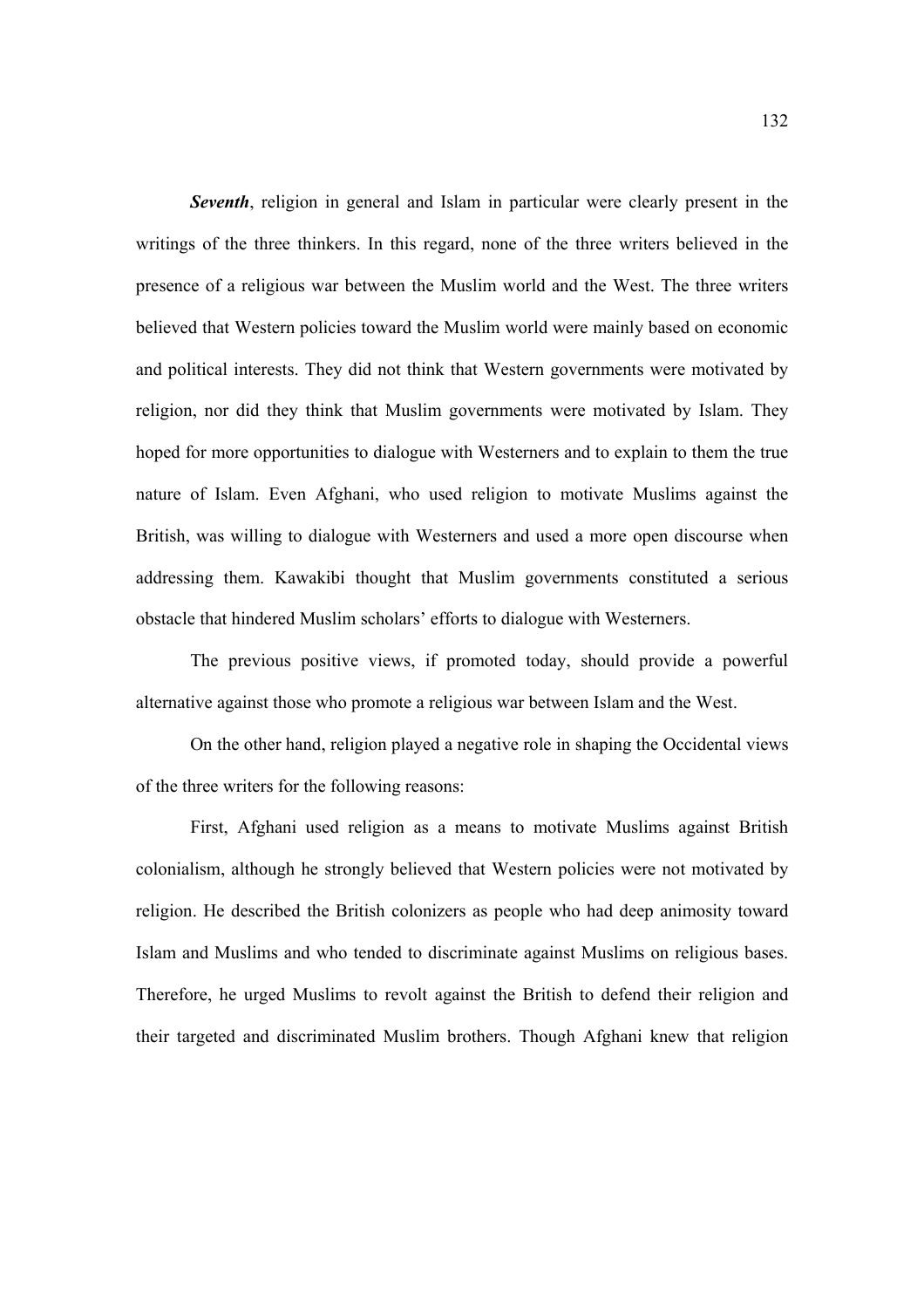*Seventh*, religion in general and Islam in particular were clearly present in the writings of the three thinkers. In this regard, none of the three writers believed in the presence of a religious war between the Muslim world and the West. The three writers believed that Western policies toward the Muslim world were mainly based on economic and political interests. They did not think that Western governments were motivated by religion, nor did they think that Muslim governments were motivated by Islam. They hoped for more opportunities to dialogue with Westerners and to explain to them the true nature of Islam. Even Afghani, who used religion to motivate Muslims against the British, was willing to dialogue with Westerners and used a more open discourse when addressing them. Kawakibi thought that Muslim governments constituted a serious obstacle that hindered Muslim scholars' efforts to dialogue with Westerners.

 The previous positive views, if promoted today, should provide a powerful alternative against those who promote a religious war between Islam and the West.

On the other hand, religion played a negative role in shaping the Occidental views of the three writers for the following reasons:

First, Afghani used religion as a means to motivate Muslims against British colonialism, although he strongly believed that Western policies were not motivated by religion. He described the British colonizers as people who had deep animosity toward Islam and Muslims and who tended to discriminate against Muslims on religious bases. Therefore, he urged Muslims to revolt against the British to defend their religion and their targeted and discriminated Muslim brothers. Though Afghani knew that religion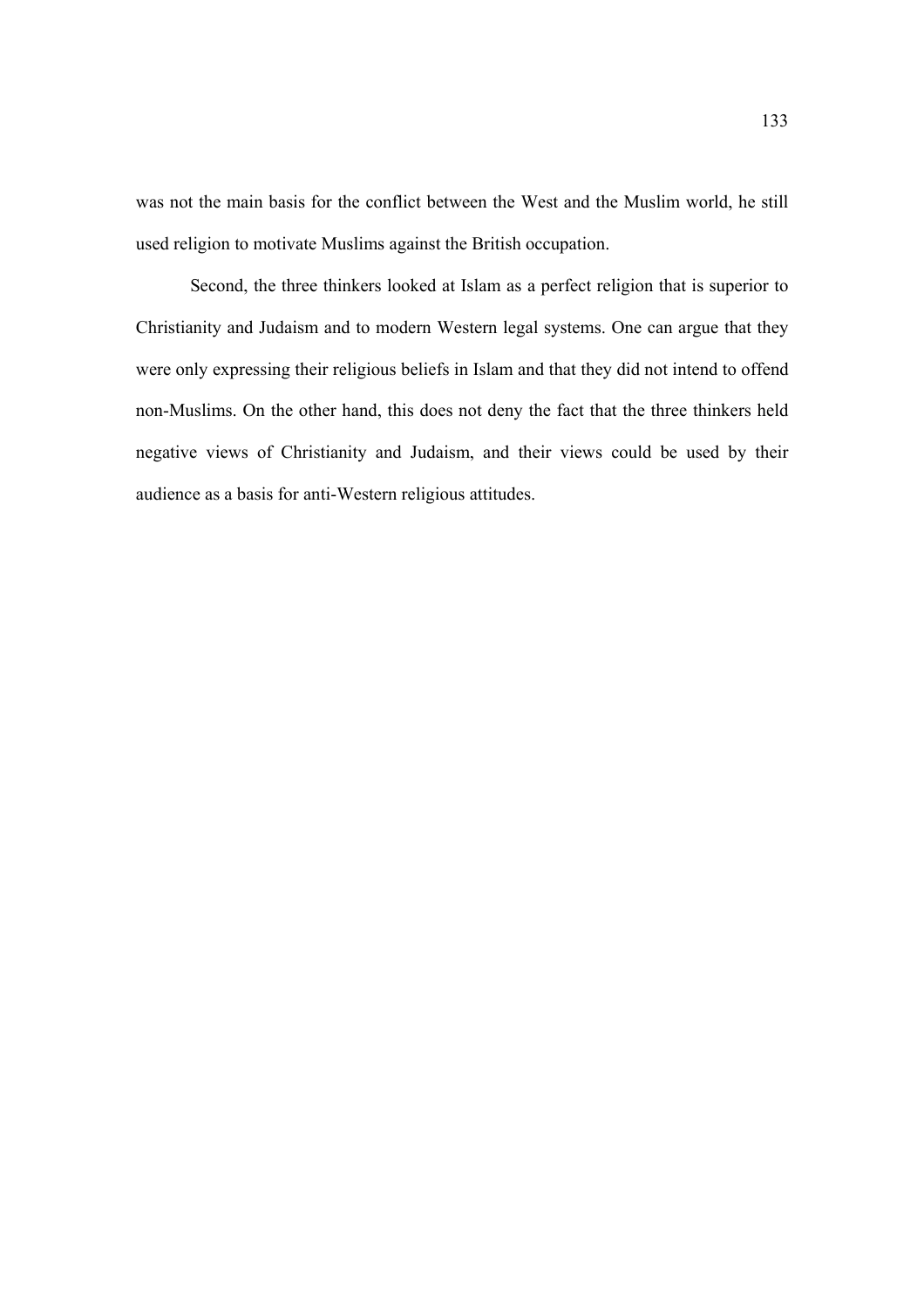was not the main basis for the conflict between the West and the Muslim world, he still used religion to motivate Muslims against the British occupation.

Second, the three thinkers looked at Islam as a perfect religion that is superior to Christianity and Judaism and to modern Western legal systems. One can argue that they were only expressing their religious beliefs in Islam and that they did not intend to offend non-Muslims. On the other hand, this does not deny the fact that the three thinkers held negative views of Christianity and Judaism, and their views could be used by their audience as a basis for anti-Western religious attitudes.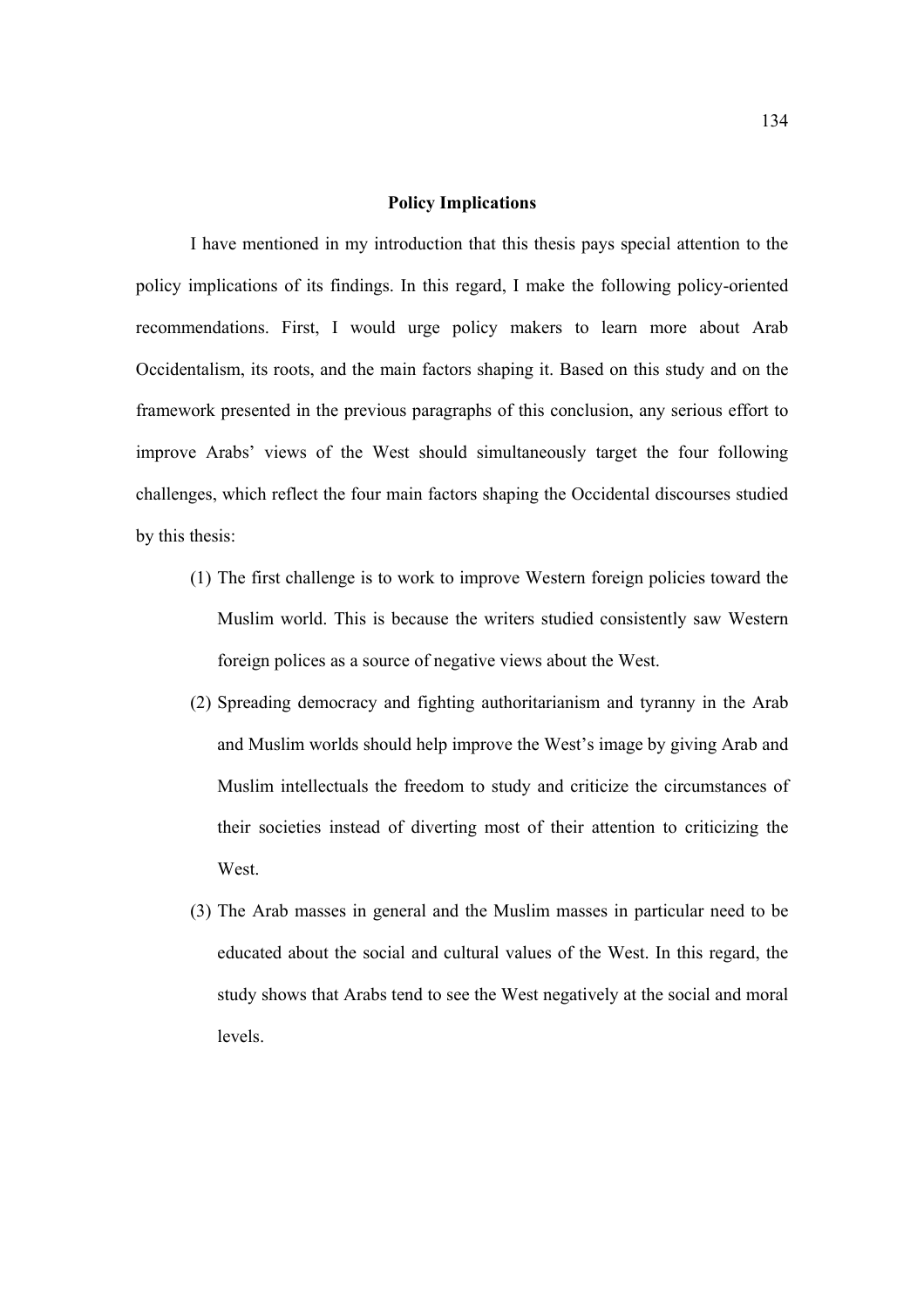#### **Policy Implications**

I have mentioned in my introduction that this thesis pays special attention to the policy implications of its findings. In this regard, I make the following policy-oriented recommendations. First, I would urge policy makers to learn more about Arab Occidentalism, its roots, and the main factors shaping it. Based on this study and on the framework presented in the previous paragraphs of this conclusion, any serious effort to improve Arabs' views of the West should simultaneously target the four following challenges, which reflect the four main factors shaping the Occidental discourses studied by this thesis:

- (1) The first challenge is to work to improve Western foreign policies toward the Muslim world. This is because the writers studied consistently saw Western foreign polices as a source of negative views about the West.
- (2) Spreading democracy and fighting authoritarianism and tyranny in the Arab and Muslim worlds should help improve the West's image by giving Arab and Muslim intellectuals the freedom to study and criticize the circumstances of their societies instead of diverting most of their attention to criticizing the West.
- (3) The Arab masses in general and the Muslim masses in particular need to be educated about the social and cultural values of the West. In this regard, the study shows that Arabs tend to see the West negatively at the social and moral levels.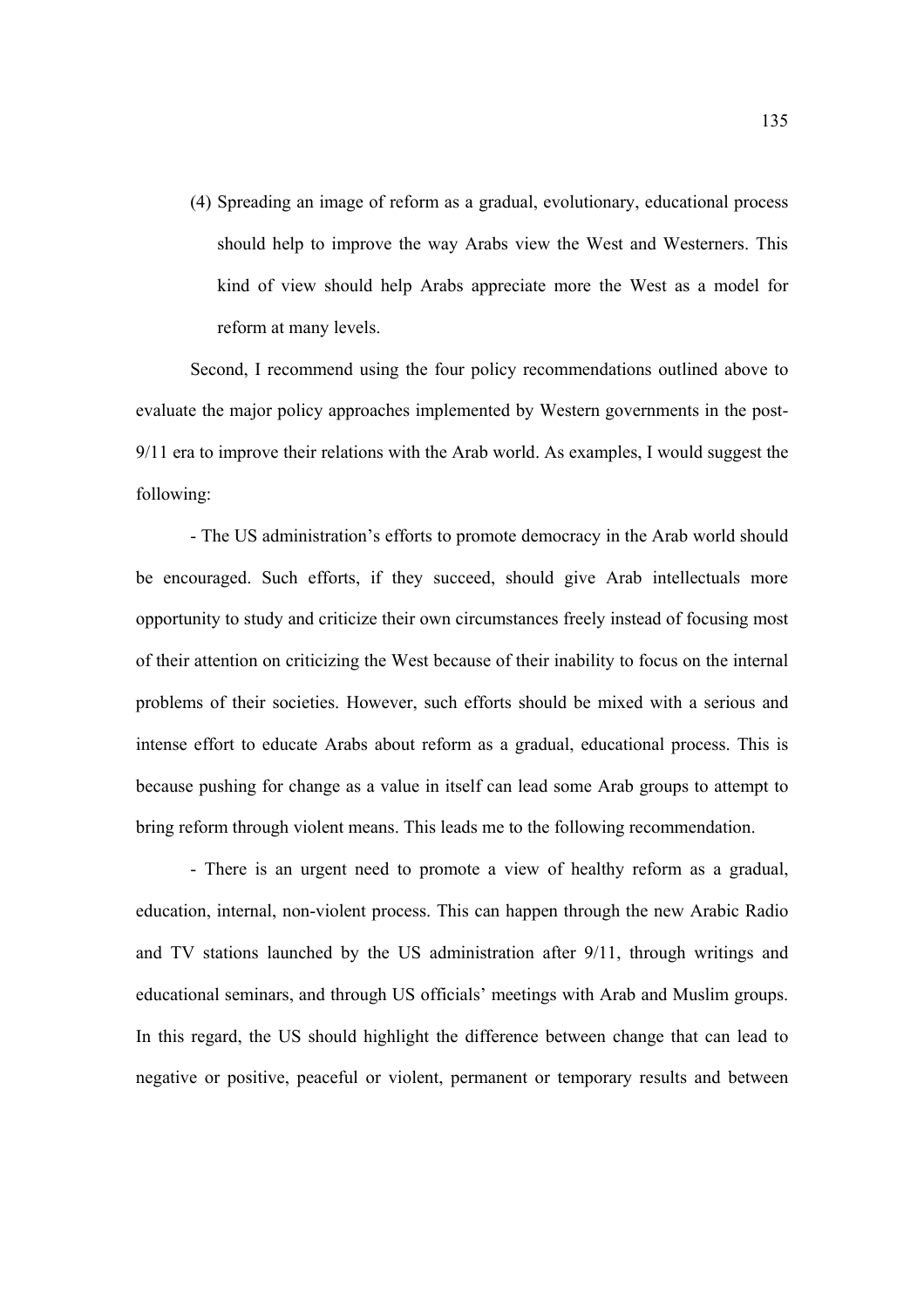(4) Spreading an image of reform as a gradual, evolutionary, educational process should help to improve the way Arabs view the West and Westerners. This kind of view should help Arabs appreciate more the West as a model for reform at many levels.

Second, I recommend using the four policy recommendations outlined above to evaluate the major policy approaches implemented by Western governments in the post-9/11 era to improve their relations with the Arab world. As examples, I would suggest the following:

- The US administration's efforts to promote democracy in the Arab world should be encouraged. Such efforts, if they succeed, should give Arab intellectuals more opportunity to study and criticize their own circumstances freely instead of focusing most of their attention on criticizing the West because of their inability to focus on the internal problems of their societies. However, such efforts should be mixed with a serious and intense effort to educate Arabs about reform as a gradual, educational process. This is because pushing for change as a value in itself can lead some Arab groups to attempt to bring reform through violent means. This leads me to the following recommendation.

- There is an urgent need to promote a view of healthy reform as a gradual, education, internal, non-violent process. This can happen through the new Arabic Radio and TV stations launched by the US administration after 9/11, through writings and educational seminars, and through US officials' meetings with Arab and Muslim groups. In this regard, the US should highlight the difference between change that can lead to negative or positive, peaceful or violent, permanent or temporary results and between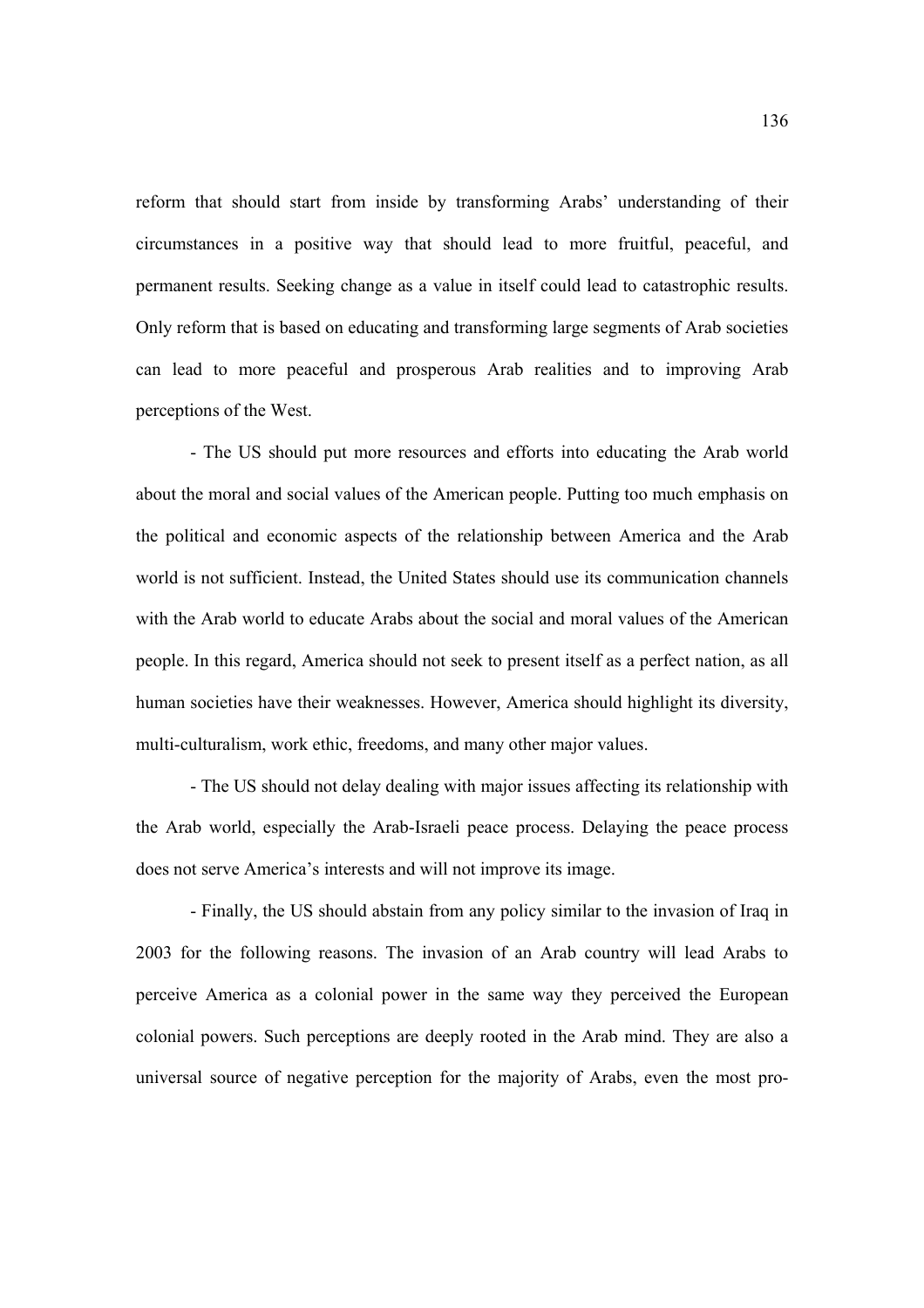reform that should start from inside by transforming Arabs' understanding of their circumstances in a positive way that should lead to more fruitful, peaceful, and permanent results. Seeking change as a value in itself could lead to catastrophic results. Only reform that is based on educating and transforming large segments of Arab societies can lead to more peaceful and prosperous Arab realities and to improving Arab perceptions of the West.

- The US should put more resources and efforts into educating the Arab world about the moral and social values of the American people. Putting too much emphasis on the political and economic aspects of the relationship between America and the Arab world is not sufficient. Instead, the United States should use its communication channels with the Arab world to educate Arabs about the social and moral values of the American people. In this regard, America should not seek to present itself as a perfect nation, as all human societies have their weaknesses. However, America should highlight its diversity, multi-culturalism, work ethic, freedoms, and many other major values.

- The US should not delay dealing with major issues affecting its relationship with the Arab world, especially the Arab-Israeli peace process. Delaying the peace process does not serve America's interests and will not improve its image.

- Finally, the US should abstain from any policy similar to the invasion of Iraq in 2003 for the following reasons. The invasion of an Arab country will lead Arabs to perceive America as a colonial power in the same way they perceived the European colonial powers. Such perceptions are deeply rooted in the Arab mind. They are also a universal source of negative perception for the majority of Arabs, even the most pro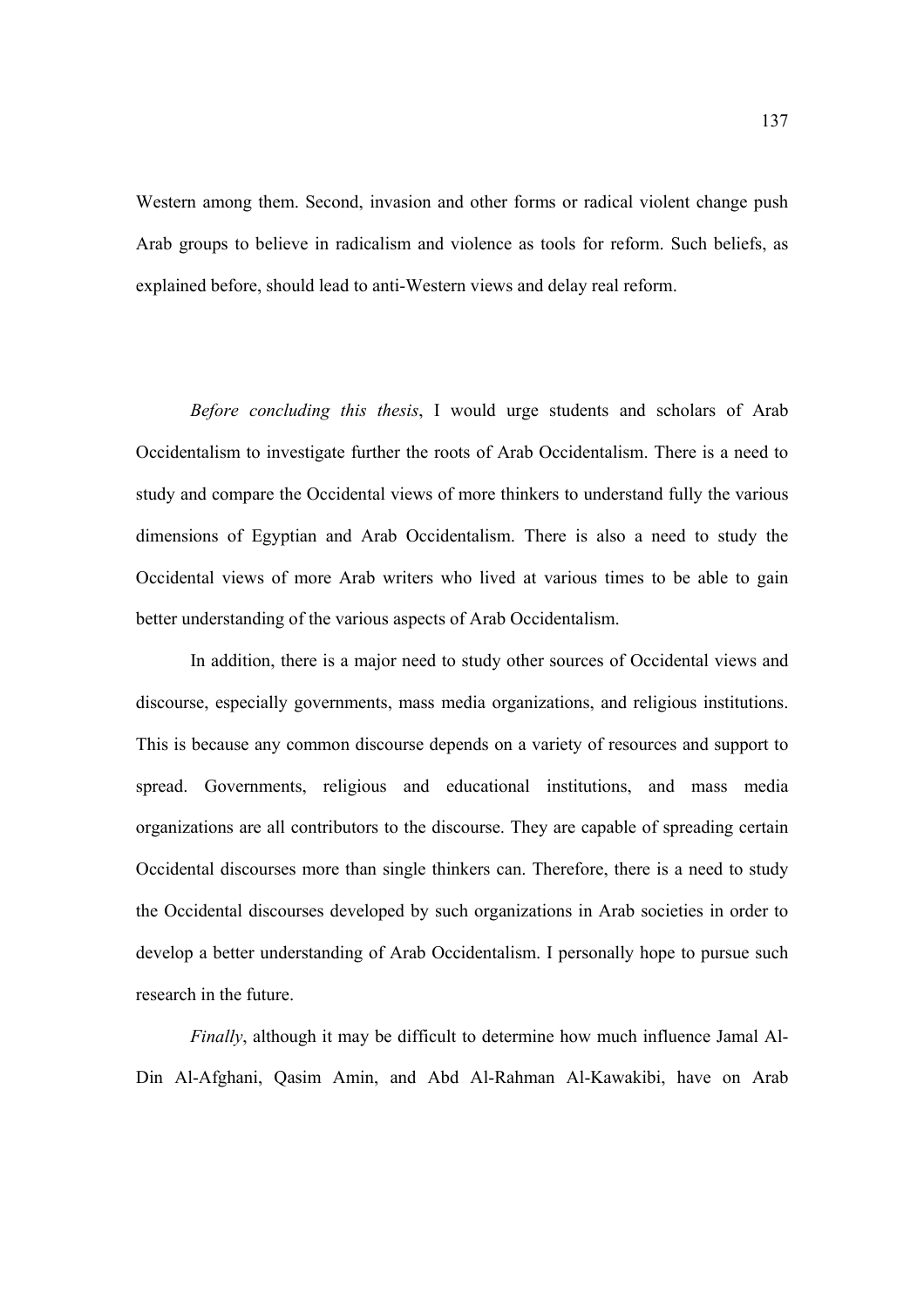Western among them. Second, invasion and other forms or radical violent change push Arab groups to believe in radicalism and violence as tools for reform. Such beliefs, as explained before, should lead to anti-Western views and delay real reform.

*Before concluding this thesis*, I would urge students and scholars of Arab Occidentalism to investigate further the roots of Arab Occidentalism. There is a need to study and compare the Occidental views of more thinkers to understand fully the various dimensions of Egyptian and Arab Occidentalism. There is also a need to study the Occidental views of more Arab writers who lived at various times to be able to gain better understanding of the various aspects of Arab Occidentalism.

In addition, there is a major need to study other sources of Occidental views and discourse, especially governments, mass media organizations, and religious institutions. This is because any common discourse depends on a variety of resources and support to spread. Governments, religious and educational institutions, and mass media organizations are all contributors to the discourse. They are capable of spreading certain Occidental discourses more than single thinkers can. Therefore, there is a need to study the Occidental discourses developed by such organizations in Arab societies in order to develop a better understanding of Arab Occidentalism. I personally hope to pursue such research in the future.

*Finally*, although it may be difficult to determine how much influence Jamal Al-Din Al-Afghani, Qasim Amin, and Abd Al-Rahman Al-Kawakibi, have on Arab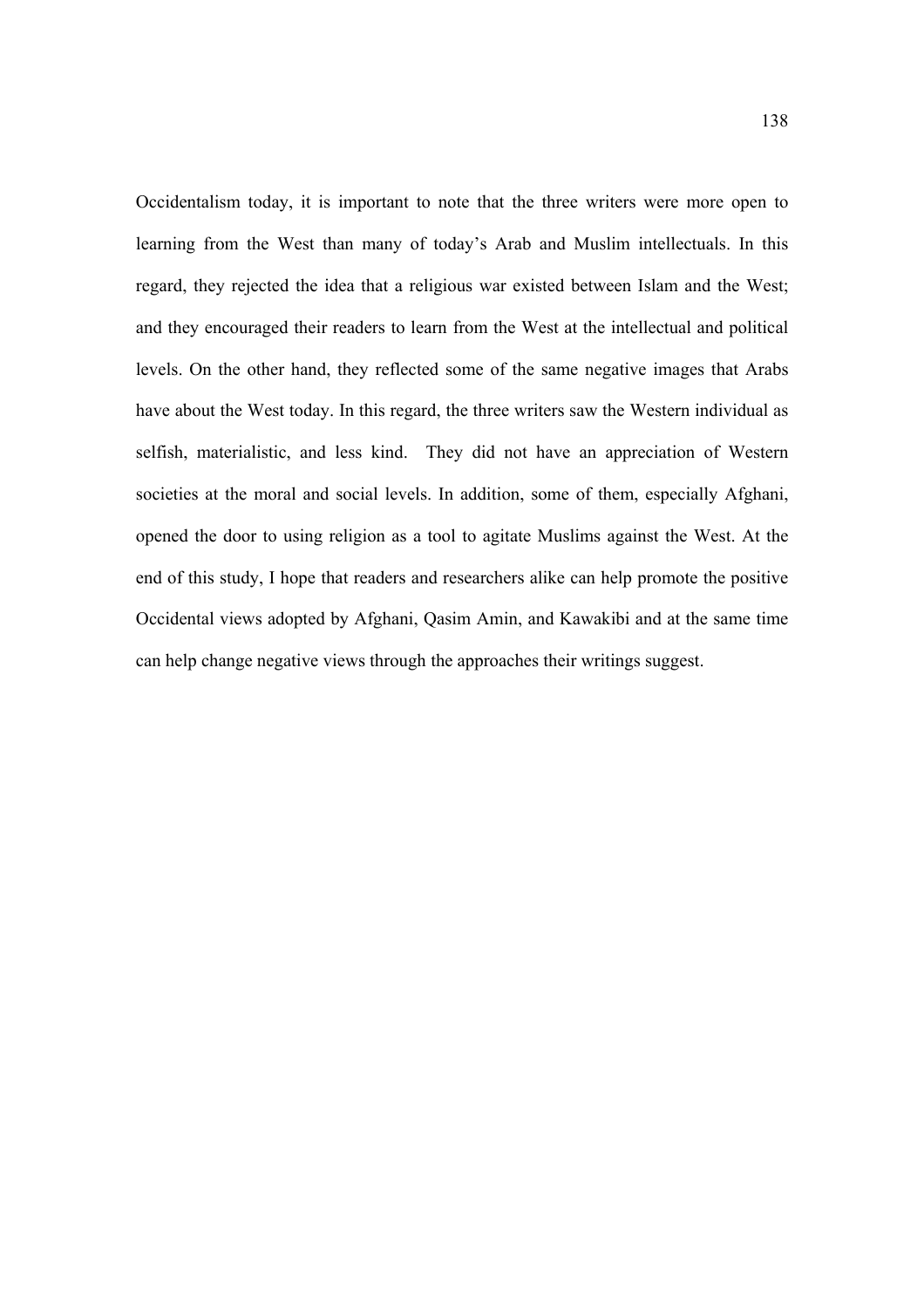Occidentalism today, it is important to note that the three writers were more open to learning from the West than many of today's Arab and Muslim intellectuals. In this regard, they rejected the idea that a religious war existed between Islam and the West; and they encouraged their readers to learn from the West at the intellectual and political levels. On the other hand, they reflected some of the same negative images that Arabs have about the West today. In this regard, the three writers saw the Western individual as selfish, materialistic, and less kind. They did not have an appreciation of Western societies at the moral and social levels. In addition, some of them, especially Afghani, opened the door to using religion as a tool to agitate Muslims against the West. At the end of this study, I hope that readers and researchers alike can help promote the positive Occidental views adopted by Afghani, Qasim Amin, and Kawakibi and at the same time can help change negative views through the approaches their writings suggest.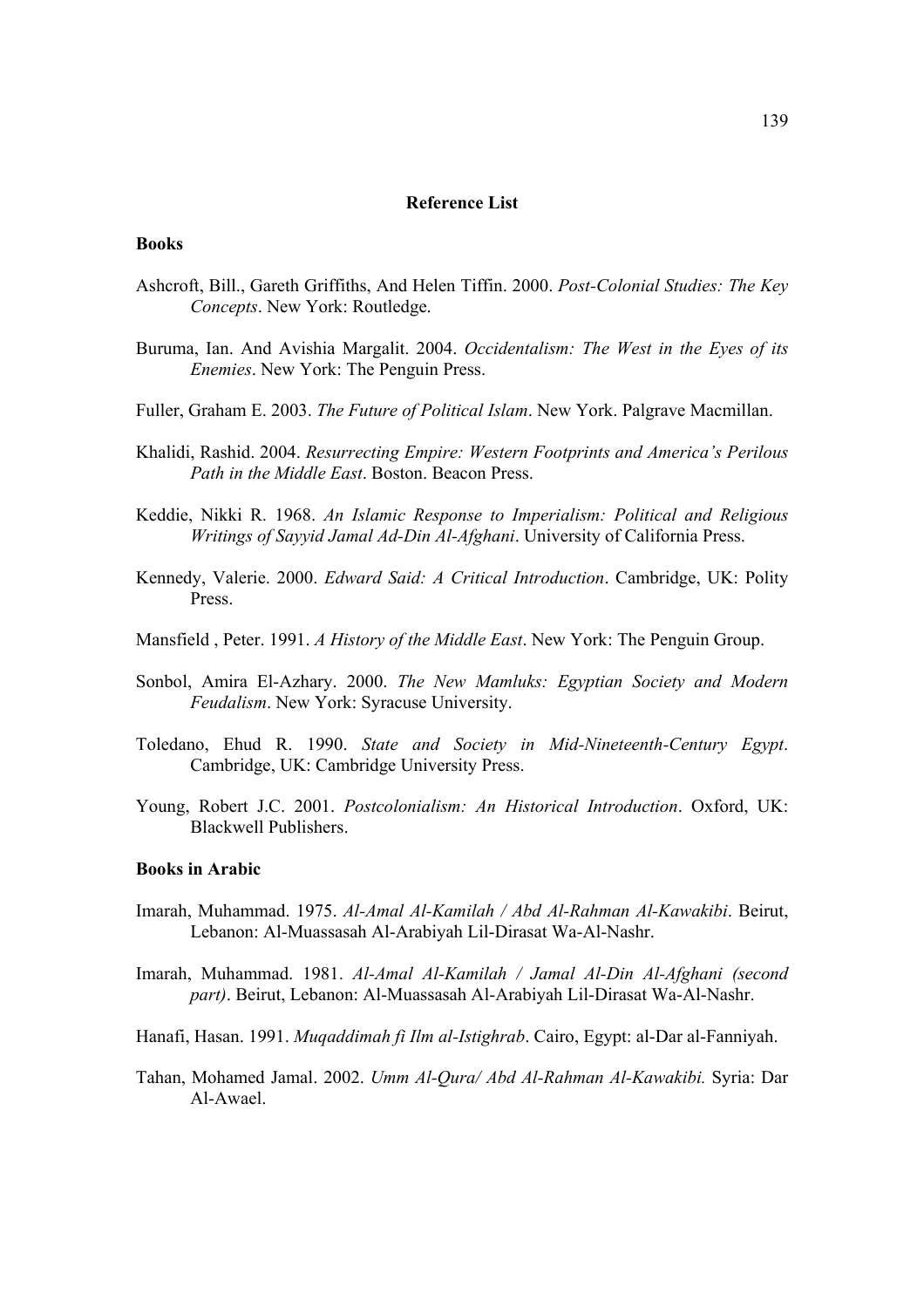# **Reference List**

#### **Books**

- Ashcroft, Bill., Gareth Griffiths, And Helen Tiffin. 2000. *Post-Colonial Studies: The Key Concepts*. New York: Routledge.
- Buruma, Ian. And Avishia Margalit. 2004. *Occidentalism: The West in the Eyes of its Enemies*. New York: The Penguin Press.
- Fuller, Graham E. 2003. *The Future of Political Islam*. New York. Palgrave Macmillan.
- Khalidi, Rashid. 2004. *Resurrecting Empire: Western Footprints and America's Perilous Path in the Middle East*. Boston. Beacon Press.
- Keddie, Nikki R. 1968. *An Islamic Response to Imperialism: Political and Religious Writings of Sayyid Jamal Ad-Din Al-Afghani*. University of California Press.
- Kennedy, Valerie. 2000. *Edward Said: A Critical Introduction*. Cambridge, UK: Polity Press.
- Mansfield , Peter. 1991. *A History of the Middle East*. New York: The Penguin Group.
- Sonbol, Amira El-Azhary. 2000. *The New Mamluks: Egyptian Society and Modern Feudalism*. New York: Syracuse University.
- Toledano, Ehud R. 1990. *State and Society in Mid-Nineteenth-Century Egypt*. Cambridge, UK: Cambridge University Press.
- Young, Robert J.C. 2001. *Postcolonialism: An Historical Introduction*. Oxford, UK: Blackwell Publishers.

## **Books in Arabic**

- Imarah, Muhammad. 1975. *Al-Amal Al-Kamilah / Abd Al-Rahman Al-Kawakibi*. Beirut, Lebanon: Al-Muassasah Al-Arabiyah Lil-Dirasat Wa-Al-Nashr.
- Imarah, Muhammad. 1981. *Al-Amal Al-Kamilah / Jamal Al-Din Al-Afghani (second part)*. Beirut, Lebanon: Al-Muassasah Al-Arabiyah Lil-Dirasat Wa-Al-Nashr.
- Hanafi, Hasan. 1991. *Muqaddimah fi Ilm al-Istighrab*. Cairo, Egypt: al-Dar al-Fanniyah.
- Tahan, Mohamed Jamal. 2002. *Umm Al-Qura/ Abd Al-Rahman Al-Kawakibi.* Syria: Dar Al-Awael.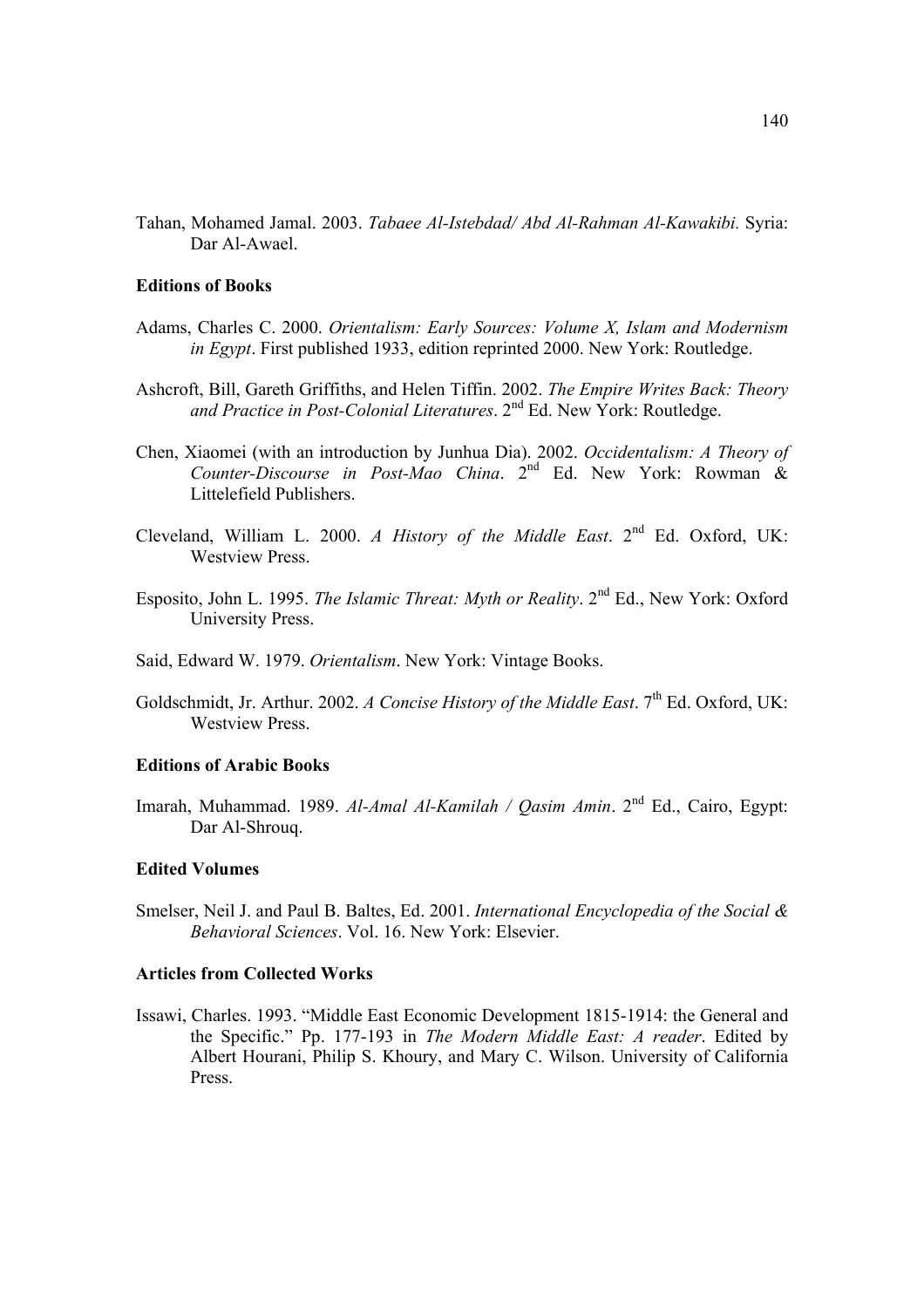Tahan, Mohamed Jamal. 2003. *Tabaee Al-Istebdad/ Abd Al-Rahman Al-Kawakibi.* Syria: Dar Al-Awael.

#### **Editions of Books**

- Adams, Charles C. 2000. *Orientalism: Early Sources: Volume X, Islam and Modernism in Egypt*. First published 1933, edition reprinted 2000. New York: Routledge.
- Ashcroft, Bill, Gareth Griffiths, and Helen Tiffin. 2002. *The Empire Writes Back: Theory*  and Practice in Post-Colonial Literatures. 2<sup>nd</sup> Ed. New York: Routledge.
- Chen, Xiaomei (with an introduction by Junhua Dia). 2002. *Occidentalism: A Theory of Counter-Discourse in Post-Mao China*. 2nd Ed. New York: Rowman & Littelefield Publishers.
- Cleveland, William L. 2000. *A History of the Middle East*. 2nd Ed. Oxford, UK: Westview Press.
- Esposito, John L. 1995. *The Islamic Threat: Myth or Reality*. 2nd Ed., New York: Oxford University Press.
- Said, Edward W. 1979. *Orientalism*. New York: Vintage Books.
- Goldschmidt, Jr. Arthur. 2002. *A Concise History of the Middle East*. 7<sup>th</sup> Ed. Oxford. UK: Westview Press.

# **Editions of Arabic Books**

Imarah, Muhammad. 1989. *Al-Amal Al-Kamilah / Qasim Amin*. 2nd Ed., Cairo, Egypt: Dar Al-Shrouq.

# **Edited Volumes**

Smelser, Neil J. and Paul B. Baltes, Ed. 2001. *International Encyclopedia of the Social & Behavioral Sciences*. Vol. 16. New York: Elsevier.

### **Articles from Collected Works**

Issawi, Charles. 1993. "Middle East Economic Development 1815-1914: the General and the Specific." Pp. 177-193 in *The Modern Middle East: A reader*. Edited by Albert Hourani, Philip S. Khoury, and Mary C. Wilson. University of California Press.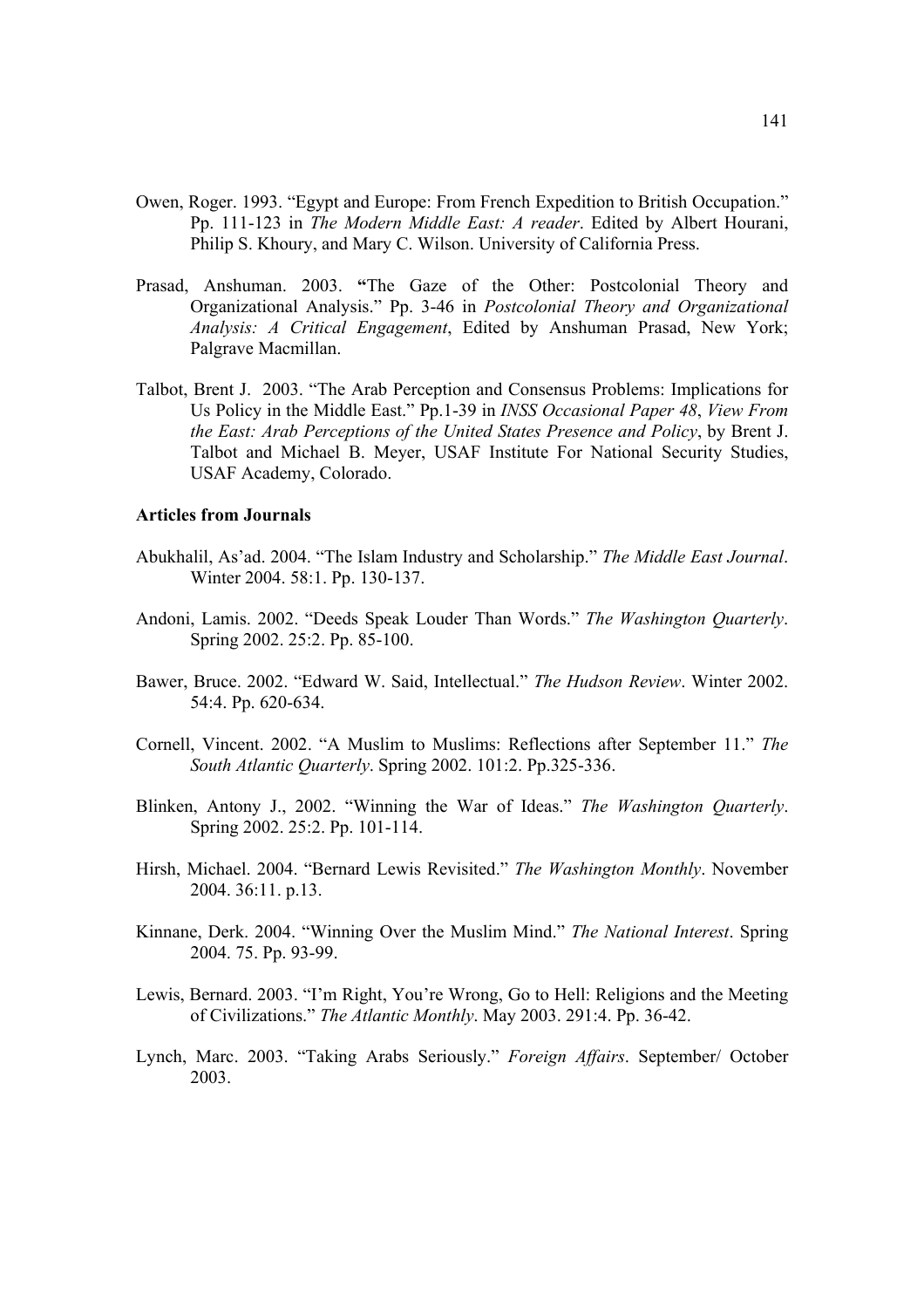- Owen, Roger. 1993. "Egypt and Europe: From French Expedition to British Occupation." Pp. 111-123 in *The Modern Middle East: A reader*. Edited by Albert Hourani, Philip S. Khoury, and Mary C. Wilson. University of California Press.
- Prasad, Anshuman. 2003. **"**The Gaze of the Other: Postcolonial Theory and Organizational Analysis." Pp. 3-46 in *Postcolonial Theory and Organizational Analysis: A Critical Engagement*, Edited by Anshuman Prasad, New York; Palgrave Macmillan.
- Talbot, Brent J. 2003. "The Arab Perception and Consensus Problems: Implications for Us Policy in the Middle East." Pp.1-39 in *INSS Occasional Paper 48*, *View From the East: Arab Perceptions of the United States Presence and Policy*, by Brent J. Talbot and Michael B. Meyer, USAF Institute For National Security Studies, USAF Academy, Colorado.

# **Articles from Journals**

- Abukhalil, As'ad. 2004. "The Islam Industry and Scholarship." *The Middle East Journal*. Winter 2004. 58:1. Pp. 130-137.
- Andoni, Lamis. 2002. "Deeds Speak Louder Than Words." *The Washington Quarterly*. Spring 2002. 25:2. Pp. 85-100.
- Bawer, Bruce. 2002. "Edward W. Said, Intellectual." *The Hudson Review*. Winter 2002. 54:4. Pp. 620-634.
- Cornell, Vincent. 2002. "A Muslim to Muslims: Reflections after September 11." *The South Atlantic Quarterly*. Spring 2002. 101:2. Pp.325-336.
- Blinken, Antony J., 2002. "Winning the War of Ideas." *The Washington Quarterly*. Spring 2002. 25:2. Pp. 101-114.
- Hirsh, Michael. 2004. "Bernard Lewis Revisited." *The Washington Monthly*. November 2004. 36:11. p.13.
- Kinnane, Derk. 2004. "Winning Over the Muslim Mind." *The National Interest*. Spring 2004. 75. Pp. 93-99.
- Lewis, Bernard. 2003. "I'm Right, You're Wrong, Go to Hell: Religions and the Meeting of Civilizations." *The Atlantic Monthly*. May 2003. 291:4. Pp. 36-42.
- Lynch, Marc. 2003. "Taking Arabs Seriously." *Foreign Affairs*. September/ October 2003.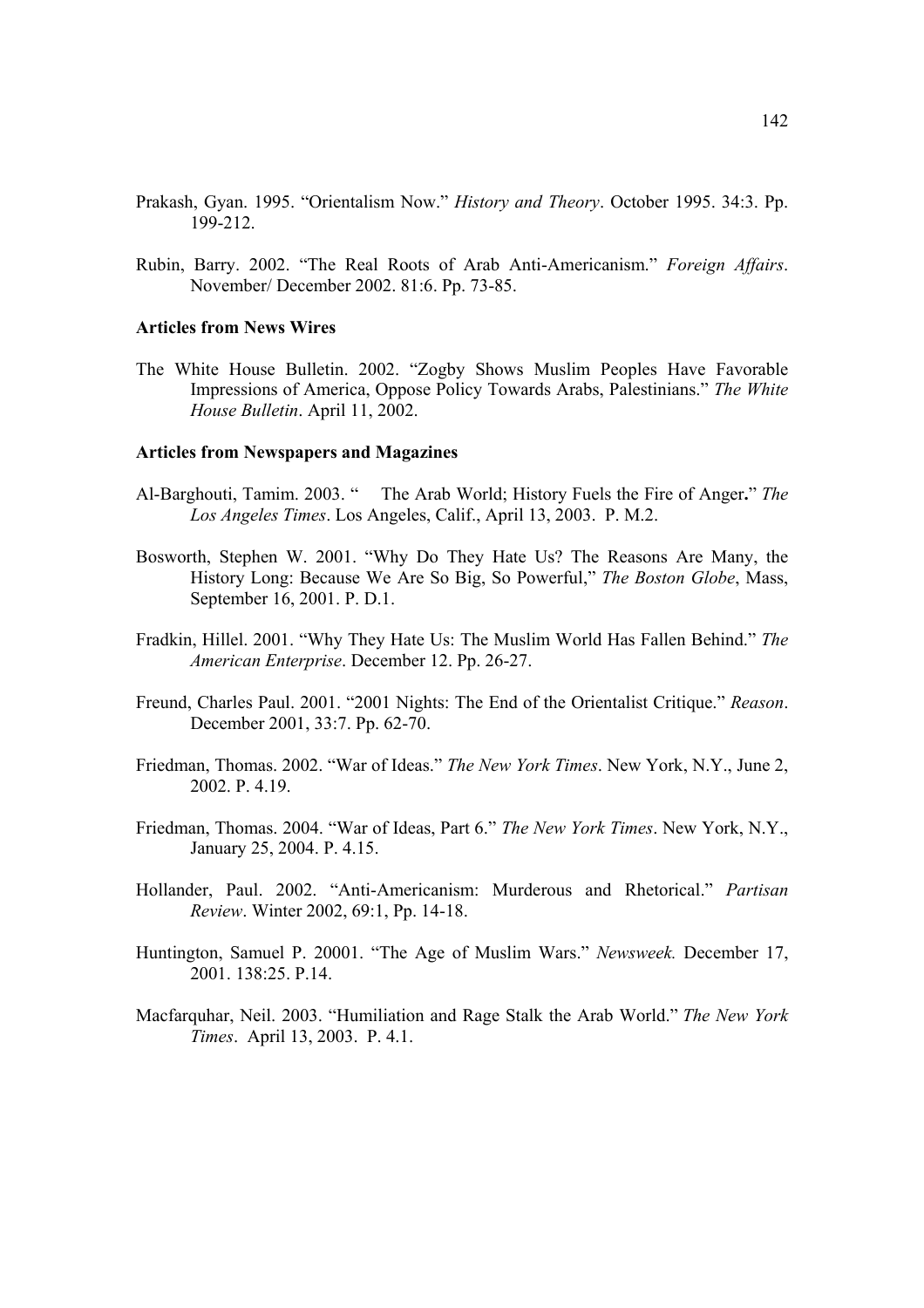- Prakash, Gyan. 1995. "Orientalism Now." *History and Theory*. October 1995. 34:3. Pp. 199-212.
- Rubin, Barry. 2002. "The Real Roots of Arab Anti-Americanism." *Foreign Affairs*. November/ December 2002. 81:6. Pp. 73-85.

#### **Articles from News Wires**

The White House Bulletin. 2002. "Zogby Shows Muslim Peoples Have Favorable Impressions of America, Oppose Policy Towards Arabs, Palestinians." *The White House Bulletin*. April 11, 2002.

# **Articles from Newspapers and Magazines**

- Al-Barghouti, Tamim. 2003. " The Arab World; History Fuels the Fire of Anger**.**" *The Los Angeles Times*. Los Angeles, Calif., April 13, 2003. P. M.2.
- Bosworth, Stephen W. 2001. "Why Do They Hate Us? The Reasons Are Many, the History Long: Because We Are So Big, So Powerful," *The Boston Globe*, Mass, September 16, 2001. P. D.1.
- Fradkin, Hillel. 2001. "Why They Hate Us: The Muslim World Has Fallen Behind." *The American Enterprise*. December 12. Pp. 26-27.
- Freund, Charles Paul. 2001. "2001 Nights: The End of the Orientalist Critique." *Reason*. December 2001, 33:7. Pp. 62-70.
- Friedman, Thomas. 2002. "War of Ideas." *The New York Times*. New York, N.Y., June 2, 2002. P. 4.19.
- Friedman, Thomas. 2004. "War of Ideas, Part 6." *The New York Times*. New York, N.Y., January 25, 2004. P. 4.15.
- Hollander, Paul. 2002. "Anti-Americanism: Murderous and Rhetorical." *Partisan Review*. Winter 2002, 69:1, Pp. 14-18.
- Huntington, Samuel P. 20001. "The Age of Muslim Wars." *Newsweek.* December 17, 2001. 138:25. P.14.
- Macfarquhar, Neil. 2003. "Humiliation and Rage Stalk the Arab World." *The New York Times*. April 13, 2003. P. 4.1.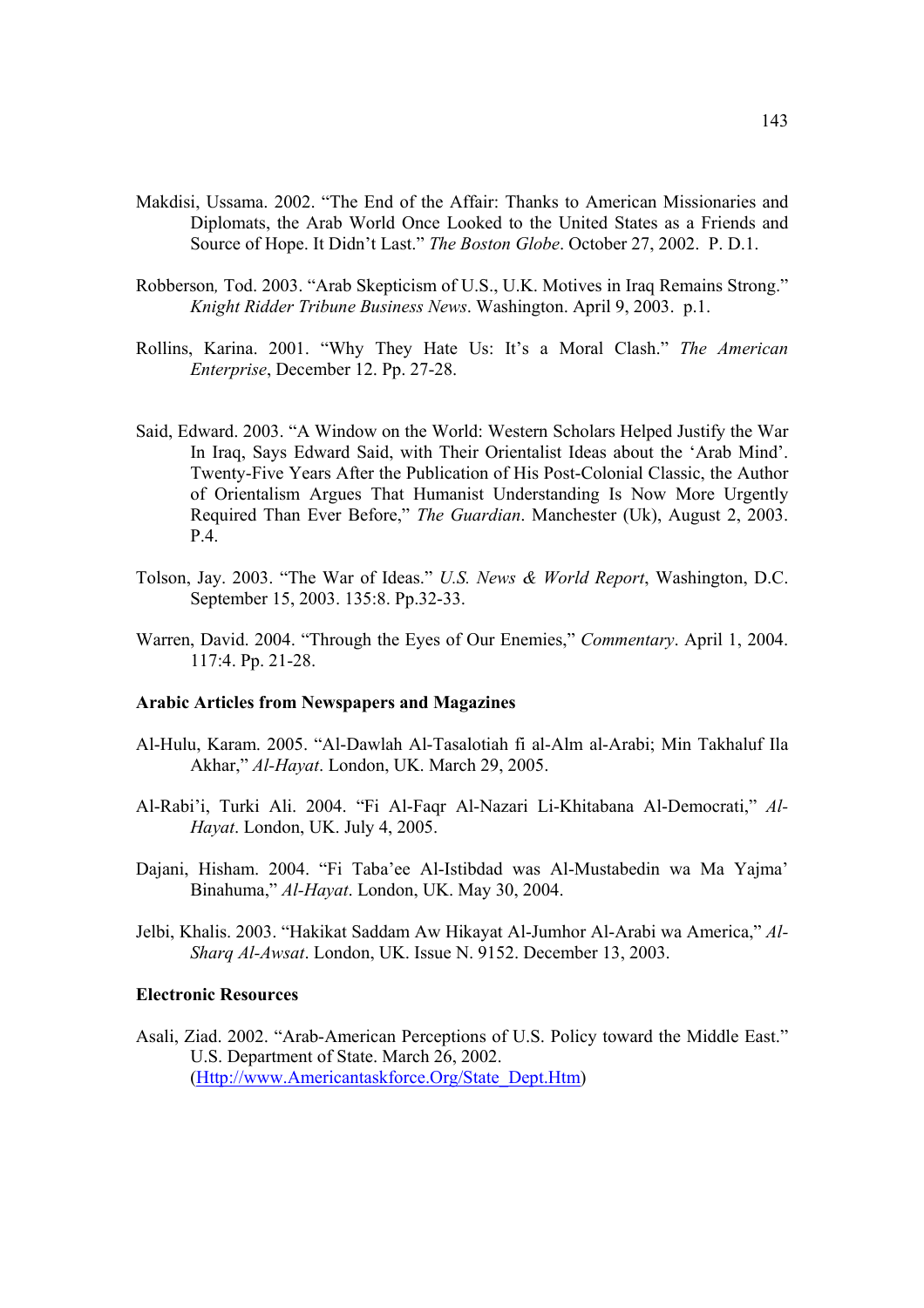- Makdisi, Ussama. 2002. "The End of the Affair: Thanks to American Missionaries and Diplomats, the Arab World Once Looked to the United States as a Friends and Source of Hope. It Didn't Last." *The Boston Globe*. October 27, 2002. P. D.1.
- Robberson*,* Tod. 2003. "Arab Skepticism of U.S., U.K. Motives in Iraq Remains Strong." *Knight Ridder Tribune Business News*. Washington. April 9, 2003. p.1.
- Rollins, Karina. 2001. "Why They Hate Us: It's a Moral Clash." *The American Enterprise*, December 12. Pp. 27-28.
- Said, Edward. 2003. "A Window on the World: Western Scholars Helped Justify the War In Iraq, Says Edward Said, with Their Orientalist Ideas about the 'Arab Mind'. Twenty-Five Years After the Publication of His Post-Colonial Classic, the Author of Orientalism Argues That Humanist Understanding Is Now More Urgently Required Than Ever Before," *The Guardian*. Manchester (Uk), August 2, 2003. P.4.
- Tolson, Jay. 2003. "The War of Ideas." *U.S. News & World Report*, Washington, D.C. September 15, 2003. 135:8. Pp.32-33.
- Warren, David. 2004. "Through the Eyes of Our Enemies," *Commentary*. April 1, 2004. 117:4. Pp. 21-28.

# **Arabic Articles from Newspapers and Magazines**

- Al-Hulu, Karam. 2005. "Al-Dawlah Al-Tasalotiah fi al-Alm al-Arabi; Min Takhaluf Ila Akhar," *Al-Hayat*. London, UK. March 29, 2005.
- Al-Rabi'i, Turki Ali. 2004. "Fi Al-Faqr Al-Nazari Li-Khitabana Al-Democrati," *Al-Hayat*. London, UK. July 4, 2005.
- Dajani, Hisham. 2004. "Fi Taba'ee Al-Istibdad was Al-Mustabedin wa Ma Yajma' Binahuma," *Al-Hayat*. London, UK. May 30, 2004.
- Jelbi, Khalis. 2003. "Hakikat Saddam Aw Hikayat Al-Jumhor Al-Arabi wa America," *Al-Sharq Al-Awsat*. London, UK. Issue N. 9152. December 13, 2003.

#### **Electronic Resources**

Asali, Ziad. 2002. "Arab-American Perceptions of U.S. Policy toward the Middle East." U.S. Department of State. March 26, 2002. (Http://www.Americantaskforce.Org/State\_Dept.Htm)